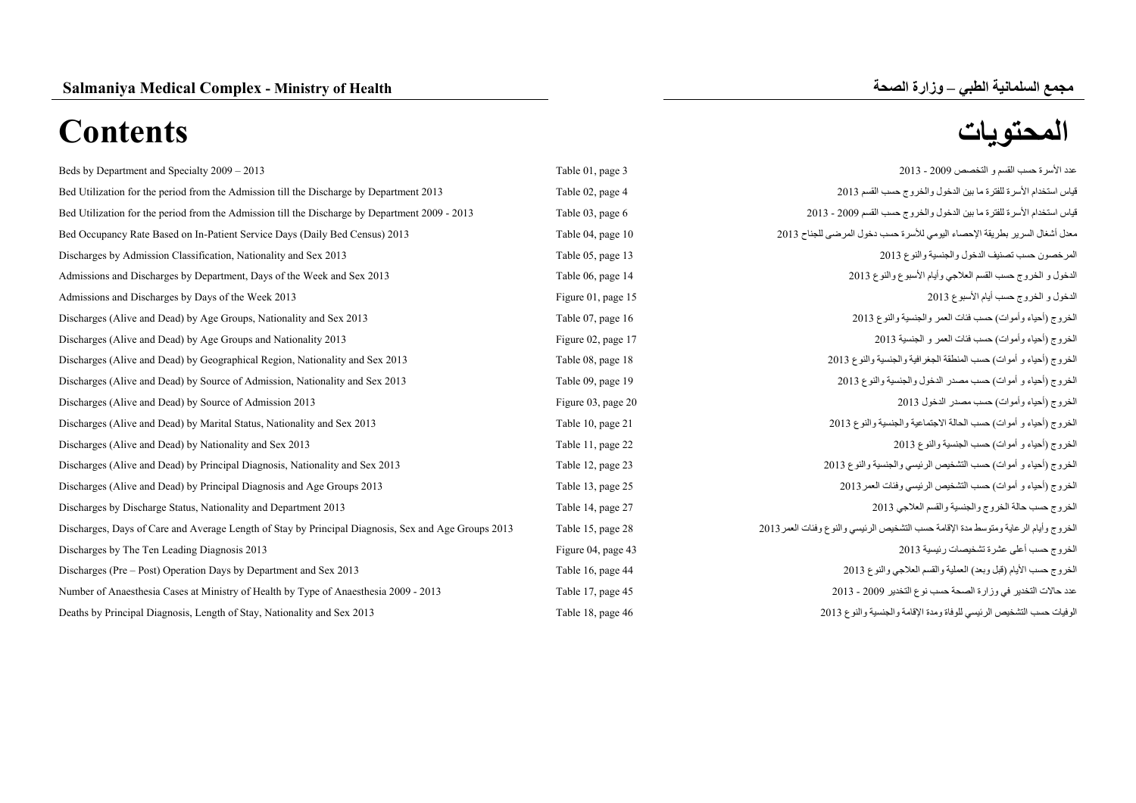| Beds by Department and Specialty 2009 - 2013                                                        | Table 01, page 3   | عدد الأسرة حسب القسم و التخصص 2009 - 2013                                           |
|-----------------------------------------------------------------------------------------------------|--------------------|-------------------------------------------------------------------------------------|
| Bed Utilization for the period from the Admission till the Discharge by Department 2013             | Table 02, page 4   | قياس استخدام الأسرة للفترة ما بين الدخول والخروج حسب القسم 2013                     |
| Bed Utilization for the period from the Admission till the Discharge by Department 2009 - 2013      | Table 03, page 6   | قياس استخدام الأسرة للفترة ما بين الدخول والخروج حسب القسم 2009 - 2013              |
| Bed Occupancy Rate Based on In-Patient Service Days (Daily Bed Census) 2013                         | Table 04, page 10  | معدل أشغال السرير بطريقة الإحصاء اليومي للأسرة حسب دخول المرضى للجناح 2013          |
| Discharges by Admission Classification, Nationality and Sex 2013                                    | Table 05, page 13  | المرخصون حسب تصنيف الدخول والجنسية والنوع 2013                                      |
| Admissions and Discharges by Department, Days of the Week and Sex 2013                              | Table 06, page 14  | الدخول و الخروج حسب القسم العلاجي وأيام الأسبوع والنوع 2013                         |
| Admissions and Discharges by Days of the Week 2013                                                  | Figure 01, page 15 | الدخول و الخروج حسب أيام الأسبوع 2013                                               |
| Discharges (Alive and Dead) by Age Groups, Nationality and Sex 2013                                 | Table 07, page 16  | الخروج (أحياء وأموات) حسب فئات العمر والجنسية والنوع 2013                           |
| Discharges (Alive and Dead) by Age Groups and Nationality 2013                                      | Figure 02, page 17 | الخروج (أحياء وأموات) حسب فئات العمر و الجنسية 2013                                 |
| Discharges (Alive and Dead) by Geographical Region, Nationality and Sex 2013                        | Table 08, page 18  | الخروج (أحياء و أموات) حسب المنطقة الجغرافية والجنسية والنوع 2013                   |
| Discharges (Alive and Dead) by Source of Admission, Nationality and Sex 2013                        | Table 09, page 19  | الخروج (أحياء و أموات) حسب مصدر الدخول والجنسية والنوع 2013                         |
| Discharges (Alive and Dead) by Source of Admission 2013                                             | Figure 03, page 20 | الخروج (أحياء وأموات) حسب مصدر الدخول 2013                                          |
| Discharges (Alive and Dead) by Marital Status, Nationality and Sex 2013                             | Table 10, page 21  | الخروج (أحياء و أموات) حسب الحالة الاجتماعية والجنسية والنوع 2013                   |
| Discharges (Alive and Dead) by Nationality and Sex 2013                                             | Table 11, page 22  | الخروج (أحياء و أموات) حسب الجنسية والنوع 2013                                      |
| Discharges (Alive and Dead) by Principal Diagnosis, Nationality and Sex 2013                        | Table 12, page 23  | الخروج (أحياء و أموات) حسب التشخيص الرئيسي والجنسية والنوع 2013                     |
| Discharges (Alive and Dead) by Principal Diagnosis and Age Groups 2013                              | Table 13, page 25  | الخروج (أحياء و أموات) حسب التشخيص الرئيسي وفئات العمر 2013                         |
| Discharges by Discharge Status, Nationality and Department 2013                                     | Table 14, page 27  | الخروج حسب حالة الخروج والجنسية والقسم العلاجي 2013                                 |
| Discharges, Days of Care and Average Length of Stay by Principal Diagnosis, Sex and Age Groups 2013 | Table 15, page 28  | الخروج وأيام الرعاية ومتوسط مدة الإقامة حسب التشخيص الرئيسي والنوع وفئات العمر 2013 |
| Discharges by The Ten Leading Diagnosis 2013                                                        | Figure 04, page 43 | الخروج حسب أعلى عشرة تشخيصات رئيسية 2013                                            |
| Discharges (Pre – Post) Operation Days by Department and Sex 2013                                   | Table 16, page 44  | الخروج حسب الأيام (قبل وبعد) العملية والقسم العلاجي والنوع 2013                     |
| Number of Anaesthesia Cases at Ministry of Health by Type of Anaesthesia 2009 - 2013                | Table 17, page 45  | عدد حالات التخدير في وزارة الصحة حسب نوع التخدير 2009 - 2013                        |
| Deaths by Principal Diagnosis, Length of Stay, Nationality and Sex 2013                             | Table 18, page 46  | الوفيات حسب التشخيص الرئيسي للوفاة ومدة الإقامة والجنسية والنوع 2013                |
|                                                                                                     |                    |                                                                                     |

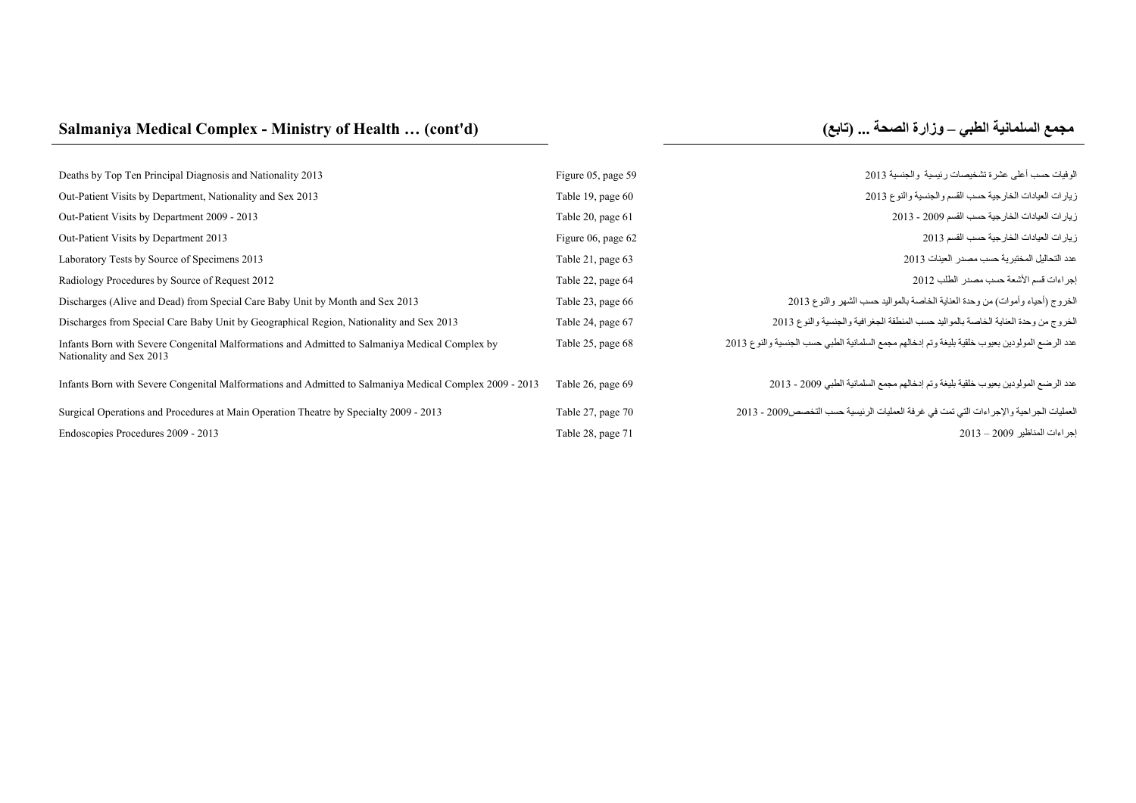# **Salmaniya Medical Complex - Ministry of Health ... (cont'd)**

# **مجمع السلمانية الطبي –**

| Deaths by Top Ten Principal Diagnosis and Nationality 2013                                                                 | Figure 05, page 59 | الوفيات حسب أعلى عشرة تشخيصات رئيسية والجنسية 2013                                             |
|----------------------------------------------------------------------------------------------------------------------------|--------------------|------------------------------------------------------------------------------------------------|
| Out-Patient Visits by Department, Nationality and Sex 2013                                                                 | Table 19, page 60  | زيارات العيادات الخارجية حسب القسم والجنسية والنوع 2013                                        |
| Out-Patient Visits by Department 2009 - 2013                                                                               | Table 20, page 61  | زيارات العيادات الخارجية حسب القسم 2009 - 2013                                                 |
| Out-Patient Visits by Department 2013                                                                                      | Figure 06, page 62 | زيار ات العيادات الخارجية حسب القسم 2013                                                       |
| Laboratory Tests by Source of Specimens 2013                                                                               | Table 21, page 63  | عدد التحاليل المختبرية حسب مصدر العينات 2013                                                   |
| Radiology Procedures by Source of Request 2012                                                                             | Table 22, page 64  | إجراءات قسم الأشعة حسب مصدر الطلب 2012                                                         |
| Discharges (Alive and Dead) from Special Care Baby Unit by Month and Sex 2013                                              | Table 23, page 66  | الخروج (أحياء وأموات) من وحدة العناية الخاصة بالمواليد حسب الشهر والنوع 2013                   |
| Discharges from Special Care Baby Unit by Geographical Region, Nationality and Sex 2013                                    | Table 24, page 67  | الخروج من وحدة العناية الخاصة بالمواليد حسب المنطقة الجغرافية والجنسية والنوع 2013             |
| Infants Born with Severe Congenital Malformations and Admitted to Salmaniya Medical Complex by<br>Nationality and Sex 2013 | Table 25, page 68  | عدد الرضع المولودين بعيوب خلقية بليغة وتم إدخالهم مجمع السلمانية الطبي حسب الجنسية والنوع 2013 |
| Infants Born with Severe Congenital Malformations and Admitted to Salmaniya Medical Complex 2009 - 2013                    | Table 26, page 69  | عدد الرضع المولودين بعيوب خلقية بليغة وتم إدخالهم مجمع السلمانية الطبي 2009 - 2013             |
| Surgical Operations and Procedures at Main Operation Theatre by Specialty 2009 - 2013                                      | Table 27, page 70  | العمليات الجراحية والإجراءات التي تمت في غرفة العمليات الرئيسية حسب التخصص2009 - 2013          |
| Endoscopies Procedures 2009 - 2013                                                                                         | Table 28, page 71  | اجر اءات المناظير 2009 – 2013                                                                  |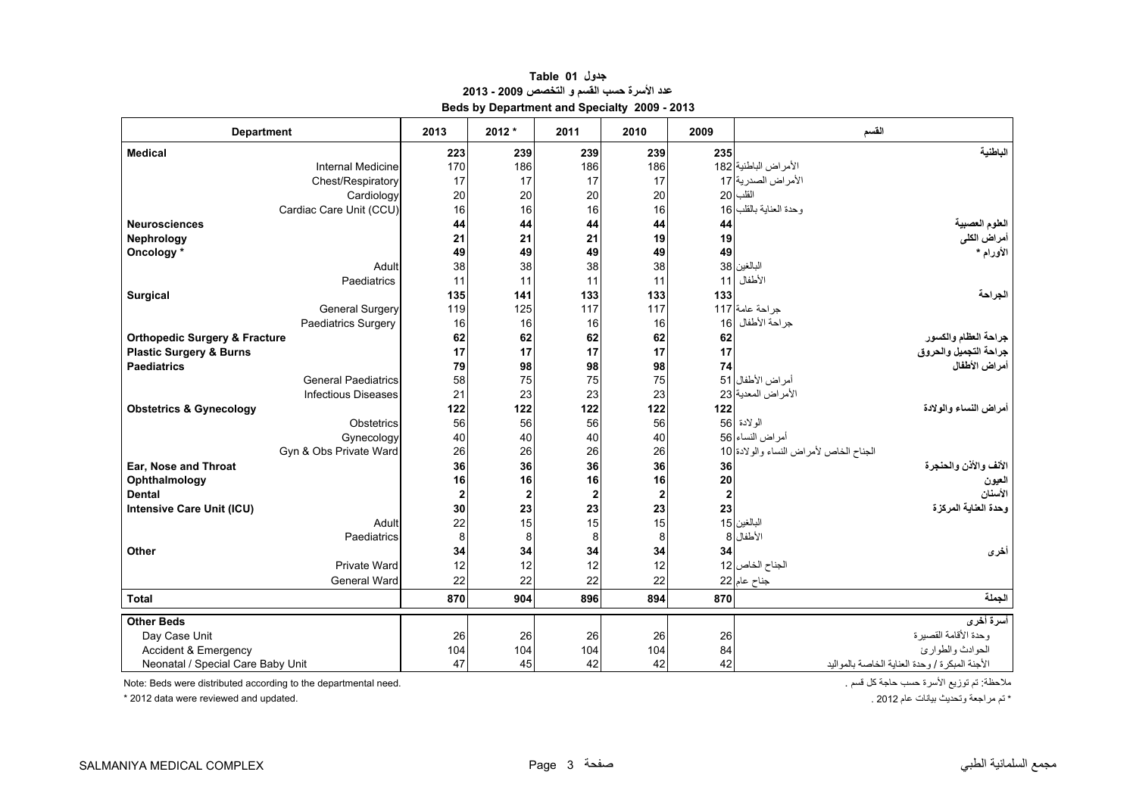<span id="page-2-0"></span>

| <b>Department</b>                        | 2013             | 2012* | 2011           | 2010           | 2009        | القسم                                          |
|------------------------------------------|------------------|-------|----------------|----------------|-------------|------------------------------------------------|
| <b>Medical</b>                           | 223              | 239   | 239            | 239            | 235         | الناطنية                                       |
| <b>Internal Medicine</b>                 | 170              | 186   | 186            | 186            |             | الأمراض الباطنية 182                           |
| Chest/Respiratory                        | 17               | 17    | 17             | 17             |             | الأمراض الصدرية 17                             |
| Cardiology                               | 20               | 20    | 20             | 20             |             | القلب 20                                       |
| Cardiac Care Unit (CCU)                  | 16               | 16    | 16             | 16             |             | وحدة العناية بالقلب 16                         |
| <b>Neurosciences</b>                     | 44               | 44    | 44             | 44             | 44          | العلوم العصبية                                 |
| Nephrology                               | 21               | 21    | 21             | 19             | 19          | أمراض الكلى                                    |
| Oncology *                               | 49               | 49    | 49             | 49             | 49          | الأورام *                                      |
| Adult                                    | 38               | 38    | 38             | 38             |             | البالغين 38                                    |
| Paediatrics                              | 11               | 11    | 11             | 11             | 11          | الأطفال                                        |
| Surgical                                 | 135              | 141   | 133            | 133            | 133         | الجراحة                                        |
| <b>General Surgery</b>                   | 119              | 125   | 117            | 117            |             | جراحة عامة 117                                 |
| Paediatrics Surgery                      | 16               | 16    | 16             | 16             |             | جراحة الأطفال 16                               |
| <b>Orthopedic Surgery &amp; Fracture</b> | 62               | 62    | 62             | 62             | 62          | جراحة العظام والكسور                           |
| <b>Plastic Surgery &amp; Burns</b>       | 17               | 17    | 17             | 17             | 17          | جراحة التجميل والحروق                          |
| <b>Paediatrics</b>                       | 79               | 98    | 98             | 98             | 74          | أمراض الأطفال                                  |
| <b>General Paediatrics</b>               | 58               | 75    | 75             | 75             |             | أمراض الأطفال 51                               |
| <b>Infectious Diseases</b>               | 21               | 23    | 23             | 23             |             | الأمراض المعدية 23                             |
| <b>Obstetrics &amp; Gynecology</b>       | 122              | 122   | 122            | 122            | 122         | أمراض النساء والولادة                          |
| Obstetrics                               | 56               | 56    | 56             | 56             |             | الو لادة  56                                   |
| Gynecology                               | 40               | 40    | 40             | 40             |             | أمراض النساء 56                                |
| Gyn & Obs Private Ward                   | 26               | 26    | 26             | 26             |             | الجناح الخاص لأمراض النساء والولادة 10         |
| Ear, Nose and Throat                     | 36               | 36    | 36             | 36             | 36          | الأنف والأذن والحنجرة                          |
| Ophthalmology                            | 16               | 16    | 16             | 16             | ${\bf 20}$  | العيون                                         |
| <b>Dental</b>                            | $\boldsymbol{2}$ | 2     | $\overline{2}$ | $\overline{2}$ | $\mathbf 2$ | الأسنان                                        |
| <b>Intensive Care Unit (ICU)</b>         | 30               | 23    | 23             | 23             | 23          | وحدة العفاية المركزة                           |
| Adult                                    | 22               | 15    | 15             | 15             |             | البالغين 15                                    |
| Paediatrics                              | 8                | 8     | 8              | 8              |             | الأطفال 8                                      |
| Other                                    | 34               | 34    | 34             | 34             | 34          | أخرى                                           |
| Private Ward                             | 12               | 12    | 12             | 12             |             | الجناح الخاص 12                                |
| General Ward                             | 22               | 22    | 22             | 22             |             | جناح عام 22                                    |
| <b>Total</b>                             | 870              | 904   | 896            | 894            | 870         | الجملة                                         |
| <b>Other Beds</b>                        |                  |       |                |                |             | أسرة أخرى                                      |
| Day Case Unit                            | 26               | 26    | 26             | 26             | 26          | وحدة الأقامة القصيرة                           |
| Accident & Emergency                     | 104              | 104   | 104            | 104            | 84          | الحوادث والطوارئ                               |
| Neonatal / Special Care Baby Unit        | 47               | 45    | 42             | 42             | 42          | الأجنة المبكرة / وحدة العناية الخاصة بالمواليد |

## **جدول 01 Table عدد األسرة حسب القسم <sup>و</sup> التخصص 2009 - 2013 Beds by Department and Specialty 2009 - 2013**

ملاحظة: تم توزيع الأسرة حسب حاجة كل قسم .<br>\* تم مراجعة وتحديث بيانات عام 2012 .<br>\* تم مراجعة وتحديث بيانات عام 2012 .

\* 2012 data were reviewed and updated.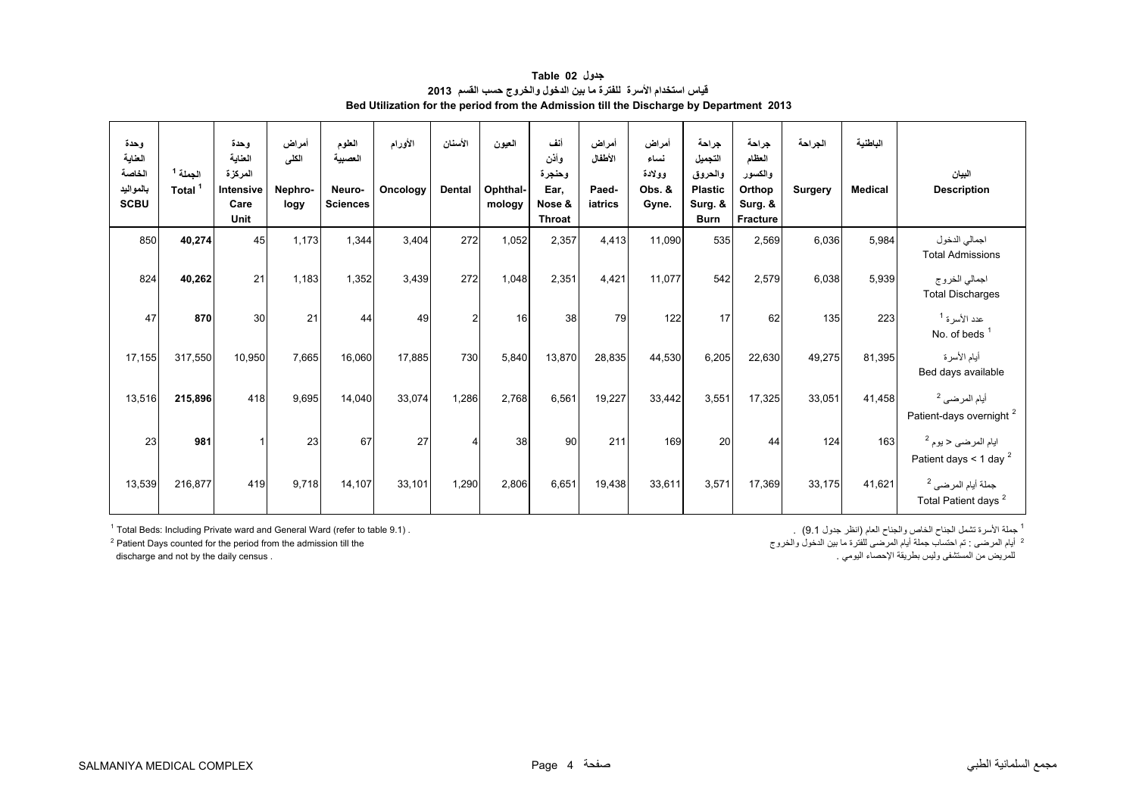<span id="page-3-0"></span>

| وحدة<br>العناية<br>الخاصة<br>بالمواليد<br><b>SCBU</b> | الجملة <sup>1</sup><br>Total | وحدة<br>العناية<br>المركزة<br>Intensive<br>Care<br>Unit | أمراض<br>الكلى<br>Nephro-<br>logy | العلوم<br>العصبية<br>Neuro-<br><b>Sciences</b> | الأورام<br>Oncology | الأسنان<br>Dental | العيون<br>Ophthal-<br>mology | أنف<br>وأذن<br>وحنجرة<br>Ear,<br>Nose &<br>Throat | أمراض<br>الأطفال<br>Paed-<br>iatrics | أمراض<br>نساء<br>وولادة<br>Obs. &<br>Gyne. | جراحة<br>التجميل<br>والحروق<br><b>Plastic</b><br>Surg. &<br><b>Burn</b> | جراحة<br>العظام<br>والكسور<br>Orthop<br>Surg. &<br>Fracture | الجراحة<br><b>Surgery</b> | الباطنية<br><b>Medical</b> | البيان<br><b>Description</b>                                     |
|-------------------------------------------------------|------------------------------|---------------------------------------------------------|-----------------------------------|------------------------------------------------|---------------------|-------------------|------------------------------|---------------------------------------------------|--------------------------------------|--------------------------------------------|-------------------------------------------------------------------------|-------------------------------------------------------------|---------------------------|----------------------------|------------------------------------------------------------------|
| 850                                                   | 40,274                       | 45                                                      | 1,173                             | 1,344                                          | 3,404               | 272               | 1,052                        | 2,357                                             | 4,413                                | 11,090                                     | 535                                                                     | 2,569                                                       | 6,036                     | 5,984                      | اجمالي الدخول<br><b>Total Admissions</b>                         |
| 824                                                   | 40,262                       | 21                                                      | 1,183                             | 1,352                                          | 3,439               | 272               | 1,048                        | 2,351                                             | 4.421                                | 11,077                                     | 542                                                                     | 2,579                                                       | 6,038                     | 5,939                      | اجمالي الخروج<br><b>Total Discharges</b>                         |
| 47                                                    | 870                          | 30                                                      | 21                                | 44                                             | 49                  | 2                 | 16                           | 38                                                | 79                                   | 122                                        | 17                                                                      | 62                                                          | 135                       | 223                        | عدد الأسر ة <sup>1</sup><br>No. of beds $1$                      |
| 17,155                                                | 317,550                      | 10,950                                                  | 7,665                             | 16,060                                         | 17,885              | 730               | 5,840                        | 13,870                                            | 28,835                               | 44,530                                     | 6,205                                                                   | 22,630                                                      | 49,275                    | 81,395                     | أيام الأسرة<br>Bed days available                                |
| 13,516                                                | 215,896                      | 418                                                     | 9,695                             | 14,040                                         | 33,074              | 1,286             | 2,768                        | 6,561                                             | 19,227                               | 33,442                                     | 3,551                                                                   | 17,325                                                      | 33,051                    | 41,458                     | أيام المرضى <sup>2</sup><br>Patient-days overnight <sup>2</sup>  |
| 23                                                    | 981                          |                                                         | 23                                | 67                                             | 27                  |                   | 38                           | 90                                                | 211                                  | 169                                        | 20                                                                      | 44                                                          | 124                       | 163                        | ايام المرضى ح يوم <sup>2</sup><br>Patient days < 1 day $^2$      |
| 13,539                                                | 216,877                      | 419                                                     | 9,718                             | 14,107                                         | 33,101              | 1,290             | 2,806                        | 6,651                                             | 19,438                               | 33,611                                     | 3,571                                                                   | 17,369                                                      | 33,175                    | 41,621                     | جملة أيام المرضى <sup>2</sup><br>Total Patient days <sup>2</sup> |

**جدول 02 Table قياس استخدام األسرة للفترة ما بين الدخول والخروج حسب القسم <sup>2013</sup> Bed Utilization for the period from the Admission till the Discharge by Department 2013**

.<br>2- أيام المرضى : تم احتساب جملة أيام المرضى للفترة ما بين الدخول والخروج

للمريض من المستشفى وليس بطريقة اإلحصاء اليومي . . census daily the by not and discharge

1 Total Beds: Including Private ward and General Ward (refer to table 9.1) . . (9.1 جدول انظر (العام والجناح الخاص الجناح تشمل األسرة جملة <sup>1</sup>  $<sup>2</sup>$  Patient Days counted for the period from the admission till the</sup>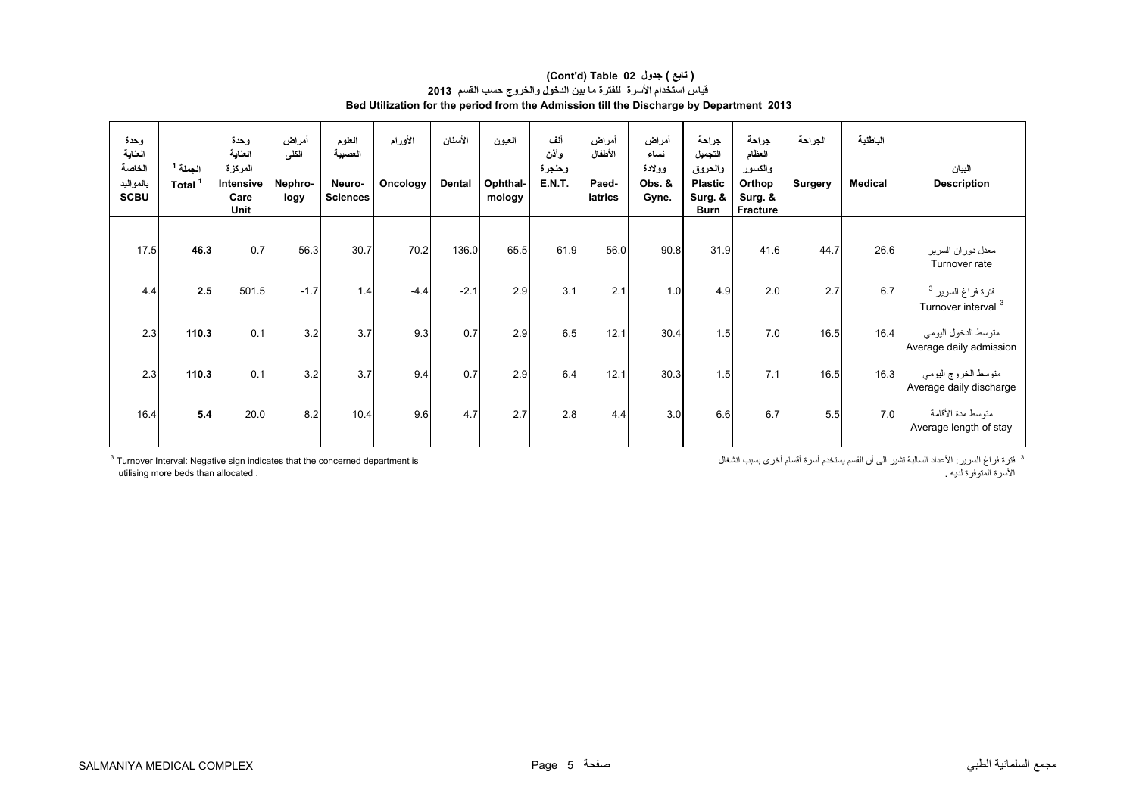#### **Bed Utilization for the period from the Admission till the Discharge by Department 2013 (Cont'd) Table 02 جدول ) تابع( قياس استخدام األسرة للفترة ما بين الدخول والخروج حسب القسم <sup>2013</sup>**

| وحدة<br>العناية<br>الخاصة<br>بالمواليد<br><b>SCBU</b> | الجملة 1<br>Total <sup>1</sup> | وحدة<br>العناية<br>المركزة<br>Intensive<br>Care<br>Unit | أمراض<br>الكلى<br>Nephro-<br>logy | العلوم<br>العصبية<br>Neuro-<br><b>Sciences</b> | الأورام<br>Oncology | الأسنان<br><b>Dental</b> | العيون<br>Ophthal-<br>mology | أنف<br>وأذن<br>وحنجرة<br><b>E.N.T.</b> | أمراض<br>الأطفال<br>Paed-<br>iatrics | أمراض<br>نساء<br>وولادة<br>Obs. &<br>Gyne. | جراحة<br>التجميل<br>والحروق<br><b>Plastic</b><br>Surg. &<br><b>Burn</b> | جراحة<br>العظام<br>والكسور<br>Orthop<br>Surg. &<br>Fracture | الجراحة<br><b>Surgery</b> | الباطنية<br><b>Medical</b> | البيان<br><b>Description</b>                                    |
|-------------------------------------------------------|--------------------------------|---------------------------------------------------------|-----------------------------------|------------------------------------------------|---------------------|--------------------------|------------------------------|----------------------------------------|--------------------------------------|--------------------------------------------|-------------------------------------------------------------------------|-------------------------------------------------------------|---------------------------|----------------------------|-----------------------------------------------------------------|
| 17.5                                                  | 46.3                           | 0.7                                                     | 56.3                              | 30.7                                           | 70.2                | 136.0                    | 65.5                         | 61.9                                   | 56.0                                 | 90.8                                       | 31.9                                                                    | 41.6                                                        | 44.7                      | 26.6                       | معدل دوران السرير<br>Turnover rate                              |
| 4.4                                                   | 2.5                            | 501.5                                                   | $-1.7$                            | 1.4                                            | $-4.4$              | $-2.1$                   | 2.9                          | 3.1                                    | 2.1                                  | 1.0                                        | 4.9                                                                     | 2.0                                                         | 2.7                       | 6.7                        | فترة فراغ السرير <sup>3</sup><br>Turnover interval <sup>3</sup> |
| 2.3                                                   | 110.3                          | 0.1                                                     | 3.2                               | 3.7                                            | 9.3                 | 0.7                      | 2.9                          | 6.5                                    | 12.1                                 | 30.4                                       | 1.5                                                                     | 7.0                                                         | 16.5                      | 16.4                       | متوسط الدخول اليومي<br>Average daily admission                  |
| 2.3                                                   | 110.3                          | 0.1                                                     | 3.2                               | 3.7                                            | 9.4                 | 0.7                      | 2.9                          | 6.4                                    | 12.1                                 | 30.3                                       | 1.5                                                                     | 7.1                                                         | 16.5                      | 16.3                       | متوسط الخروج اليومي<br>Average daily discharge                  |
| 16.4                                                  | 5.4                            | 20.0                                                    | 8.2                               | 10.4                                           | 9.6                 | 4.7                      | 2.7                          | 2.8                                    | 4.4                                  | 3.0                                        | 6.6                                                                     | 6.7                                                         | 5.5                       | 7.0                        | متوسط مدة الأقامة<br>Average length of stay                     |

utilising more beds than allocated .

<sup>3</sup> فترة فراغ السرير : الأعداد السالبة تشير الى أن القسم يستخدم أسرة أقسام أخرى بسبب انشغال فترة فراغ السرير: الأعداد السالبة تشير الى أن القسم يستخدم أسرة أقسام أخرى بسبب انشغال السنير الى أن القسم يستخدم أسرة أقسام أخرى بسبب انشغال النسخة المستخدم أسرة أقسام أخرى بسبب انشغال<br>الأسرة المتوفرة لديه .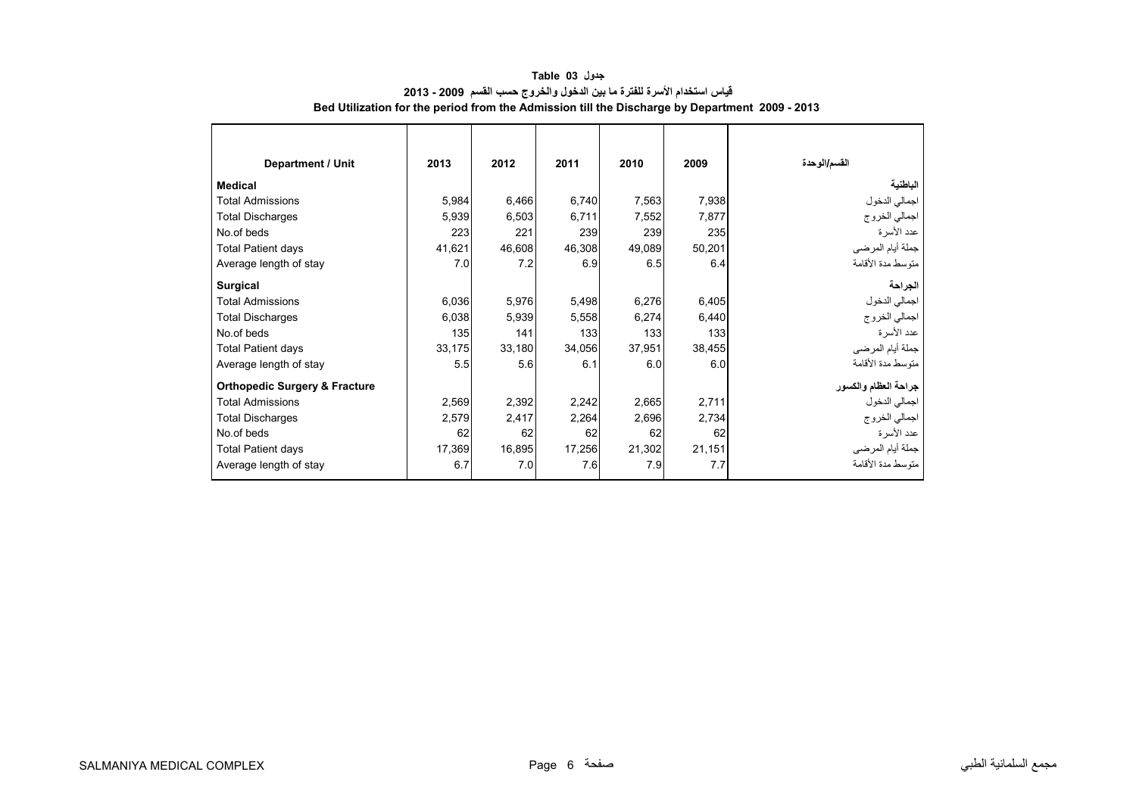<span id="page-5-0"></span>

| <b>Department / Unit</b>                 | 2013   | 2012   | 2011   | 2010   | 2009   | القسم/الوحدة         |
|------------------------------------------|--------|--------|--------|--------|--------|----------------------|
| <b>Medical</b>                           |        |        |        |        |        | الباطنية             |
| <b>Total Admissions</b>                  | 5,984  | 6,466  | 6,740  | 7,563  | 7,938  | اجمالي الدخول        |
| <b>Total Discharges</b>                  | 5,939  | 6,503  | 6,711  | 7,552  | 7,877  | اجمالي الخروج        |
| No.of beds                               | 223    | 221    | 239    | 239    | 235    | عدد الأسرة           |
| <b>Total Patient days</b>                | 41,621 | 46,608 | 46,308 | 49,089 | 50,201 | جملة أيام المرضي     |
| Average length of stay                   | 7.0    | 7.2    | 6.9    | 6.5    | 6.4    | متوسط مدة الأقامة    |
| Surgical                                 |        |        |        |        |        | الجراحة              |
| <b>Total Admissions</b>                  | 6,036  | 5,976  | 5,498  | 6,276  | 6,405  | اجمالي الدخول        |
| <b>Total Discharges</b>                  | 6,038  | 5,939  | 5,558  | 6,274  | 6,440  | اجمالي الخروج        |
| No.of beds                               | 135    | 141    | 133    | 133    | 133    | عدد الأسرة           |
| <b>Total Patient days</b>                | 33,175 | 33,180 | 34,056 | 37,951 | 38,455 | جملة أيام المرضي     |
| Average length of stay                   | 5.5    | 5.6    | 6.1    | 6.0    | 6.0    | متوسط مدة الأقامة    |
| <b>Orthopedic Surgery &amp; Fracture</b> |        |        |        |        |        | جراحة العظام والكسور |
| <b>Total Admissions</b>                  | 2,569  | 2,392  | 2,242  | 2,665  | 2,711  | اجمالي الدخول        |
| <b>Total Discharges</b>                  | 2,579  | 2,417  | 2,264  | 2,696  | 2,734  | اجمالي الخروج        |
| No.of beds                               | 62     | 62     | 62     | 62     | 62     | عدد الأسرة           |
| <b>Total Patient days</b>                | 17,369 | 16,895 | 17,256 | 21,302 | 21,151 | جملة أيام المرضي     |
| Average length of stay                   | 6.7    | 7.0    | 7.6    | 7.9    | 7.7    | متوسط مدة الأقامة    |

# **جدول 03 Table قياس استخدام األسرة للفترة ما بين الدخول والخروج حسب القسم 2009 - 2013 Bed Utilization for the period from the Admission till the Discharge by Department 2009 - 2013**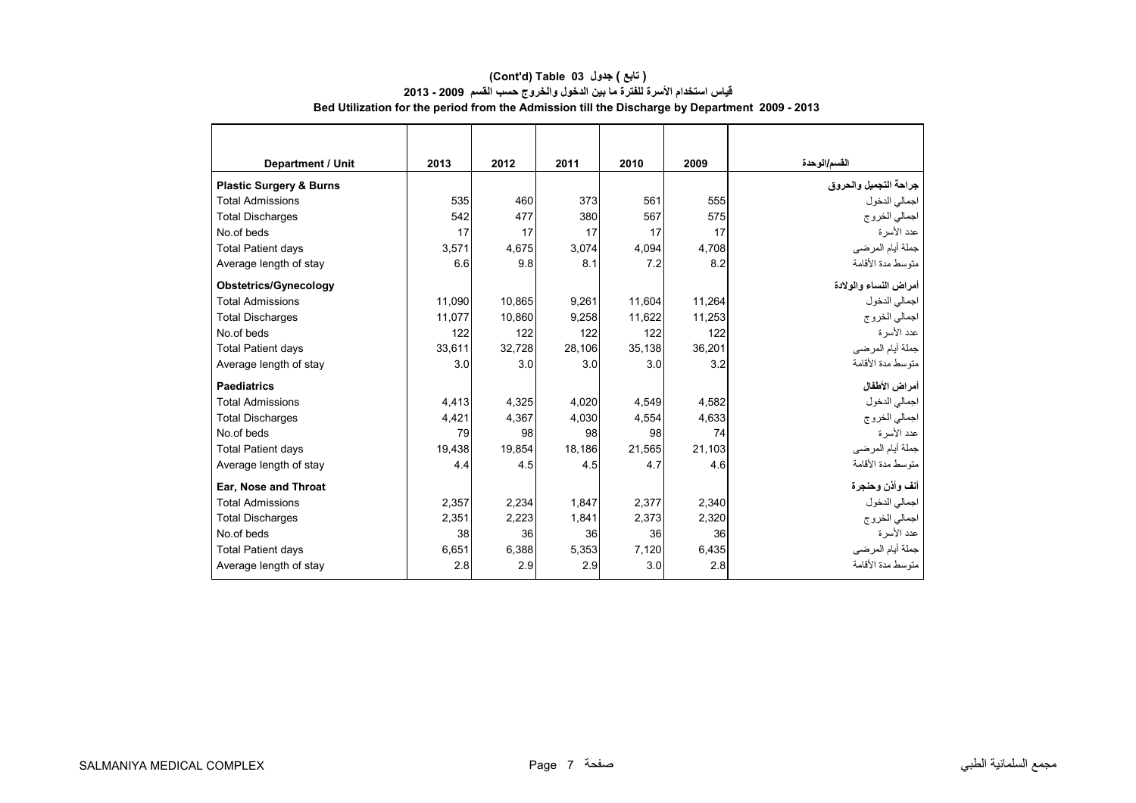# **القسم/الوحدة <sup>2009</sup> <sup>2010</sup> <sup>2011</sup> <sup>2012</sup> <sup>2013</sup> Unit / Department جراحة التجميل والحروق Burns & Surgery Plastic**  اجمالي الدخول <sup>555</sup> 561 373 460 535 Admissions Total اجمالي الخروج <sup>575</sup> 567 380 <sup>477</sup> 542 Discharges Total No.of beds 17 17 17 17 17 17 17 17 عدد الأسر ة جملة أيام المرضى 4,708 4,094 3,074 4,675 3,571 days Patient Total Average length of stay 6.6 9.8 8.1 7.2 8.2 األقامة مدة متوسط **أمراض النساء والوالدة Gynecology/Obstetrics**  اجمالي الدخول 11,264 11,604 9,261 10,865 11,090 Admissions Total اجمالي الخروج 11,253 11,622 9,258 10,860 11,077 Discharges Total No.of beds 122 122 122 122 122--<br>عدد الأسرة جملة أيام المرضى 36,201 35,138 28,106 32,728 33,611 days Patient Total Average length of stay 3.0 3.0 3.0 3.0 3.2 األقامة مدة متوسط **أمراض األطفال Paediatrics**  اجمالي الدخول 4,582 4,549 4,020 4,325 4,413 Admissions Total اجمالي الخروج 4,633 4,554 4,030 4,367 4,421 Discharges Total No.of beds 198 98 98 98 98 98 98 98 98 98 98 74 عدد الأسرة جملة أيام المرضى 21,103 21,565 18,186 19,854 19,438 days Patient Total Average length of stay 4.4 4.5 4.5 4.7 4.6 األقامة مدة متوسط  **Ear, Nose and Throat وحنجرة وأذن أنف** اجمالي الدخول 2,340 2,377 1,847 2,234 2,357 Admissions Total اجمالي الخروج 2,320 2,373 1,841 2,223 2,351 Discharges Total No.of beds 38 36 36 36 36عدد الأسرة جملة أيام المرضى 6,435 7,120 5,353 6,388 6,651 days Patient Total Average length of stay 2.8 2.9 2.9 3.0 2.8 األقامة مدة متوسط

#### **(Cont'd) Table 03 جدول ) تابع( قياس استخدام األسرة للفترة ما بين الدخول والخروج حسب القسم 2009 - 2013 Bed Utilization for the period from the Admission till the Discharge by Department 2009 - 2013**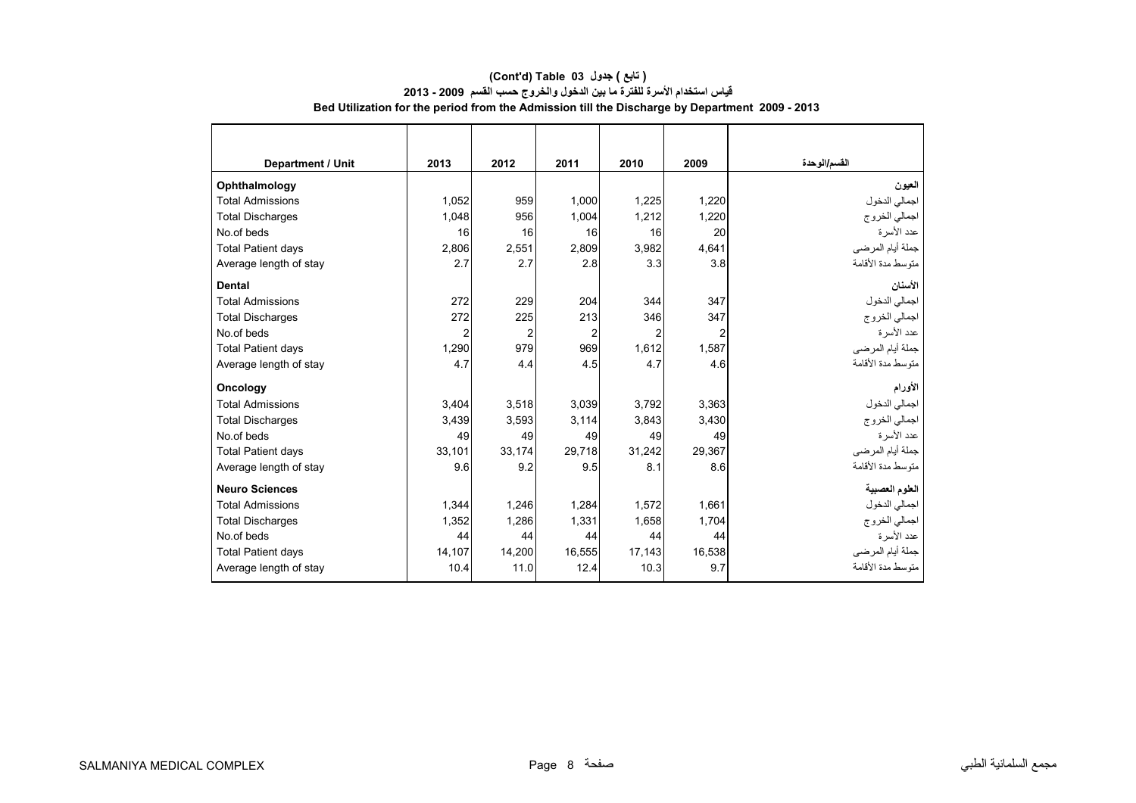| Department / Unit         | 2013   | 2012           | 2011           | 2010   | 2009   | القسم/الوحدة      |
|---------------------------|--------|----------------|----------------|--------|--------|-------------------|
| Ophthalmology             |        |                |                |        |        | العيون            |
| <b>Total Admissions</b>   | 1,052  | 959            | 1,000          | 1,225  | 1,220  | اجمالي الدخول     |
| <b>Total Discharges</b>   | 1,048  | 956            | 1,004          | 1,212  | 1,220  | اجمالي الخروج     |
| No.of beds                | 16     | 16             | 16             | 16     | 20     | عدد الأسر ة       |
| <b>Total Patient days</b> | 2.806  | 2.551          | 2.809          | 3,982  | 4.641  | جملة أيام المرضي  |
| Average length of stay    | 2.7    | 2.7            | 2.8            | 3.3    | 3.8    | منوسط مدة الأقامة |
| <b>Dental</b>             |        |                |                |        |        | الأسنان           |
| <b>Total Admissions</b>   | 272    | 229            | 204            | 344    | 347    | اجمالي الدخول     |
| <b>Total Discharges</b>   | 272    | 225            | 213            | 346    | 347    | اجمالي الخروج     |
| No.of beds                | 2      | $\overline{2}$ | $\overline{2}$ | 2      | 2      | عدد الأسرة        |
| <b>Total Patient days</b> | 1,290  | 979            | 969            | 1,612  | 1,587  | جملة أيام المرضي  |
| Average length of stay    | 4.7    | 4.4            | 4.5            | 4.7    | 4.6    | متوسط مدة الأقامة |
| Oncology                  |        |                |                |        |        | الأورام           |
| <b>Total Admissions</b>   | 3.404  | 3.518          | 3.039          | 3.792  | 3.363  | اجمالي الدخول     |
| <b>Total Discharges</b>   | 3.439  | 3,593          | 3,114          | 3,843  | 3,430  | اجمالي الخروج     |
| No.of beds                | 49     | 49             | 49             | 49     | 49     | عدد الأسر ة       |
| <b>Total Patient days</b> | 33.101 | 33.174         | 29.718         | 31,242 | 29.367 | جملة أيام المرضي  |
| Average length of stay    | 9.6    | 9.2            | 9.5            | 8.1    | 8.6    | متوسط مدة الأقامة |
| <b>Neuro Sciences</b>     |        |                |                |        |        | العلوم العصبية    |
| <b>Total Admissions</b>   | 1,344  | 1,246          | 1,284          | 1,572  | 1,661  | اجمالي الدخول     |
| <b>Total Discharges</b>   | 1.352  | 1.286          | 1,331          | 1.658  | 1.704  | اجمالي الخروج     |
| No.of beds                | 44     | 44             | 44             | 44     | 44     | عدد الأسر ة       |
| <b>Total Patient days</b> | 14,107 | 14.200         | 16.555         | 17,143 | 16,538 | جملة أيام المرضي  |
| Average length of stay    | 10.4   | 11.0           | 12.4           | 10.3   | 9.7    | منوسط مدة الأقامة |

#### **(Cont'd) Table 03 جدول ) تابع( قياس استخدام األسرة للفترة ما بين الدخول والخروج حسب القسم 2009 - 2013 Bed Utilization for the period from the Admission till the Discharge by Department 2009 - 2013**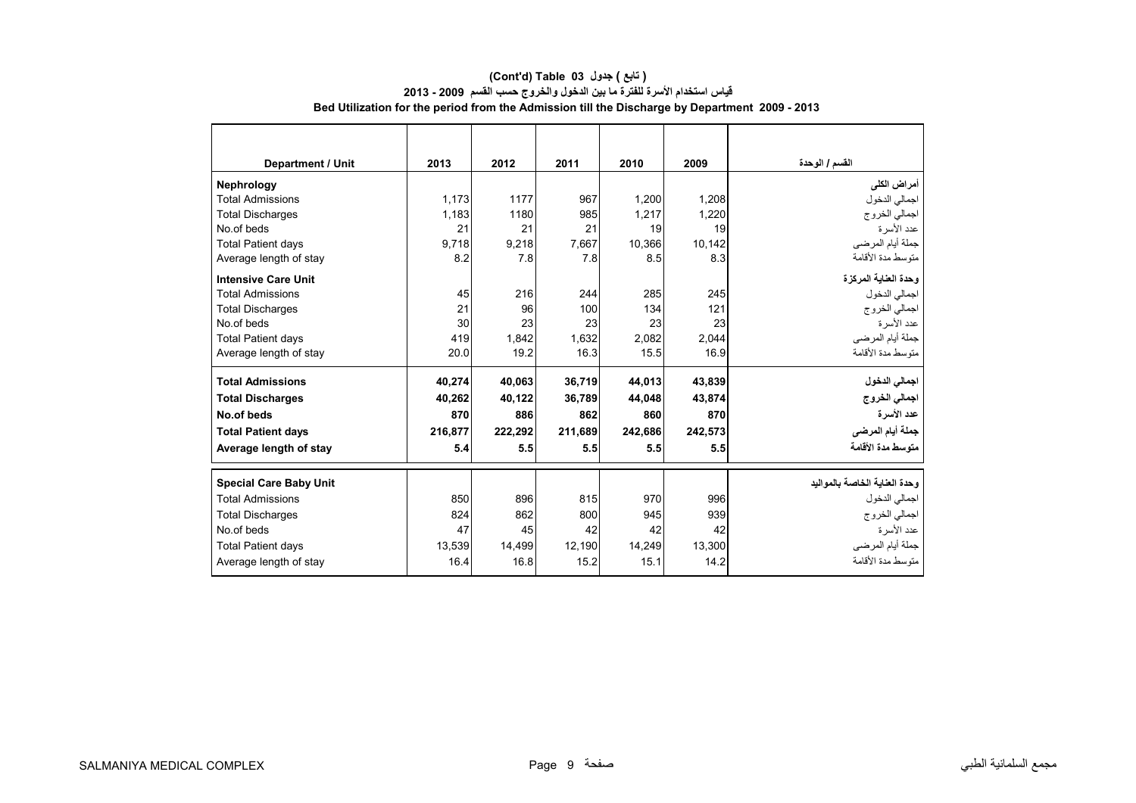| <b>Department / Unit</b>      | 2013    | 2012    | 2011    | 2010    | 2009    | القسم / الوحدة                 |
|-------------------------------|---------|---------|---------|---------|---------|--------------------------------|
| Nephrology                    |         |         |         |         |         | أمراض الكلى                    |
| <b>Total Admissions</b>       | 1,173   | 1177    | 967     | 1,200   | 1,208   | اجمالي الدخول                  |
| <b>Total Discharges</b>       | 1.183   | 1180    | 985     | 1.217   | 1.220   | اجمالي الخروج                  |
| No.of beds                    | 21      | 21      | 21      | 19      | 19      | عدد الأسرة                     |
| <b>Total Patient days</b>     | 9.718   | 9.218   | 7,667   | 10.366  | 10.142  | جملة أيام المرضى               |
| Average length of stay        | 8.2     | 7.8     | 7.8     | 8.5     | 8.3     | متوسط مدة الأقامة              |
| <b>Intensive Care Unit</b>    |         |         |         |         |         | وحدة العناية المركزة           |
| <b>Total Admissions</b>       | 45      | 216     | 244     | 285     | 245     | اجمالي الدخول                  |
| <b>Total Discharges</b>       | 21      | 96      | 100     | 134     | 121     | اجمالي الخروج                  |
| No.of beds                    | 30      | 23      | 23      | 23      | 23      | عدد الأسر ة                    |
| <b>Total Patient days</b>     | 419     | 1.842   | 1,632   | 2,082   | 2,044   | جملة أيام المرضى               |
| Average length of stay        | 20.0    | 19.2    | 16.3    | 15.5    | 16.9    | منّوسط مدة الأقامة             |
| <b>Total Admissions</b>       | 40.274  | 40.063  | 36.719  | 44.013  | 43.839  | اجمالي الدخول                  |
| <b>Total Discharges</b>       | 40,262  | 40,122  | 36,789  | 44,048  | 43,874  | اجمالي الخروج                  |
| No.of beds                    | 870     | 886     | 862     | 860     | 870     | عدد الأسرة                     |
| <b>Total Patient days</b>     | 216.877 | 222.292 | 211,689 | 242.686 | 242.573 | جملة أيام المرضى               |
| Average length of stay        | 5.4     | 5.5     | 5.5     | 5.5     | 5.5     | متوسط مدة الأقامة              |
| <b>Special Care Baby Unit</b> |         |         |         |         |         | وحدة العناية الخاصة بالمو اليد |
| <b>Total Admissions</b>       | 850     | 896     | 815     | 970     | 996     | اجمالي الدخول                  |
| <b>Total Discharges</b>       | 824     | 862     | 800     | 945     | 939     | اجمالي الخروج                  |
| No.of beds                    | 47      | 45      | 42      | 42      | 42      | عدد الأسرة                     |
| <b>Total Patient days</b>     | 13,539  | 14,499  | 12,190  | 14,249  | 13,300  | جملة أيام المرضى               |
| Average length of stay        | 16.4    | 16.8    | 15.2    | 15.1    | 14.2    | منّوسط مدة الأقامة             |
|                               |         |         |         |         |         |                                |

#### **Bed Utilization for the period from the Admission till the Discharge by Department 2009 - 2013 (Cont'd) Table 03 جدول ) تابع( قياس استخدام األسرة للفترة ما بين الدخول والخروج حسب القسم 2009 - 2013**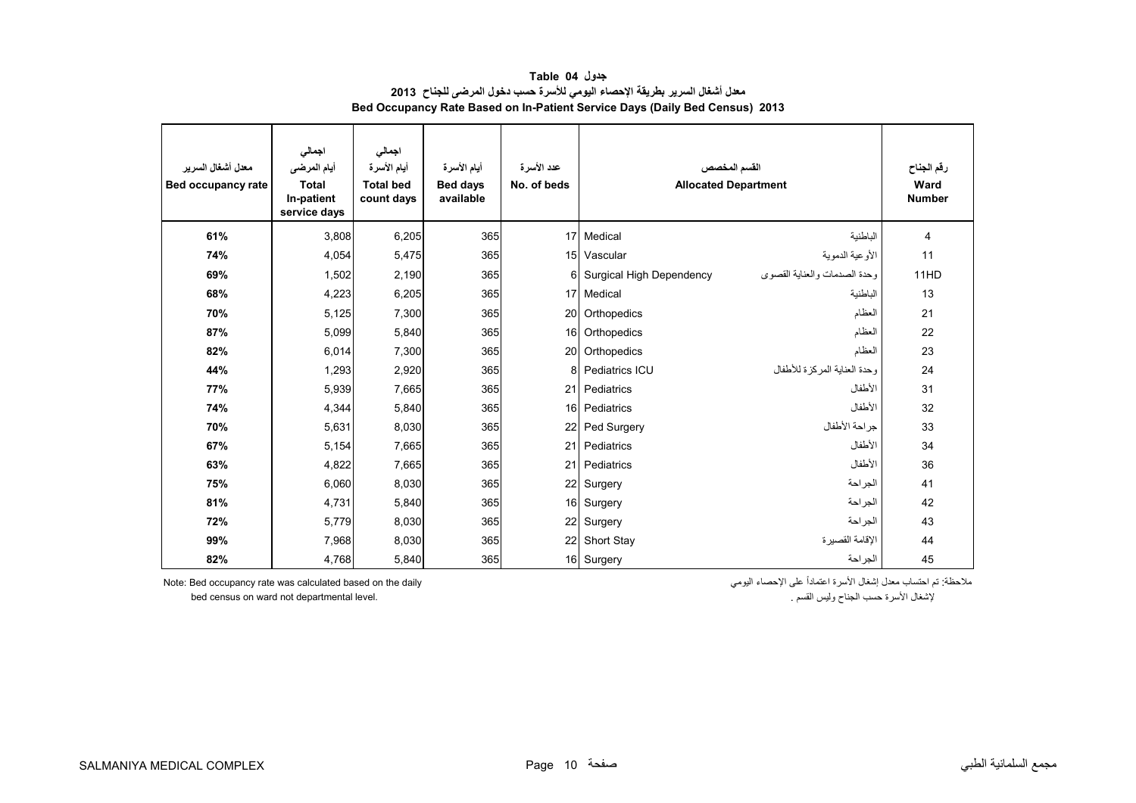<span id="page-9-0"></span>

| معدل أشغال السرير<br><b>Bed occupancy rate</b> | اجمالي<br>أيام المرضى<br><b>Total</b><br>In-patient<br>service days | اجمالى<br>أيام الأسرة<br><b>Total bed</b><br>count days | أيام الأسرة<br><b>Bed days</b><br>available | عدد الأسرة<br>No. of beds | القسم المخصص<br><b>Allocated Department</b> | رقم الجناح<br>Ward<br><b>Number</b> |      |
|------------------------------------------------|---------------------------------------------------------------------|---------------------------------------------------------|---------------------------------------------|---------------------------|---------------------------------------------|-------------------------------------|------|
| 61%                                            | 3,808                                                               | 6,205                                                   | 365                                         |                           | 17 Medical                                  | الباطنية                            | 4    |
| 74%                                            | 4,054                                                               | 5,475                                                   | 365                                         |                           | 15 Vascular                                 | الأوعية الدموية                     | 11   |
| 69%                                            | 1,502                                                               | 2,190                                                   | 365                                         | $6 \mid$                  | Surgical High Dependency                    | وحدة الصدمات والعناية القصوى        | 11HD |
| 68%                                            | 4,223                                                               | 6,205                                                   | 365                                         |                           | 17 Medical                                  | الباطنية                            | 13   |
| 70%                                            | 5,125                                                               | 7,300                                                   | 365                                         | 20                        | Orthopedics                                 | العظام                              | 21   |
| 87%                                            | 5,099                                                               | 5,840                                                   | 365                                         | 16                        | Orthopedics                                 | العظام                              | 22   |
| 82%                                            | 6,014                                                               | 7,300                                                   | 365                                         |                           | 20 Orthopedics                              | العظام                              | 23   |
| 44%                                            | 1,293                                                               | 2,920                                                   | 365                                         | 8                         | Pediatrics ICU                              | وحدة العناية المركزة للأطفال        | 24   |
| 77%                                            | 5,939                                                               | 7,665                                                   | 365                                         | 21                        | Pediatrics                                  | الأطفال                             | 31   |
| 74%                                            | 4,344                                                               | 5,840                                                   | 365                                         | 16                        | Pediatrics                                  | الأطفال                             | 32   |
| 70%                                            | 5,631                                                               | 8,030                                                   | 365                                         | 22                        | Ped Surgery                                 | جراحة الأطفال                       | 33   |
| 67%                                            | 5,154                                                               | 7,665                                                   | 365                                         | 21                        | Pediatrics                                  | الأطفال                             | 34   |
| 63%                                            | 4,822                                                               | 7,665                                                   | 365                                         | 21                        | Pediatrics                                  | الأطفال                             | 36   |
| 75%                                            | 6,060                                                               | 8,030                                                   | 365                                         | 22                        | Surgery                                     | الجراحة                             | 41   |
| 81%                                            | 4,731                                                               | 5,840                                                   | 365                                         | 16                        | Surgery                                     | الجراحة                             | 42   |
| 72%                                            | 5,779                                                               | 8,030                                                   | 365                                         | 22                        | Surgery                                     | الجراحة                             | 43   |
| 99%                                            | 7,968                                                               | 8,030                                                   | 365                                         | 22                        | Short Stay                                  | الاقامة القصبر ة                    | 44   |
| 82%                                            | 4,768                                                               | 5,840                                                   | 365                                         |                           | 16 Surgery                                  | الجر احة                            | 45   |

**جدول 04 Table معدل أشغال السرير بطريقة اإلحصاء اليومي لألسرة حسب دخول المرضى للجناح <sup>2013</sup> Bed Occupancy Rate Based on In-Patient Service Days (Daily Bed Census) 2013**

bed census on ward not departmental level.

ملاحظة: تم احتساب معدل إشغال الأسرة اعتماداً على الإحصاء اليومي - Note: Bed occupancy rate was calculated based on the daily<br>لإشغال الأسرة حسب الجناح وليس القسم .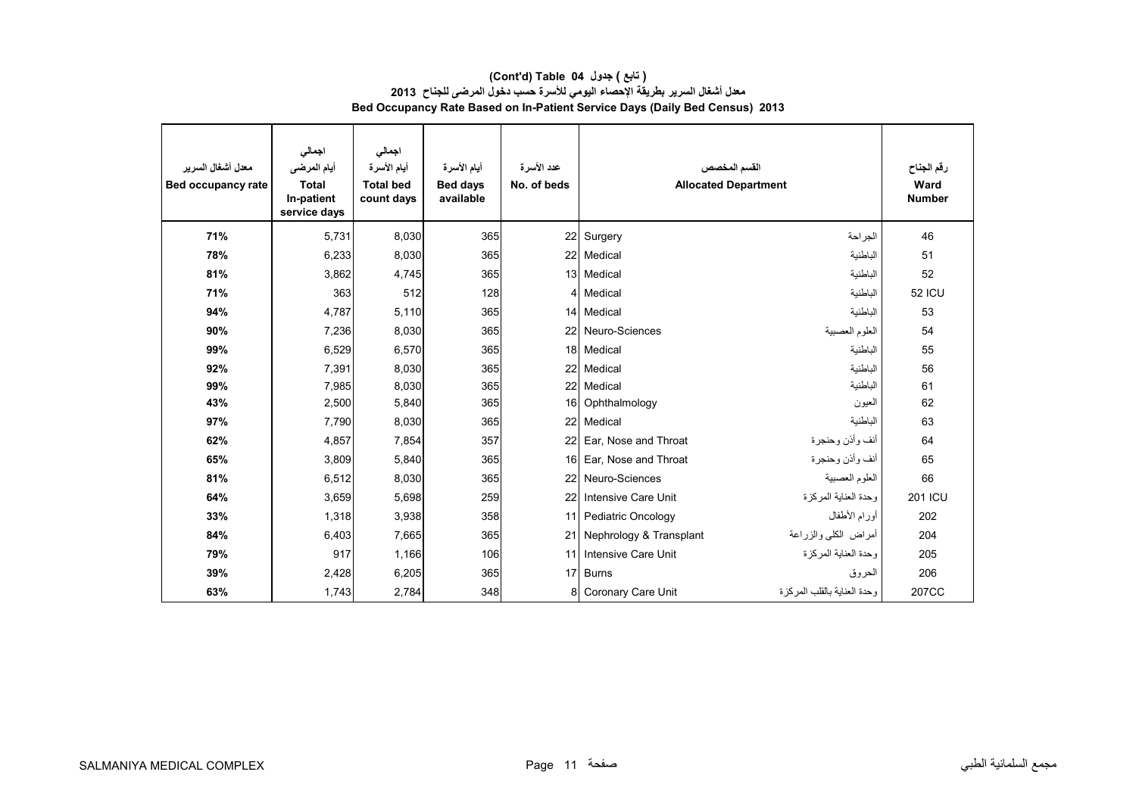| معدل أشغال السر ير<br>Bed occupancy rate | اجمالى<br>أيام المرضى<br><b>Total</b><br>In-patient<br>service days | اجمالى<br>أيام الأسرة<br><b>Total bed</b><br>count days | أيام الأسرة<br><b>Bed days</b><br>available | عدد الأسرة<br>No. of beds | القسم المخصص<br><b>Allocated Department</b> |                              | رقم الجناح<br>Ward<br><b>Number</b> |
|------------------------------------------|---------------------------------------------------------------------|---------------------------------------------------------|---------------------------------------------|---------------------------|---------------------------------------------|------------------------------|-------------------------------------|
| 71%                                      | 5,731                                                               | 8,030                                                   | 365                                         | 22                        | Surgery                                     | الجر احة                     | 46                                  |
| 78%                                      | 6,233                                                               | 8,030                                                   | 365                                         | 22                        | Medical                                     | الباطنية                     | 51                                  |
| 81%                                      | 3,862                                                               | 4,745                                                   | 365                                         | 13                        | Medical                                     | الباطنية                     | 52                                  |
| 71%                                      | 363                                                                 | 512                                                     | 128                                         | $\overline{4}$            | Medical                                     | الباطنية                     | <b>52 ICU</b>                       |
| 94%                                      | 4,787                                                               | 5,110                                                   | 365                                         | 14                        | Medical                                     | الباطنية                     | 53                                  |
| 90%                                      | 7,236                                                               | 8,030                                                   | 365                                         | 22                        | Neuro-Sciences                              | العلوم العصبية               | 54                                  |
| 99%                                      | 6,529                                                               | 6,570                                                   | 365                                         | 18                        | Medical                                     | الباطنية                     | 55                                  |
| 92%                                      | 7,391                                                               | 8,030                                                   | 365                                         | 22                        | Medical                                     | الباطنية                     | 56                                  |
| 99%                                      | 7,985                                                               | 8,030                                                   | 365                                         | 22                        | Medical                                     | الباطنية                     | 61                                  |
| 43%                                      | 2,500                                                               | 5,840                                                   | 365                                         | 16                        | Ophthalmology                               | العيون                       | 62                                  |
| 97%                                      | 7,790                                                               | 8,030                                                   | 365                                         | 22                        | Medical                                     | الباطنية                     | 63                                  |
| 62%                                      | 4,857                                                               | 7,854                                                   | 357                                         | 22                        | Ear, Nose and Throat                        | أنف وأذن وحنجرة              | 64                                  |
| 65%                                      | 3,809                                                               | 5,840                                                   | 365                                         | 16                        | Ear, Nose and Throat                        | أنف وأذن وحنجرة              | 65                                  |
| 81%                                      | 6,512                                                               | 8,030                                                   | 365                                         | 22                        | Neuro-Sciences                              | العلوم العصبية               | 66                                  |
| 64%                                      | 3,659                                                               | 5,698                                                   | 259                                         | 22                        | Intensive Care Unit                         | وحدة العناية المركزة         | <b>201 ICU</b>                      |
| 33%                                      | 1,318                                                               | 3,938                                                   | 358                                         | 11                        | Pediatric Oncology                          | أورام الأطفال                | 202                                 |
| 84%                                      | 6,403                                                               | 7,665                                                   | 365                                         | 21                        | Nephrology & Transplant                     | أمراض الكلبي والزراعة        | 204                                 |
| 79%                                      | 917                                                                 | 1,166                                                   | 106                                         | 11                        | Intensive Care Unit                         | وحدة العناية المركزة         | 205                                 |
| 39%                                      | 2,428                                                               | 6,205                                                   | 365                                         | 17                        | <b>Burns</b>                                | الحروق                       | 206                                 |
| 63%                                      | 1,743                                                               | 2,784                                                   | 348                                         | 8                         | Coronary Care Unit                          | وحدة العناية بالقلب المركز ة | 207CC                               |

#### **(Cont'd) Table 04 جدول ) تابع( معدل أشغال السرير بطريقة اإلحصاء اليومي لألسرة حسب دخول المرضى للجناح <sup>2013</sup> Bed Occupancy Rate Based on In-Patient Service Days (Daily Bed Census) 2013**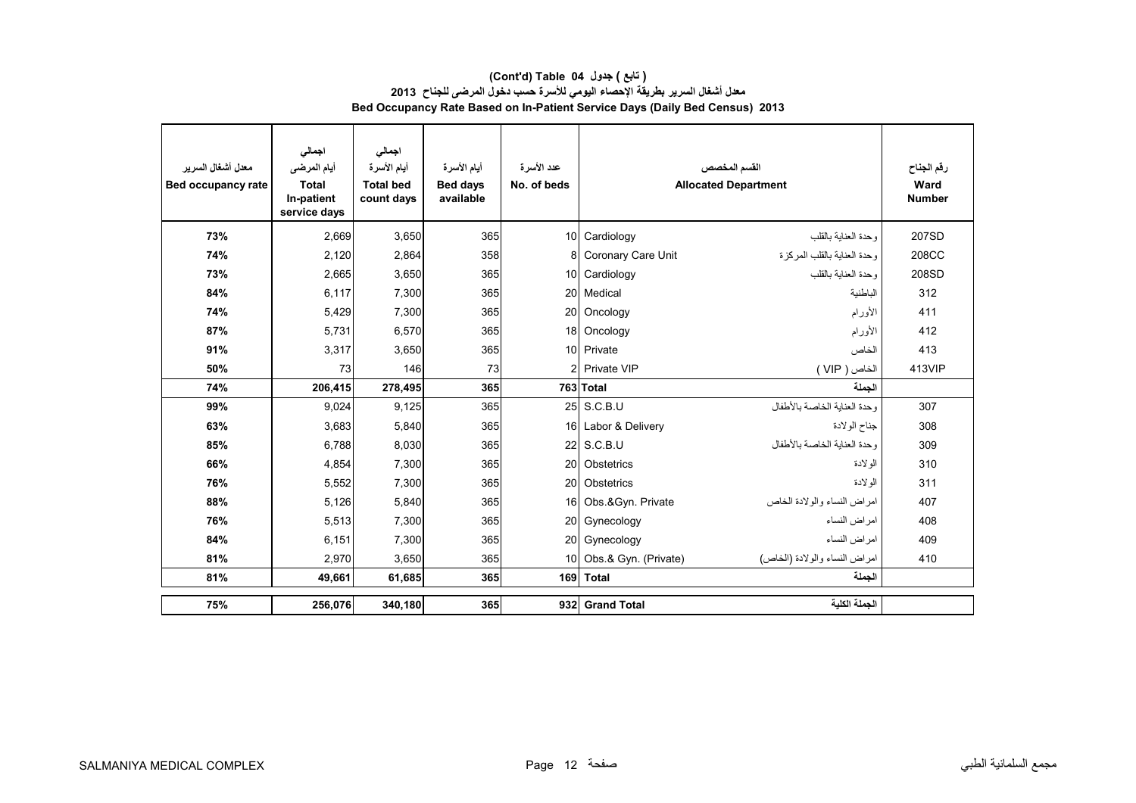#### **(Cont'd) Table 04 جدول ) تابع( معدل أشغال السرير بطريقة اإلحصاء اليومي لألسرة حسب دخول المرضى للجناح <sup>2013</sup> Bed Occupancy Rate Based on In-Patient Service Days (Daily Bed Census) 2013**

| معدل أشغال السر بر<br>Bed occupancy rate | اجمالى<br>أيام المرضى<br><b>Total</b><br>In-patient<br>service days | اجمالي<br>أيام الأسرة<br><b>Total bed</b><br>count days | أيام الأسرة<br><b>Bed days</b><br>available | عدد الأسر ة<br>No. of beds |                         | القسم المخصص<br><b>Allocated Department</b> | رقم الجناح<br>Ward<br><b>Number</b> |
|------------------------------------------|---------------------------------------------------------------------|---------------------------------------------------------|---------------------------------------------|----------------------------|-------------------------|---------------------------------------------|-------------------------------------|
| 73%                                      | 2,669                                                               | 3,650                                                   | 365                                         |                            | 10 Cardiology           | وحدة العنابة بالقلب                         | 207SD                               |
| 74%                                      | 2,120                                                               | 2,864                                                   | 358                                         | 8                          | Coronary Care Unit      | وحدة العناية بالقلب المركز ة                | 208CC                               |
| 73%                                      | 2,665                                                               | 3,650                                                   | 365                                         |                            | 10 Cardiology           | وحدة العنابة بالقلب                         | 208SD                               |
| 84%                                      | 6,117                                                               | 7,300                                                   | 365                                         | 20                         | Medical                 | الباطنية                                    | 312                                 |
| 74%                                      | 5,429                                                               | 7,300                                                   | 365                                         | 20                         | Oncology                | الأورام                                     | 411                                 |
| 87%                                      | 5.731                                                               | 6,570                                                   | 365                                         |                            | 18 Oncology             | الأورام                                     | 412                                 |
| 91%                                      | 3,317                                                               | 3,650                                                   | 365                                         |                            | 10 Private              | الخاص                                       | 413                                 |
| 50%                                      | 73                                                                  | 146                                                     | 73                                          |                            | 2 Private VIP           | الخاص ( VIP )                               | 413VIP                              |
| 74%                                      | 206,415                                                             | 278,495                                                 | 365                                         |                            | 763 Total               | الحملة                                      |                                     |
| 99%                                      | 9,024                                                               | 9,125                                                   | 365                                         |                            | 25 S.C.B.U              | وحدة العناية الخاصة بالأطفال                | 307                                 |
| 63%                                      | 3,683                                                               | 5,840                                                   | 365                                         |                            | 16 Labor & Delivery     | جناح الولادة                                | 308                                 |
| 85%                                      | 6,788                                                               | 8,030                                                   | 365                                         | 22                         | S.C.B.U                 | وحدة العناية الخاصة بالأطفال                | 309                                 |
| 66%                                      | 4,854                                                               | 7,300                                                   | 365                                         | 20                         | Obstetrics              | الو لادة                                    | 310                                 |
| 76%                                      | 5,552                                                               | 7,300                                                   | 365                                         | 20                         | Obstetrics              | الو لادة                                    | 311                                 |
| 88%                                      | 5,126                                                               | 5,840                                                   | 365                                         | 16                         | Obs.&Gyn. Private       | امر اض النساء والو لادة الخاص               | 407                                 |
| 76%                                      | 5,513                                                               | 7,300                                                   | 365                                         | 20                         | Gynecology              | امراض النساء                                | 408                                 |
| 84%                                      | 6,151                                                               | 7,300                                                   | 365                                         | 20                         | Gynecology              | امر اض النساء                               | 409                                 |
| 81%                                      | 2,970                                                               | 3,650                                                   | 365                                         |                            | 10 Obs.& Gyn. (Private) | امراض النساء والولادة (الخاص)               | 410                                 |
| 81%                                      | 49,661                                                              | 61,685                                                  | 365                                         |                            | 169 Total               | الجملة                                      |                                     |
| 75%                                      | 256,076                                                             | 340,180                                                 | 365                                         | 932                        | <b>Grand Total</b>      | الجملة الكلية                               |                                     |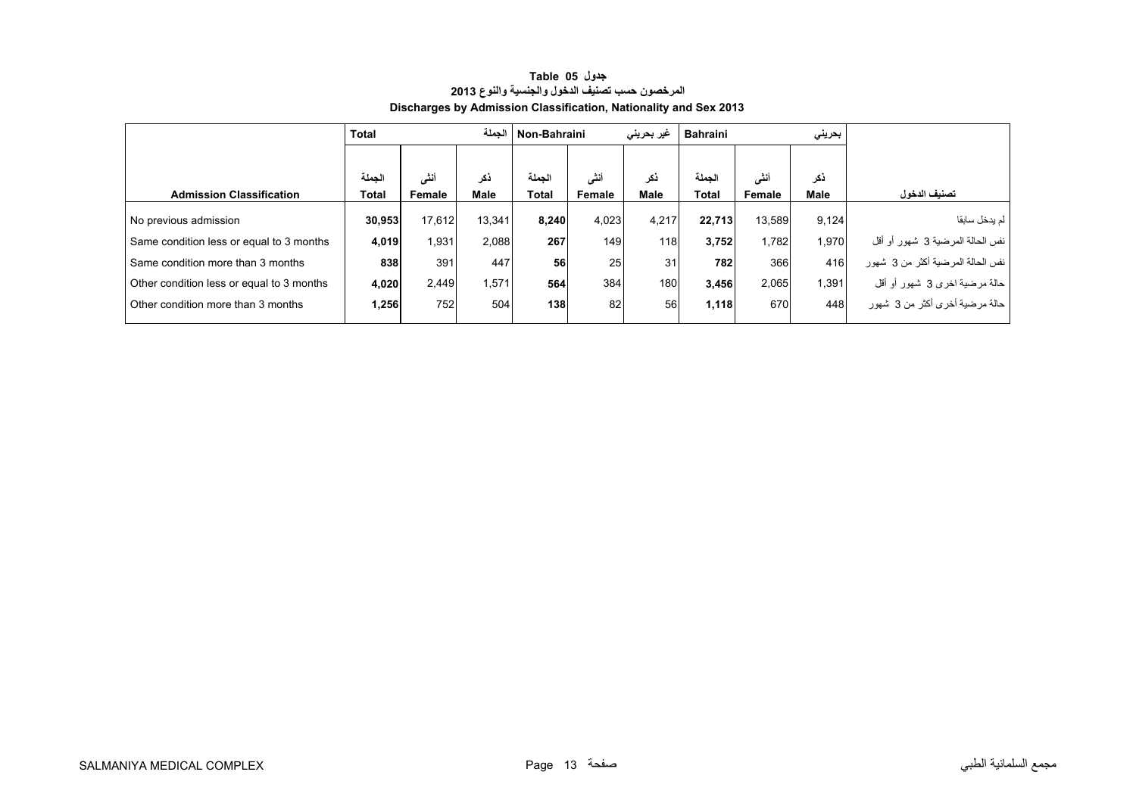<span id="page-12-0"></span>

|                                           | <b>Total</b> |        | الحملة      | Non-Bahraini |        | غیر بحرینی  | <b>Bahraini</b> |        | بحريني      |                                   |
|-------------------------------------------|--------------|--------|-------------|--------------|--------|-------------|-----------------|--------|-------------|-----------------------------------|
|                                           |              |        |             |              |        |             |                 |        |             |                                   |
|                                           | الحملة       | أنشى   | ذكر         | الحملة       | أنشى   | نكر         | الحملة          | أنشى   | نكر         |                                   |
| <b>Admission Classification</b>           | Total        | Female | <b>Male</b> | Total        | Female | <b>Male</b> | <b>Total</b>    | Female | <b>Male</b> | تصنيف الدخول                      |
| No previous admission                     | 30,953       | 17,612 | 13,341      | 8,240        | 4,023  | 4,217       | 22,713          | 13.589 | 9,124       | لم يدخل سابقا                     |
| Same condition less or equal to 3 months  | 4.019        | 1,931  | 2.088       | 267          | 149    | 118         | 3,752           | 1.782  | 1.970       | نفس الحالة المرضية 3 شهور أو أقل  |
| Same condition more than 3 months         | 838          | 391    | 447         | 56           | 25     | 31          | 782             | 366    | 416         | نفس الحالة المرضية أكثر من 3 شهور |
| Other condition less or equal to 3 months | 4,020        | 2,449  | 1,571       | 564          | 384    | 180         | 3,456           | 2,065  | 1.391       | حالة مرضية اخرى 3 شهور أو أقل     |
| Other condition more than 3 months        | 1,256        | 752    | 504         | 138          | 82     | 56          | 1,118           | 670    | 448         | حالة مرضية أخرى أكثر من 3 شهور    |

# **جدول 05 Table المرخصون حسب تصنيف الدخول والجنسية والنوع <sup>2013</sup> Discharges by Admission Classification, Nationality and Sex 2013**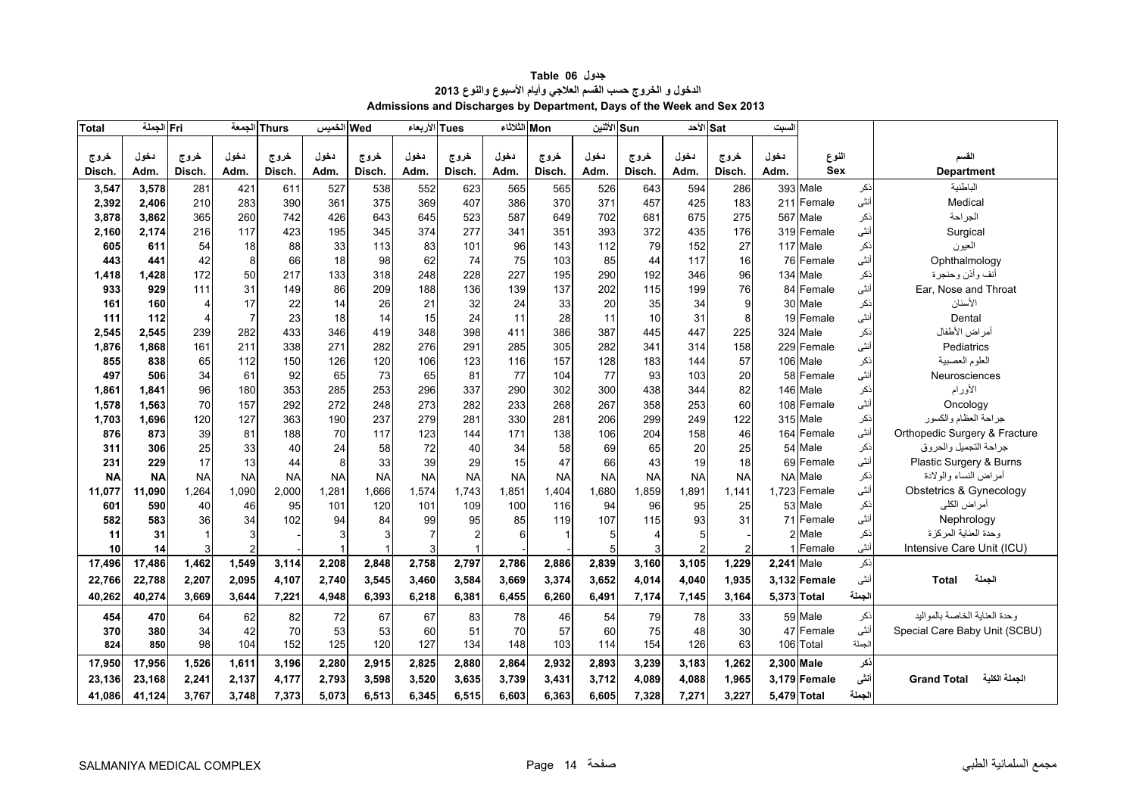<span id="page-13-0"></span>

| <b>Total</b> | Fri الجملة |                       | الجمعة    | Thurs     | الخميس    | Wed       | الأربعاء       | <b>Tues</b>    | Mon الثلاثاء |           | Sun الأثنين |                | Sat الأحد      |                | السبت       |               |        |                                     |
|--------------|------------|-----------------------|-----------|-----------|-----------|-----------|----------------|----------------|--------------|-----------|-------------|----------------|----------------|----------------|-------------|---------------|--------|-------------------------------------|
|              |            |                       |           |           |           |           |                |                |              |           |             |                |                |                |             |               |        |                                     |
| خروج         | دخول       | خروج                  | دخول      | خروج      | دخول      | خروج      | دخول           | خروج           | دخول         | خروج      | دخول        | خروج           | دخول           | خروج           | دخول        | النوع         |        | القسم                               |
| <b>Disch</b> | Adm.       | Disch.                | Adm.      | Disch.    | Adm.      | Disch.    | Adm.           | Disch.         | Adm.         | Disch.    | Adm.        | Disch.         | Adm.           | Disch.         | Adm.        | <b>Sex</b>    |        | <b>Department</b>                   |
| 3,547        | 3.578      | 281                   | 421       | 611       | 527       | 538       | 552            | 623            | 565          | 565       | 526         | 643            | 594            | 286            |             | 393 Male      | ذكر    | الباطنية                            |
| 2,392        | 2.406      | 210                   | 283       | 390       | 361       | 375       | 369            | 407            | 386          | 370       | 371         | 457            | 425            | 183            |             | 211 Female    | أنثى   | Medical                             |
| 3,878        | 3,862      | 365                   | 260       | 742       | 426       | 643       | 645            | 523            | 587          | 649       | 702         | 681            | 675            | 275            |             | 567 Male      | نكر    | الجراحة                             |
| 2,160        | 2,174      | 216                   | 117       | 423       | 195       | 345       | 374            | 277            | 341          | 351       | 393         | 372            | 435            | 176            |             | 319 Female    | أنثى   | Surgical                            |
| 605          | 611        | 54                    | 18        | 88        | 33        | 113       | 83             | 101            | 96           | 143       | 112         | 79             | 152            | 27             |             | 117 Male      | ذكر    | العيون                              |
| 443          | 441        | 42                    | 8         | 66        | 18        | 98        | 62             | 74             | 75           | 103       | 85          | 44             | 117            | 16             |             | 76 Female     | أنثى   | Ophthalmology                       |
| 1,418        | 1,428      | 172                   | 50        | 217       | 133       | 318       | 248            | 228            | 227          | 195       | 290         | 192            | 346            | 96             |             | 134 Male      | نكر    | أنف وأذن وحنجرة                     |
| 933          | 929        | 111                   | 31        | 149       | 86        | 209       | 188            | 136            | 139          | 137       | 202         | 115            | 199            | 76             |             | 84 Female     | أنثى   | Ear, Nose and Throat                |
| 161          | 160        | $\boldsymbol{\Delta}$ | 17        | 22        | 14        | 26        | 21             | 32             | 24           | 33        | 20          | 35             | 34             | 9              |             | 30 Male       | نكر    | الأسنان                             |
| 111          | 112        |                       |           | 23        | 18        | 14        | 15             | 24             | 11           | 28        | 11          | 10             | 31             | 8              |             | 19 Female     | أنثى   | Dental                              |
| 2,545        | 2,545      | 239                   | 282       | 433       | 346       | 419       | 348            | 398            | 411          | 386       | 387         | 445            | 447            | 225            |             | 324 Male      | ذكر    | أمراض الأطفال                       |
| 1,876        | 1,868      | 161                   | 211       | 338       | 271       | 282       | 276            | 291            | 285          | 305       | 282         | 341            | 314            | 158            |             | 229 Female    | أنثى   | Pediatrics                          |
| 855          | 838        | 65                    | 112       | 150       | 126       | 120       | 106            | 123            | 116          | 157       | 128         | 183            | 144            | 57             |             | 106 Male      | نكر    | العلوم العصبية                      |
| 497          | 506        | 34                    | 61        | 92        | 65        | 73        | 65             | 81             | 77           | 104       | 77          | 93             | 103            | 20             |             | 58 Female     | أنثى   | Neurosciences                       |
| 1,861        | 1,841      | 96                    | 180       | 353       | 285       | 253       | 296            | 337            | 290          | 302       | 300         | 438            | 344            | 82             |             | 146 Male      | نكر    | الأورام                             |
| 1,578        | 1,563      | 70                    | 157       | 292       | 272       | 248       | 273            | 282            | 233          | 268       | 267         | 358            | 253            | 60             |             | 108 Female    | أنثى   | Oncology                            |
| 1,703        | 1,696      | 120                   | 127       | 363       | 190       | 237       | 279            | 281            | 330          | 281       | 206         | 299            | 249            | 122            |             | 315 Male      | ذكر    | جراحة العظام والكسور                |
| 876          | 873        | 39                    | 81        | 188       | 70        | 117       | 123            | 144            | 171          | 138       | 106         | 204            | 158            | 46             |             | 164 Female    | أنثى   | Orthopedic Surgery & Fracture       |
| 311          | 306        | 25                    | 33        | 40        | 24        | 58        | 72             | 40             | 34           | 58        | 69          | 65             | 20             | 25             |             | 54 Male       | ذكر    | جراحة التجميل والحروق               |
| 231          | 229        | 17                    | 13        | 44        | 8         | 33        | 39             | 29             | 15           | 47        | 66          | 43             | 19             | 18             |             | 69 Female     | أنثى   | Plastic Surgery & Burns             |
| <b>NA</b>    | <b>NA</b>  | <b>NA</b>             | <b>NA</b> | <b>NA</b> | <b>NA</b> | <b>NA</b> | <b>NA</b>      | <b>NA</b>      | <b>NA</b>    | <b>NA</b> | <b>NA</b>   | <b>NA</b>      | <b>NA</b>      | <b>NA</b>      |             | NA Male       | ذكر    | أمراض النساء والولادة               |
| 11,077       | 11.090     | 1,264                 | 1,090     | 2,000     | 1,281     | 1.666     | 1,574          | 1.743          | 1.85'        | 1,404     | 1,680       | 1,859          | 1.891          | 1.141          |             | 1.723 Female  | أننى   | Obstetrics & Gynecology             |
| 601          | 590        | 40                    | 46        | 95        | 101       | 120       | 101            | 109            | 100          | 116       | 94          | 96             | 95             | 25             |             | 53 Male       | ذكر    | أمراض الكلى                         |
| 582          | 583        | 36                    | 34        | 102       | 94        | 84        | 99             | 95             | 85           | 119       | 107         | 115            | 93             | 31             |             | 71 Female     | أنثى   | Nephrology                          |
| 11           | 31         |                       |           |           | 3         | 3         | $\overline{7}$ | $\overline{2}$ | 6            |           | 5           | $\overline{4}$ | 5              |                |             | 2 Male        | ذكر    | وحدة العناية المركزة                |
| 10           | 14         |                       |           |           |           |           | 3              | $\overline{1}$ |              |           | 5           | 3              | $\overline{2}$ | $\mathfrak{p}$ |             | <b>Female</b> | أنثى   | Intensive Care Unit (ICU)           |
| 17,496       | 17,486     | 1.462                 | 1,549     | 3,114     | 2,208     | 2,848     | 2,758          | 2,797          | 2,786        | 2,886     | 2,839       | 3,160          | 3,105          | 1,229          | 2.241 Male  |               | ذكر    |                                     |
| 22,766       | 22,788     | 2,207                 | 2,095     | 4,107     | 2,740     | 3,545     | 3,460          | 3,584          | 3,669        | 3,374     | 3,652       | 4,014          | 4,040          | 1,935          |             | 3.132 Female  | أنثى   | الجملة<br><b>Total</b>              |
| 40,262       | 40,274     | 3,669                 | 3,644     | 7,221     | 4,948     | 6,393     | 6,218          | 6,381          | 6,455        | 6,260     | 6,491       | 7,174          | 7,145          | 3,164          | 5,373 Total |               | الجملة |                                     |
| 454          | 470        | 64                    | 62        | 82        | 72        | 67        | 67             | 83             | 78           | 46        | 54          | 79             | 78             | 33             |             | 59 Male       | ذكر    | وحدة العنابة الخاصبة بالمو البد     |
| 370          | 380        | 34                    | 42        | 70        | 53        | 53        | 60             | 51             | 70           | 57        | 60          | 75             | 48             | 30             |             | 47 Female     | أنثى   | Special Care Baby Unit (SCBU)       |
| 824          | 850        | 98                    | 104       | 152       | 125       | 120       | 127            | 134            | 148          | 103       | 114         | 154            | 126            | 63             |             | 106 Total     | لجملة  |                                     |
| 17,950       | 17,956     | 1.526                 | 1,611     | 3,196     | 2,280     | 2,915     | 2,825          | 2,880          | 2.864        | 2,932     | 2,893       | 3,239          | 3,183          | 1,262          | 2.300 Male  |               | نكر    |                                     |
| 23,136       | 23.168     | 2,241                 | 2,137     | 4,177     | 2,793     | 3,598     | 3.520          | 3,635          | 3.739        | 3,431     | 3,712       | 4,089          | 4,088          | 1,965          |             | 3.179 Female  | أننى   | الجملة الكلية<br><b>Grand Total</b> |
| 41,086       | 41,124     | 3,767                 | 3,748     | 7,373     | 5,073     | 6,513     | 6,345          | 6,515          | 6,603        | 6,363     | 6,605       | 7,328          | 7,271          | 3,227          | 5,479 Total |               | الجملة |                                     |

# **جدول 06 Table الدخول <sup>و</sup> الخروج حسب القسم العالجي وأيام األسبوع والنوع <sup>2013</sup> Admissions and Discharges by Department, Days of the Week and Sex 2013**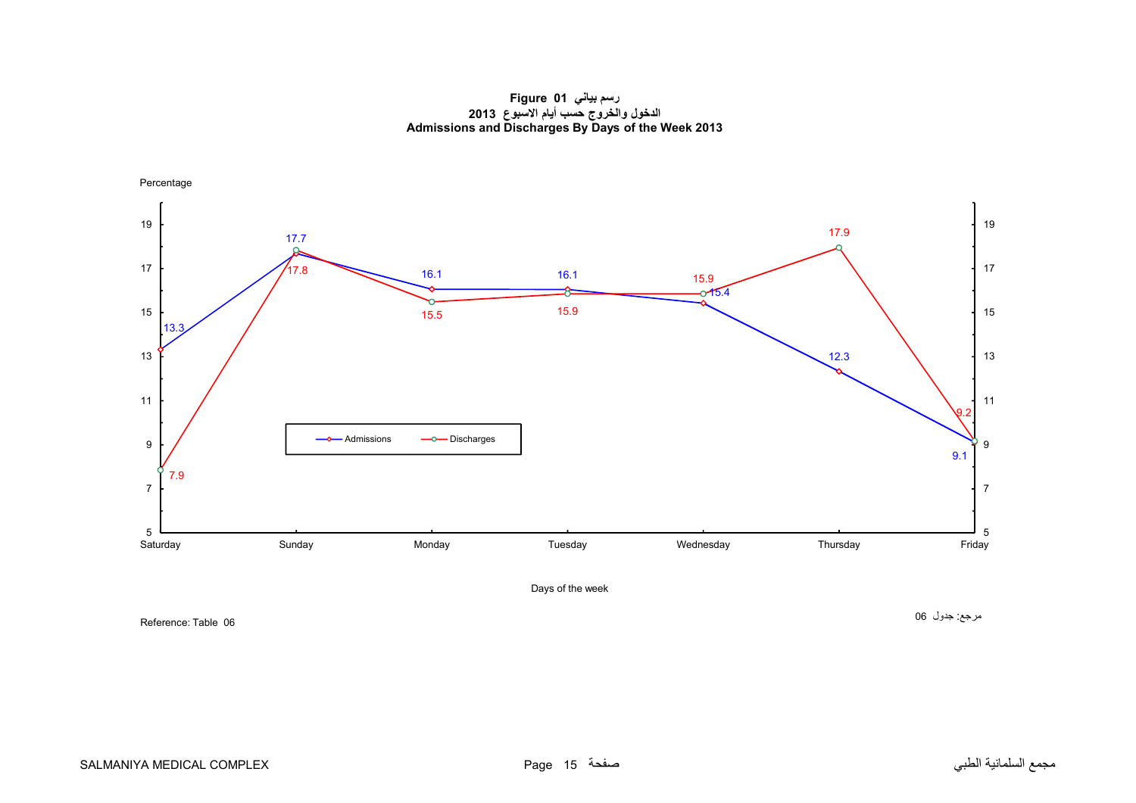**رسم بياني 01 Figure الدخول والخروج حسب أيام االسبوع <sup>2013</sup> Admissions and Discharges By Days of the Week 2013**

<span id="page-14-0"></span>

Reference: Table 06

مرجع: جدول <sup>06</sup>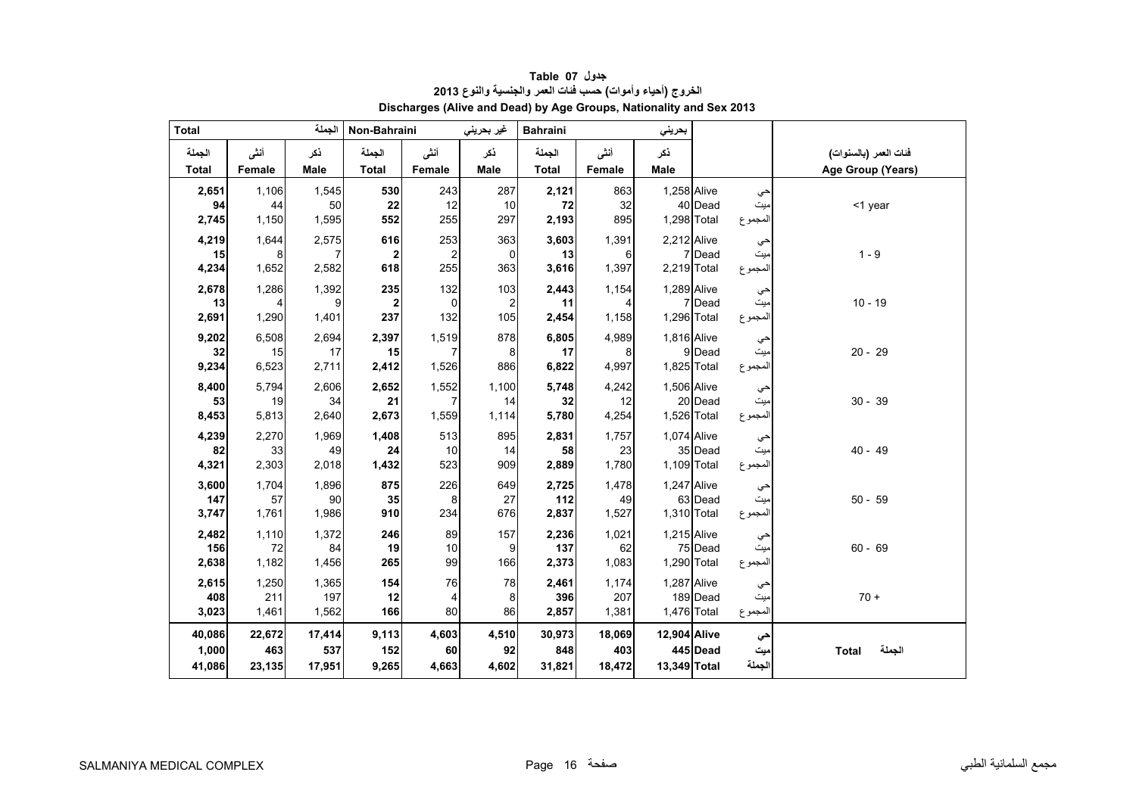<span id="page-15-0"></span>

| <b>Total</b>           |                | الجملة             | Non-Bahraini                   |                | غير بحريني         | <b>Bahraini</b>        |                | بحريني             |          |                |                                            |
|------------------------|----------------|--------------------|--------------------------------|----------------|--------------------|------------------------|----------------|--------------------|----------|----------------|--------------------------------------------|
| الجملة<br><b>Total</b> | أنشى<br>Female | ڏکر<br><b>Male</b> | الجملة<br><b>Total</b>         | أنشى<br>Female | ذكر<br><b>Male</b> | الجملة<br><b>Total</b> | أنشى<br>Female | ذكر<br><b>Male</b> |          |                | فنات العمر (بالسنوات)<br>Age Group (Years) |
|                        |                |                    |                                |                |                    |                        |                |                    |          |                |                                            |
| 2,651                  | 1,106          | 1,545              | 530                            | 243            | 287                | 2,121                  | 863            | 1,258 Alive        |          | حي             |                                            |
| 94<br>2,745            | 44<br>1,150    | 50<br>1,595        | 22<br>552                      | 12<br>255      | $10$<br>297        | 72<br>2,193            | 32<br>895      | 1,298 Total        | 40 Dead  | میت<br>المجموع | <1 year                                    |
|                        |                |                    |                                |                |                    |                        |                |                    |          |                |                                            |
| 4,219<br>15            | 1,644<br>8     | 2,575<br>7         | 616<br>$\overline{\mathbf{2}}$ | 253<br>2       | 363<br>0           | 3,603<br>13            | 1,391<br>6     | 2,212 Alive        | 7 Dead   | حي<br>میت      | $1 - 9$                                    |
| 4,234                  | 1,652          | 2,582              | 618                            | 255            | 363                | 3,616                  | 1,397          | 2,219 Total        |          | المجموع        |                                            |
| 2,678                  | 1,286          | 1,392              | 235                            | 132            | 103                | 2,443                  | 1,154          | 1,289 Alive        |          | حي             |                                            |
| 13                     | 4              | 9                  | $\overline{2}$                 | $\Omega$       | $\overline{2}$     | 11                     | $\overline{4}$ |                    | 7 Dead   | ميت            | $10 - 19$                                  |
| 2,691                  | 1,290          | 1,401              | 237                            | 132            | 105                | 2,454                  | 1,158          | 1,296 Total        |          | المجموع        |                                            |
| 9,202                  | 6,508          | 2,694              | 2,397                          | 1,519          | 878                | 6,805                  | 4,989          | 1,816 Alive        |          | حي             |                                            |
| 32                     | 15             | 17                 | 15                             |                | 8                  | 17                     | 8              |                    | 9 Dead   | میت            | $20 - 29$                                  |
| 9,234                  | 6,523          | 2,711              | 2,412                          | 1,526          | 886                | 6,822                  | 4,997          | 1,825 Total        |          | المجموع        |                                            |
| 8,400                  | 5,794          | 2,606              | 2,652                          | 1,552          | 1,100              | 5,748                  | 4,242          | 1,506 Alive        |          | حي             |                                            |
| 53                     | 19             | 34                 | 21                             |                | 14                 | 32                     | 12             |                    | 20 Dead  | ميت            | $30 - 39$                                  |
| 8,453                  | 5,813          | 2,640              | 2,673                          | 1,559          | 1,114              | 5,780                  | 4,254          | 1,526 Total        |          | المجموع        |                                            |
| 4,239                  | 2,270          | 1,969              | 1,408                          | 513            | 895                | 2,831                  | 1,757          | 1.074 Alive        |          | حي             |                                            |
| 82<br>4,321            | 33<br>2,303    | 49<br>2,018        | 24<br>1,432                    | 10<br>523      | 14<br>909          | 58<br>2,889            | 23<br>1,780    | 1,109 Total        | 35 Dead  | میت<br>المجموع | $40 - 49$                                  |
|                        |                |                    |                                |                |                    |                        |                |                    |          |                |                                            |
| 3,600<br>147           | 1,704<br>57    | 1,896<br>90        | 875<br>35                      | 226<br>8       | 649<br>27          | 2,725<br>112           | 1,478<br>49    | 1,247 Alive        | 63 Dead  | حي<br>میت      | $50 - 59$                                  |
| 3,747                  | 1,761          | 1,986              | 910                            | 234            | 676                | 2,837                  | 1,527          | 1,310 Total        |          | المجموع        |                                            |
| 2,482                  | 1,110          | 1,372              | 246                            | 89             | 157                | 2,236                  | 1,021          | 1,215 Alive        |          |                |                                            |
| 156                    | 72             | 84                 | 19                             | 10             | 9                  | 137                    | 62             |                    | 75 Dead  | حي<br>ميت      | $60 - 69$                                  |
| 2,638                  | 1,182          | 1,456              | 265                            | 99             | 166                | 2,373                  | 1,083          | 1,290 Total        |          | المجموع        |                                            |
| 2,615                  | 1,250          | 1,365              | 154                            | 76             | 78                 | 2,461                  | 1,174          | 1,287 Alive        |          | حي             |                                            |
| 408                    | 211            | 197                | 12                             | 4              | 8                  | 396                    | 207            |                    | 189 Dead | ميت            | $70 +$                                     |
| 3,023                  | 1,461          | 1,562              | 166                            | 80             | 86                 | 2,857                  | 1,381          | 1,476 Total        |          | المجموع        |                                            |
| 40,086                 | 22,672         | 17,414             | 9,113                          | 4,603          | 4,510              | 30,973                 | 18,069         | 12,904 Alive       |          | حي             |                                            |
| 1,000                  | 463            | 537                | 152                            | 60             | 92                 | 848                    | 403            |                    | 445 Dead | ميت            | الجملة<br><b>Total</b>                     |
| 41,086                 | 23,135         | 17,951             | 9,265                          | 4,663          | 4,602              | 31,821                 | 18,472         | 13,349 Total       |          | الجملة         |                                            |

**جدول 07 Table الخروج (أحياء وأموات) حسب فئات العمر والجنسية والنوع <sup>2013</sup> Discharges (Alive and Dead) by Age Groups, Nationality and Sex 2013**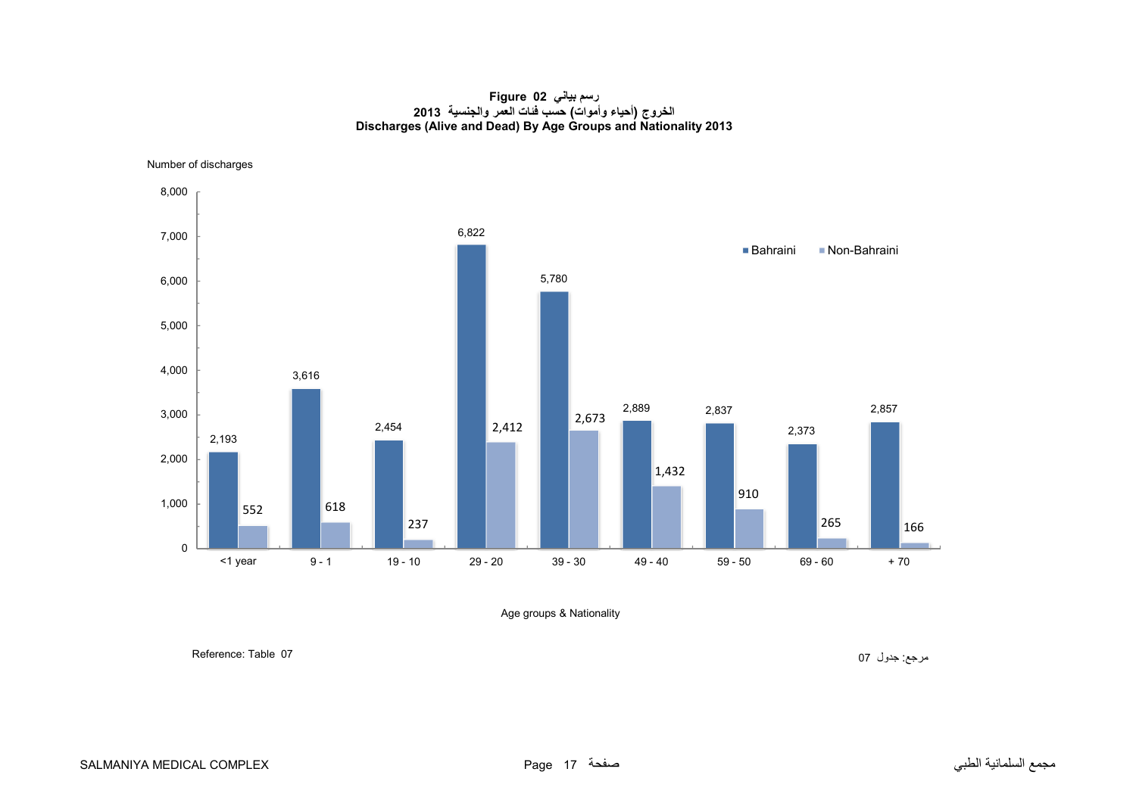**رسم بياني 02 Figure الخروج (أحياء وأموات) حسب فئات العمر والجنسية <sup>2013</sup> Discharges (Alive and Dead) By Age Groups and Nationality 2013**

<span id="page-16-0"></span>Number of discharges



Age groups & Nationality

مرجع: جدول 07 07 Reference: Table :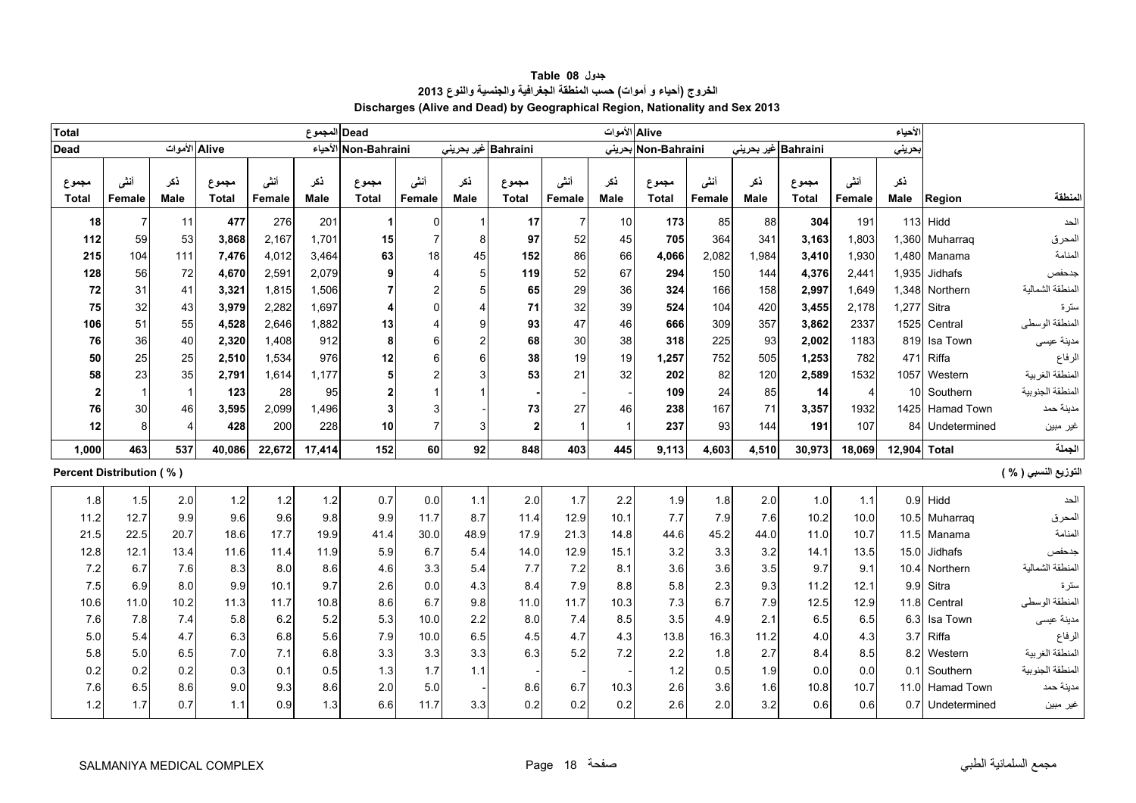<span id="page-17-0"></span>

| <b>Total</b>                    |                |               |                |                | Dead المجموع |                      |                |                     |                       |                | Alive الأموات      |                       |                |             |                       |                | الأحياء     |                   |                      |
|---------------------------------|----------------|---------------|----------------|----------------|--------------|----------------------|----------------|---------------------|-----------------------|----------------|--------------------|-----------------------|----------------|-------------|-----------------------|----------------|-------------|-------------------|----------------------|
| <b>Dead</b>                     |                | Alive الأموات |                |                |              | Non-Bahraini الأحياء |                | Bahraini غیر بحرینی |                       |                | بحرينى             | Non-Bahraini          |                |             | Bahraini غير بحريني   |                | بحريني      |                   |                      |
| مجموع<br><b>Total</b>           | أنشى<br>Female | ذكر<br>Male   | مجموع<br>Total | أنشى<br>Female | نكر<br>Male  | مجموع<br>Total       | أننى<br>Female | نكر<br><b>Male</b>  | مجموع<br><b>Total</b> | أننى<br>Female | نكر<br><b>Male</b> | مجموع<br><b>Total</b> | أننى<br>Female | نكر<br>Male | مجموع<br><b>Total</b> | أننى<br>Female | نكر<br>Male | Region            | لمنطقة               |
| 18                              | $\overline{7}$ | 11            | 477            | 276            | 201          | -1                   | $\mathbf 0$    |                     | 17                    | $\overline{7}$ | 10                 | 173                   | 85             | 88          | 304                   | 191            |             | $113$ Hidd        | الحد                 |
| 112                             | 59             | 53            | 3,868          | 2,167          | 1,701        | 15                   | $\overline{7}$ | 8                   | 97                    | 52             | 45                 | 705                   | 364            | 341         | 3,163                 | 1,803          |             | 1,360 Muharraq    | المحرق               |
| 215                             | 104            | 111           | 7,476          | 4,012          | 3,464        | 63                   | 18             | 45                  | 152                   | 86             | 66                 | 4,066                 | 2,082          | 1,984       | 3,410                 | 1,930          |             | 1,480 Manama      | المنامة              |
| 128                             | 56             | 72            | 4,670          | 2,591          | 2,079        | 9                    | $\overline{4}$ | 5                   | 119                   | 52             | 67                 | 294                   | 150            | 144         | 4,376                 | 2,441          | 1,935       | Jidhafs           | جدحفص                |
| 72                              | 31             | 41            | 3,321          | 1,815          | 1,506        |                      | $\overline{2}$ |                     | 65                    | 29             | 36                 | 324                   | 166            | 158         | 2,997                 | 1.649          | 1,348       | Northern          | المنطقة الشمالية     |
| 75                              | 32             | 43            | 3,979          | 2,282          | 1,697        |                      | $\Omega$       |                     | 71                    | 32             | 39                 | 524                   | 104            | 420         | 3,455                 | 2,178          | 1,277       | Sitra             | سترة                 |
| 106                             | 51             | 55            | 4,528          | 2,646          | 1,882        | 13                   | 4              |                     | 93                    | 47             | 46                 | 666                   | 309            | 357         | 3,862                 | 2337           | 1525        | Central           | المنطقة الوسطى       |
| 76                              | 36             | 40            | 2,320          | 1.408          | 912          | 8                    | 6              |                     | 68                    | 30             | 38                 | 318                   | 225            | 93          | 2,002                 | 1183           | 819         | Isa Town          | مدينة عيسى           |
| 50                              | 25             | 25            | 2,510          | 1,534          | 976          | 12                   | 6              | 6                   | 38                    | 19             | 19                 | 1,257                 | 752            | 505         | 1,253                 | 782            | 471         | Riffa             | الرفاع               |
| 58                              | 23             | 35            | 2,791          | 1.614          | 1,177        | 5                    | $\mathfrak{p}$ |                     | 53                    | 21             | 32                 | 202                   | 82             | 120         | 2,589                 | 1532           | 1057        | Western           | المنطقة الغربية      |
| $\overline{2}$                  |                | $\mathbf{1}$  | 123            | 28             | 95           | $\mathbf 2$          |                |                     |                       |                |                    | 109                   | 24             | 85          | 14                    | $\overline{4}$ |             | 10 Southern       | المنطقة الجنوبية     |
| 76                              | 30             | 46            | 3,595          | 2,099          | 1,496        | 3                    | 3              |                     | 73                    | 27             | 46                 | 238                   | 167            | 71          | 3,357                 | 1932           | 1425        | <b>Hamad Town</b> | مدينة حمد            |
| 12                              | 8              | 4             | 428            | 200            | 228          | 10                   | $\overline{7}$ | 3                   | $\mathbf{2}$          | $\overline{1}$ | $\overline{1}$     | 237                   | 93             | 144         | 191                   | 107            | 84          | Undetermined      | غير مبين             |
| 1,000                           | 463            | 537           | 40,086         | 22,672         | 17,414       | 152                  | 60             | 92                  | 848                   | 403            | 445                | 9.113                 | 4,603          | 4,510       | 30,973                | 18,069         | 12,904      | <b>Total</b>      | الجملة               |
| <b>Percent Distribution (%)</b> |                |               |                |                |              |                      |                |                     |                       |                |                    |                       |                |             |                       |                |             |                   | التوزيع النسبي ( % ) |
| 1.8                             | 1.5            | 2.0           | $1.2$          | 1.2            | 1.2          | 0.7                  | 0.0            | 1.1                 | 2.0                   | 1.7            | 2.2                | 1.9                   | 1.8            | 2.0         | 1.0                   | 1.1            |             | $0.9$ Hidd        | الحد                 |
| 11.2                            | 12.7           | 9.9           | 9.6            | 9.6            | 9.8          | 9.9                  | 11.7           | 8.7                 | 11.4                  | 12.9           | 10.1               | 7.7                   | 7.9            | 7.6         | 10.2                  | 10.0           |             | 10.5 Muharraq     | المحرق               |
| 21.5                            | 22.5           | 20.7          | 18.6           | 17.7           | 19.9         | 41.4                 | 30.0           | 48.9                | 17.9                  | 21.3           | 14.8               | 44.6                  | 45.2           | 44.0        | 11.0                  | 10.7           |             | 11.5 Manama       | المنامة              |
| 12.8                            | 12.1           | 13.4          | 11.6           | 11.4           | 11.9         | 5.9                  | 6.7            | 5.4                 | 14.0                  | 12.9           | 15.1               | 3.2                   | 3.3            | 3.2         | 14.1                  | 13.5           | 15.0        | Jidhafs           | جدحفص                |
| 7.2                             | 6.7            | 7.6           | 8.3            | 8.0            | 8.6          | 4.6                  | 3.3            | 5.4                 | 7.7                   | 7.2            | 8.1                | 3.6                   | 3.6            | 3.5         | 9.7                   | 9.1            | 10.4        | Northern          | المنطقة الشمالية     |
| 7.5                             | 6.9            | 8.0           | 9.9            | 10.1           | 9.7          | 2.6                  | 0.0            | 4.3                 | 8.4                   | 7.9            | 8.8                | 5.8                   | 2.3            | 9.3         | 11.2                  | 12.1           | 9.9         | Sitra             | سترة                 |
| 10.6                            | 11.0           | 10.2          | 11.3           | 11.7           | 10.8         | 8.6                  | 6.7            | 9.8                 | 11.0                  | 11.7           | 10.3               | 7.3                   | 6.7            | 7.9         | 12.5                  | 12.9           | 11.8        | Central           | المنطقة الوسطى       |
| 7.6                             | 7.8            | 7.4           | 5.8            | 6.2            | 5.2          | 5.3                  | 10.0           | 2.2                 | 8.0                   | 7.4            | 8.5                | 3.5                   | 4.9            | 2.1         | 6.5                   | 6.5            | 6.3         | Isa Town          | مدينة عيسى           |
| 5.0                             | 5.4            | 4.7           | 6.3            | 6.8            | 5.6          | 7.9                  | 10.0           | 6.5                 | 4.5                   | 4.7            | 4.3                | 13.8                  | 16.3           | 11.2        | 4.0                   | 4.3            | 3.7         | Riffa             | الرفاع               |
| 5.8                             | 5.0            | 6.5           | 7.0            | 7.1            | 6.8          | 3.3                  | 3.3            | 3.3                 | 6.3                   | 5.2            | 7.2                | 2.2                   | 1.8            | 2.7         | 8.4                   | 8.5            | 8.2         | Western           | المنطقة الغربية      |
| 0.2                             | 0.2            | 0.2           | 0.3            | 0.1            | 0.5          | 1.3                  | 1.7            | 1.1                 |                       |                |                    | 1.2                   | 0.5            | 1.9         | 0.0                   | 0.0            | 0.1         | Southern          | المنطقة الجنوبية     |
| 7.6                             | 6.5            | 8.6           | 9.0            | 9.3            | 8.6          | 2.0                  | 5.0            |                     | 8.6                   | 6.7            | 10.3               | 2.6                   | 3.6            | 1.6         | 10.8                  | 10.7           |             | 11.0 Hamad Town   | مدينة حمد            |
| 1.2                             | 1.7            | 0.7           | 1.1            | 0.9            | 1.3          | 6.6                  | 11.7           | 3.3                 | 0.2                   | 0.2            | 0.2                | 2.6                   | 2.0            | 3.2         | 0.6                   | 0.6            |             | 0.7 Undetermined  | غير مبين             |

**جدول 08 Table الخروج (أحياء <sup>و</sup> أموات) حسب المنطقة الجغرافية والجنسية والنوع <sup>2013</sup> Discharges (Alive and Dead) by Geographical Region, Nationality and Sex 2013**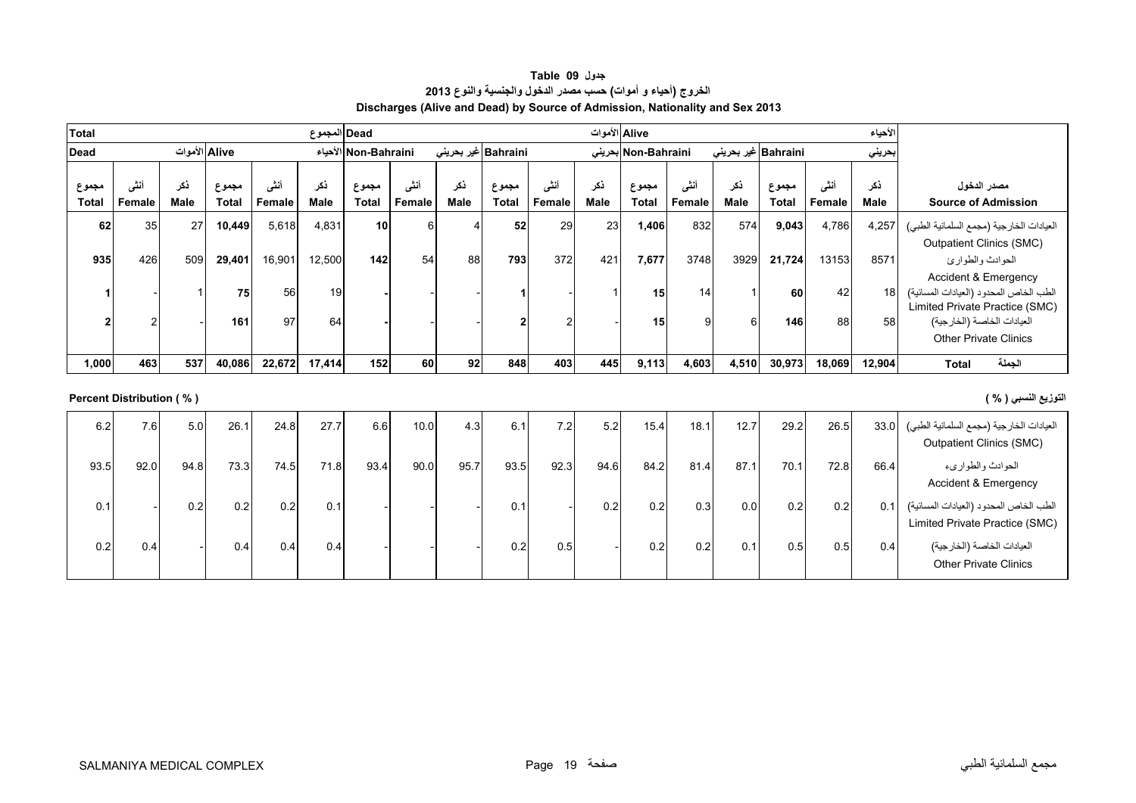| جدول Table 09                                                                |  |
|------------------------------------------------------------------------------|--|
| الخروج (أحياء و أموات) حسب مصدر الدخول والجنسية والنوع 2013                  |  |
| Discharges (Alive and Dead) by Source of Admission, Nationality and Sex 2013 |  |

<span id="page-18-0"></span>

| <b>Total</b>          |                |             |                       |                       | Dead  المجموع |                      |                 |                             |                       |                | Alive الأموات |                                    |                       |                    |                             |                | الأحياء               |                                                                                                                                                                           |
|-----------------------|----------------|-------------|-----------------------|-----------------------|---------------|----------------------|-----------------|-----------------------------|-----------------------|----------------|---------------|------------------------------------|-----------------------|--------------------|-----------------------------|----------------|-----------------------|---------------------------------------------------------------------------------------------------------------------------------------------------------------------------|
| Dead                  |                |             | Alive الأموات         |                       |               | الأحياء Non-Bahraini |                 | Bahraini غير بحرين <i>ي</i> |                       |                |               | Non-Bahraini بحرينى                |                       |                    | Bahraini غير بحرين <i>ي</i> |                | بحريني                |                                                                                                                                                                           |
| مجموع<br><b>Total</b> | أنشى<br>Female | ذكر<br>Male | مجموع<br><b>Total</b> | أنشى<br><b>Female</b> | ذكر<br>Male   | مجموع<br>Total       | أننسى<br>Female | ذكر<br>Male                 | مجموع<br><b>Total</b> | أنشى<br>Female | نكر<br>Male   | مجموع<br>Total                     | أننى<br><b>Female</b> | ذكر<br><b>Male</b> | مجموع<br>Total              | أنشى<br>Female | ذكر<br>Male           | مصدر الدخول<br><b>Source of Admission</b>                                                                                                                                 |
| 62                    | 35             | 27          | 10,449                | 5,618                 | 4,831         | 10 <sup>1</sup>      | 6               | -4                          | 52                    | 29             | 23            | 1,406                              | 832                   | 574                | 9,043                       | 4,786          | 4,257                 | العيادات الخارجية (مجمع السلمانية الطبي)                                                                                                                                  |
|                       |                |             |                       |                       |               |                      |                 |                             |                       |                |               |                                    |                       |                    |                             |                |                       | <b>Outpatient Clinics (SMC)</b>                                                                                                                                           |
| 935                   | 426            | 509         | 29,401                | 16,901                | 12,500        | 142                  | 54              | 88                          | 793                   | 372            | 421           | 7,677                              | 3748                  | 3929               | 21,724                      | 13153          | 8571                  | الحوادث والطوارئ                                                                                                                                                          |
|                       | $\overline{2}$ |             | 75<br>161             | 56<br>97              | 19<br>64      |                      |                 |                             |                       |                |               | 15 <sup>1</sup><br>15 <sub>l</sub> | 14 <sub>1</sub><br>Й  | 61                 | 60<br>146                   | 42<br>88       | 18 <sup>1</sup><br>58 | <b>Accident &amp; Emergency</b><br>الطب الخاص المحدود (العيادات المسائية)<br>Limited Private Practice (SMC)<br>العيادات الخاصة (الخارجية)<br><b>Other Private Clinics</b> |
| 1,000                 | 463            | 537         | 40,086                | 22,672                | 17,414        | 152                  | 60              | 92                          | 848                   | 403            | 445           | 9,113                              | 4,603                 | 4,510              | 30,973                      | 18,069         | 12,904                | الجملة<br><b>Total</b>                                                                                                                                                    |

# **التوزيع النسبي ( % ) ( % ) Distribution Percent**

| 6.2  | 7.6  | 5.0  | 26.1 | 24.8 | 27.7 | 6.6  | 10.0 | 4.3  | 6.1  | 7.2 <sub>1</sub> | 5.2  | 15.4 | 18.1 | 12.7 | 29.2 | 26.5 | 33.0 | العيادات الخارجية (مجمع السلمانية الطبي)<br><b>Outpatient Clinics (SMC)</b> |
|------|------|------|------|------|------|------|------|------|------|------------------|------|------|------|------|------|------|------|-----------------------------------------------------------------------------|
| 93.5 | 92.0 | 94.8 | 73.3 | 74.5 | 71.8 | 93.4 | 90.0 | 95.7 | 93.5 | 92.3             | 94.6 | 84.2 | 81.4 | 87.1 | 70.1 | 72.8 | 66.4 | الحوادث والطواريء<br>Accident & Emergency                                   |
| 0.1  |      | 0.2  | 0.2  | 0.2  | 0.1  |      |      |      | 0.1  |                  | 0.2  | 0.2  | 0.3  | 0.0  | 0.2  | 0.21 | 0.1  | الطب الخاص المحدود (العيادات المسائية)<br>Limited Private Practice (SMC)    |
| 0.2  | 0.4  |      | 0.4  | 0.4  | 0.4  |      |      |      | 0.2  | 0.5              |      | 0.2  | 0.2  | 0.1  | 0.5  | 0.5  | 0.4  | العيادات الخاصة (الخارجية)<br><b>Other Private Clinics</b>                  |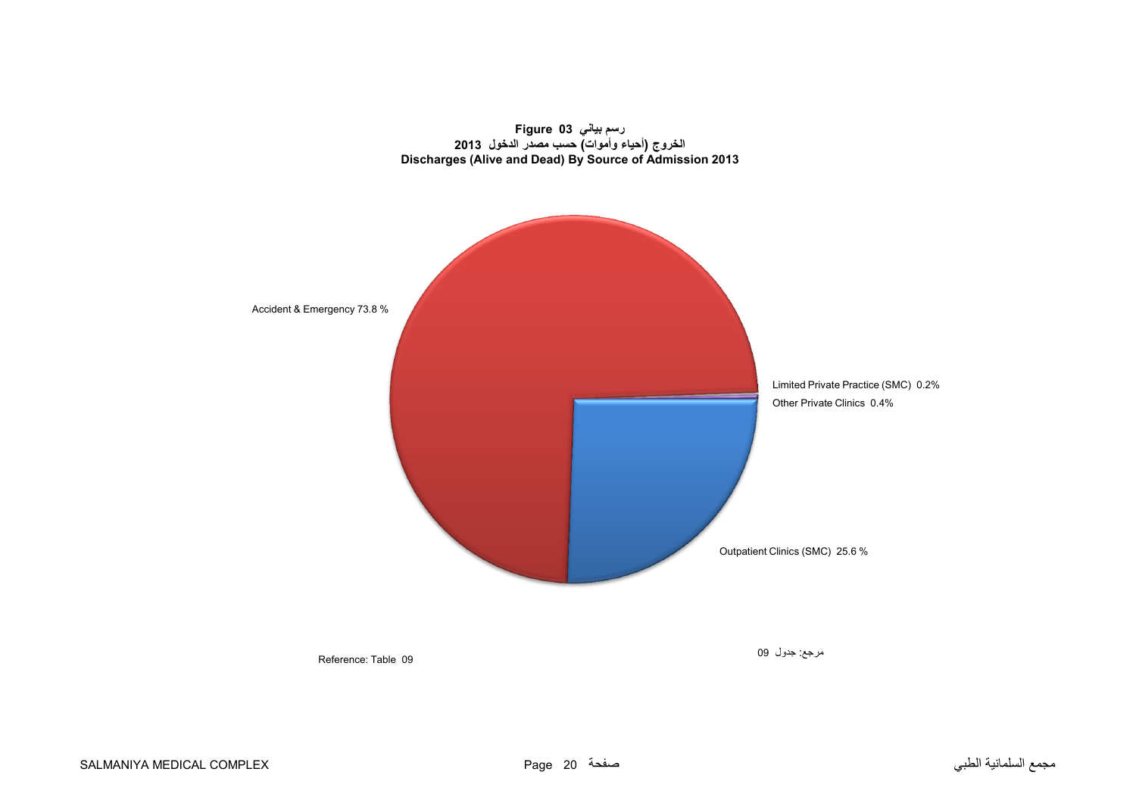<span id="page-19-0"></span>



Reference: Table 09

مرجع: جدول <sup>09</sup>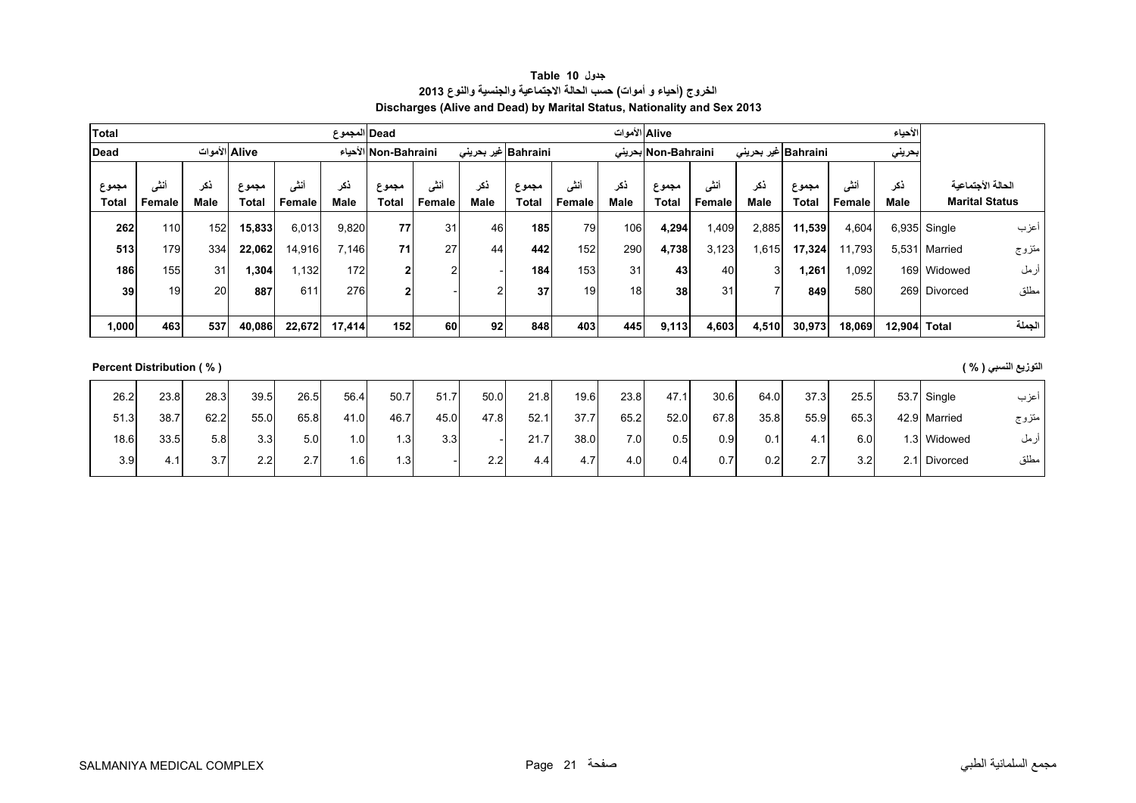| جدول Table 10                                                           |
|-------------------------------------------------------------------------|
| الخروج (أحياء و أموات) حسب الحالة الاجتماعية والجنسية والنوع 2013       |
| Discharges (Alive and Dead) by Marital Status, Nationality and Sex 2013 |

<span id="page-20-0"></span>

| Total          |                |             |                |                | Dead المجموع       |                      |                           |             |                      |                | Aliveالأموات    |                     |                |                     |                       |               | الأحياء      |                                            |        |
|----------------|----------------|-------------|----------------|----------------|--------------------|----------------------|---------------------------|-------------|----------------------|----------------|-----------------|---------------------|----------------|---------------------|-----------------------|---------------|--------------|--------------------------------------------|--------|
| Dead           |                |             | Alive الأموات  |                |                    | Non-Bahraini الأحياء |                           |             | Bahraini  غیر بحرینی |                |                 | Non-Bahraini بحرينى |                | Bahraini غیر بحرینی |                       |               | بحريني       |                                            |        |
| مجموع<br>Total | بمتى<br>Female | نکر<br>Male | مجموع<br>Total | أنشى<br>Female | ذكر<br><b>Male</b> | مجموع<br>Total       | $5 - i$<br>انتی<br>Female | نکر<br>Male | مجموع<br>Total       | أنشى<br>Female | ذكر<br>Male     | مجموع<br>Total      | أننس<br>Female | ذكر<br><b>Male</b>  | مجموع<br><b>Total</b> | ىتى<br>Female | ذكر<br>Male  | الحالة الأجتماعية<br><b>Marital Status</b> |        |
| 262            | 110            | 152         | 15,833         | 6,013          | 9,820              | 77                   | 31                        | 46          | 185                  | 79             | 106             | 4,294               | .409           | 2,885               | 11,539                | 4,604         |              | $6.935$ Single                             | اعزب   |
| 513            | 179            | 334         | 22,062         | 14,916         | 7,146              | 71                   | 27                        | 44          | 442                  | 152            | 290             | 4,738               | 3,123          | 1,615               | 17,324                | 1,793         | 5,531        | Married                                    | متزوج  |
| 186            | 155            | 31          | , 304          | .132           | 172                |                      | $\overline{2}$            |             | 184                  | 153            | 31              | 43                  | 40             | 3                   | 261.ا                 | .092          |              | 169 Widowed                                | أرمل   |
| 39             | 19             | <b>20</b>   | 887            | 611            | 276                |                      |                           |             | 37                   | 19             | 18 <sub>1</sub> | 38                  | 31             |                     | 849                   | 580           |              | 269 Divorced                               | مطلق   |
|                |                |             |                |                |                    |                      |                           |             |                      |                |                 |                     |                |                     |                       |               |              |                                            |        |
| 1,000          | 463            | 537         | 40,086         | 22,672         | 17,414             | 152 <sub>1</sub>     | 60                        | 92          | 848                  | 403            | 445             | 9,113               | 4,603          | 4,510               | 30,973                | 18,069        | 12,904 Total |                                            | الحملة |

## **التوزيع النسبي ( % ) ( % ) Distribution Percent**

| 26.2 | 23.8 | 28.3 | 39.5         | 26.5 | 56.4 | 50.7 | 51.7 | 50.0 | 21.8 | 19.6 | 23.8 | 47.1 | 30.6 | 64.0             | 37.3 | 25.5 |        | 53.7 Single  | عزب   |
|------|------|------|--------------|------|------|------|------|------|------|------|------|------|------|------------------|------|------|--------|--------------|-------|
| 51.3 | 38.7 | 62.2 | 55.0         | 65.8 | 41.0 | 46.7 | 45.0 | 47.8 | 52.1 | 37.7 | 65.2 | 52.0 | 67.8 | 35.8             | 55.9 | 65.3 |        | 42.9 Married | متزوج |
| 18.6 | 33.5 | 5.8  | 3.3          | 5.0  | 0.،  | 1.3  | 3.3  |      | 21.7 | 38.0 | 7.01 | 0.5  | 0.9  | 0.1              | 4.1  | 6.0  |        | 1.3 Widowed  | ارمل  |
| 3.9  | 4.1  | 3.71 | 22<br>$\sim$ | 2.7  | .6   | 1.3  |      | 22   | 4.4  | 4.7  | 4.0  | 0.4  | 0.7  | 0.2 <sub>1</sub> | 2.7  | 3.2  | 2.1I D | Divorced     | مطلق  |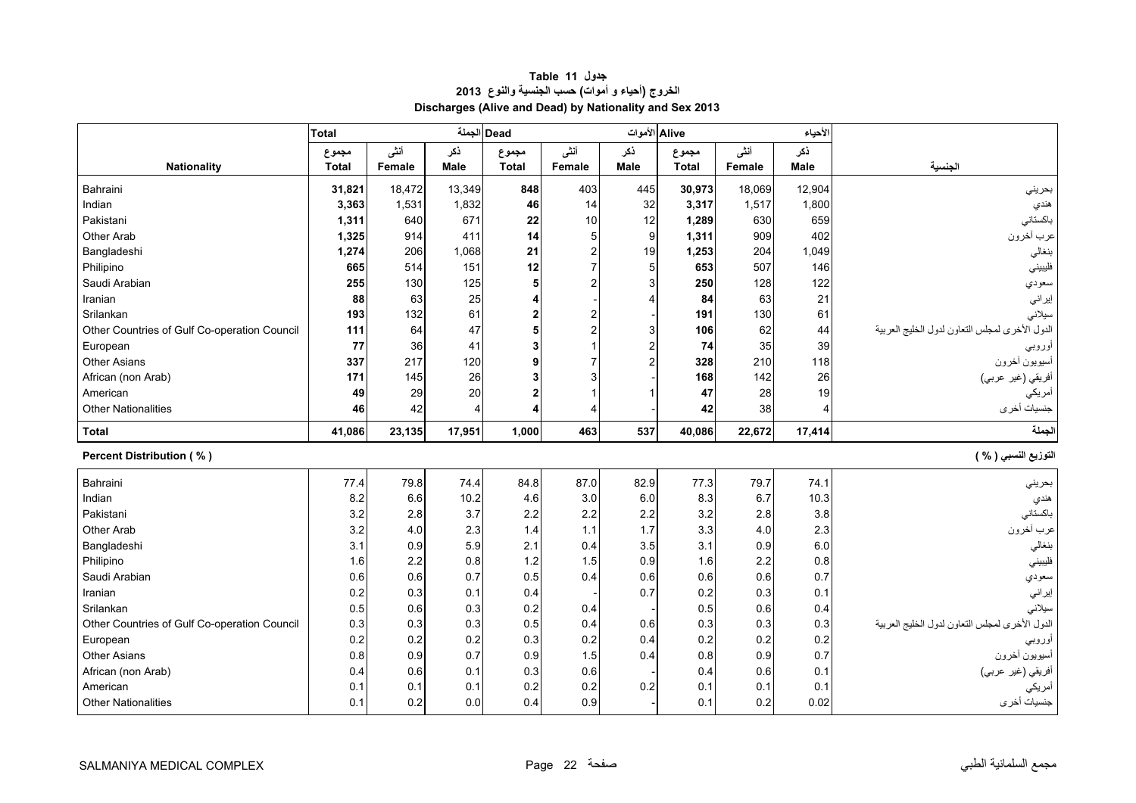<span id="page-21-0"></span>

|                                              | <b>Total</b> |        |        | Dead الجملة  |                | Alive الأموات  |              |        | لأحياء      |                                                |
|----------------------------------------------|--------------|--------|--------|--------------|----------------|----------------|--------------|--------|-------------|------------------------------------------------|
|                                              | مجموع        | أنشى   | ذكر    | مجموع        | أنشى           | ذكر            | مجموع        | أنشى   | نكر         |                                                |
| <b>Nationality</b>                           | <b>Total</b> | Female | Male   | <b>Total</b> | Female         | Male           | <b>Total</b> | Female | <b>Male</b> | الجنسية                                        |
| Bahraini                                     | 31,821       | 18,472 | 13,349 | 848          | 403            | 445            | 30,973       | 18,069 | 12,904      | بحرينى                                         |
| Indian                                       | 3,363        | 1,531  | 1,832  | 46           | 14             | 32             | 3,317        | 1,517  | 1,800       | هندي                                           |
| Pakistani                                    | 1,311        | 640    | 671    | 22           | 10             | 12             | 1,289        | 630    | 659         | باكستاني                                       |
| Other Arab                                   | 1,325        | 914    | 411    | 14           | 5 <sup>1</sup> | 9              | 1,311        | 909    | 402         | عرب أخرون                                      |
| Bangladeshi                                  | 1,274        | 206    | 1,068  | 21           | $\overline{2}$ | 19             | 1,253        | 204    | 1,049       | بنغالي                                         |
| Philipino                                    | 665          | 514    | 151    | 12           | 7              | 5              | 653          | 507    | 146         | فليبيني                                        |
| Saudi Arabian                                | 255          | 130    | 125    | 5            | 2              | 3              | 250          | 128    | 122         | سعودي                                          |
| Iranian                                      | 88           | 63     | 25     |              |                | $\overline{4}$ | 84           | 63     | 21          | إيراني                                         |
| Srilankan                                    | 193          | 132    | 61     |              | 2              |                | 191          | 130    | 61          | سيلانى                                         |
| Other Countries of Gulf Co-operation Council | 111          | 64     | 47     |              | 2              | 3              | 106          | 62     | 44          | الدول الأخرى لمجلس التعاون لدول الخليج العربية |
| European                                     | 77           | 36     | 41     |              |                | $\overline{2}$ | 74           | 35     | 39          | اوروبي                                         |
| <b>Other Asians</b>                          | 337          | 217    | 120    |              |                | 2              | 328          | 210    | 118         | أسيويون أخرون                                  |
| African (non Arab)                           | 171          | 145    | 26     |              |                |                | 168          | 142    | 26          | أفريقي (غير عربي)                              |
| American                                     | 49           | 29     | 20     |              |                |                | 47           | 28     | 19          | أمريكي                                         |
| <b>Other Nationalities</b>                   | 46           | 42     | 4      |              | Δ              |                | 42           | 38     | 4           | جنسيات أخرى                                    |
| <b>Total</b>                                 | 41,086       | 23,135 | 17,951 | 1,000        | 463            | 537            | 40,086       | 22,672 | 17,414      | لجملة                                          |
| <b>Percent Distribution (%)</b>              |              |        |        |              |                |                |              |        |             | التوزيع النسبي ( % )                           |
| Bahraini                                     |              |        |        |              |                |                |              |        |             |                                                |
|                                              | 77.4         | 79.8   | 74.4   | 84.8         | 87.0           | 82.9           | 77.3         | 79.7   | 74.1        | بحريني                                         |
| Indian                                       | 8.2          | 6.6    | 10.2   | 4.6          | 3.0            | 6.0            | 8.3          | 6.7    | 10.3        | هندي                                           |
| Pakistani                                    | 3.2          | 2.8    | 3.7    | 2.2          | 2.2            | 2.2            | 3.2          | $2.8$  | 3.8         | باكستاني                                       |
| Other Arab                                   | 3.2          | 4.0    | 2.3    | 1.4          | 1.1            | 1.7            | 3.3          | 4.0    | 2.3         | عرب أخرون                                      |
| Bangladeshi                                  | 3.1          | 0.9    | 5.9    | 2.1          | 0.4            | 3.5            | 3.1          | 0.9    | 6.0         | بنغالي                                         |
| Philipino                                    | 1.6          | 2.2    | 0.8    | 1.2          | 1.5            | 0.9            | 1.6          | 2.2    | 0.8         | فليبيني                                        |
| Saudi Arabian                                | 0.6          | 0.6    | 0.7    | 0.5          | 0.4            | 0.6            | 0.6          | 0.6    | 0.7         | سعودي                                          |
| Iranian                                      | 0.2          | 0.3    | 0.1    | 0.4          |                | 0.7            | 0.2          | 0.3    | 0.1         | إيراني                                         |
| Srilankan                                    | 0.5          | 0.6    | 0.3    | 0.2          | 0.4            |                | 0.5          | 0.6    | 0.4         | سيلانى                                         |
| Other Countries of Gulf Co-operation Council | 0.3          | 0.3    | 0.3    | 0.5          | 0.4            | 0.6            | 0.3          | 0.3    | 0.3         | الدول الأخرى لمجلس التعاون لدول الخليج العربية |
| European                                     | 0.2          | 0.2    | 0.2    | 0.3          | 0.2            | 0.4            | 0.2          | 0.2    | 0.2         | او ر <u>و ب</u> ي                              |
| <b>Other Asians</b>                          | 0.8          | 0.9    | 0.7    | 0.9          | 1.5            | 0.4            | 0.8          | 0.9    | 0.7         | أسيويون أخرون                                  |
| African (non Arab)                           | 0.4          | 0.6    | 0.1    | 0.3          | 0.6            |                | 0.4          | 0.6    | 0.1         | أفريقي (غير عربي)                              |
| American                                     | 0.1          | 0.1    | 0.1    | 0.2          | 0.2            | 0.2            | 0.1          | 0.1    | 0.1         | أمريكي<br>جنسيات أخرى                          |

# **جدول 11 Table الخروج (أحياء <sup>و</sup> أموات) حسب الجنسية والنوع <sup>2013</sup> Discharges (Alive and Dead) by Nationality and Sex 2013**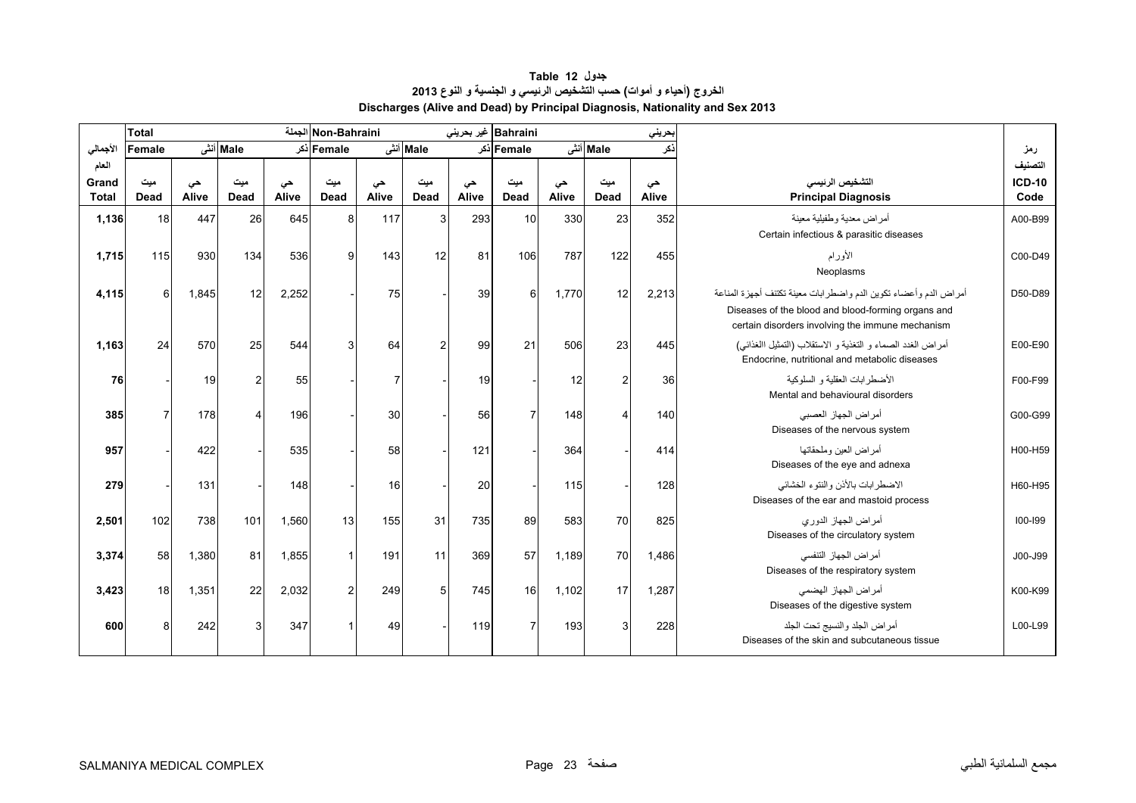# **جدول 12 Table الخروج (أحياء <sup>و</sup> أموات) حسب التشخيص الرئيسي <sup>و</sup> الجنسية <sup>و</sup> النوع <sup>2013</sup> Discharges (Alive and Dead) by Principal Diagnosis, Nationality and Sex 2013**

<span id="page-22-0"></span>

|              | Total  |       |                 |       | Non-Bahraini الجملة |       |                |       | Bahraini  غیر بحرینی |       |                         | حريني |                                                                                                                                                                            |               |
|--------------|--------|-------|-----------------|-------|---------------------|-------|----------------|-------|----------------------|-------|-------------------------|-------|----------------------------------------------------------------------------------------------------------------------------------------------------------------------------|---------------|
| الأجمالي     | Female |       | Male أنشى       |       | Female أذكر         |       | Male أنش       |       | Female أذكر          |       | Male أنشى               | ذكر   |                                                                                                                                                                            | رمز           |
| العام        |        |       |                 |       |                     |       |                |       |                      |       |                         |       |                                                                                                                                                                            | التصنيف       |
| Grand        | میت    | حى    | میت             | حی    | میت                 | حى    | میت            | حى    | میت                  | حى    | ميت                     | حى    | التشخيص الرئيسى                                                                                                                                                            | <b>ICD-10</b> |
| <b>Total</b> | Dead   | Alive | Dead            | Alive | Dead                | Alive | Dead           | Alive | <b>Dead</b>          | Alive | Dead                    | Alive | <b>Principal Diagnosis</b>                                                                                                                                                 | Code          |
| 1,136        | 18     | 447   | 26              | 645   | 8                   | 117   | $\mathbf{3}$   | 293   | 10                   | 330   | 23                      | 352   | أمراض معدية وطفيلية معينة<br>Certain infectious & parasitic diseases                                                                                                       | A00-B99       |
| 1,715        | 115    | 930   | 134             | 536   | 9                   | 143   | 12             | 81    | 106                  | 787   | 122                     | 455   | الأورام<br>Neoplasms                                                                                                                                                       | C00-D49       |
| 4,115        | 6      | 1,845 | 12 <sup>1</sup> | 2,252 |                     | 75    |                | 39    | 6                    | 1,770 | 12                      | 2,213 | أمراض الدم وأعضاء تكوين الدم واضطرابات معينة تكتنف أجهزة المناعة<br>Diseases of the blood and blood-forming organs and<br>certain disorders involving the immune mechanism | D50-D89       |
| 1,163        | 24     | 570   | 25              | 544   | 3                   | 64    | $\overline{2}$ | 99    | 21                   | 506   | 23                      | 445   | أمراض الغدد الصماء و التغذية و الاستقلاب (التمثيل االغذائبي)<br>Endocrine, nutritional and metabolic diseases                                                              | E00-E90       |
| 76           |        | 19    | $\overline{2}$  | 55    |                     | 7     |                | 19    |                      | 12    | $\overline{2}$          | 36    | الأضطر ابات العقلية و السلوكية<br>Mental and behavioural disorders                                                                                                         | F00-F99       |
| 385          | 7      | 178   | $\overline{4}$  | 196   |                     | 30    |                | 56    | $\overline{7}$       | 148   | $\overline{\mathbf{4}}$ | 140   | أمراض الجهاز العصبي<br>Diseases of the nervous system                                                                                                                      | G00-G99       |
| 957          |        | 422   |                 | 535   |                     | 58    |                | 121   |                      | 364   |                         | 414   | أمر اض العبن وملحقاتها<br>Diseases of the eye and adnexa                                                                                                                   | H00-H59       |
| 279          |        | 131   |                 | 148   |                     | 16    |                | 20    |                      | 115   |                         | 128   | الاضطرابات بالأذن والنتوء الخشائي<br>Diseases of the ear and mastoid process                                                                                               | H60-H95       |
| 2,501        | 102    | 738   | 101             | 1,560 | 13                  | 155   | 31             | 735   | 89                   | 583   | 70                      | 825   | أمراض الجهاز الدوري<br>Diseases of the circulatory system                                                                                                                  | 100-199       |
| 3,374        | 58     | 1,380 | 81              | 1,855 |                     | 191   | 11             | 369   | 57                   | 1,189 | 70                      | 1,486 | أمراض الجهاز التنفسي<br>Diseases of the respiratory system                                                                                                                 | J00-J99       |
| 3,423        | 18     | 1,351 | 22              | 2,032 | $\overline{2}$      | 249   | 5              | 745   | 16                   | 1,102 | 17                      | 1,287 | أمراض الجهاز الهضمى<br>Diseases of the digestive system                                                                                                                    | K00-K99       |
| 600          | 8      | 242   | $\mathbf{3}$    | 347   |                     | 49    |                | 119   | $\overline{7}$       | 193   | 3                       | 228   | أمراض الجلد والنسيج تحت الجلد<br>Diseases of the skin and subcutaneous tissue                                                                                              | L00-L99       |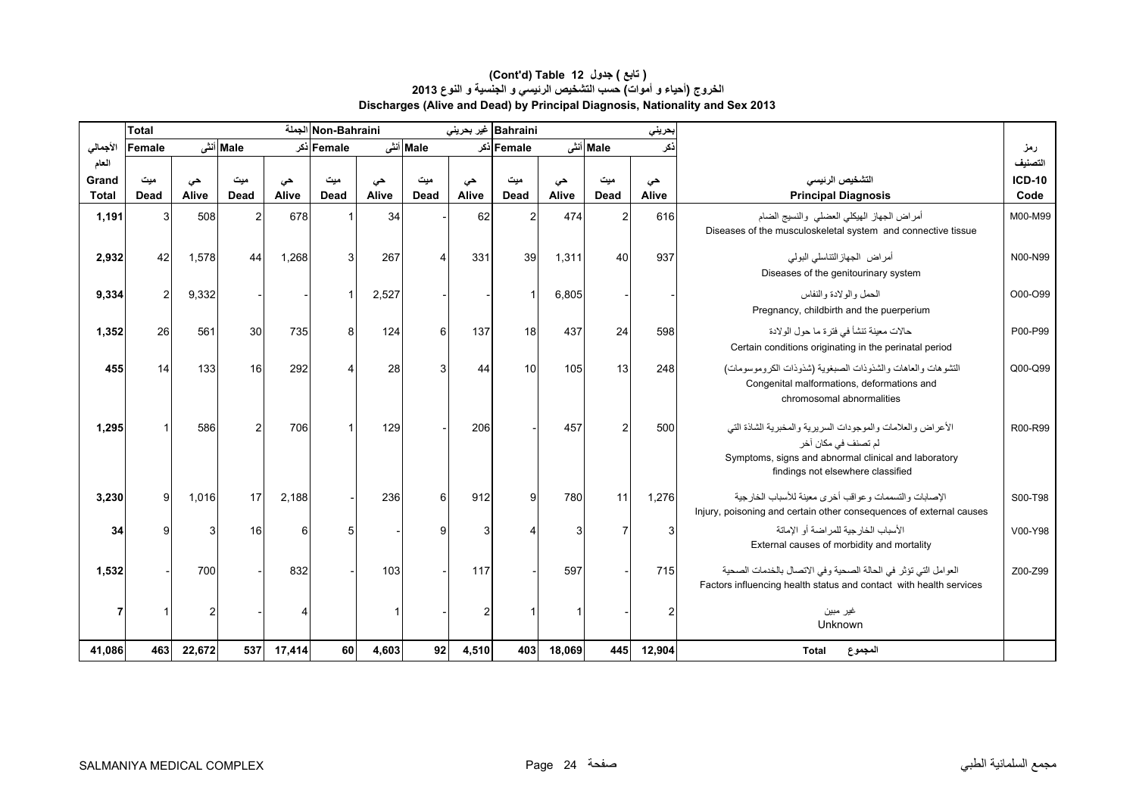### **Discharges (Alive and Dead) by Principal Diagnosis, Nationality and Sex 2013 (Cont'd) Table 12 جدول ) تابع( الخروج (أحياء <sup>و</sup> أموات) حسب التشخيص الرئيسي <sup>و</sup> الجنسية <sup>و</sup> النوع <sup>2013</sup>**

|                       | <b>Total</b>   |             |           |             | Non-Bahraini الجملة |             |           |             | Bahraini غير بحريني |             |                | حريني       |                                                                                                                                                                                 |                       |
|-----------------------|----------------|-------------|-----------|-------------|---------------------|-------------|-----------|-------------|---------------------|-------------|----------------|-------------|---------------------------------------------------------------------------------------------------------------------------------------------------------------------------------|-----------------------|
| الأجمالي              | Female         |             | Male أنشى |             | Female ذکر          |             | Male أنشى |             | Female أذكر         |             | Male أنشى      | ذكر         |                                                                                                                                                                                 | رمز                   |
| العام                 |                |             |           |             |                     |             |           |             |                     |             |                |             |                                                                                                                                                                                 | التصنيف               |
| Grand<br><b>Total</b> | میت<br>Dead    | حى<br>Alive | میت       | حى<br>Alive | میت                 | حى<br>Alive | ميت       | حى<br>Alive | ميت                 | حى<br>Alive | ميت            | حى<br>Alive | التشخيص الرنيسي                                                                                                                                                                 | <b>ICD-10</b><br>Code |
|                       |                |             | Dead      |             | Dead                |             | Dead      |             | Dead                |             | Dead           |             | <b>Principal Diagnosis</b>                                                                                                                                                      |                       |
| 1,191                 |                | 508         |           | 678         |                     | 34          |           | 62          |                     | 474         |                | 616         | أمراض الجهاز الهيكلي العضلى والنسيج الضام<br>Diseases of the musculoskeletal system and connective tissue                                                                       | M00-M99               |
| 2,932                 | 42             | 1,578       | 44        | 1,268       | 3                   | 267         | 4         | 331         | 39                  | 1,311       | 40             | 937         | أمراض الجهازالنتاسلي البولمي<br>Diseases of the genitourinary system                                                                                                            | N00-N99               |
| 9,334                 | $\overline{2}$ | 9,332       |           |             |                     | 2,527       |           |             |                     | 6,805       |                |             | الحمل والولادة والنفاس<br>Pregnancy, childbirth and the puerperium                                                                                                              | O00-O99               |
| 1,352                 | 26             | 56'         | 30        | 735         | 8                   | 124         | 6         | 137         | 18                  | 437         | 24             | 598         | حالات معينة تنشأ في فتر ة ما حول الو لادة<br>Certain conditions originating in the perinatal period                                                                             | P00-P99               |
| 455                   | 14             | 133         | 16        | 292         |                     | 28          | 3         | 44          | 10                  | 105         | 13             | 248         | التشوهات والعاهات والشذوذات الصبغوية (شذوذات الكروموسومات)<br>Congenital malformations, deformations and<br>chromosomal abnormalities                                           | Q00-Q99               |
| 1,295                 |                | 586         | 2         | 706         |                     | 129         |           | 206         |                     | 457         | $\overline{2}$ | 500         | الأعراض والعلامات والموجودات السريرية والمخبرية الشاذة التي<br>لم تصنف في مكان آخر<br>Symptoms, signs and abnormal clinical and laboratory<br>findings not elsewhere classified | R00-R99               |
| 3,230                 | 9              | 1,016       | 17        | 2,188       |                     | 236         | 6         | 912         | 9                   | 780         | 11             | 1,276       | الإصابات و التسممات و عو اقب أخر ي معينة للأسباب الخار جية<br>Injury, poisoning and certain other consequences of external causes                                               | S00-T98               |
| 34                    |                |             | 16        | 6           |                     |             | 9         | 3           |                     | 3           |                |             | الأسباب الخارجية للمر اضة أو الإماتة<br>External causes of morbidity and mortality                                                                                              | V00-Y98               |
| 1,532                 |                | 700         |           | 832         |                     | 103         |           | 117         |                     | 597         |                | 715         | العوامل التي تؤثر في الحالة الصحية وفي الاتصال بالخدمات الصحية<br>Factors influencing health status and contact with health services                                            | Z00-Z99               |
|                       |                |             |           |             |                     |             |           |             |                     |             |                |             | غير مبين<br>Unknown                                                                                                                                                             |                       |
| 41,086                | 463            | 22,672      | 537       | 17,414      | 60                  | 4,603       | 92        | 4,510       | 403                 | 18,069      | 445            | 12,904      | المجموع<br><b>Total</b>                                                                                                                                                         |                       |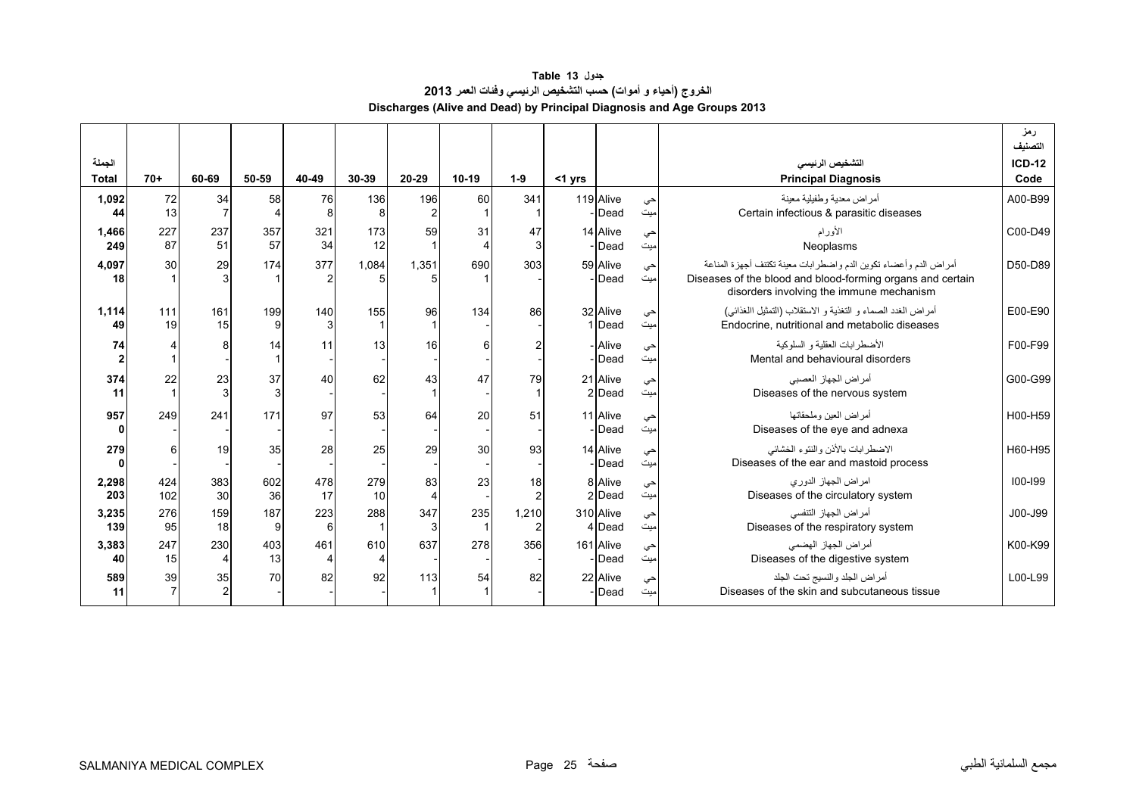**جدول 13 Table الخروج (أحياء <sup>و</sup> أموات) حسب التشخيص الرئيسي وفئات العمر<sup>2013</sup> Discharges (Alive and Dead) by Principal Diagnosis and Age Groups 2013** 

<span id="page-24-0"></span>

|                 |            |           |           |                                 |                                 |            |         |            |           |                     |            |                                                                                                                                                                            | رمز<br>التصنيف   |
|-----------------|------------|-----------|-----------|---------------------------------|---------------------------------|------------|---------|------------|-----------|---------------------|------------|----------------------------------------------------------------------------------------------------------------------------------------------------------------------------|------------------|
| الجملة<br>Total | $70+$      | 60-69     | 50-59     | 40-49                           | 30-39                           | 20-29      | $10-19$ | $1-9$      | $<$ 1 yrs |                     |            | التشخيص الرئيسى<br><b>Principal Diagnosis</b>                                                                                                                              | $ICD-12$<br>Code |
| 1,092<br>44     | 72<br>13   | 34        | 58        | 76<br>8                         | 136<br>8                        | 196        | 60      | 341        |           | 119 Alive<br>Dead   | حى<br>اميت | أمراض معدية وطفيلية معينة<br>Certain infectious & parasitic diseases                                                                                                       | A00-B99          |
| 1,466<br>249    | 227<br>87  | 237<br>51 | 357<br>57 | 321<br>34                       | 173<br>12                       | 59         | 31      | 47<br>З    |           | 14 Alive<br>Dead    | حي<br>میت  | الأورام<br>Neoplasms                                                                                                                                                       | C00-D49          |
| 4,097<br>18     | 30         | 29        | 174       | 377                             | 1,084                           | 1,351<br>5 | 690     | 303        |           | 59 Alive<br>Dead    | حي<br>میت  | أمراض الدم وأعضاء تكوين الدم واضطرابات معينة تكتنف أجهزة المناعة<br>Diseases of the blood and blood-forming organs and certain<br>disorders involving the immune mechanism | D50-D89          |
| 1,114<br>49     | 111<br>19  | 161<br>15 | 199<br>9  | 140                             | 155                             | 96         | 134     | 86         |           | 32 Alive<br>1 Dead  | حى<br>میت  | أمراض الغدد الصماء و التغذية و الاستقلاب (التمثيل االغذائبي)<br>Endocrine, nutritional and metabolic diseases                                                              | E00-E90          |
| 74              |            |           | 14        | 11                              | 13                              | 16         |         |            |           | Alive<br>Dead       | حي<br>میت  | الأضطر ابات العقلية و السلوكية<br>Mental and behavioural disorders                                                                                                         | F00-F99          |
| 374<br>11       | 22         | 23        | 37<br>3   | 40                              | 62                              | 43         | 47      | 79         |           | 21 Alive<br>2 Dead  | حي<br>میت  | أمر اض الجهاز العصبي<br>Diseases of the nervous system                                                                                                                     | G00-G99          |
| 957<br>ŋ        | 249        | 241       | 171       | 97                              | 53                              | 64         | 20      | 51         |           | 11 Alive<br>Dead    | حي<br>میت  | أمر اض العبن وملحقاتها<br>Diseases of the eye and adnexa                                                                                                                   | H00-H59          |
| 279             |            | 19        | 35        | 28                              | 25                              | 29         | 30      | 93         |           | 14 Alive<br>Dead    | حي<br>امیت | الاضطرابات بالأذن والنتوء الخشائي<br>Diseases of the ear and mastoid process                                                                                               | H60-H95          |
| 2,298<br>203    | 424<br>102 | 383<br>30 | 602<br>36 | 478<br>17                       | 279<br>10                       | 83<br>4    | 23      | 18<br>2    |           | 8 Alive<br>2 Dead   | حي<br>میت  | أمراض الجهاز الدوري<br>Diseases of the circulatory system                                                                                                                  | $100 - 199$      |
| 3,235<br>139    | 276<br>95  | 159<br>18 | 187<br>9  | 223<br>6                        | 288<br>-1                       | 347<br>3   | 235     | 1,210<br>2 |           | 310 Alive<br>4 Dead | حي<br>میت  | أمراض الجهاز التنفسي<br>Diseases of the respiratory system                                                                                                                 | J00-J99          |
| 3,383<br>40     | 247<br>15  | 230       | 403<br>13 | 461<br>$\overline{\mathcal{L}}$ | 610<br>$\overline{\mathcal{L}}$ | 637        | 278     | 356        |           | 161 Alive<br>Dead   | حى<br>امیت | أمر اض الجهاز الهضمي<br>Diseases of the digestive system                                                                                                                   | K00-K99          |
| 589<br>11       | 39         | 35        | 70        | 82                              | 92                              | 113        | 54      | 82         |           | 22 Alive<br>Dead    | حى<br>میت  | أمر اض الجلد و النسيج تحت الجلد<br>Diseases of the skin and subcutaneous tissue                                                                                            | L00-L99          |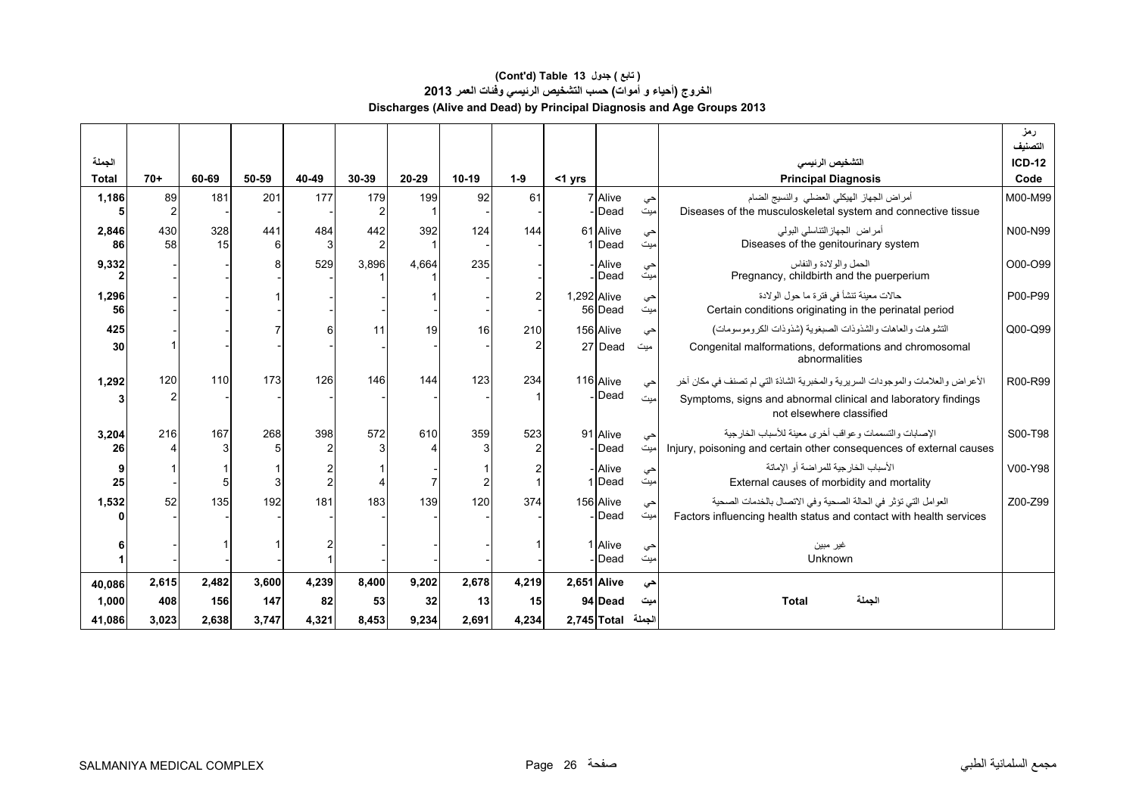# **Discharges (Alive and Dead) by Principal Diagnosis and Age Groups 2013 (Cont'd) Table 13 جدول ) تابع( الخروج (أحياء <sup>و</sup> أموات) حسب التشخيص الرئيسي وفئات العمر<sup>2013</sup>**

|                        |           |           |          |          |                       |           |         |               |             |                    |           |                                                                                                           | رمز<br>التصنيف   |
|------------------------|-----------|-----------|----------|----------|-----------------------|-----------|---------|---------------|-------------|--------------------|-----------|-----------------------------------------------------------------------------------------------------------|------------------|
| الجملة<br><b>Total</b> | $70+$     | 60-69     | 50-59    | 40-49    | 30-39                 | $20 - 29$ | $10-19$ | $1-9$         | $<$ 1 yrs   |                    |           | التشخيص الرنيسى<br><b>Principal Diagnosis</b>                                                             | $ICD-12$<br>Code |
|                        |           |           |          |          |                       |           |         |               |             |                    |           |                                                                                                           |                  |
| 1,186                  | 89        | 181       | 201      | 177      | 179<br>$\overline{2}$ | 199       | 92      | 61            |             | 7 Alive<br>Dead    | حي<br>میت | أمراض الجهاز الهيكلي العضلى والنسيج الضام<br>Diseases of the musculoskeletal system and connective tissue | M00-M99          |
| 2,846<br>86            | 430<br>58 | 328<br>15 | 441<br>ĥ | 484<br>3 | 442<br>$\overline{2}$ | 392       | 124     | 144           |             | 61 Alive<br>1 Dead | حي<br>میت | أمراض الجهازالتناسلي البولمي<br>Diseases of the genitourinary system                                      | N00-N99          |
| 9,332                  |           |           |          | 529      | 3,896                 | 4,664     | 235     |               |             | Alive<br>Dead      | حي<br>میت | الحمل والو لادة والنفاس<br>Pregnancy, childbirth and the puerperium                                       | O00-O99          |
| 1,296<br>56            |           |           |          |          |                       |           |         | $\mathcal{P}$ | 1,292 Alive | 56 Dead            | حي<br>میت | حالات معينة تنشأ في فترة ما حول الولادة<br>Certain conditions originating in the perinatal period         | P00-P99          |
| 425                    |           |           |          |          | 11                    | 19        | 16      | 210           |             | 156 Alive          | حي        | التشوهات والعاهات والشذوذات الصبغوية (شذوذات الكروموسومات)                                                | Q00-Q99          |
| 30                     |           |           |          |          |                       |           |         |               |             | 27 Dead            | میت       | Congenital malformations, deformations and chromosomal<br>abnormalities                                   |                  |
| 1,292                  | 120       | 110       | 173      | 126      | 146                   | 144       | 123     | 234           |             | 116 Alive          | حى        | الأعراض والعلامات والموجودات السريرية والمخبرية الشاذة التي لم تصنف في مكان أخر                           | R00-R99          |
|                        |           |           |          |          |                       |           |         |               |             | Dead               | میت       | Symptoms, signs and abnormal clinical and laboratory findings<br>not elsewhere classified                 |                  |
| 3,204                  | 216       | 167       | 268      | 398      | 572                   | 610       | 359     | 523           |             | 91 Alive           | حي        | الإصبابات والتسممات وعواقب أخرى معبنة للأسباب الخار جبة                                                   | S00-T98          |
| 26                     |           |           |          |          |                       |           |         |               |             | Dead               | میت       | Injury, poisoning and certain other consequences of external causes                                       |                  |
|                        |           |           |          |          |                       |           |         |               |             | - Alive            | حي        | الأسباب الخار جبة للمر اضبة أو الإماتة                                                                    | V00-Y98          |
| 25                     |           |           |          |          |                       |           |         |               |             | 1 Dead             | میت       | External causes of morbidity and mortality                                                                |                  |
| 1,532                  | 52        | 135       | 192      | 181      | 183                   | 139       | 120     | 374           |             | 156 Alive          | حي        | العوامل التي تؤثِّر في الحالة الصحية وفي الاتصال بالخدمات الصحية                                          | Z00-Z99          |
|                        |           |           |          |          |                       |           |         |               |             | Dead               | میت       | Factors influencing health status and contact with health services                                        |                  |
|                        |           |           |          |          |                       |           |         |               |             |                    |           |                                                                                                           |                  |
|                        |           |           |          |          |                       |           |         |               |             | 1 Alive<br>Dead    | حى<br>میت | غير مبين<br>Unknown                                                                                       |                  |
|                        |           |           |          |          |                       |           |         |               |             |                    |           |                                                                                                           |                  |
| 40.086                 | 2,615     | 2,482     | 3,600    | 4,239    | 8,400                 | 9,202     | 2,678   | 4,219         |             | 2,651 Alive        | حي        |                                                                                                           |                  |
| 1,000                  | 408       | 156       | 147      | 82       | 53                    | 32        | 13      | 15            |             | 94 Dead            | میت       | الجملة<br><b>Total</b>                                                                                    |                  |
| 41,086                 | 3,023     | 2,638     | 3,747    | 4,321    | 8,453                 | 9,234     | 2,691   | 4,234         |             | $2,745$ Total      | الجملة    |                                                                                                           |                  |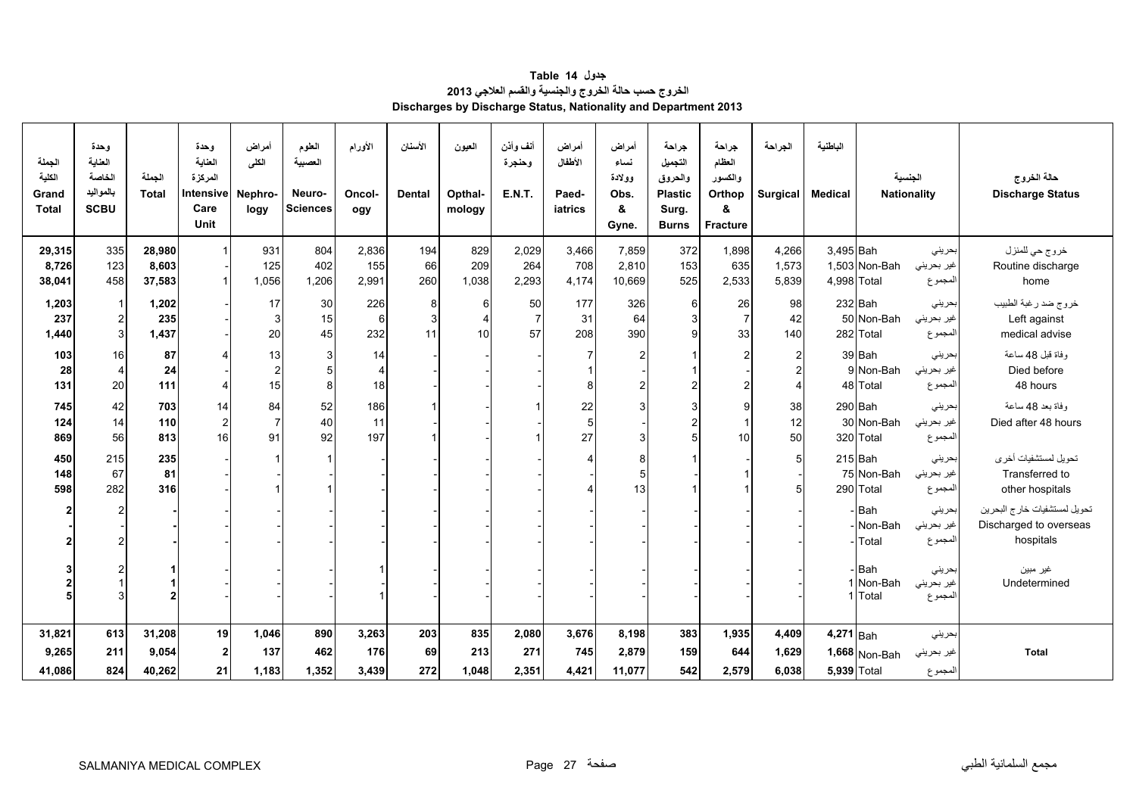<span id="page-26-0"></span>

| الجملة<br>الكلية<br>Grand<br><b>Total</b> | وحدة<br>العنامة<br>الخاصة<br>بالمواليد<br><b>SCBU</b> | الحملة<br><b>Total</b> | وحدة<br>العناية<br>المركزة<br>Intensive<br>Care<br>Unit | أمراض<br>الكلى<br>Nephro-<br>logy | الطوم<br>العصبية<br>Neuro-<br>Sciences | الأورام<br>Oncol-<br>ogy | الأسنان<br><b>Dental</b> | العيون<br>Opthal-<br>mology | أنف وأذن<br>وحنجرة<br><b>E.N.T.</b> | أمراض<br>الأطفال<br>Paed-<br>iatrics | أمراض<br>نساء<br>وولادة<br>Obs.<br>&<br>Gyne. | جراحة<br>التجميل<br>والحروق<br><b>Plastic</b><br>Surg.<br><b>Burns</b> | جراحة<br>العظام<br>والكسور<br>Orthop<br>&<br>Fracture | الجراحة<br><b>Surgical</b> | الباطنية<br><b>Medical</b> |                    | الجنسية<br><b>Nationality</b> | حالة الخروج<br><b>Discharge Status</b> |
|-------------------------------------------|-------------------------------------------------------|------------------------|---------------------------------------------------------|-----------------------------------|----------------------------------------|--------------------------|--------------------------|-----------------------------|-------------------------------------|--------------------------------------|-----------------------------------------------|------------------------------------------------------------------------|-------------------------------------------------------|----------------------------|----------------------------|--------------------|-------------------------------|----------------------------------------|
| 29,315                                    | 335                                                   | 28,980                 | $\blacktriangleleft$                                    | 931                               | 804                                    | 2,836                    | 194                      | 829                         | 2,029                               | 3,466                                | 7,859                                         | 372                                                                    | 1,898                                                 | 4,266                      | 3,495 Bah                  |                    | بحريني                        | خروج حي للمنزل                         |
| 8,726                                     | 123                                                   | 8,603                  |                                                         | 125                               | 402                                    | 155                      | 66                       | 209                         | 264                                 | 708                                  | 2.810                                         | 153                                                                    | 635                                                   | 1,573                      |                            | 1,503 Non-Bah      | غير بحريني                    | Routine discharge                      |
| 38,041                                    | 458                                                   | 37,583                 | $\mathbf{1}$                                            | 1,056                             | 1,206                                  | 2,991                    | 260                      | 1,038                       | 2,293                               | 4,174                                | 10,669                                        | 525                                                                    | 2,533                                                 | 5,839                      | 4,998 Total                |                    | المجموع                       | home                                   |
| 1,203                                     | $\overline{1}$                                        | 1,202                  |                                                         | 17                                | 30                                     | 226                      | 8                        | 6                           | 50                                  | 177                                  | 326                                           | 6                                                                      | 26                                                    | 98                         |                            | 232 Bah            | بحرينى                        | خروج ضد رغبة الطبيب                    |
| 237                                       | $\overline{c}$                                        | 235                    |                                                         | 3                                 | 15                                     | 6                        | 3                        |                             | $\overline{7}$                      | 31                                   | 64                                            | 3                                                                      | $\overline{7}$                                        | 42                         |                            | 50 Non-Bah         | غير بحريني                    | Left against                           |
| 1,440                                     | 3                                                     | 1,437                  |                                                         | 20                                | 45                                     | 232                      | 11                       | 10                          | 57                                  | 208                                  | 390                                           | $\mathsf{g}$                                                           | 33                                                    | 140                        |                            | 282 Total          | المجموع                       | medical advise                         |
| 103                                       | 16                                                    | 87                     | 4                                                       | 13                                | 3                                      | 14                       |                          |                             |                                     |                                      | 2                                             | 1                                                                      | $\overline{2}$                                        | $\overline{c}$             |                            | 39 Bah             | بحريني                        | وفاة قبل 48 ساعة                       |
| 28                                        | $\boldsymbol{4}$                                      | 24                     |                                                         | $\overline{2}$                    | 5                                      | $\overline{4}$           |                          |                             |                                     |                                      |                                               |                                                                        |                                                       | $\overline{2}$             |                            | 9 Non-Bah          | غير بحريني                    | Died before                            |
| 131                                       | 20                                                    | 111                    | 4                                                       | 15                                | 8                                      | 18                       |                          |                             |                                     | 8                                    | 2                                             | $\overline{2}$                                                         | $\overline{2}$                                        | $\overline{4}$             |                            | 48 Total           | المجموع                       | 48 hours                               |
| 745                                       | 42                                                    | 703                    | 14                                                      | 84                                | 52                                     | 186                      |                          |                             |                                     | 22                                   | 3                                             | 3                                                                      | 9                                                     | 38                         |                            | 290 Bah            | بحريني                        | وفاة بعد 48 ساعة                       |
| 124                                       | 14                                                    | 110                    | $\overline{a}$                                          | $\overline{7}$                    | 40                                     | 11                       |                          |                             |                                     | 5                                    |                                               | $\overline{c}$                                                         | $\overline{1}$                                        | 12                         |                            | 30 Non-Bah         | غير بحريني                    | Died after 48 hours                    |
| 869                                       | 56                                                    | 813                    | 16                                                      | 91                                | 92                                     | 197                      |                          |                             |                                     | 27                                   | 3                                             | 5                                                                      | 10                                                    | 50                         |                            | 320 Total          | المجموع                       |                                        |
| 450                                       | 215                                                   | 235                    |                                                         |                                   |                                        |                          |                          |                             |                                     |                                      | 8                                             |                                                                        |                                                       | 5                          |                            | $215$ Bah          | بحريني                        | تحويل لمستشفيات أخرى                   |
| 148                                       | 67                                                    | 81                     |                                                         |                                   |                                        |                          |                          |                             |                                     |                                      | 5                                             |                                                                        |                                                       |                            |                            | 75 Non-Bah         | غير بحريني                    | Transferred to                         |
| 598                                       | 282                                                   | 316                    |                                                         |                                   |                                        |                          |                          |                             |                                     |                                      | 13                                            |                                                                        |                                                       | 5                          |                            | 290 Total          | المجموع                       | other hospitals                        |
| $\overline{2}$                            |                                                       |                        |                                                         |                                   |                                        |                          |                          |                             |                                     |                                      |                                               |                                                                        |                                                       |                            |                            | - Bah              | بحريني                        | تحويل لمستشفيات خارج البحرين           |
|                                           |                                                       |                        |                                                         |                                   |                                        |                          |                          |                             |                                     |                                      |                                               |                                                                        |                                                       |                            |                            | Non-Bah            | غير بحريني                    | Discharged to overseas                 |
|                                           |                                                       |                        |                                                         |                                   |                                        |                          |                          |                             |                                     |                                      |                                               |                                                                        |                                                       |                            |                            | - Total            | المجموع                       | hospitals                              |
|                                           |                                                       |                        |                                                         |                                   |                                        |                          |                          |                             |                                     |                                      |                                               |                                                                        |                                                       |                            |                            |                    |                               |                                        |
|                                           |                                                       |                        |                                                         |                                   |                                        |                          |                          |                             |                                     |                                      |                                               |                                                                        |                                                       |                            |                            | - Bah<br>1 Non-Bah | بحريني<br>غير بحريني          | غير مبين<br>Undetermined               |
|                                           |                                                       |                        |                                                         |                                   |                                        |                          |                          |                             |                                     |                                      |                                               |                                                                        |                                                       |                            |                            | 1 Total            | المجموع                       |                                        |
|                                           |                                                       |                        |                                                         |                                   |                                        |                          |                          |                             |                                     |                                      |                                               |                                                                        |                                                       |                            |                            |                    |                               |                                        |
| 31,821                                    | 613                                                   | 31,208                 | 19                                                      | 1,046                             | 890                                    | 3,263                    | 203                      | 835                         | 2,080                               | 3,676                                | 8,198                                         | 383                                                                    | 1,935                                                 | 4,409                      | 4,271 Bah                  |                    | بحريني                        |                                        |
| 9,265                                     | 211                                                   | 9,054                  | $\mathbf{2}$                                            | 137                               | 462                                    | 176                      | 69                       | 213                         | 271                                 | 745                                  | 2,879                                         | 159                                                                    | 644                                                   | 1,629                      |                            | $1,668$ Non-Bah    | غير بحريني                    | <b>Total</b>                           |
| 41,086                                    | 824                                                   | 40,262                 | 21                                                      | 1,183                             | 1,352                                  | 3,439                    | 272                      | 1,048                       | 2,351                               | 4,421                                | 11,077                                        | 542                                                                    | 2,579                                                 | 6,038                      | <b>5,939 Total</b>         |                    | المجموع                       |                                        |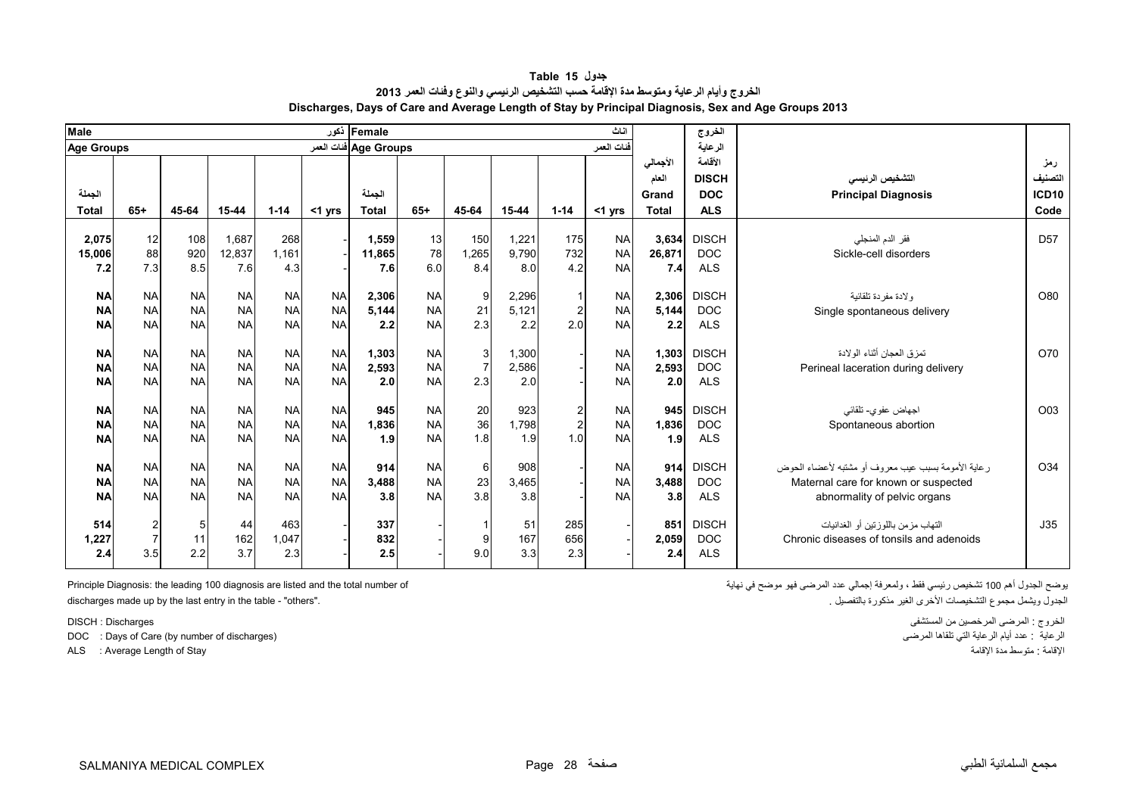<span id="page-27-0"></span>

| <b>Male</b>       |                |            |                 |           |           | Female أكور           |           |                |                |                | اناث                   |                 | الخروج       |                                                      |                 |
|-------------------|----------------|------------|-----------------|-----------|-----------|-----------------------|-----------|----------------|----------------|----------------|------------------------|-----------------|--------------|------------------------------------------------------|-----------------|
| <b>Age Groups</b> |                |            |                 |           |           | Age Groups فنات العمر |           |                |                |                | فنات العمر             |                 | الرعاية      |                                                      |                 |
|                   |                |            |                 |           |           |                       |           |                |                |                |                        | الأجمالي        | الأقامة      |                                                      | رمز             |
|                   |                |            |                 |           |           |                       |           |                |                |                |                        | العام           | <b>DISCH</b> | التشخيص الرئيسى                                      | التصنيف         |
| الحملة            |                |            |                 |           |           | الجملة                |           |                |                |                |                        | Grand           | <b>DOC</b>   | <b>Principal Diagnosis</b>                           | <b>ICD10</b>    |
| <b>Total</b>      | $65+$          | 45-64      | 15-44           | $1 - 14$  | $<$ 1 yrs | <b>Total</b>          | $65+$     | 45-64          | $15 - 44$      | $1 - 14$       | $<$ 1 yrs              | <b>Total</b>    | <b>ALS</b>   |                                                      | Code            |
|                   |                |            |                 | 268       |           |                       |           |                |                | 175            |                        |                 | <b>DISCH</b> |                                                      | D <sub>57</sub> |
| 2,075             | 12<br>88       | 108        | 1,687<br>12.837 | 1.161     |           | 1,559                 | 13<br>78  | 150            | 1.221<br>9,790 | 732            | <b>NA</b><br><b>NA</b> | 3.634<br>26.871 | <b>DOC</b>   | فقر الدم المنجلي<br>Sickle-cell disorders            |                 |
| 15,006<br>7.2     | 7.3            | 920<br>8.5 | 7.6             | 4.3       |           | 11,865<br>7.6         | 6.0       | 1,265<br>8.4   | 8.0            |                | <b>NA</b>              | 7.4             | <b>ALS</b>   |                                                      |                 |
|                   |                |            |                 |           |           |                       |           |                |                | 4.2            |                        |                 |              |                                                      |                 |
| <b>NA</b>         | <b>NA</b>      | <b>NA</b>  | <b>NA</b>       | <b>NA</b> | <b>NA</b> | 2,306                 | <b>NA</b> | 9              | 2,296          | $\overline{1}$ | <b>NA</b>              | 2.306           | <b>DISCH</b> | ولادة مفردة تلقائية                                  | O80             |
| <b>NA</b>         | <b>NA</b>      | <b>NA</b>  | <b>NA</b>       | <b>NA</b> | <b>NA</b> | 5,144                 | <b>NA</b> | 21             | 5.121          | $\overline{c}$ | <b>NA</b>              | 5,144           | <b>DOC</b>   | Single spontaneous delivery                          |                 |
| <b>NA</b>         | <b>NA</b>      | <b>NA</b>  | <b>NA</b>       | <b>NA</b> | <b>NA</b> | 2.2                   | <b>NA</b> | 2.3            | 2.2            | 2.0            | <b>NA</b>              | 2.2             | <b>ALS</b>   |                                                      |                 |
|                   |                |            |                 |           |           |                       |           |                |                |                |                        |                 |              |                                                      |                 |
| <b>NA</b>         | <b>NA</b>      | <b>NA</b>  | <b>NA</b>       | <b>NA</b> | <b>NA</b> | 1,303                 | <b>NA</b> | 3              | 1,300          |                | <b>NA</b>              | 1.303           | <b>DISCH</b> | تمزق العجان أثناء الولادة                            | O70             |
| <b>NA</b>         | <b>NA</b>      | <b>NA</b>  | <b>NA</b>       | <b>NA</b> | <b>NA</b> | 2,593                 | <b>NA</b> | $\overline{7}$ | 2.586          |                | <b>NA</b>              | 2.593           | <b>DOC</b>   | Perineal laceration during delivery                  |                 |
| <b>NA</b>         | <b>NA</b>      | <b>NA</b>  | <b>NA</b>       | <b>NA</b> | <b>NA</b> | 2.0                   | <b>NA</b> | 2.3            | 2.0            |                | <b>NA</b>              | 2.0             | <b>ALS</b>   |                                                      |                 |
|                   |                |            |                 |           |           |                       |           |                |                |                |                        |                 |              |                                                      |                 |
| <b>NA</b>         | <b>NA</b>      | <b>NA</b>  | <b>NA</b>       | <b>NA</b> | <b>NA</b> | 945                   | <b>NA</b> | 20             | 923            | $\overline{c}$ | <b>NA</b>              | 945             | <b>DISCH</b> | اجهاض عفوى- تلقائي                                   | O03             |
| <b>NA</b>         | <b>NA</b>      | <b>NA</b>  | <b>NA</b>       | <b>NA</b> | <b>NA</b> | 1,836                 | <b>NA</b> | 36             | 1,798          | $\overline{c}$ | <b>NA</b>              | 1.836           | <b>DOC</b>   | Spontaneous abortion                                 |                 |
| <b>NA</b>         | <b>NA</b>      | <b>NA</b>  | <b>NA</b>       | <b>NA</b> | <b>NA</b> | 1.9                   | <b>NA</b> | 1.8            | 1.9            | 1.0            | <b>NA</b>              | 1.9             | <b>ALS</b>   |                                                      |                 |
|                   |                |            |                 |           |           |                       |           |                |                |                |                        |                 |              |                                                      |                 |
| <b>NA</b>         | <b>NA</b>      | <b>NA</b>  | <b>NA</b>       | <b>NA</b> | <b>NA</b> | 914                   | <b>NA</b> | 6              | 908            |                | <b>NA</b>              | 914             | <b>DISCH</b> | ر عاية الأمومة بسبب عيب معر وف أو مشتبه لأعضاء الحوض | O34             |
| <b>NA</b>         | <b>NA</b>      | <b>NA</b>  | <b>NA</b>       | <b>NA</b> | <b>NA</b> | 3,488                 | <b>NA</b> | 23             | 3,465          |                | <b>NA</b>              | 3,488           | <b>DOC</b>   | Maternal care for known or suspected                 |                 |
| <b>NA</b>         | <b>NA</b>      | <b>NA</b>  | <b>NA</b>       | <b>NA</b> | <b>NA</b> | 3.8                   | <b>NA</b> | 3.8            | 3.8            |                | <b>NA</b>              | 3.8             | <b>ALS</b>   | abnormality of pelvic organs                         |                 |
|                   |                |            |                 |           |           |                       |           |                |                |                |                        |                 |              |                                                      |                 |
| 514               | $\overline{c}$ | 5          | 44              | 463       |           | 337                   |           |                | 51             | 285            |                        | 851             | <b>DISCH</b> | التهاب مزمن باللوزنين أو الغدانيات                   | J35             |
| 1,227             | $\overline{7}$ | 11         | 162             | 1,047     |           | 832                   |           | 9              | 167            | 656            |                        | 2,059           | <b>DOC</b>   | Chronic diseases of tonsils and adenoids             |                 |
| 2.4               | 3.5            | 2.2        | 3.7             | 2.3       |           | 2.5                   |           | 9.0            | 3.3            | 2.3            |                        | 2.4             | <b>ALS</b>   |                                                      |                 |

**جدول 15 Table الخروج وأيام الرعاية ومتوسط مدة اإلقامة حسب التشخيص الرئيسي والنوع وفئات العمر <sup>2013</sup> Discharges, Days of Care and Average Length of Stay by Principal Diagnosis, Sex and Age Groups 2013**

discharges made up by the last entry in the table - "others".

DOC : Days of Care (by number of discharges)

يوضح الجدول أھم <sup>100</sup> تشخيص رئيسي فقط ، ولمعرفة إجمالي عدد المرضى فھو موضح في نھاية of number total the and listed are diagnosis 100 leading the :Diagnosis Principle

الخروج : المرضى المرخصين من المستشفى المستشفى المستشفى المستشفى للمستشفى المستشفى المستشفى المستشفى للمستشفى ا<br>الرعاية : عدد أيام الرعاية التي نلقاها المرضى المستمل المرضى المستمل المرضى المستمل المستمل المستمل المستمل ال الإقامة : متوسط مدة الإقامة : " هند الإقامة المتوسط مدة الإقامة متوسط مدة الإقامة متوسط مدة الإقامة .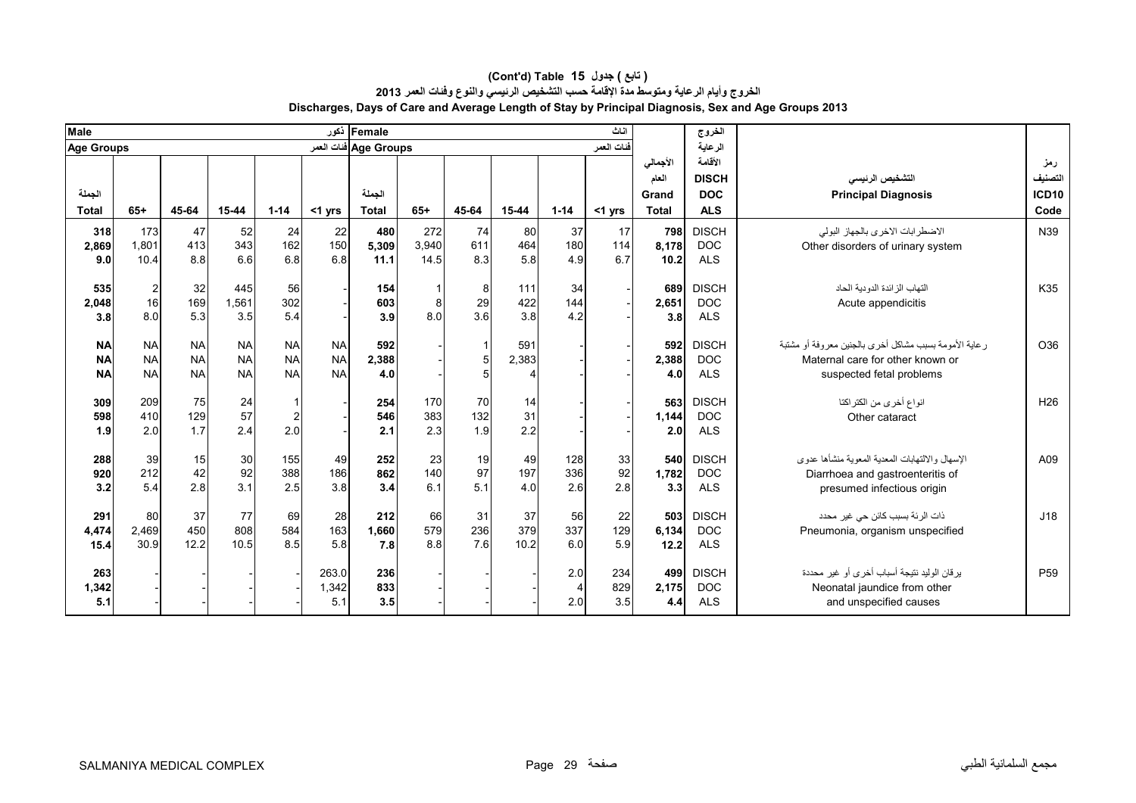| <b>Male</b>                         |                                               |                                     |                                     |                                     |                                     | Female أخور            |                      |                  |                   |                              | اناث              |                                            | الخروج                                              |                                                                                                                        |                                        |
|-------------------------------------|-----------------------------------------------|-------------------------------------|-------------------------------------|-------------------------------------|-------------------------------------|------------------------|----------------------|------------------|-------------------|------------------------------|-------------------|--------------------------------------------|-----------------------------------------------------|------------------------------------------------------------------------------------------------------------------------|----------------------------------------|
| <b>Age Groups</b>                   |                                               |                                     |                                     |                                     |                                     | Age Groups فنات العمر  |                      |                  |                   |                              | فنات العمر        |                                            | الرعاية                                             |                                                                                                                        |                                        |
| الجملة<br><b>Total</b>              | $65+$                                         | 45-64                               | 15-44                               | $1 - 14$                            | $<$ 1 yrs                           | الجملة<br><b>Total</b> | $65+$                | 45-64            | 15-44             | $1 - 14$                     | $<$ 1 yrs         | الأجمالي<br>العام<br>Grand<br><b>Total</b> | الأقامة<br><b>DISCH</b><br><b>DOC</b><br><b>ALS</b> | التشخيص الرئيسى<br><b>Principal Diagnosis</b>                                                                          | رمز<br>التصنيف<br><b>ICD10</b><br>Code |
| 318<br>2,869<br>9.0                 | 173<br>1,801<br>10.4                          | 47<br>413<br>8.8                    | 52<br>343<br>6.6                    | 24<br>162<br>6.8                    | 22<br>150<br>6.8                    | 480<br>5,309<br>11.1   | 272<br>3,940<br>14.5 | 74<br>611<br>8.3 | 80<br>464<br>5.8  | 37<br>180<br>4.9             | 17<br>114<br>6.7  | 798<br>8.178<br>10.2                       | <b>DISCH</b><br><b>DOC</b><br><b>ALS</b>            | الاضطرابات الاخرى بالجهاز البولي<br>Other disorders of urinary system                                                  | N39                                    |
| 535<br>2,048<br>3.8                 | $\begin{array}{c} 2 \\ 16 \end{array}$<br>8.0 | 32<br>169<br>5.3                    | 445<br>1,561<br>3.5                 | 56<br>302<br>5.4                    |                                     | 154<br>603<br>3.9      | 8.0                  | 8<br>29<br>3.6   | 111<br>422<br>3.8 | 34<br>144<br>4.2             |                   | 689<br>2,651<br>3.8                        | <b>DISCH</b><br><b>DOC</b><br><b>ALS</b>            | التهاب الز ائدة الدو دية الحاد<br>Acute appendicitis                                                                   | K35                                    |
| <b>NA</b><br><b>NA</b><br><b>NA</b> | <b>NA</b><br><b>NA</b><br><b>NA</b>           | <b>NA</b><br><b>NA</b><br><b>NA</b> | <b>NA</b><br><b>NA</b><br><b>NA</b> | <b>NA</b><br><b>NA</b><br><b>NA</b> | <b>NA</b><br><b>NA</b><br><b>NA</b> | 592<br>2,388<br>4.0    |                      |                  | 591<br>2,383      |                              |                   | 592<br>2,388<br>4.0                        | <b>DISCH</b><br><b>DOC</b><br><b>ALS</b>            | ر عاية الأمومة بسبب مشاكل أخرى بالجنين معروفة أو مشتبة<br>Maternal care for other known or<br>suspected fetal problems | O36                                    |
| 309<br>598<br>1.9                   | 209<br>410<br>2.0                             | 75<br>129<br>1.7                    | 24<br>57<br>2.4                     | $\overline{2}$<br>2.0               |                                     | 254<br>546<br>2.1      | 170<br>383<br>2.3    | 70<br>132<br>1.9 | 14<br>31<br>2.2   |                              |                   | 563<br>1,144<br>2.0                        | <b>DISCH</b><br><b>DOC</b><br><b>ALS</b>            | انواع أخرى من الكتر اكتا<br>Other cataract                                                                             | H <sub>26</sub>                        |
| 288<br>920<br>3.2                   | 39<br>212<br>5.4                              | 15<br>42<br>2.8                     | 30<br>92<br>3.1                     | 155<br>388<br>2.5                   | 49<br>186<br>3.8                    | 252<br>862<br>3.4      | 23<br>140<br>6.1     | 19<br>97<br>5.1  | 49<br>197<br>4.0  | 128<br>336<br>2.6            | 33<br>92<br>2.8   | 540<br>1,782<br>3.3                        | <b>DISCH</b><br><b>DOC</b><br><b>ALS</b>            | الإسهال والالتهابات المعدية المعوية منشأها عدوى<br>Diarrhoea and gastroenteritis of<br>presumed infectious origin      | A09                                    |
| 291<br>4,474<br>15.4                | 80<br>2,469<br>30.9                           | 37<br>450<br>12.2                   | 77<br>808<br>10.5                   | 69<br>584<br>8.5                    | 28<br>163<br>5.8                    | 212<br>1,660<br>7.8    | 66<br>579<br>8.8     | 31<br>236<br>7.6 | 37<br>379<br>10.2 | 56<br>337<br>6.0             | 22<br>129<br>5.9  | 503<br>6,134<br>12.2                       | <b>DISCH</b><br><b>DOC</b><br><b>ALS</b>            | ذات الرئة بسبب كائن حي غير محدد<br>Pneumonia, organism unspecified                                                     | J18                                    |
| 263<br>1,342<br>5.1                 |                                               |                                     |                                     |                                     | 263.0<br>1,342<br>5.1               | 236<br>833<br>3.5      |                      |                  |                   | 2.0<br>$\overline{4}$<br>2.0 | 234<br>829<br>3.5 | 499<br>2,175<br>4.4                        | <b>DISCH</b><br><b>DOC</b><br><b>ALS</b>            | يرقان الوليد نتيجة أسباب أخرى أو غير محددة<br>Neonatal jaundice from other<br>and unspecified causes                   | P <sub>59</sub>                        |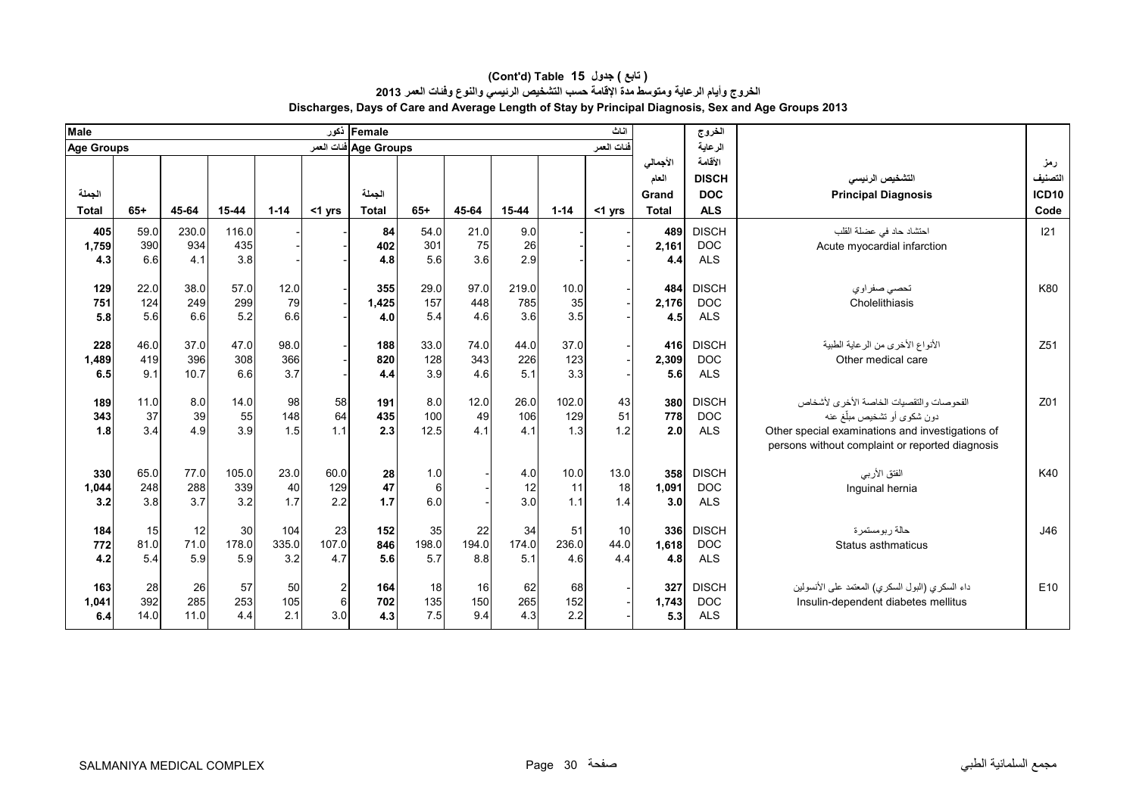| <b>Male</b>         |                    |                     |                     |                     |                                         | Female ذکور           |                    |                    |                     |                     | اثاث              |                            | الخروج                                   |                                                                                                                                                                               |                                     |
|---------------------|--------------------|---------------------|---------------------|---------------------|-----------------------------------------|-----------------------|--------------------|--------------------|---------------------|---------------------|-------------------|----------------------------|------------------------------------------|-------------------------------------------------------------------------------------------------------------------------------------------------------------------------------|-------------------------------------|
| <b>Age Groups</b>   |                    |                     |                     |                     |                                         | Age Groups فنات العمر |                    |                    |                     |                     | فنات العمر        |                            | الرعاية                                  |                                                                                                                                                                               |                                     |
| الجملة              |                    |                     |                     |                     |                                         | الجملة                |                    |                    |                     |                     |                   | الأجمالي<br>العام<br>Grand | الأقامة<br><b>DISCH</b><br><b>DOC</b>    | التشخيص الرئيسى<br><b>Principal Diagnosis</b>                                                                                                                                 | رمز<br>التصنيف<br>ICD <sub>10</sub> |
| <b>Total</b>        | $65+$              | 45-64               | 15-44               | $1 - 14$            | $<$ 1 yrs                               | <b>Total</b>          | $65+$              | 45-64              | 15-44               | $1 - 14$            | <1 yrs            | <b>Total</b>               | <b>ALS</b>                               |                                                                                                                                                                               | Code                                |
| 405<br>1,759<br>4.3 | 59.0<br>390<br>6.6 | 230.0<br>934<br>4.1 | 116.0<br>435<br>3.8 |                     |                                         | 84<br>402<br>4.8      | 54.0<br>301<br>5.6 | 21.0<br>75<br>3.6  | 9.0<br>26<br>2.9    |                     |                   | 489<br>2,161<br>4.4        | <b>DISCH</b><br><b>DOC</b><br><b>ALS</b> | احتشاد حاد في عضلة القلب<br>Acute myocardial infarction                                                                                                                       | 121                                 |
| 129<br>751<br>5.8   | 22.0<br>124<br>5.6 | 38.0<br>249<br>6.6  | 57.0<br>299<br>5.2  | 12.0<br>79<br>6.6   |                                         | 355<br>1,425<br>4.0   | 29.0<br>157<br>5.4 | 97.0<br>448<br>4.6 | 219.0<br>785<br>3.6 | 10.0<br>35<br>3.5   |                   | 484<br>2,176<br>4.5        | <b>DISCH</b><br><b>DOC</b><br><b>ALS</b> | تحصىي صفر او ي<br>Cholelithiasis                                                                                                                                              | K80                                 |
| 228<br>1,489<br>6.5 | 46.0<br>419<br>9.1 | 37.0<br>396<br>10.7 | 47.0<br>308<br>6.6  | 98.0<br>366<br>3.7  |                                         | 188<br>820<br>4.4     | 33.0<br>128<br>3.9 | 74.0<br>343<br>4.6 | 44.0<br>226<br>5.1  | 37.0<br>123<br>3.3  |                   | 416<br>2,309<br>5.6        | <b>DISCH</b><br><b>DOC</b><br><b>ALS</b> | الأنواع الأخرى من الرعاية الطبية<br>Other medical care                                                                                                                        | Z <sub>51</sub>                     |
| 189<br>343<br>1.8   | 11.0<br>37<br>3.4  | 8.0<br>39<br>4.9    | 14.0<br>55<br>3.9   | 98<br>148<br>1.5    | 58<br>64<br>1.1                         | 191<br>435<br>2.3     | 8.0<br>100<br>12.5 | 12.0<br>49<br>4.1  | 26.0<br>106<br>4.1  | 102.0<br>129<br>1.3 | 43<br>51<br>1.2   | 380<br>778<br>2.0          | <b>DISCH</b><br><b>DOC</b><br><b>ALS</b> | الفحوصات والتقصيات الخاصة الأخرى لأشخاص<br>دون شكوى أو تشخيص مبلّغ عنه<br>Other special examinations and investigations of<br>persons without complaint or reported diagnosis | Z01                                 |
| 330<br>1,044<br>3.2 | 65.0<br>248<br>3.8 | 77.0<br>288<br>3.7  | 105.0<br>339<br>3.2 | 23.0<br>40<br>1.7   | 60.0<br>129<br>2.2                      | 28<br>47<br>$1.7$     | 1.0<br>6<br>6.0    |                    | 4.0<br>12<br>3.0    | 10.0<br>11<br>1.1   | 13.0<br>18<br>1.4 | 358<br>1.091<br>3.0        | <b>DISCH</b><br><b>DOC</b><br><b>ALS</b> | الفتق الأربي<br>Inguinal hernia                                                                                                                                               | K40                                 |
| 184<br>772<br>4.2   | 15<br>81.0<br>5.4  | 12<br>71.0<br>5.9   | 30<br>178.0<br>5.9  | 104<br>335.0<br>3.2 | 23<br>107.0<br>4.7                      | 152<br>846<br>5.6     | 35<br>198.0<br>5.7 | 22<br>194.0<br>8.8 | 34<br>174.0<br>5.1  | 51<br>236.0<br>4.6  | 10<br>44.0<br>4.4 | 336<br>1.618<br>4.8        | <b>DISCH</b><br><b>DOC</b><br><b>ALS</b> | حالة ربومستمرة<br>Status asthmaticus                                                                                                                                          | J46                                 |
| 163<br>1,041<br>6.4 | 28<br>392<br>14.0  | 26<br>285<br>11.0   | 57<br>253<br>4.4    | 50<br>105<br>2.1    | $\mathbf{2}$<br>$6 \overline{6}$<br>3.0 | 164<br>702<br>4.3     | 18<br>135<br>7.5   | 16<br>150<br>9.4   | 62<br>265<br>4.3    | 68<br>152<br>2.2    |                   | 327<br>1.743<br>5.3        | <b>DISCH</b><br><b>DOC</b><br><b>ALS</b> | داء السكري (البول السكري) المعتمد على الأنسولين<br>Insulin-dependent diabetes mellitus                                                                                        | E10                                 |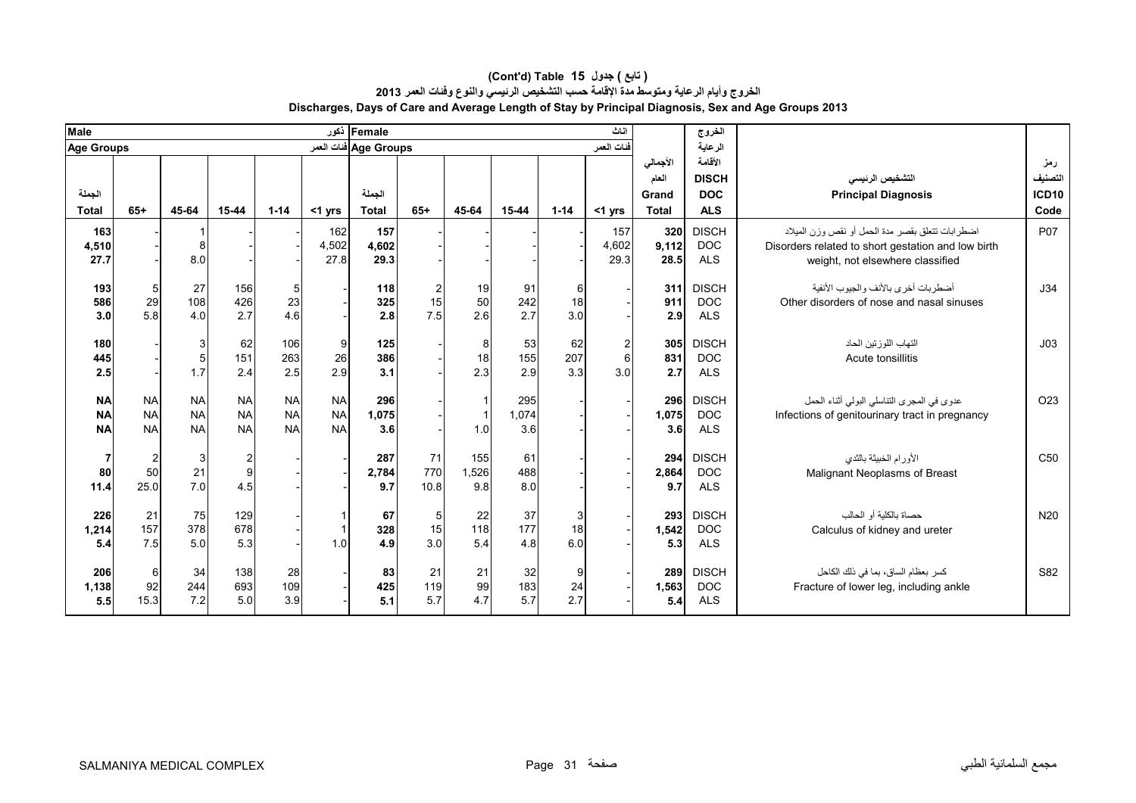| <b>Male</b>                         |                                       |                                     |                                     |                                     |                                     | Female ذکور           |                   |                     |                     |                  | اثاث                                  |                            | الخروج                                   |                                                                                                                                            |                                |
|-------------------------------------|---------------------------------------|-------------------------------------|-------------------------------------|-------------------------------------|-------------------------------------|-----------------------|-------------------|---------------------|---------------------|------------------|---------------------------------------|----------------------------|------------------------------------------|--------------------------------------------------------------------------------------------------------------------------------------------|--------------------------------|
| <b>Age Groups</b>                   |                                       |                                     |                                     |                                     |                                     | Age Groups فنات العمر |                   |                     |                     |                  | قفات العمر                            |                            | الرعاية                                  |                                                                                                                                            |                                |
| الجملة                              |                                       |                                     |                                     |                                     |                                     | الجملة                |                   |                     |                     |                  |                                       | الأجمالى<br>العام<br>Grand | الأقامة<br><b>DISCH</b><br><b>DOC</b>    | التشخيص الرنيسى<br><b>Principal Diagnosis</b>                                                                                              | رمز<br>التصنيف<br><b>ICD10</b> |
| <b>Total</b>                        | $65+$                                 | 45-64                               | $15 - 44$                           | $1 - 14$                            | $<$ 1 yrs                           | <b>Total</b>          | $65+$             | 45-64               | $15 - 44$           | $1 - 14$         | <1 yrs                                | Total                      | <b>ALS</b>                               |                                                                                                                                            | Code                           |
| 163<br>4,510<br>27.7                |                                       | 8<br>8.0                            |                                     |                                     | 162<br>4,502<br>27.8                | 157<br>4,602<br>29.3  |                   |                     |                     |                  | 157<br>4,602<br>29.3                  | 320<br>9,112<br>28.5       | <b>DISCH</b><br><b>DOC</b><br><b>ALS</b> | اضطرابات تتعلق بقصر مدة الحمل أو نقص وزن الميلاد<br>Disorders related to short gestation and low birth<br>weight, not elsewhere classified | P07                            |
| 193<br>586<br>3.0                   | $\sqrt{5}$<br>29<br>5.8               | 27<br>108<br>4.0                    | 156<br>426<br>2.7                   | 5 <sub>5</sub><br>23<br>4.6         |                                     | 118<br>325<br>2.8     | 2<br>15<br>7.5    | 19<br>50<br>2.6     | 91<br>242<br>2.7    | 6<br>18<br>3.0   |                                       | 311<br>911<br>2.9          | <b>DISCH</b><br><b>DOC</b><br><b>ALS</b> | أضطربات أخرى بالأنف والجيوب الأنفية<br>Other disorders of nose and nasal sinuses                                                           | J34                            |
| 180<br>445<br>2.5                   |                                       | 3<br>5<br>1.7                       | 62<br>151<br>2.4                    | 106<br>263<br>2.5                   | 9<br>26<br>2.9                      | 125<br>386<br>3.1     |                   | 8<br>18<br>2.3      | 53<br>155<br>2.9    | 62<br>207<br>3.3 | $\mathbf{2}$<br>$6\phantom{1}$<br>3.0 | 305<br>831<br>2.7          | <b>DISCH</b><br><b>DOC</b><br><b>ALS</b> | التهاب اللوز تين الحاد<br>Acute tonsillitis                                                                                                | J <sub>03</sub>                |
| <b>NA</b><br><b>NA</b><br><b>NA</b> | <b>NA</b><br><b>NA</b><br><b>NA</b>   | <b>NA</b><br><b>NA</b><br><b>NA</b> | <b>NA</b><br><b>NA</b><br><b>NA</b> | <b>NA</b><br><b>NA</b><br><b>NA</b> | <b>NA</b><br><b>NA</b><br><b>NA</b> | 296<br>1,075<br>3.6   |                   | 1.0                 | 295<br>1,074<br>3.6 |                  |                                       | 296<br>1,075<br>3.6        | <b>DISCH</b><br><b>DOC</b><br><b>ALS</b> | عدوى في المجرى التناسلي البولي أثناء الحمل<br>Infections of genitourinary tract in pregnancy                                               | O <sub>23</sub>                |
| 7<br>80<br>11.4                     | $\overline{\mathbf{c}}$<br>50<br>25.0 | 3<br>21<br>7.0                      | $\overline{c}$<br>9<br>4.5          |                                     |                                     | 287<br>2,784<br>9.7   | 71<br>770<br>10.8 | 155<br>1,526<br>9.8 | 61<br>488<br>8.0    |                  |                                       | 294<br>2,864<br>9.7        | <b>DISCH</b><br><b>DOC</b><br><b>ALS</b> | الأورام الخبيثة بالثدى<br>Malignant Neoplasms of Breast                                                                                    | C50                            |
| 226<br>1,214<br>5.4                 | 21<br>157<br>7.5                      | 75<br>378<br>5.0                    | 129<br>678<br>5.3                   |                                     | -1<br>1.0                           | 67<br>328<br>4.9      | 5<br>15<br>3.0    | 22<br>118<br>5.4    | 37<br>177<br>4.8    | 3<br>18<br>6.0   |                                       | 293<br>1,542<br>5.3        | <b>DISCH</b><br><b>DOC</b><br><b>ALS</b> | حصاة بالكلية أو الحالب<br>Calculus of kidney and ureter                                                                                    | N <sub>20</sub>                |
| 206<br>1,138<br>5.5                 | 6<br>92<br>15.3                       | 34<br>244<br>7.2                    | 138<br>693<br>5.0                   | 28<br>109<br>3.9                    |                                     | 83<br>425<br>5.1      | 21<br>119<br>5.7  | 21<br>99<br>4.7     | 32<br>183<br>5.7    | 9<br>24<br>2.7   |                                       | 289<br>1,563<br>5.4        | <b>DISCH</b><br><b>DOC</b><br><b>ALS</b> | كسر بعظام الساق، بما في ذلك الكاحل<br>Fracture of lower leg, including ankle                                                               | S82                            |

#### **Discharges, Days of Care and Average Length of Stay by Principal Diagnosis, Sex and Age Groups 2013 (Cont'd) Table 15 جدول ) تابع( الخروج وأيام الرعاية ومتوسط مدة اإلقامة حسب التشخيص الرئيسي والنوع وفئات العمر <sup>2013</sup>**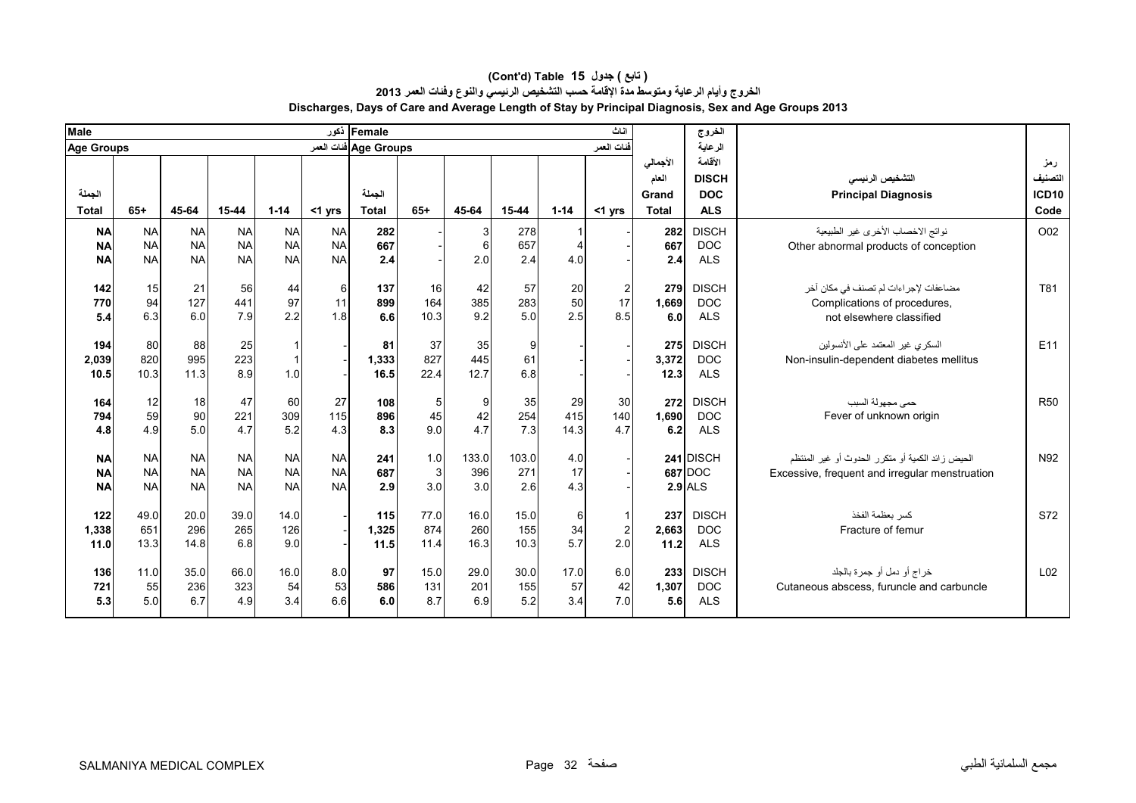| Male              |           |             |            |            |            | Female أكور           |                |             |             |             | اثاث                  |                | الخروج                     |                                                          |                              |
|-------------------|-----------|-------------|------------|------------|------------|-----------------------|----------------|-------------|-------------|-------------|-----------------------|----------------|----------------------------|----------------------------------------------------------|------------------------------|
| <b>Age Groups</b> |           |             |            |            |            | Age Groups فنات العمر |                |             |             |             | فنات العمر            |                | الرعاية                    |                                                          |                              |
|                   |           |             |            |            |            |                       |                |             |             |             |                       | الأجمالي       | الأقامة                    |                                                          | رمز                          |
| الجملة            |           |             |            |            |            | الحملة                |                |             |             |             |                       | العام<br>Grand | <b>DISCH</b><br><b>DOC</b> | التشخيص الرنيسى<br><b>Principal Diagnosis</b>            | التصنيف<br>ICD <sub>10</sub> |
| <b>Total</b>      | $65+$     | 45-64       | 15-44      | $1 - 14$   | $<$ 1 yrs  | <b>Total</b>          | $65+$          | 45-64       | $15 - 44$   | $1 - 14$    | $<$ 1 yrs             | <b>Total</b>   | <b>ALS</b>                 |                                                          | Code                         |
| <b>NA</b>         | <b>NA</b> | <b>NA</b>   | <b>NA</b>  | <b>NA</b>  | <b>NA</b>  | 282                   |                | 3           | 278         |             |                       | 282            | <b>DISCH</b>               | نواتج الاخصاب الأخرى غير الطبيعية                        | O02                          |
| <b>NA</b>         | <b>NA</b> | <b>NA</b>   | <b>NA</b>  | <b>NA</b>  | <b>NA</b>  | 667                   |                | 6           | 657         |             |                       | 667            | <b>DOC</b>                 | Other abnormal products of conception                    |                              |
| <b>NA</b>         | <b>NA</b> | <b>NA</b>   | <b>NA</b>  | <b>NA</b>  | <b>NA</b>  | 2.4                   |                | 2.0         | 2.4         | 4.0         |                       | 2.4            | <b>ALS</b>                 |                                                          |                              |
|                   |           |             |            |            |            |                       |                |             |             |             |                       |                |                            |                                                          |                              |
| 142               | 15        | 21<br>127   | 56         | 44         | 6          | 137                   | 16             | 42          | 57          | 20<br>50    | 2                     | 279            | <b>DISCH</b>               | مضاعفات لإجر اءات لم تصنف في مكان آخر                    | T81                          |
| 770<br>5.4        | 94<br>6.3 | 6.0         | 441<br>7.9 | 97<br>2.2  | 11<br>1.8  | 899<br>6.6            | 164<br>10.3    | 385<br>9.2  | 283<br>5.0  | 2.5         | 17<br>8.5             | 1.669<br>6.0   | <b>DOC</b><br><b>ALS</b>   | Complications of procedures,<br>not elsewhere classified |                              |
|                   |           |             |            |            |            |                       |                |             |             |             |                       |                |                            |                                                          |                              |
| 194               | 80        | 88          | 25         |            |            | 81                    | 37             | 35          | 9           |             |                       | 275            | <b>DISCH</b>               | السكري غير المعتمد على الأنسولين                         | E11                          |
| 2,039             | 820       | 995         | 223        |            |            | 1,333                 | 827            | 445         | 61          |             |                       | 3,372          | <b>DOC</b>                 | Non-insulin-dependent diabetes mellitus                  |                              |
| 10.5              | 10.3      | 11.3        | 8.9        | 1.0        |            | 16.5                  | 22.4           | 12.7        | 6.8         |             |                       | 12.3           | <b>ALS</b>                 |                                                          |                              |
|                   |           |             |            |            |            |                       |                |             |             |             |                       |                |                            |                                                          |                              |
| 164               | 12<br>59  | 18          | 47         | 60         | 27         | 108                   | 5 <sub>5</sub> | 9           | 35          | 29          | 30                    | 272            | <b>DISCH</b>               | حمى مجهولة السبب                                         | <b>R50</b>                   |
| 794<br>4.8        | 4.9       | 90<br>5.0   | 221<br>4.7 | 309<br>5.2 | 115<br>4.3 | 896<br>8.3            | 45<br>9.0      | 42<br>4.7   | 254<br>7.3  | 415<br>14.3 | 140<br>4.7            | 1.690<br>6.2   | <b>DOC</b><br><b>ALS</b>   | Fever of unknown origin                                  |                              |
|                   |           |             |            |            |            |                       |                |             |             |             |                       |                |                            |                                                          |                              |
| <b>NA</b>         | <b>NA</b> | <b>NA</b>   | <b>NA</b>  | <b>NA</b>  | <b>NA</b>  | 241                   | 1.0            | 133.0       | 103.0       | 4.0         |                       |                | 241 DISCH                  | الحيض ز ائد الكمية أو متكر ر الحدوث أو غير المنتظم       | N92                          |
| <b>NA</b>         | <b>NA</b> | <b>NA</b>   | <b>NA</b>  | <b>NA</b>  | <b>NA</b>  | 687                   | $\mathbf{3}$   | 396         | 271         | 17          |                       |                | 687 DOC                    | Excessive, frequent and irregular menstruation           |                              |
| <b>NA</b>         | <b>NA</b> | <b>NA</b>   | <b>NA</b>  | <b>NA</b>  | <b>NA</b>  | 2.9                   | 3.0            | 3.0         | 2.6         | 4.3         |                       |                | <b>2.9 ALS</b>             |                                                          |                              |
|                   |           |             |            |            |            |                       |                |             |             |             |                       |                |                            |                                                          |                              |
| 122               | 49.0      | 20.0        | 39.0       | 14.0       |            | 115                   | 77.0           | 16.0        | 15.0        | 6           |                       | 237            | <b>DISCH</b>               | كسر يعظمة الفخذ                                          | S72                          |
| 1,338<br>11.0     | 651       | 296<br>14.8 | 265<br>6.8 | 126<br>9.0 |            | 1,325<br>11.5         | 874<br>11.4    | 260<br>16.3 | 155<br>10.3 | 34<br>5.7   | $\overline{2}$<br>2.0 | 2,663<br>11.2  | <b>DOC</b><br><b>ALS</b>   | Fracture of femur                                        |                              |
|                   | 13.3      |             |            |            |            |                       |                |             |             |             |                       |                |                            |                                                          |                              |
| 136               | 11.0      | 35.0        | 66.0       | 16.0       | 8.0        | 97                    | 15.0           | 29.0        | 30.0        | 17.0        | 6.0                   | 233            | <b>DISCH</b>               | خراج أو دمل أو جمرة بالجلد                               | L <sub>02</sub>              |
| 721               | 55        | 236         | 323        | 54         | 53         | 586                   | 131            | 201         | 155         | 57          | 42                    | 1,307          | <b>DOC</b>                 | Cutaneous abscess, furuncle and carbuncle                |                              |
| 5.3               | 5.0       | 6.7         | 4.9        | 3.4        | 6.6        | 6.0                   | 8.7            | 6.9         | 5.2         | 3.4         | 7.0                   | 5.6            | <b>ALS</b>                 |                                                          |                              |
|                   |           |             |            |            |            |                       |                |             |             |             |                       |                |                            |                                                          |                              |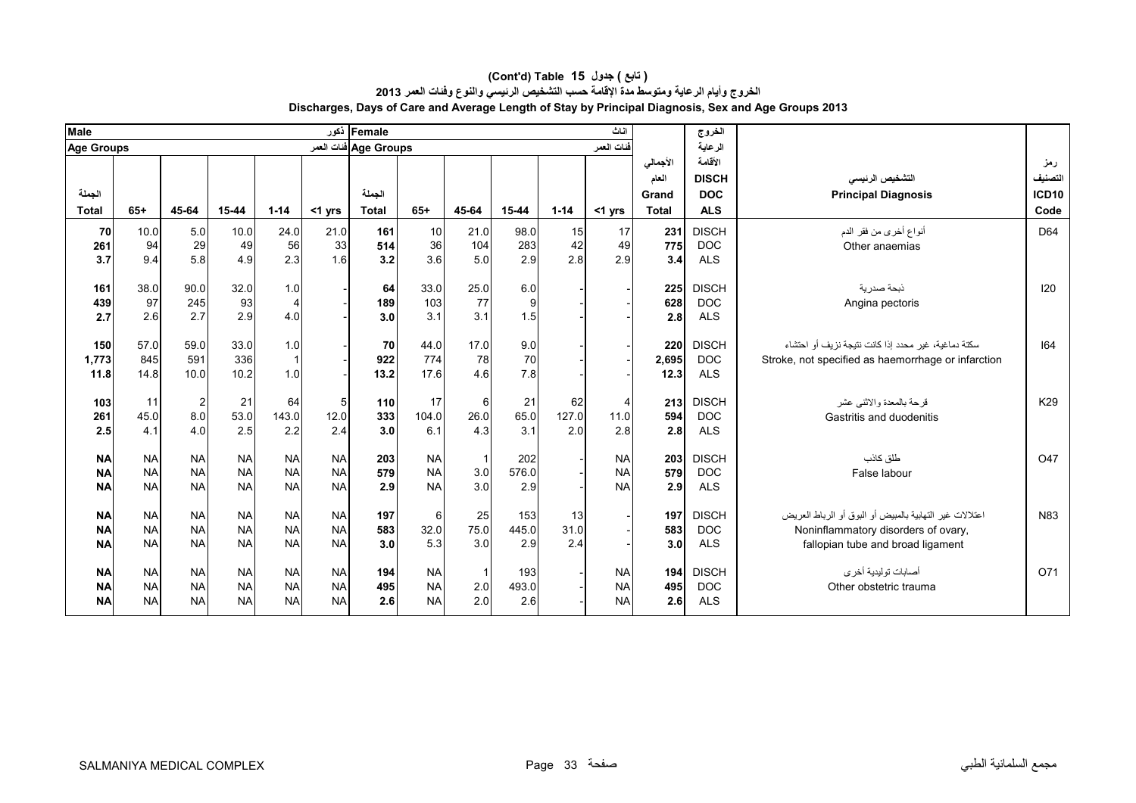| <b>Male</b>       |                        |                        |                        |                         |                        | Female أكور           |                        |            |              |          | اثاث                   |              | الخروج                     |                                                         |                 |
|-------------------|------------------------|------------------------|------------------------|-------------------------|------------------------|-----------------------|------------------------|------------|--------------|----------|------------------------|--------------|----------------------------|---------------------------------------------------------|-----------------|
| <b>Age Groups</b> |                        |                        |                        |                         |                        | Age Groups فنات العمر |                        |            |              |          | فنات العمر             |              | الرعاية                    |                                                         |                 |
|                   |                        |                        |                        |                         |                        |                       |                        |            |              |          |                        | الأجمالي     | الأقامة                    |                                                         | رمز             |
|                   |                        |                        |                        |                         |                        |                       |                        |            |              |          |                        | العام        | <b>DISCH</b>               | التشخيص الرنيسي                                         | التصنيف         |
| الجملة            |                        |                        |                        |                         |                        | الجملة                |                        |            |              |          |                        | Grand        | <b>DOC</b>                 | <b>Principal Diagnosis</b>                              | <b>ICD10</b>    |
| <b>Total</b>      | $65+$                  | 45-64                  | 15-44                  | $1 - 14$                | $<$ 1 yrs              | <b>Total</b>          | $65+$                  | 45-64      | 15-44        | $1 - 14$ | $<$ 1 yrs              | <b>Total</b> | <b>ALS</b>                 |                                                         | Code            |
| 70                | 10.0                   | 5.0                    | 10.0                   | 24.0                    | 21.0                   | 161                   | 10                     | 21.0       | 98.0         | 15       | 17                     | 231          | <b>DISCH</b>               | أنواع أخرى من فقر الدم                                  | D64             |
| 261               | 94                     | 29                     | 49                     | 56                      | 33                     | 514                   | 36                     | 104        | 283          | 42       | 49                     | 775          | <b>DOC</b>                 | Other anaemias                                          |                 |
| 3.7               | 9.4                    | 5.8                    | 4.9                    | 2.3                     | 1.6                    | 3.2                   | 3.6                    | 5.0        | 2.9          | 2.8      | 2.9                    | 3.4          | <b>ALS</b>                 |                                                         |                 |
|                   |                        |                        |                        |                         |                        |                       |                        |            |              |          |                        |              |                            |                                                         |                 |
| 161               | 38.0                   | 90.0                   | 32.0                   | 1.0                     |                        | 64                    | 33.0                   | 25.0       | 6.0          |          |                        | 225          | <b>DISCH</b>               | ذبحة صدر بة                                             | 120             |
| 439               | 97                     | 245                    | 93                     | $\overline{4}$          |                        | 189                   | 103                    | 77         | 9            |          |                        | 628          | <b>DOC</b>                 | Angina pectoris                                         |                 |
| 2.7               | 2.6                    | 2.7                    | 2.9                    | 4.0                     |                        | 3.0                   | 3.1                    | 3.1        | 1.5          |          |                        | 2.8          | <b>ALS</b>                 |                                                         |                 |
| 150               | 57.0                   | 59.0                   | 33.0                   | 1.0                     |                        | 70                    | 44.0                   | 17.0       | 9.0          |          |                        | 220          | <b>DISCH</b>               | سكتة دماغية، غير محدد إذا كانت نتيجة نزيف أو احتشاء     | 164             |
| 1,773             | 845                    | 591                    | 336                    | $\overline{\mathbf{1}}$ |                        | 922                   | 774                    | 78         | 70           |          |                        | 2,695        | <b>DOC</b>                 | Stroke, not specified as haemorrhage or infarction      |                 |
| 11.8              | 14.8                   | 10.0                   | 10.2                   | 1.0                     |                        | 13.2                  | 17.6                   | 4.6        | 7.8          |          |                        | 12.3         | <b>ALS</b>                 |                                                         |                 |
|                   |                        |                        |                        |                         |                        |                       |                        |            |              |          |                        |              |                            |                                                         |                 |
| 103               | 11                     | $\sqrt{2}$             | 21                     | 64                      | 5                      | 110                   | 17                     | 6          | 21           | 62       | 4                      | 213          | <b>DISCH</b>               | قر حة بالمعدة والاثنبي عشر                              | K29             |
| 261               | 45.0                   | 8.0                    | 53.0                   | 143.0                   | 12.0                   | 333                   | 104.0                  | 26.0       | 65.0         | 127.0    | 11.0                   | 594          | <b>DOC</b>                 | Gastritis and duodenitis                                |                 |
| 2.5               | 4.1                    | 4.0                    | 2.5                    | 2.2                     | 2.4                    | 3.0                   | 6.1                    | 4.3        | 3.1          | 2.0      | 2.8                    | 2.8          | <b>ALS</b>                 |                                                         |                 |
|                   |                        |                        |                        |                         |                        |                       |                        |            |              |          |                        |              |                            |                                                         |                 |
| <b>NA</b>         | <b>NA</b><br><b>NA</b> | <b>NA</b><br><b>NA</b> | <b>NA</b><br><b>NA</b> | <b>NA</b><br><b>NA</b>  | <b>NA</b><br><b>NA</b> | 203<br>579            | <b>NA</b><br><b>NA</b> |            | 202<br>576.0 |          | <b>NA</b><br><b>NA</b> | 203<br>579   | <b>DISCH</b><br><b>DOC</b> | طلق كاذب                                                | O <sub>47</sub> |
| <b>NA</b>         | <b>NA</b>              | <b>NA</b>              | <b>NA</b>              | <b>NA</b>               | <b>NA</b>              |                       | <b>NA</b>              | 3.0<br>3.0 | 2.9          |          | <b>NA</b>              |              |                            | False labour                                            |                 |
| <b>NA</b>         |                        |                        |                        |                         |                        | 2.9                   |                        |            |              |          |                        | 2.9          | <b>ALS</b>                 |                                                         |                 |
| <b>NA</b>         | <b>NA</b>              | <b>NA</b>              | <b>NA</b>              | <b>NA</b>               | <b>NA</b>              | 197                   | 6                      | 25         | 153          | 13       |                        | 197          | <b>DISCH</b>               | اعتلالات غير التهابية بالمبيض أو البوق أو الرباط العريض | N83             |
| <b>NA</b>         | <b>NA</b>              | <b>NA</b>              | <b>NA</b>              | <b>NA</b>               | <b>NA</b>              | 583                   | 32.0                   | 75.0       | 445.0        | 31.0     |                        | 583          | <b>DOC</b>                 | Noninflammatory disorders of ovary,                     |                 |
| <b>NA</b>         | <b>NA</b>              | <b>NA</b>              | <b>NA</b>              | <b>NA</b>               | <b>NA</b>              | 3.0                   | 5.3                    | 3.0        | 2.9          | 2.4      |                        | 3.0          | <b>ALS</b>                 | fallopian tube and broad ligament                       |                 |
|                   |                        |                        |                        |                         |                        |                       |                        |            |              |          |                        |              |                            |                                                         |                 |
| <b>NA</b>         | <b>NA</b>              | <b>NA</b>              | <b>NA</b>              | <b>NA</b>               | <b>NA</b>              | 194                   | <b>NA</b>              |            | 193          |          | <b>NA</b>              | 194          | <b>DISCH</b>               | أصابات توليدية أخرى                                     | O71             |
| <b>NA</b>         | <b>NA</b>              | <b>NA</b>              | <b>NA</b>              | <b>NA</b>               | <b>NA</b>              | 495                   | <b>NA</b>              | 2.0        | 493.0        |          | <b>NA</b>              | 495          | <b>DOC</b>                 | Other obstetric trauma                                  |                 |
| <b>NA</b>         | <b>NA</b>              | <b>NA</b>              | <b>NA</b>              | <b>NA</b>               | <b>NA</b>              | 2.6                   | <b>NA</b>              | 2.0        | 2.6          |          | <b>NA</b>              | 2.6          | <b>ALS</b>                 |                                                         |                 |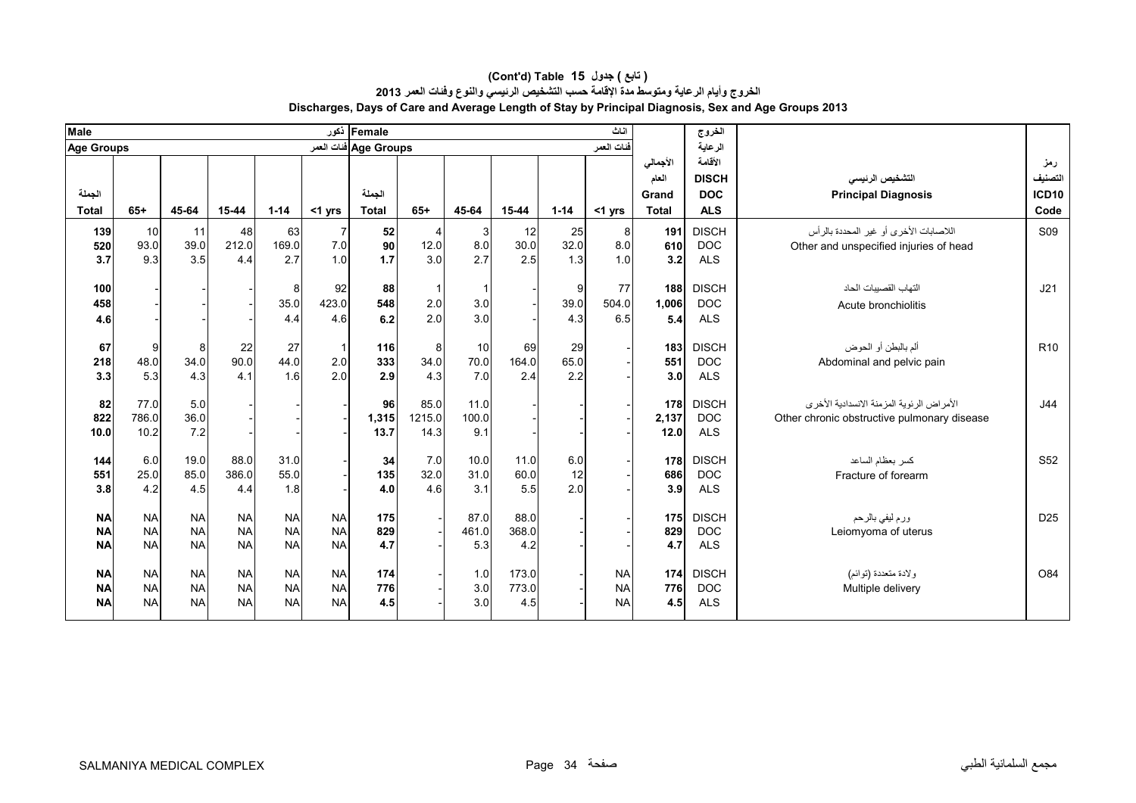| Male                                |                                     |                                     |                                     |                                     |                                     | Female أذكور          |                        |                      |                       |                   | اناث                                |                                | الخروج                                   |                                                                                                         |                                |
|-------------------------------------|-------------------------------------|-------------------------------------|-------------------------------------|-------------------------------------|-------------------------------------|-----------------------|------------------------|----------------------|-----------------------|-------------------|-------------------------------------|--------------------------------|------------------------------------------|---------------------------------------------------------------------------------------------------------|--------------------------------|
| <b>Age Groups</b>                   |                                     |                                     |                                     |                                     |                                     | Age Groups فنات العمر |                        |                      |                       |                   | فنات العمر                          |                                | الرعاية                                  |                                                                                                         |                                |
| الجملة                              |                                     |                                     |                                     |                                     |                                     | الجملة                |                        |                      |                       |                   |                                     | الأجمالى<br>العام<br>Grand     | الأقامة<br><b>DISCH</b><br><b>DOC</b>    | التشخيص الرئيسى<br><b>Principal Diagnosis</b>                                                           | رمز<br>التصنيف<br><b>ICD10</b> |
| <b>Total</b>                        | $65+$                               | 45-64                               | 15-44                               | $1 - 14$                            | $<$ 1 yrs                           | <b>Total</b>          | $65+$                  | 45-64                | 15-44                 | $1 - 14$          | <1 yrs                              | <b>Total</b>                   | <b>ALS</b>                               |                                                                                                         | Code                           |
| 139<br>520<br>3.7                   | 10<br>93.0<br>9.3                   | 11<br>39.0<br>3.5                   | 48<br>212.0<br>4.4                  | 63<br>169.0<br>2.7                  | 7.0<br>1.0                          | 52<br>90<br>1.7       | 12.0<br>3.0            | 3<br>8.0<br>2.7      | 12<br>30.0<br>2.5     | 25<br>32.0<br>1.3 | 8 <sup>1</sup><br>8.0<br>1.0        | 191<br>610<br>3.2              | <b>DISCH</b><br><b>DOC</b><br><b>ALS</b> | اللاصابات الأخرى أو غير المحددة بالرأس<br>Other and unspecified injuries of head                        | <b>S09</b>                     |
| 100<br>458<br>4.6                   |                                     |                                     |                                     | 8<br>35.0<br>4.4                    | 92<br>423.0<br>4.6                  | 88<br>548<br>6.2      | 2.0<br>2.0             | 3.0<br>3.0           |                       | 9<br>39.0<br>4.3  | 77<br>504.0<br>6.5                  | 188<br>1,006<br>5.4            | <b>DISCH</b><br><b>DOC</b><br><b>ALS</b> | التهاب القصبيات الحاد<br>Acute bronchiolitis                                                            | J21                            |
| 67<br>218<br>3.3                    | 9<br>48.0<br>5.3                    | 8<br>34.0<br>4.3                    | 22<br>90.0<br>4.1                   | 27<br>44.0<br>1.6                   | 2.0<br>2.0                          | 116<br>333<br>2.9     | 8<br>34.0<br>4.3       | 10<br>70.0<br>7.0    | 69<br>164.0<br>2.4    | 29<br>65.0<br>2.2 |                                     | 183<br>551<br>3.0 <sub>l</sub> | <b>DISCH</b><br><b>DOC</b><br><b>ALS</b> | ألم بالبطن أو الحوض<br>Abdominal and pelvic pain                                                        | R <sub>10</sub>                |
| 82<br>822<br>10.0                   | 77.0<br>786.0<br>10.2               | 5.0<br>36.0<br>7.2                  |                                     |                                     |                                     | 96<br>1,315<br>13.7   | 85.0<br>1215.0<br>14.3 | 11.0<br>100.0<br>9.1 |                       |                   |                                     | 178<br>2,137<br>12.0           | <b>DISCH</b><br><b>DOC</b><br><b>ALS</b> | الأمر اصْ الْرِ نَوِية الْمزِ مِنْهُ الانسدادية الأخرِ ي<br>Other chronic obstructive pulmonary disease | J44                            |
| 144<br>551<br>3.8                   | 6.0<br>25.0<br>4.2                  | 19.0<br>85.0<br>4.5                 | 88.0<br>386.0<br>4.4                | 31.0<br>55.0<br>1.8                 |                                     | 34<br>135<br>4.0      | 7.0<br>32.0<br>4.6     | 10.0<br>31.0<br>3.1  | 11.0<br>60.0<br>5.5   | 6.0<br>12<br>2.0  |                                     | 178<br>686<br>3.9              | <b>DISCH</b><br><b>DOC</b><br><b>ALS</b> | كسر بعظام الساعد<br>Fracture of forearm                                                                 | S <sub>52</sub>                |
| <b>NA</b><br><b>NA</b><br><b>NA</b> | <b>NA</b><br><b>NA</b><br><b>NA</b> | <b>NA</b><br><b>NA</b><br><b>NA</b> | <b>NA</b><br><b>NA</b><br><b>NA</b> | <b>NA</b><br><b>NA</b><br><b>NA</b> | <b>NA</b><br><b>NA</b><br><b>NA</b> | 175<br>829<br>4.7     |                        | 87.0<br>461.0<br>5.3 | 88.0<br>368.0<br>4.2  |                   |                                     | 175<br>829<br>4.7              | <b>DISCH</b><br><b>DOC</b><br><b>ALS</b> | ورم ليفي بالرحم<br>Leiomyoma of uterus                                                                  | D <sub>25</sub>                |
| <b>NA</b><br><b>NA</b><br><b>NA</b> | <b>NA</b><br><b>NA</b><br><b>NA</b> | <b>NA</b><br><b>NA</b><br><b>NA</b> | <b>NA</b><br><b>NA</b><br><b>NA</b> | <b>NA</b><br><b>NA</b><br><b>NA</b> | <b>NA</b><br><b>NA</b><br><b>NA</b> | 174<br>776<br>4.5     |                        | 1.0<br>3.0<br>3.0    | 173.0<br>773.0<br>4.5 |                   | <b>NA</b><br><b>NA</b><br><b>NA</b> | 174<br>776<br>4.5              | <b>DISCH</b><br><b>DOC</b><br><b>ALS</b> | ولادة متعددة (توائم)<br>Multiple delivery                                                               | O84                            |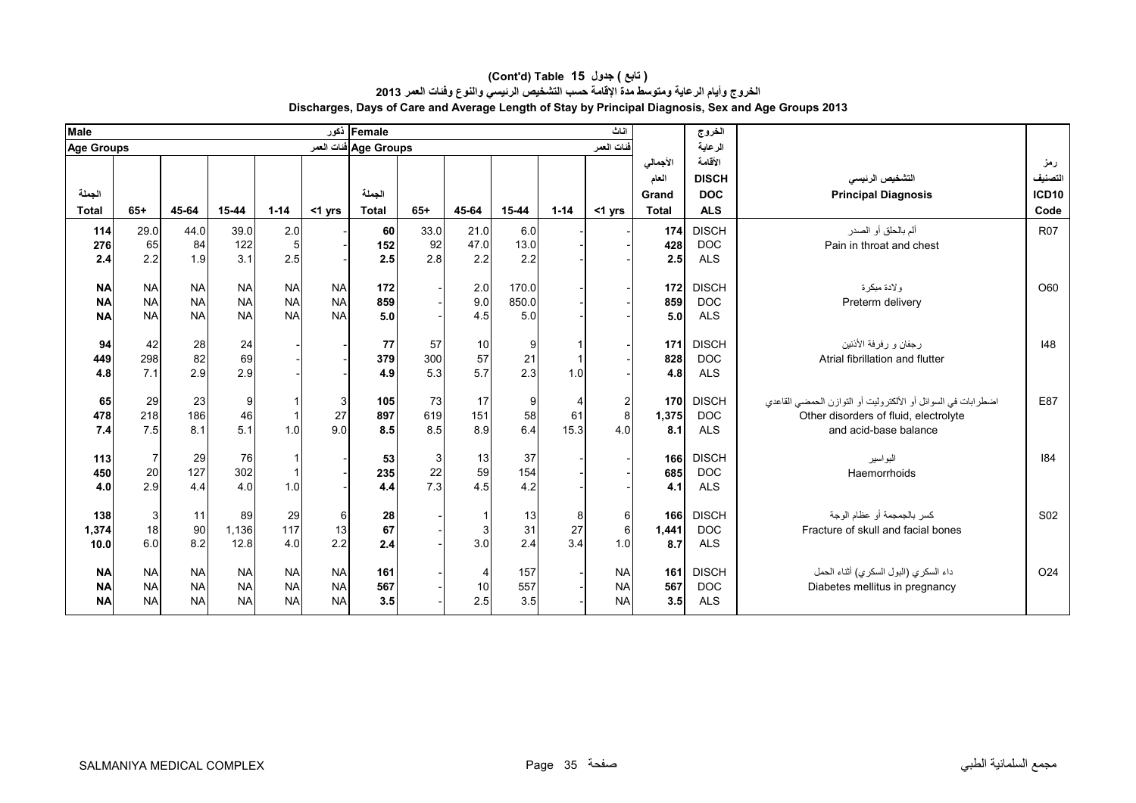| <b>Male</b>            |                |           |           |           |           | Female أذكور          |       |           |            |          | اثاث           |            | الخروج       |                                                              |                 |
|------------------------|----------------|-----------|-----------|-----------|-----------|-----------------------|-------|-----------|------------|----------|----------------|------------|--------------|--------------------------------------------------------------|-----------------|
| <b>Age Groups</b>      |                |           |           |           |           | Age Groups فنات العمر |       |           |            |          | فنات العمر     |            | الرعاية      |                                                              |                 |
|                        |                |           |           |           |           |                       |       |           |            |          |                | الأجمالى   | الأقامة      |                                                              | رمز             |
|                        |                |           |           |           |           |                       |       |           |            |          |                | العام      | <b>DISCH</b> | التشخيص الرنيسى                                              | التصنيف         |
| الجملة                 |                |           |           |           |           | الجملة                |       |           |            |          |                | Grand      | <b>DOC</b>   | <b>Principal Diagnosis</b>                                   | <b>ICD10</b>    |
| <b>Total</b>           | $65+$          | 45-64     | $15 - 44$ | $1 - 14$  | <1 yrs    | <b>Total</b>          | $65+$ | 45-64     | 15-44      | $1 - 14$ | <1 yrs         | Total      | <b>ALS</b>   |                                                              | Code            |
| 114                    | 29.0           | 44.0      | 39.0      | 2.0       |           | <b>60</b>             | 33.0  | 21.0      | 6.0        |          |                | 174        | <b>DISCH</b> | ألم بالحلق أو الصدر                                          | <b>R07</b>      |
| 276                    | 65             | 84        | 122       | 5         |           | 152                   | 92    | 47.0      | 13.0       |          |                | 428        | <b>DOC</b>   | Pain in throat and chest                                     |                 |
| 2.4                    | 2.2            | 1.9       | 3.1       | 2.5       |           | 2.5                   | 2.8   | 2.2       | 2.2        |          |                | 2.5        | <b>ALS</b>   |                                                              |                 |
|                        |                |           |           |           |           |                       |       |           |            |          |                |            |              |                                                              |                 |
| <b>NA</b>              | <b>NA</b>      | <b>NA</b> | <b>NA</b> | <b>NA</b> | <b>NA</b> | 172                   |       | 2.0       | 170.0      |          |                | 172        | <b>DISCH</b> | و لادة مبكر ة                                                | O60             |
| <b>NA</b>              | <b>NA</b>      | <b>NA</b> | <b>NA</b> | <b>NA</b> | <b>NA</b> | 859                   |       | 9.0       | 850.0      |          |                | 859        | <b>DOC</b>   | Preterm delivery                                             |                 |
| <b>NA</b>              | <b>NA</b>      | <b>NA</b> | <b>NA</b> | <b>NA</b> | <b>NA</b> | 5.0                   |       | 4.5       | 5.0        |          |                | 5.0        | <b>ALS</b>   |                                                              |                 |
| 94                     | 42             | 28        | 24        |           |           | 77                    | 57    | 10        | 9          |          |                | 171        | <b>DISCH</b> | رجفان و رفرفة الأننين                                        | 148             |
| 449                    | 298            | 82        | 69        |           |           | 379                   | 300   | 57        | 21         |          |                | 828        | <b>DOC</b>   | Atrial fibrillation and flutter                              |                 |
| 4.8                    | 7.1            | 2.9       | 2.9       |           |           | 4.9                   | 5.3   | 5.7       | 2.3        | 1.0      |                | 4.8        | <b>ALS</b>   |                                                              |                 |
|                        |                |           |           |           |           |                       |       |           |            |          |                |            |              |                                                              |                 |
| 65                     | 29             | 23        | 9         |           | 3         | 105                   | 73    | 17        | 9          |          | $\overline{c}$ | 170        | <b>DISCH</b> | اضطرابات في السوائل أو الألكتروليت أو التوازن الحمضي القاعدي | E87             |
| 478                    | 218            | 186       | 46        |           | 27        | 897                   | 619   | 151       | 58         | 61       | 8              | 1,375      | <b>DOC</b>   | Other disorders of fluid, electrolyte                        |                 |
| 7.4                    | 7.5            | 8.1       | 5.1       | 1.0       | 9.0       | 8.5                   | 8.5   | 8.9       | 6.4        | 15.3     | 4.0            | 8.1        | <b>ALS</b>   | and acid-base balance                                        |                 |
| 113                    | $\overline{7}$ | 29        | 76        |           |           | 53                    | 3     | 13        | 37         |          |                | 166        | <b>DISCH</b> | البواسير                                                     | 184             |
| 450                    | $20\,$         | 127       | 302       |           |           | 235                   | 22    | 59        | 154        |          |                | 685        | <b>DOC</b>   | Haemorrhoids                                                 |                 |
| 4.0                    | 2.9            | 4.4       | 4.0       | 1.0       |           | 4.4                   | 7.3   | 4.5       | 4.2        |          |                | 4.1        | <b>ALS</b>   |                                                              |                 |
|                        |                |           |           |           |           |                       |       |           |            |          |                |            |              |                                                              |                 |
| 138                    | 3              | 11        | 89        | 29        | 6         | 28                    |       |           | 13         | 8        | 6              | 166        | <b>DISCH</b> | كسر بالجمجمة أو عظام الوجة                                   | S <sub>02</sub> |
| 1,374                  | 18             | 90        | 1,136     | 117       | 13        | 67                    |       | 3         | 31         | 27       | 6              | 1,441      | <b>DOC</b>   | Fracture of skull and facial bones                           |                 |
| 10.0                   | 6.0            | 8.2       | 12.8      | 4.0       | 2.2       | 2.4                   |       | 3.0       | 2.4        | 3.4      | 1.0            | 8.7        | <b>ALS</b>   |                                                              |                 |
|                        | <b>NA</b>      | <b>NA</b> | <b>NA</b> | <b>NA</b> | <b>NA</b> |                       |       |           |            |          | <b>NA</b>      |            | <b>DISCH</b> |                                                              | O <sub>24</sub> |
| <b>NA</b><br><b>NA</b> | <b>NA</b>      | <b>NA</b> | <b>NA</b> | <b>NA</b> | <b>NA</b> | 161<br>567            |       |           | 157<br>557 |          | <b>NA</b>      | 161<br>567 | <b>DOC</b>   | داء السكري (البول السكري) أثناء الحمل                        |                 |
|                        | <b>NA</b>      | <b>NA</b> | <b>NA</b> | <b>NA</b> | <b>NA</b> |                       |       | 10<br>2.5 | 3.5        |          | <b>NA</b>      |            |              | Diabetes mellitus in pregnancy                               |                 |
| <b>NA</b>              |                |           |           |           |           | 3.5                   |       |           |            |          |                | 3.5        | <b>ALS</b>   |                                                              |                 |

#### **Discharges, Days of Care and Average Length of Stay by Principal Diagnosis, Sex and Age Groups 2013 (Cont'd) Table 15 جدول ) تابع( الخروج وأيام الرعاية ومتوسط مدة اإلقامة حسب التشخيص الرئيسي والنوع وفئات العمر <sup>2013</sup>**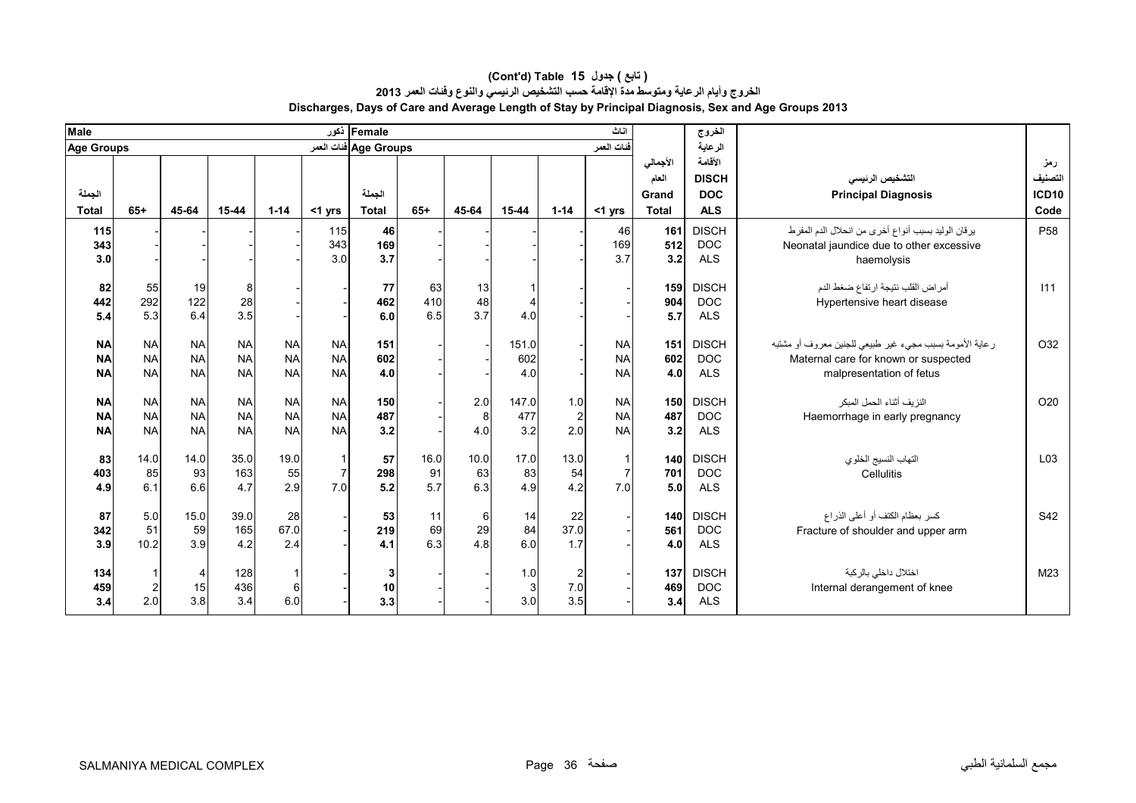| <b>Male</b>                         |                                     |                                     |                                     |                                     |                                     | Female ذکور            |                   |                     |                              |                              | اثاث                                |                                            | الخروج                                              |                                                                                                                             |                                        |
|-------------------------------------|-------------------------------------|-------------------------------------|-------------------------------------|-------------------------------------|-------------------------------------|------------------------|-------------------|---------------------|------------------------------|------------------------------|-------------------------------------|--------------------------------------------|-----------------------------------------------------|-----------------------------------------------------------------------------------------------------------------------------|----------------------------------------|
| Age Groups                          |                                     |                                     |                                     |                                     |                                     | Age Groups فنات العمر  |                   |                     |                              |                              | فنات العمر                          |                                            | الرعاية                                             |                                                                                                                             |                                        |
| الجملة<br><b>Total</b>              | $65+$                               | 45-64                               | $15 - 44$                           | $1 - 14$                            |                                     | الجملة<br><b>Total</b> | $65+$             | 45-64               | $15 - 44$                    | $1 - 14$                     |                                     | الأجمالي<br>العام<br>Grand<br><b>Total</b> | الأقامة<br><b>DISCH</b><br><b>DOC</b><br><b>ALS</b> | التشخيص الرئيسي<br><b>Principal Diagnosis</b>                                                                               | رمز<br>التصنيف<br><b>ICD10</b><br>Code |
|                                     |                                     |                                     |                                     |                                     | $<$ 1 yrs                           |                        |                   |                     |                              |                              | <1 yrs                              |                                            |                                                     |                                                                                                                             |                                        |
| 115<br>343<br>3.0                   |                                     |                                     |                                     |                                     | 115<br>343<br>3.0                   | 46<br>169<br>3.7       |                   |                     |                              |                              | 46<br>169<br>3.7                    | 161<br>512<br>3.2                          | <b>DISCH</b><br><b>DOC</b><br><b>ALS</b>            | يرقان الوليد بسبب أنواع أخرى من انحلال الدم المفرط<br>Neonatal jaundice due to other excessive<br>haemolysis                | P <sub>58</sub>                        |
| 82<br>442<br>5.4                    | 55<br>292<br>5.3                    | 19<br>122<br>6.4                    | 8<br>28<br>3.5                      |                                     |                                     | 77<br>462<br>6.0       | 63<br>410<br>6.5  | 13<br>48<br>3.7     | $\overline{4}$<br>4.0        |                              |                                     | 159<br>904<br>5.7                          | <b>DISCH</b><br><b>DOC</b><br><b>ALS</b>            | أمراض القلب نتيجة ارتفاع ضغط الدم<br>Hypertensive heart disease                                                             | 111                                    |
| <b>NA</b><br><b>NA</b><br><b>NA</b> | <b>NA</b><br><b>NA</b><br><b>NA</b> | <b>NA</b><br><b>NA</b><br><b>NA</b> | <b>NA</b><br><b>NA</b><br><b>NA</b> | <b>NA</b><br><b>NA</b><br><b>NA</b> | <b>NA</b><br><b>NA</b><br><b>NA</b> | 151<br>602<br>4.0      |                   |                     | 151.0<br>602<br>4.0          |                              | <b>NA</b><br><b>NA</b><br><b>NA</b> | 151<br>602<br>4.0                          | <b>DISCH</b><br><b>DOC</b><br><b>ALS</b>            | رعاية الأمومة بسبب مجيء غير طبيعي للجنين معروف أو مشتبه<br>Maternal care for known or suspected<br>malpresentation of fetus | O32                                    |
| <b>NA</b><br><b>NA</b><br><b>NA</b> | <b>NA</b><br><b>NA</b><br><b>NA</b> | <b>NA</b><br><b>NA</b><br><b>NA</b> | <b>NA</b><br><b>NA</b><br><b>NA</b> | <b>NA</b><br><b>NA</b><br><b>NA</b> | <b>NA</b><br><b>NA</b><br><b>NA</b> | 150<br>487<br>3.2      |                   | 2.0<br>8<br>4.0     | 147.0<br>477<br>3.2          | 1.0<br>$\overline{2}$<br>2.0 | <b>NA</b><br><b>NA</b><br><b>NA</b> | 150<br>487<br>3.2                          | <b>DISCH</b><br><b>DOC</b><br><b>ALS</b>            | النزيف أثناء الحمل المبكر<br>Haemorrhage in early pregnancy                                                                 | O20                                    |
| 83<br>403<br>4.9                    | 14.0<br>85<br>6.1                   | 14.0<br>93<br>6.6                   | 35.0<br>163<br>4.7                  | 19.0<br>55<br>2.9                   | $\overline{7}$<br>7.0               | 57<br>298<br>5.2       | 16.0<br>91<br>5.7 | 10.0<br>63<br>6.3   | 17.0<br>83<br>4.9            | 13.0<br>54<br>4.2            | $\overline{7}$<br>7.0               | 140<br>701<br>5.0                          | <b>DISCH</b><br><b>DOC</b><br><b>ALS</b>            | التهاب النسيج الخلوي<br>Cellulitis                                                                                          | L <sub>03</sub>                        |
| 87<br>342<br>3.9                    | 5.0<br>51<br>10.2                   | 15.0<br>59<br>3.9                   | 39.0<br>165<br>4.2                  | 28<br>67.0<br>2.4                   |                                     | 53<br>219<br>4.1       | 11<br>69<br>6.3   | $6 \,$<br>29<br>4.8 | 14<br>84<br>6.0              | 22<br>37.0<br>1.7            |                                     | 140<br>561<br>4.0                          | <b>DISCH</b><br><b>DOC</b><br><b>ALS</b>            | كسر بعظام الكتف أو أعلى الذراع<br>Fracture of shoulder and upper arm                                                        | S42                                    |
| 134<br>459<br>3.4                   | 2<br>2.0                            | Δ<br>15<br>3.8                      | 128<br>436<br>3.4                   | 6<br>6.0                            |                                     | 3<br>10<br>3.3         |                   |                     | 1.0<br>3 <sup>1</sup><br>3.0 | 2<br>7.0<br>3.5              |                                     | 137<br>469<br>3.4                          | <b>DISCH</b><br><b>DOC</b><br><b>ALS</b>            | اختلال داخلي بالركبة<br>Internal derangement of knee                                                                        | M23                                    |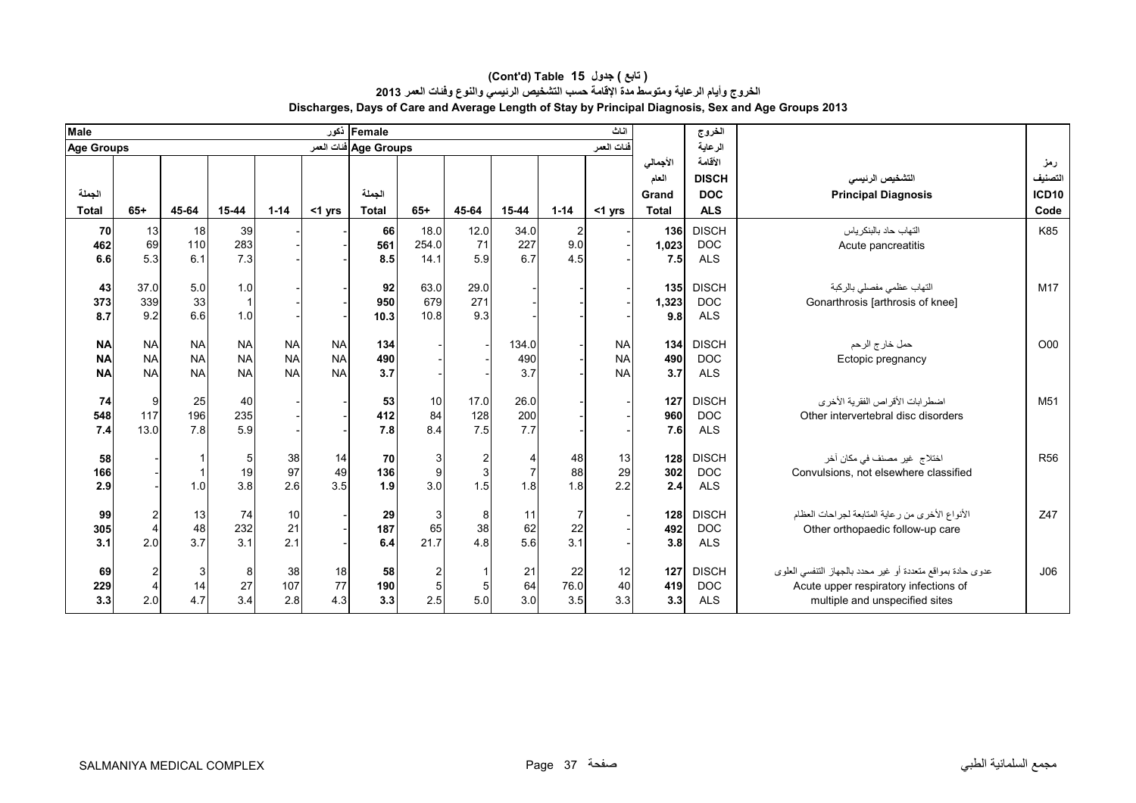| <b>Male</b>       |                |              |                |            |           | Female ذکور           |          |       |           |                | اثاث       |              | الخروج       |                                                            |                 |
|-------------------|----------------|--------------|----------------|------------|-----------|-----------------------|----------|-------|-----------|----------------|------------|--------------|--------------|------------------------------------------------------------|-----------------|
| <b>Age Groups</b> |                |              |                |            |           | Age Groups فنات العمر |          |       |           |                | فنات العمر |              | الرعاية      |                                                            |                 |
|                   |                |              |                |            |           |                       |          |       |           |                |            | الأجمالى     | الأقامة      |                                                            | رمز             |
|                   |                |              |                |            |           |                       |          |       |           |                |            | العام        | <b>DISCH</b> | التشخيص الرنيسى                                            | التصنيف         |
| الجملة            |                |              |                |            |           | الجملة                |          |       |           |                |            | Grand        | <b>DOC</b>   | <b>Principal Diagnosis</b>                                 | <b>ICD10</b>    |
| <b>Total</b>      | $65+$          | 45-64        | $15 - 44$      | $1 - 14$   | $<$ 1 yrs | <b>Total</b>          | $65+$    | 45-64 | 15-44     | $1 - 14$       | $<$ 1 yrs  | <b>Total</b> | <b>ALS</b>   |                                                            | Code            |
| 70                | 13             | 18           | 39             |            |           | 66                    | 18.0     | 12.0  | 34.0      | $\overline{2}$ |            | 136          | <b>DISCH</b> | التهاب حاد بالبنكر ياس                                     | K85             |
| 462               | 69             | 110          | 283            |            |           | 561                   | 254.0    | 71    | 227       | 9.0            |            | 1,023        | <b>DOC</b>   | Acute pancreatitis                                         |                 |
| 6.6               | 5.3            | 6.1          | 7.3            |            |           | 8.5                   | 14.1     | 5.9   | 6.7       | 4.5            |            | 7.5          | <b>ALS</b>   |                                                            |                 |
|                   |                |              |                |            |           |                       |          |       |           |                |            |              |              |                                                            |                 |
| 43                | 37.0           | 5.0          | 1.0            |            |           | 92                    | 63.0     | 29.0  |           |                |            | 135          | <b>DISCH</b> | التهاب عظمى مفصلي بالركبة                                  | M17             |
| 373               | 339            | 33           | $\overline{1}$ |            |           | 950                   | 679      | 271   |           |                |            | 1,323        | <b>DOC</b>   | Gonarthrosis [arthrosis of knee]                           |                 |
| 8.7               | 9.2            | 6.6          | 1.0            |            |           | 10.3                  | 10.8     | 9.3   |           |                |            | 9.8          | <b>ALS</b>   |                                                            |                 |
| <b>NA</b>         | <b>NA</b>      | <b>NA</b>    | <b>NA</b>      | <b>NA</b>  | <b>NA</b> | 134                   |          |       | 134.0     |                | <b>NA</b>  | 134          | <b>DISCH</b> | حمل خارج الرحم                                             | O <sub>00</sub> |
| <b>NA</b>         | <b>NA</b>      | <b>NA</b>    | <b>NA</b>      | <b>NA</b>  | <b>NA</b> | 490                   |          |       | 490       |                | <b>NA</b>  | 490          | <b>DOC</b>   | Ectopic pregnancy                                          |                 |
| <b>NA</b>         | <b>NA</b>      | <b>NA</b>    | <b>NA</b>      | <b>NA</b>  | <b>NA</b> | 3.7                   |          |       | 3.7       |                | <b>NA</b>  | 3.7          | <b>ALS</b>   |                                                            |                 |
|                   |                |              |                |            |           |                       |          |       |           |                |            |              |              |                                                            |                 |
| 74                | 9              | 25           | 40             |            |           | 53                    | 10       | 17.0  | 26.0      |                |            | 127          | <b>DISCH</b> | اضطرابات الأقراص الفقرية الأخرى                            | M <sub>51</sub> |
| 548               | 117            | 196          | 235            |            |           | 412                   | 84       | 128   | 200       |                |            | 960          | <b>DOC</b>   | Other intervertebral disc disorders                        |                 |
| 7.4               | 13.0           | 7.8          | 5.9            |            |           | 7.8                   | 8.4      | 7.5   | 7.7       |                |            | 7.6          | <b>ALS</b>   |                                                            |                 |
| 58                |                |              | 5              | 38         | 14        | 70                    | 3        |       | 4         |                | 13         | 128          | <b>DISCH</b> | اختلاج غير مصنف في مكان آخر                                | <b>R56</b>      |
| 166               |                |              | 19             | 97         | 49        | 136                   | 9        |       |           | 48<br>88       | 29         | 302          | <b>DOC</b>   | Convulsions, not elsewhere classified                      |                 |
| 2.9               |                | 1.0          | 3.8            | 2.6        | 3.5       | 1.9                   | 3.0      | 1.5   | 1.8       | 1.8            | 2.2        | 2.4          | <b>ALS</b>   |                                                            |                 |
|                   |                |              |                |            |           |                       |          |       |           |                |            |              |              |                                                            |                 |
| 99                | $\overline{c}$ | 13           | 74             | 10         |           | 29                    | 3        |       | 11        | 7              |            | 128          | <b>DISCH</b> | الأنواع الأخرى من رعاية المتابعة لجراحات العظام            | Z47             |
| 305               | $\overline{4}$ | 48           | 232            | 21         |           | 187                   | 65       | 38    | 62        | 22             |            | 492          | <b>DOC</b>   | Other orthopaedic follow-up care                           |                 |
| 3.1               | 2.0            | 3.7          | 3.1            | 2.1        |           | 6.4                   | 21.7     | 4.8   | 5.6       | 3.1            |            | 3.8          | <b>ALS</b>   |                                                            |                 |
|                   |                |              |                |            |           |                       |          |       |           |                |            |              |              |                                                            |                 |
| 69                | $\overline{2}$ | $\mathbf{3}$ | 8              | 38         | 18<br>77  | 58                    | 2        |       | 21        | 22             | 12         | 127          | <b>DISCH</b> | عدوى حادة بمواقع متعددة أو غير محدد بالجهاز التنفسي العلوى | J06             |
| 229               | $\overline{4}$ | 14<br>4.7    | 27<br>3.4      | 107<br>2.8 | 4.3       | 190<br>3.3            | 5<br>2.5 |       | 64<br>3.0 | 76.0<br>3.5    | 40         | 419<br>3.3   | <b>DOC</b>   | Acute upper respiratory infections of                      |                 |
| 3.3               | 2.0            |              |                |            |           |                       |          | 5.0   |           |                | 3.3        |              | <b>ALS</b>   | multiple and unspecified sites                             |                 |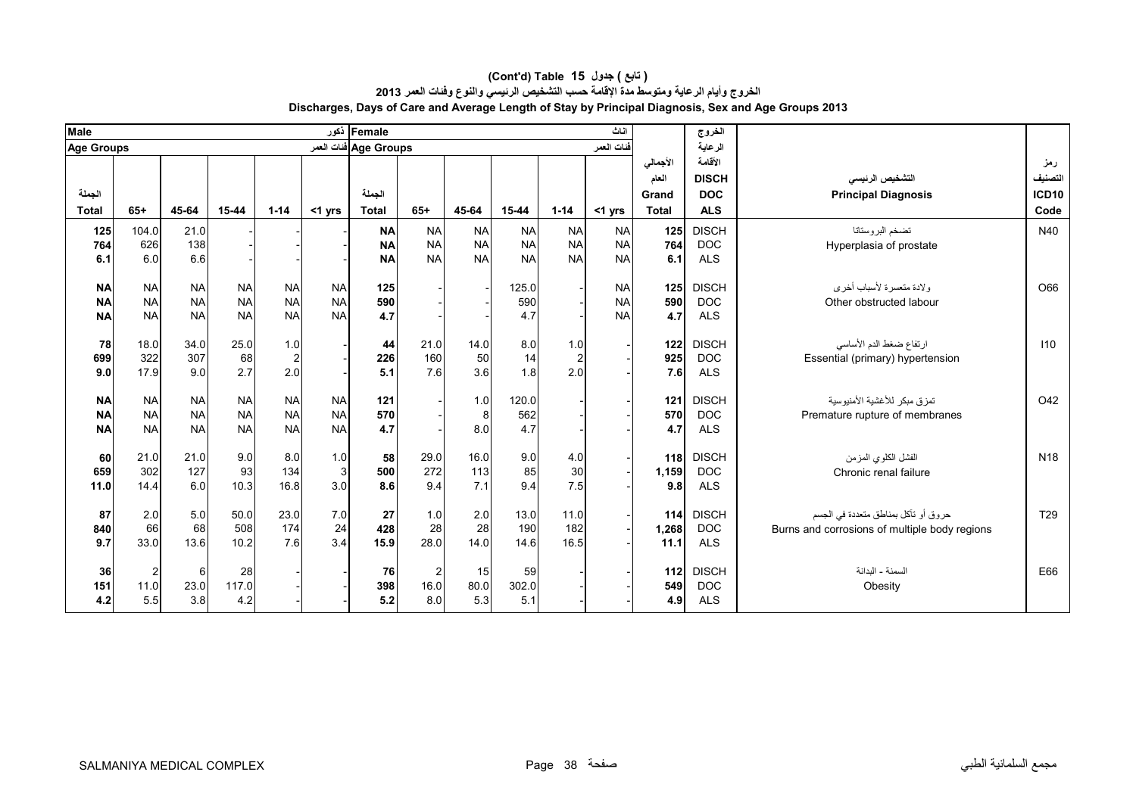| <b>Male</b>  |                |           |           |                |              | Female  ذکور          |           |           |           |                | اثاث       |          | الخروج       |                                               |                 |
|--------------|----------------|-----------|-----------|----------------|--------------|-----------------------|-----------|-----------|-----------|----------------|------------|----------|--------------|-----------------------------------------------|-----------------|
| Age Groups   |                |           |           |                |              | Age Groups فنات العمر |           |           |           |                | فنات العمر |          | الرعاية      |                                               |                 |
|              |                |           |           |                |              |                       |           |           |           |                |            | الأجمالي | الأقامة      |                                               | رمز             |
|              |                |           |           |                |              |                       |           |           |           |                |            | العام    | <b>DISCH</b> | التشخيص الرنيسي                               | التصنيف         |
| الجملة       |                |           |           |                |              | الجملة                |           |           |           |                |            | Grand    | <b>DOC</b>   | <b>Principal Diagnosis</b>                    | <b>ICD10</b>    |
| <b>Total</b> | $65+$          | 45-64     | 15-44     | $1 - 14$       | $<$ 1 yrs    | <b>Total</b>          | $65+$     | 45-64     | 15-44     | $1 - 14$       | <1 yrs     | Total    | <b>ALS</b>   |                                               | Code            |
| 125          | 104.0          | 21.0      |           |                |              | <b>NA</b>             | <b>NA</b> | <b>NA</b> | <b>NA</b> | <b>NA</b>      | <b>NA</b>  | 125      | <b>DISCH</b> | تضخم البر وستاتا                              | N40             |
| 764          | 626            | 138       |           |                |              | <b>NA</b>             | <b>NA</b> | <b>NA</b> | <b>NA</b> | <b>NA</b>      | <b>NA</b>  | 764      | <b>DOC</b>   | Hyperplasia of prostate                       |                 |
| 6.1          | 6.0            | 6.6       |           |                |              | <b>NA</b>             | <b>NA</b> | <b>NA</b> | <b>NA</b> | <b>NA</b>      | <b>NA</b>  | 6.1      | <b>ALS</b>   |                                               |                 |
|              |                |           |           |                |              |                       |           |           |           |                |            |          |              |                                               |                 |
| <b>NA</b>    | <b>NA</b>      | <b>NA</b> | <b>NA</b> | <b>NA</b>      | <b>NA</b>    | 125                   |           |           | 125.0     |                | <b>NA</b>  | 125      | <b>DISCH</b> | ولادة متعسرة لأسباب أخرى                      | O66             |
| <b>NA</b>    | <b>NA</b>      | <b>NA</b> | <b>NA</b> | <b>NA</b>      | <b>NA</b>    | 590                   |           |           | 590       |                | <b>NA</b>  | 590      | <b>DOC</b>   | Other obstructed labour                       |                 |
| <b>NA</b>    | <b>NA</b>      | <b>NA</b> | <b>NA</b> | <b>NA</b>      | <b>NA</b>    | 4.7                   |           |           | 4.7       |                | <b>NA</b>  | 4.7      | <b>ALS</b>   |                                               |                 |
| 78           | 18.0           | 34.0      | 25.0      | 1.0            |              | 44                    | 21.0      | 14.0      | 8.0       | 1.0            |            | 122      | <b>DISCH</b> | ارتفاع ضغط الدم الأساسي                       | 110             |
| 699          | 322            | 307       | 68        | $\overline{c}$ |              | 226                   | 160       | 50        | 14        | $\overline{c}$ |            | 925      | <b>DOC</b>   | Essential (primary) hypertension              |                 |
| 9.0          | 17.9           | 9.0       | 2.7       | 2.0            |              | 5.1                   | 7.6       | 3.6       | 1.8       | 2.0            |            | 7.6      | <b>ALS</b>   |                                               |                 |
|              |                |           |           |                |              |                       |           |           |           |                |            |          |              |                                               |                 |
| <b>NA</b>    | <b>NA</b>      | <b>NA</b> | <b>NA</b> | <b>NA</b>      | <b>NA</b>    | 121                   |           | 1.0       | 120.0     |                |            | 121      | <b>DISCH</b> | تمز ق مبكر  للأغشية الأمنيو سية               | O42             |
| <b>NA</b>    | <b>NA</b>      | <b>NA</b> | <b>NA</b> | <b>NA</b>      | <b>NA</b>    | 570                   |           | 8         | 562       |                |            | 570      | <b>DOC</b>   | Premature rupture of membranes                |                 |
| <b>NA</b>    | <b>NA</b>      | <b>NA</b> | <b>NA</b> | <b>NA</b>      | <b>NA</b>    | 4.7                   |           | 8.0       | 4.7       |                |            | 4.7      | <b>ALS</b>   |                                               |                 |
|              |                |           |           |                |              |                       |           |           |           |                |            |          |              |                                               |                 |
| 60           | 21.0           | 21.0      | 9.0       | 8.0            | 1.0          | 58                    | 29.0      | 16.0      | 9.0       | 4.0            |            | 118      | <b>DISCH</b> | الفشل الكلوى المزمن                           | N <sub>18</sub> |
| 659          | 302            | 127       | 93        | 134            | $\mathbf{3}$ | 500                   | 272       | 113       | 85        | 30             |            | 1,159    | <b>DOC</b>   | Chronic renal failure                         |                 |
| 11.0         | 14.4           | 6.0       | 10.3      | 16.8           | 3.0          | 8.6                   | 9.4       | 7.1       | 9.4       | 7.5            |            | 9.8      | <b>ALS</b>   |                                               |                 |
| 87           | 2.0            | 5.0       | 50.0      | 23.0           | 7.0          | 27                    | 1.0       | 2.0       | 13.0      | 11.0           |            | 114      | <b>DISCH</b> | حروق أو تآكل بمناطق متعددة في الجسم           | T <sub>29</sub> |
| 840          | 66             | 68        | 508       | 174            | 24           | 428                   | 28        | 28        | 190       | 182            |            | 1,268    | <b>DOC</b>   | Burns and corrosions of multiple body regions |                 |
| 9.7          | 33.0           | 13.6      | 10.2      | 7.6            | 3.4          | 15.9                  | 28.0      | 14.0      | 14.6      | 16.5           |            | 11.1     | <b>ALS</b>   |                                               |                 |
|              |                |           |           |                |              |                       |           |           |           |                |            |          |              |                                               |                 |
| 36           | $\overline{2}$ | $6 \mid$  | 28        |                |              | 76                    |           | 15        | 59        |                |            | $112$    | <b>DISCH</b> | السمنة - البدانة                              | E66             |
| 151          | 11.0           | 23.0      | 117.0     |                |              | 398                   | 16.0      | 80.0      | 302.0     |                |            | 549      | <b>DOC</b>   | Obesity                                       |                 |
| 4.2          | 5.5            | 3.8       | 4.2       |                |              | $5.2$                 | 8.0       | 5.3       | 5.1       |                |            | 4.9      | <b>ALS</b>   |                                               |                 |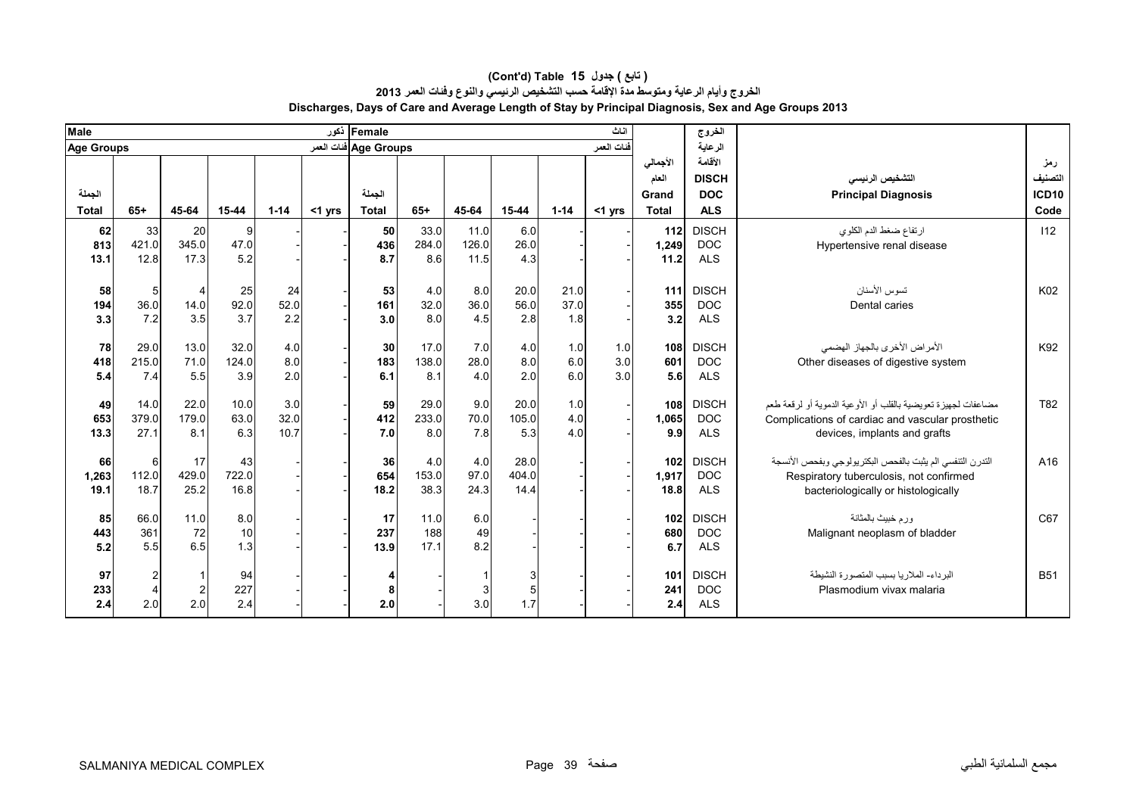#### **Discharges, Days of Care and Average Length of Stay by Principal Diagnosis, Sex and Age Groups 2013 (Cont'd) Table 15 جدول ) تابع( الخروج وأيام الرعاية ومتوسط مدة اإلقامة حسب التشخيص الرئيسي والنوع وفئات العمر <sup>2013</sup>**

| Male              |       |       |           |            |           | Female دَعور          |              |             |            |          | اناث       |              | الخروج       |                                                                  |                   |
|-------------------|-------|-------|-----------|------------|-----------|-----------------------|--------------|-------------|------------|----------|------------|--------------|--------------|------------------------------------------------------------------|-------------------|
| <b>Age Groups</b> |       |       |           |            |           | Age Groups فنات العمر |              |             |            |          | فنات العمر |              | الرعاية      |                                                                  |                   |
|                   |       |       |           |            |           |                       |              |             |            |          |            | الأجمالي     | الأقامة      |                                                                  | رمز               |
|                   |       |       |           |            |           |                       |              |             |            |          |            | العام        | <b>DISCH</b> | التشخيص الرنيسى                                                  | التصنيف           |
| الجملة            |       |       |           |            |           | الجملة                |              |             |            |          |            | Grand        | <b>DOC</b>   | <b>Principal Diagnosis</b>                                       | ICD <sub>10</sub> |
| <b>Total</b>      | $65+$ | 45-64 | $15 - 44$ | $1 - 14$   | $<$ 1 yrs | <b>Total</b>          | $65+$        | 45-64       | $15 - 44$  | $1 - 14$ | $<$ 1 yrs  | <b>Total</b> | <b>ALS</b>   |                                                                  | Code              |
| 62                | 33    | 20    | 9         |            |           | 50                    | 33.0         | 11.0        | 6.0        |          |            | 112          | <b>DISCH</b> | ارتفاع ضغط الدم الكلوي                                           | 112               |
| 813               | 421.0 | 345.0 | 47.0      |            |           | 436                   | 284.0        | 126.0       | 26.0       |          |            | 1,249        | <b>DOC</b>   | Hypertensive renal disease                                       |                   |
| 13.1              | 12.8  | 17.3  | 5.2       |            |           | 8.7                   | 8.6          | 11.5        | 4.3        |          |            | 11.2         | <b>ALS</b>   |                                                                  |                   |
|                   |       |       |           |            |           |                       |              |             |            |          |            |              |              |                                                                  |                   |
| 58                |       |       | 25        | 24         |           | 53                    | 4.0          | 8.0         | 20.0       | 21.0     |            | 111          | <b>DISCH</b> | تسوس الأسنان                                                     | K02               |
| 194               | 36.0  | 14.0  | 92.0      | 52.0       |           | 161                   | 32.0         | 36.0        | 56.0       | 37.0     |            | 355          | <b>DOC</b>   | Dental caries                                                    |                   |
| 3.3               | 7.2   | 3.5   | 3.7       | 2.2        |           | 3.0                   | 8.0          | 4.5         | 2.8        | 1.8      |            | 3.2          | <b>ALS</b>   |                                                                  |                   |
|                   |       |       |           |            |           |                       |              |             |            |          |            |              |              |                                                                  |                   |
| 78                | 29.0  | 13.0  | 32.0      | 4.0        |           | 30                    | 17.0         | 7.0         | 4.0        | 1.0      | 1.0        | 108          | <b>DISCH</b> | الأمراض الأخرى بالجهاز الهضمى                                    | K92               |
| 418               | 215.0 | 71.0  | 124.0     | 8.0<br>2.0 |           | 183<br>6.1            | 138.0<br>8.1 | 28.0<br>4.0 | 8.0<br>2.0 | 6.0      | 3.0<br>3.0 | 601          | <b>DOC</b>   | Other diseases of digestive system                               |                   |
| 5.4               | 7.4   | 5.5   | 3.9       |            |           |                       |              |             |            | 6.0      |            | 5.6          | <b>ALS</b>   |                                                                  |                   |
| 49                | 14.0  | 22.0  | 10.0      | 3.0        |           | 59                    | 29.0         | 9.0         | 20.0       | 1.0      |            | 108          | <b>DISCH</b> | مضاعفات لجهيز ة تعويضية بالقلب أو الأو عية الدموية أو لر قعة طعم | T82               |
| 653               | 379.0 | 179.0 | 63.0      | 32.0       |           | 412                   | 233.0        | 70.0        | 105.0      | 4.0      |            | 1,065        | <b>DOC</b>   | Complications of cardiac and vascular prosthetic                 |                   |
| 13.3              | 27.1  | 8.1   | 6.3       | 10.7       |           | 7.0                   | 8.0          | 7.8         | 5.3        | 4.0      |            | 9.9          | <b>ALS</b>   | devices, implants and grafts                                     |                   |
|                   |       |       |           |            |           |                       |              |             |            |          |            |              |              |                                                                  |                   |
| 66                | 6     | 17    | 43        |            |           | 36                    | 4.0          | 4.0         | 28.0       |          |            | 102          | <b>DISCH</b> | التدرن التنفسي الم يثبت بالفحص البكتر يولوجي وبفحص الأنسجة       | A16               |
| 1,263             | 112.0 | 429.0 | 722.0     |            |           | 654                   | 153.0        | 97.0        | 404.0      |          |            | 1,917        | <b>DOC</b>   | Respiratory tuberculosis, not confirmed                          |                   |
| 19.1              | 18.7  | 25.2  | 16.8      |            |           | 18.2                  | 38.3         | 24.3        | 14.4       |          |            | 18.8         | <b>ALS</b>   | bacteriologically or histologically                              |                   |
|                   |       |       |           |            |           |                       |              |             |            |          |            |              |              |                                                                  |                   |
| 85                | 66.0  | 11.0  | 8.0       |            |           | 17                    | 11.0         | 6.0         |            |          |            | 102          | <b>DISCH</b> | ور م خبيث بالمثانة                                               | C67               |
| 443               | 361   | 72    | 10        |            |           | 237                   | 188          | 49          |            |          |            | 680          | <b>DOC</b>   | Malignant neoplasm of bladder                                    |                   |
| 5.2               | 5.5   | 6.5   | 1.3       |            |           | 13.9                  | 17.1         | 8.2         |            |          |            | 6.7          | <b>ALS</b>   |                                                                  |                   |
| 97                | 2     |       | 94        |            |           | Δ                     |              |             | 3          |          |            | 101          | <b>DISCH</b> | البر داء- الملار يا بسبب المتصور ة النشيطة                       | <b>B51</b>        |
| 233               |       |       | 227       |            |           | 8                     |              |             |            |          |            | 241          | <b>DOC</b>   | Plasmodium vivax malaria                                         |                   |
| 2.4               | 2.0   | 2.0   | 2.4       |            |           | 2.0                   |              | 3.0         | 1.7        |          |            | 2.4          | <b>ALS</b>   |                                                                  |                   |
|                   |       |       |           |            |           |                       |              |             |            |          |            |              |              |                                                                  |                   |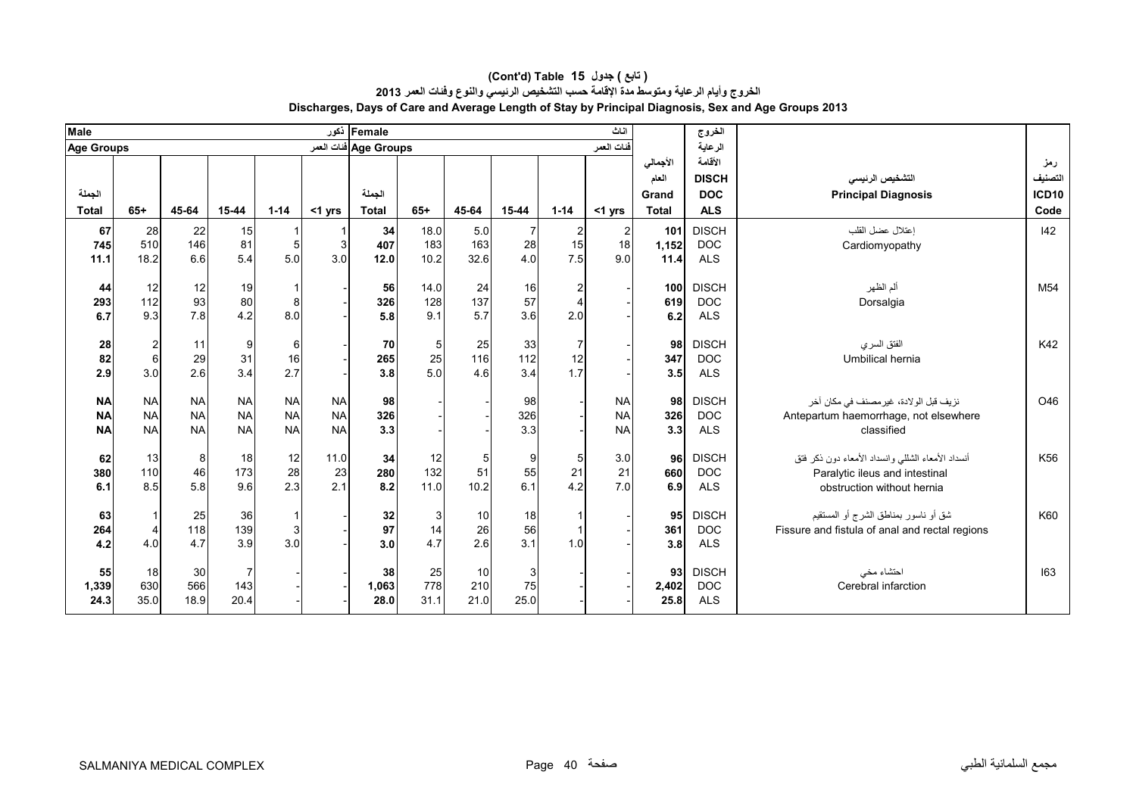| <b>Male</b>            |                        |                        |                        |                        |                        | Female  ذکور          |             |           |            |          | اثاث                   |              | الخروج                   |                                                     |              |
|------------------------|------------------------|------------------------|------------------------|------------------------|------------------------|-----------------------|-------------|-----------|------------|----------|------------------------|--------------|--------------------------|-----------------------------------------------------|--------------|
| <b>Age Groups</b>      |                        |                        |                        |                        |                        | Age Groups فنات العمر |             |           |            |          | فّنات العمر            |              | الرعاية                  |                                                     |              |
|                        |                        |                        |                        |                        |                        |                       |             |           |            |          |                        | الأجمالى     | الأقامة                  |                                                     | رمز          |
|                        |                        |                        |                        |                        |                        |                       |             |           |            |          |                        | العام        | <b>DISCH</b>             | التشخيص الرنيسي                                     | التصنيف      |
| الجملة                 |                        |                        |                        |                        |                        | الجملة                |             |           |            |          |                        | Grand        | <b>DOC</b>               | <b>Principal Diagnosis</b>                          | <b>ICD10</b> |
| <b>Total</b>           | $65+$                  | 45-64                  | 15-44                  | $1 - 14$               | $<$ 1 yrs              | <b>Total</b>          | $65+$       | 45-64     | 15-44      | $1 - 14$ | <1 yrs                 | <b>Total</b> | <b>ALS</b>               |                                                     | Code         |
| 67                     | 28                     | 22                     | 15                     |                        |                        | 34                    | 18.0        | 5.0       |            | 2        | $\overline{2}$         | 101          | <b>DISCH</b>             | اعتلال عضل القلب                                    | $ 42\rangle$ |
| 745                    | 510                    | 146                    | 81                     | 5                      | 3                      | 407                   | 183         | 163       | 28         | 15       | 18                     | 1,152        | <b>DOC</b>               | Cardiomyopathy                                      |              |
| 11.1                   | 18.2                   | 6.6                    | 5.4                    | 5.0                    | 3.0                    | 12.0                  | 10.2        | 32.6      | 4.0        | 7.5      | 9.0                    | 11.4         | <b>ALS</b>               |                                                     |              |
|                        |                        |                        |                        |                        |                        |                       |             |           |            |          |                        |              | <b>DISCH</b>             |                                                     | M54          |
| 44<br>293              | 12<br>112              | 12<br>93               | 19<br>80               | 8                      |                        | 56<br>326             | 14.0<br>128 | 24<br>137 | 16<br>57   | 2        |                        | 100<br>619   | <b>DOC</b>               | ألم الظهر<br>Dorsalgia                              |              |
| 6.7                    | 9.3                    | 7.8                    | 4.2                    | 8.0                    |                        | 5.8                   | 9.1         | 5.7       | 3.6        | 2.0      |                        | 6.2          | <b>ALS</b>               |                                                     |              |
|                        |                        |                        |                        |                        |                        |                       |             |           |            |          |                        |              |                          |                                                     |              |
| 28                     | $\mathbf{2}$           | 11                     | 9                      | 6                      |                        | 70                    |             | 25        | 33         | 7        |                        | 98           | <b>DISCH</b>             | الفتق السرى                                         | K42          |
| 82                     | $6\phantom{1}$         | 29                     | 31                     | 16                     |                        | 265                   | 25          | 116       | 112        | 12       |                        | 347          | <b>DOC</b>               | Umbilical hernia                                    |              |
| 2.9                    | 3.0                    | 2.6                    | 3.4                    | 2.7                    |                        | 3.8                   | 5.0         | 4.6       | 3.4        | 1.7      |                        | 3.5          | <b>ALS</b>               |                                                     |              |
|                        |                        |                        |                        |                        |                        |                       |             |           |            |          |                        |              |                          |                                                     |              |
| <b>NA</b>              | <b>NA</b><br><b>NA</b> | <b>NA</b><br><b>NA</b> | <b>NA</b><br><b>NA</b> | <b>NA</b><br><b>NA</b> | <b>NA</b><br><b>NA</b> | 98                    |             |           | 98         |          | <b>NA</b>              | 98           | <b>DISCH</b>             | نزيف قبل الولادة، غير مصنف في مكان آخر              | O46          |
| <b>NA</b><br><b>NA</b> | <b>NA</b>              | <b>NA</b>              | <b>NA</b>              | <b>NA</b>              | <b>NA</b>              | 326<br>3.3            |             |           | 326<br>3.3 |          | <b>NA</b><br><b>NA</b> | 326<br>3.3   | <b>DOC</b><br><b>ALS</b> | Antepartum haemorrhage, not elsewhere<br>classified |              |
|                        |                        |                        |                        |                        |                        |                       |             |           |            |          |                        |              |                          |                                                     |              |
| 62                     | 13                     | 8                      | 18                     | 12                     | 11.0                   | 34                    | 12          |           | 9          |          | 3.0                    | 96           | <b>DISCH</b>             | أنسداد الأمعاء الشللبي وانسداد الأمعاء دون ذكر فتق  | K56          |
| 380                    | 110                    | 46                     | 173                    | 28                     | 23                     | 280                   | 132         | 51        | 55         | 21       | 21                     | 660          | <b>DOC</b>               | Paralytic ileus and intestinal                      |              |
| 6.1                    | 8.5                    | 5.8                    | 9.6                    | 2.3                    | 2.1                    | 8.2                   | 11.0        | 10.2      | 6.1        | 4.2      | 7.0                    | 6.9          | <b>ALS</b>               | obstruction without hernia                          |              |
|                        |                        |                        |                        |                        |                        |                       |             |           |            |          |                        |              |                          |                                                     |              |
| 63                     | $\mathbf{1}$           | 25                     | 36                     |                        |                        | 32                    | 3           | 10        | 18         |          |                        | 95           | <b>DISCH</b>             | شق أو ناسور بمناطق الشرج أو المستقيم                | K60          |
| 264                    | $\overline{4}$         | 118                    | 139                    | 3                      |                        | 97                    | 14          | 26        | 56         |          |                        | 361          | <b>DOC</b>               | Fissure and fistula of anal and rectal regions      |              |
| 4.2                    | 4.0                    | 4.7                    | 3.9                    | 3.0                    |                        | 3.0                   | 4.7         | 2.6       | 3.1        | 1.0      |                        | 3.8          | <b>ALS</b>               |                                                     |              |
| 55                     | 18                     | 30 <sub>l</sub>        |                        |                        |                        | 38                    | 25          | 10        |            |          |                        | 93           | <b>DISCH</b>             | احتشاء مخى                                          | 163          |
| 1,339                  | 630                    | 566                    | 143                    |                        |                        | 1,063                 | 778         | 210       | 75         |          |                        | 2,402        | <b>DOC</b>               | Cerebral infarction                                 |              |
| 24.3                   | 35.0                   | 18.9                   | 20.4                   |                        |                        | 28.0                  | 31.1        | 21.0      | 25.0       |          |                        | 25.8         | <b>ALS</b>               |                                                     |              |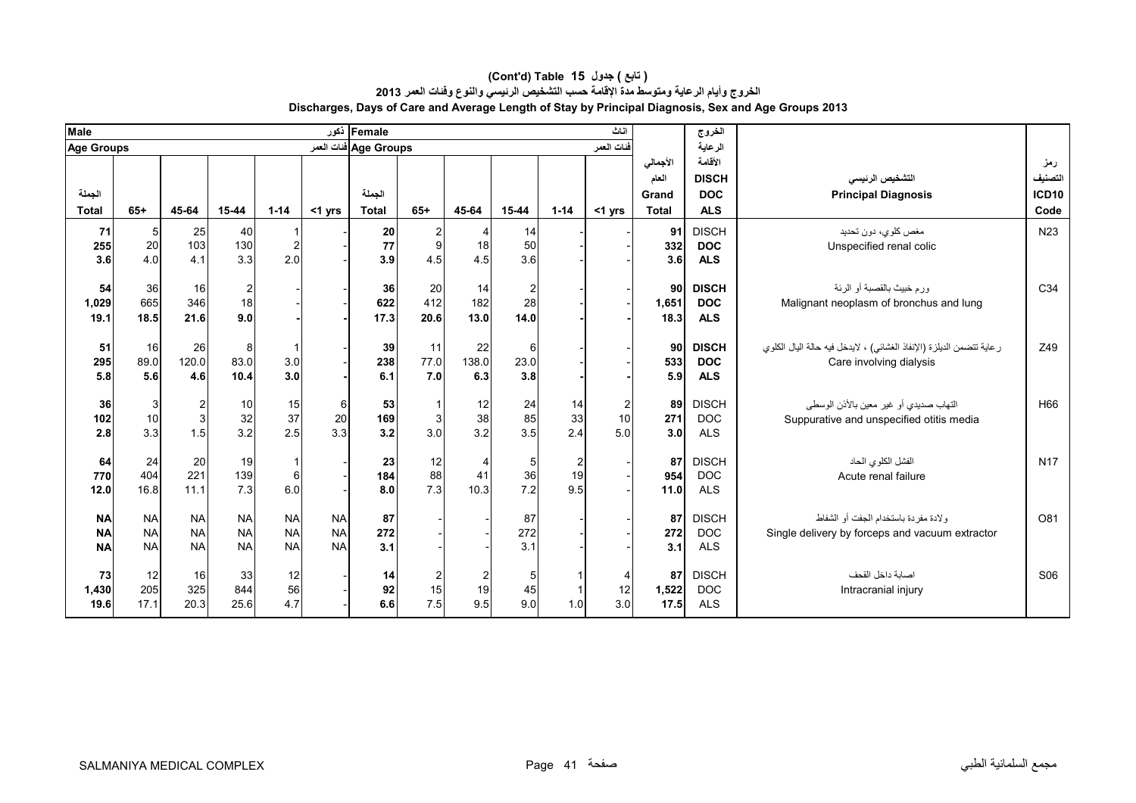| <b>Male</b>  |                 |                |                |                     |           | Female ذکور           |           |       |                |                      | اثاث       |              | الخروج       |                                                                       |                 |
|--------------|-----------------|----------------|----------------|---------------------|-----------|-----------------------|-----------|-------|----------------|----------------------|------------|--------------|--------------|-----------------------------------------------------------------------|-----------------|
| Age Groups   |                 |                |                |                     |           | Age Groups فنات العمر |           |       |                |                      | فنات العمر |              | الرعاية      |                                                                       |                 |
|              |                 |                |                |                     |           |                       |           |       |                |                      |            | الأجمالي     | الأقامة      |                                                                       | رمز             |
|              |                 |                |                |                     |           |                       |           |       |                |                      |            | العام        | <b>DISCH</b> | التشخيص الرنيسى                                                       | التصنيف         |
| الجملة       |                 |                |                |                     |           | الجملة                |           |       |                |                      |            | Grand        | <b>DOC</b>   | <b>Principal Diagnosis</b>                                            | <b>ICD10</b>    |
| <b>Total</b> | $65+$           | 45-64          | 15-44          | $1 - 14$            | $<$ 1 yrs | <b>Total</b>          | $65+$     | 45-64 | 15-44          | $1 - 14$             | $<$ 1 yrs  | <b>Total</b> | <b>ALS</b>   |                                                                       | Code            |
| 71           | $5\overline{)}$ | 25             | 40             |                     |           | 20                    |           |       | 14             |                      |            | 91           | <b>DISCH</b> | مغص كلوي، دون تحديد                                                   | N <sub>23</sub> |
| 255          | 20              | 103            | 130            | 2                   |           | 77                    | 9         | 18    | 50             |                      |            | 332          | <b>DOC</b>   | Unspecified renal colic                                               |                 |
| 3.6          | 4.0             | 4.1            | 3.3            | 2.0                 |           | 3.9                   | 4.5       | 4.5   | 3.6            |                      |            | 3.6          | <b>ALS</b>   |                                                                       |                 |
|              |                 |                |                |                     |           |                       |           |       |                |                      |            |              |              |                                                                       |                 |
| 54           | 36              | 16             | $\overline{2}$ |                     |           | 36                    | 20        | 14    | $\overline{2}$ |                      |            | 90           | <b>DISCH</b> | ورم خبيث بالقصبة أو الرئة                                             | C34             |
| 1,029        | 665             | 346<br>21.6    | 18<br>9.0      |                     |           | 622                   | 412       | 182   | 28             |                      |            | 1,651        | <b>DOC</b>   | Malignant neoplasm of bronchus and lung                               |                 |
| 19.1         | 18.5            |                |                |                     |           | 17.3                  | 20.6      | 13.0  | 14.0           |                      |            | 18.3         | <b>ALS</b>   |                                                                       |                 |
| 51           | 16              | 26             | 8              | -1                  |           | 39                    | 11        | 22    | 6              |                      |            | 90           | <b>DISCH</b> | ر عاية تتضمن الديلزة (الإنفاذ الغشائي) ، لايدخل فيه حالة اليال الكلوي | Z49             |
| 295          | 89.0            | 120.0          | 83.0           | 3.0                 |           | 238                   | 77.0      | 138.0 | 23.0           |                      |            | 533          | <b>DOC</b>   | Care involving dialysis                                               |                 |
| 5.8          | 5.6             | 4.6            | 10.4           | 3.0 <sub>l</sub>    |           | 6.1                   | 7.0       | 6.3   | 3.8            |                      |            | 5.9          | <b>ALS</b>   |                                                                       |                 |
|              |                 |                |                |                     |           |                       |           |       |                |                      |            |              |              |                                                                       |                 |
| 36           | 3               | $\overline{2}$ | 10             | 15                  | 6         | 53                    |           | 12    | 24             | 14                   | 2          | 89           | <b>DISCH</b> | التهاب صديدي أو غير معين بالأذن الوسطى                                | H66             |
| 102          | 10              | 3              | 32             | 37                  | 20        | 169                   |           | 38    | 85             | 33                   | 10         | 271          | <b>DOC</b>   | Suppurative and unspecified otitis media                              |                 |
| 2.8          | 3.3             | 1.5            | 3.2            | 2.5                 | 3.3       | 3.2                   | 3.0       | 3.2   | 3.5            | 2.4                  | 5.0        | 3.0          | <b>ALS</b>   |                                                                       |                 |
|              |                 |                |                |                     |           |                       |           |       |                |                      |            |              | <b>DISCH</b> |                                                                       | <b>N17</b>      |
| 64<br>770    | 24<br>404       | 20<br>221      | 19<br>139      | $\overline{1}$<br>6 |           | 23<br>184             | 12<br>88  | 41    | 5<br>36        | $\overline{2}$<br>19 |            | 87<br>954    | <b>DOC</b>   | الفشل الكلوي الحاد<br>Acute renal failure                             |                 |
| 12.0         | 16.8            | 11.1           | 7.3            | 6.0                 |           | 8.0                   | 7.3       | 10.3  | 7.2            | 9.5                  |            | 11.0         | <b>ALS</b>   |                                                                       |                 |
|              |                 |                |                |                     |           |                       |           |       |                |                      |            |              |              |                                                                       |                 |
| <b>NA</b>    | <b>NA</b>       | <b>NA</b>      | <b>NA</b>      | <b>NA</b>           | <b>NA</b> | 87                    |           |       | 87             |                      |            | 87           | <b>DISCH</b> | ولادة مفردة باستخدام الجفت أو الشفاط                                  | O81             |
| <b>NA</b>    | <b>NA</b>       | <b>NA</b>      | <b>NA</b>      | <b>NA</b>           | <b>NA</b> | 272                   |           |       | 272            |                      |            | 272          | <b>DOC</b>   | Single delivery by forceps and vacuum extractor                       |                 |
| <b>NA</b>    | <b>NA</b>       | <b>NA</b>      | <b>NA</b>      | <b>NA</b>           | <b>NA</b> | 3.1                   |           |       | 3.1            |                      |            | 3.1          | <b>ALS</b>   |                                                                       |                 |
|              |                 |                |                |                     |           |                       |           |       |                |                      |            |              |              |                                                                       |                 |
| 73           | 12              | 16             | 33             | 12                  |           | 14                    |           |       |                |                      |            | 87           | <b>DISCH</b> | اصابة داخل القحف                                                      | S06             |
| 1,430        | 205<br>17.1     | 325            | 844<br>25.6    | 56<br>4.7           |           | 92<br>6.6             | 15<br>7.5 | 19    | 45<br>9.0      |                      | 12         | 1,522        | <b>DOC</b>   | Intracranial injury                                                   |                 |
| 19.6         |                 | 20.3           |                |                     |           |                       |           | 9.5   |                | 1.0                  | 3.0        | 17.5         | <b>ALS</b>   |                                                                       |                 |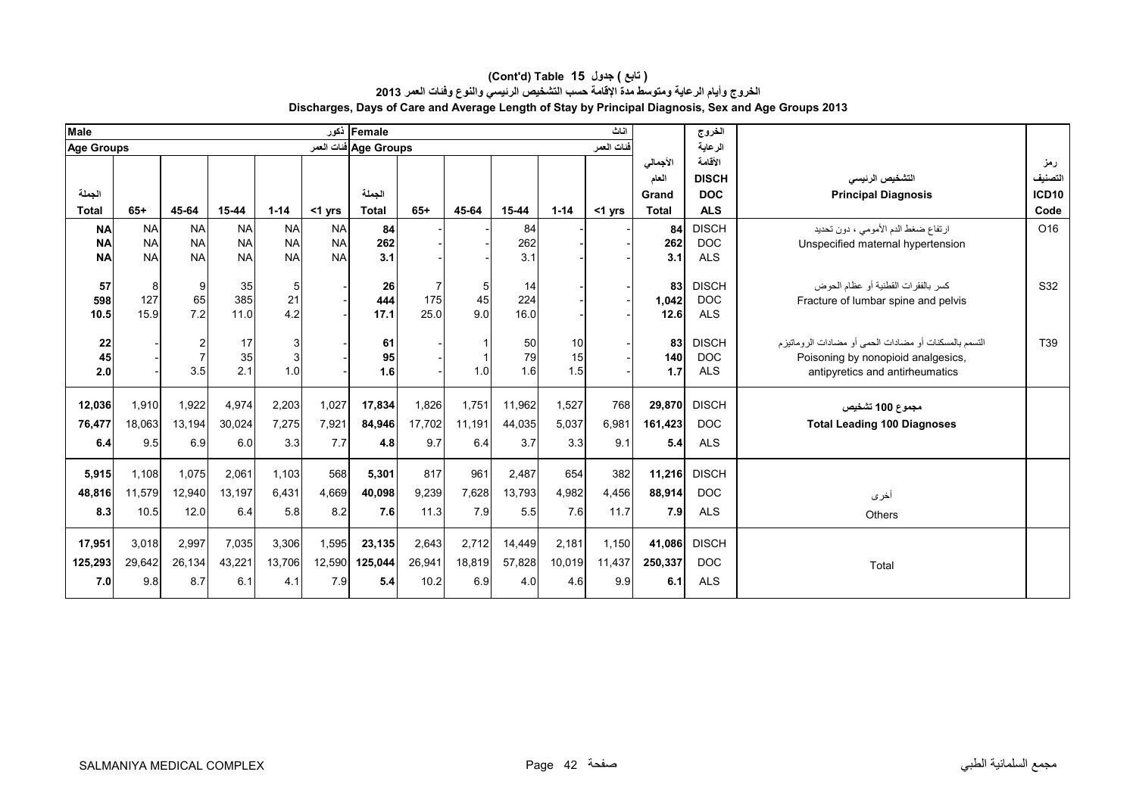| <b>Male</b>       |           |                |           |                  |           | Female أخور           |        |        |        |          | اناث       |              | الخروج       |                                                         |                   |
|-------------------|-----------|----------------|-----------|------------------|-----------|-----------------------|--------|--------|--------|----------|------------|--------------|--------------|---------------------------------------------------------|-------------------|
| <b>Age Groups</b> |           |                |           |                  |           | Age Groups فنات العمر |        |        |        |          | فنات العمر |              | الر عاية     |                                                         |                   |
|                   |           |                |           |                  |           |                       |        |        |        |          |            | الأجمالى     | الأقامة      |                                                         | رمز               |
|                   |           |                |           |                  |           |                       |        |        |        |          |            | العام        | <b>DISCH</b> | التشخيص الرنيسى                                         | التصنيف           |
| الجملة            |           |                |           |                  |           | الجملة                |        |        |        |          |            | Grand        | <b>DOC</b>   | <b>Principal Diagnosis</b>                              | ICD <sub>10</sub> |
| <b>Total</b>      | $65+$     | 45-64          | 15-44     | $1 - 14$         | $<$ 1 yrs | <b>Total</b>          | $65+$  | 45-64  | 15-44  | $1 - 14$ | $<$ 1 yrs  | <b>Total</b> | <b>ALS</b>   |                                                         | Code              |
| <b>NA</b>         | <b>NA</b> | <b>NA</b>      | <b>NA</b> | <b>NA</b>        | <b>NA</b> | 84                    |        |        | 84     |          |            | 84           | <b>DISCH</b> | ارتفاع ضغط الدم الأمومي ، دون تحديد                     | O <sub>16</sub>   |
| <b>NA</b>         | <b>NA</b> | <b>NA</b>      | <b>NA</b> | <b>NA</b>        | <b>NA</b> | 262                   |        |        | 262    |          |            | 262          | <b>DOC</b>   | Unspecified maternal hypertension                       |                   |
| <b>NA</b>         | <b>NA</b> | <b>NA</b>      | <b>NA</b> | <b>NA</b>        | <b>NA</b> | 3.1                   |        |        | 3.1    |          |            | 3.1          | <b>ALS</b>   |                                                         |                   |
| 57                | 8         | 9              | 35        | $5 \,$           |           | 26                    |        | 5      | 14     |          |            | 83           | <b>DISCH</b> | كسر بالفقر ات القطنية أو عظام الحوض                     | S32               |
| 598               | 127       | 65             | 385       | 21               |           | 444                   | 175    | 45     | 224    |          |            | 1,042        | <b>DOC</b>   | Fracture of lumbar spine and pelvis                     |                   |
| 10.5              | 15.9      | 7.2            | 11.0      | 4.2              |           | 17.1                  | 25.0   | 9.0    | 16.0   |          |            | 12.6         | <b>ALS</b>   |                                                         |                   |
|                   |           |                |           |                  |           |                       |        |        |        |          |            |              |              |                                                         |                   |
| 22                |           | 2              | 17        | $\overline{3}$   |           | 61                    |        |        | 50     | 10       |            | 83           | <b>DISCH</b> | التسمم بالمسكنات أو مضادات الحمى أو مضادات الر وماتيز م | T39               |
| 45                |           | $\overline{7}$ | 35        |                  |           | 95                    |        |        | 79     | 15       |            | 140          | <b>DOC</b>   | Poisoning by nonopioid analgesics,                      |                   |
| 2.0               |           | 3.5            | 2.1       | 1.0              |           | 1.6                   |        | 1.0    | 1.6    | 1.5      |            | 1.7          | <b>ALS</b>   | antipyretics and antirheumatics                         |                   |
|                   |           |                |           |                  |           |                       |        |        |        |          |            |              |              |                                                         |                   |
| 12,036            | 1,910     | 1,922          | 4,974     | 2,203            | 1,027     | 17,834                | 1,826  | 1,751  | 11,962 | 1,527    | 768        | 29,870       | <b>DISCH</b> | مجموع 100 تشخيص                                         |                   |
| 76,477            | 18,063    | 13,194         | 30,024    | 7,275            | 7,921     | 84,946                | 17,702 | 11,191 | 44,035 | 5,037    | 6.981      | 161,423      | <b>DOC</b>   | <b>Total Leading 100 Diagnoses</b>                      |                   |
| 6.4               | 9.5       | 6.9            | 6.0       | 3.3 <sup>1</sup> | 7.7       | 4.8                   | 9.7    | 6.4    | 3.7    | 3.3      | 9.1        | 5.4          | <b>ALS</b>   |                                                         |                   |
|                   |           |                |           |                  |           |                       |        |        |        |          |            |              |              |                                                         |                   |
| 5,915             | 1,108     | 1,075          | 2,061     | 1.103            | 568       | 5,301                 | 817    | 961    | 2,487  | 654      | 382        | 11,216       | <b>DISCH</b> |                                                         |                   |
| 48,816            | 11,579    | 12,940         | 13.197    | 6.431            | 4,669     | 40,098                | 9,239  | 7.628  | 13,793 | 4,982    | 4,456      | 88,914       | <b>DOC</b>   | أخرى                                                    |                   |
| 8.3               | 10.5      | 12.0           | 6.4       | 5.8              |           | 7.6                   | 11.3   | 7.9    | 5.5    | 7.6      | 11.7       | 7.9          | <b>ALS</b>   |                                                         |                   |
|                   |           |                |           |                  | 8.2       |                       |        |        |        |          |            |              |              | Others                                                  |                   |
| 17,951            | 3,018     | 2,997          | 7,035     | 3,306            | 1,595     | 23,135                | 2,643  | 2,712  | 14,449 | 2,181    | 1,150      | 41,086       | <b>DISCH</b> |                                                         |                   |
|                   |           |                |           |                  |           |                       |        |        |        |          |            |              |              |                                                         |                   |
| 125,293           | 29,642    | 26,134         | 43,221    | 13,706           | 12,590    | 125,044               | 26,941 | 18,819 | 57,828 | 10,019   | 11,437     | 250,337      | <b>DOC</b>   | Total                                                   |                   |
| 7.0               | 9.8       | 8.7            | 6.1       | 4.1              | 7.9       | 5.4                   | 10.2   | 6.9    | 4.0    | 4.6      | 9.9        | 6.1          | <b>ALS</b>   |                                                         |                   |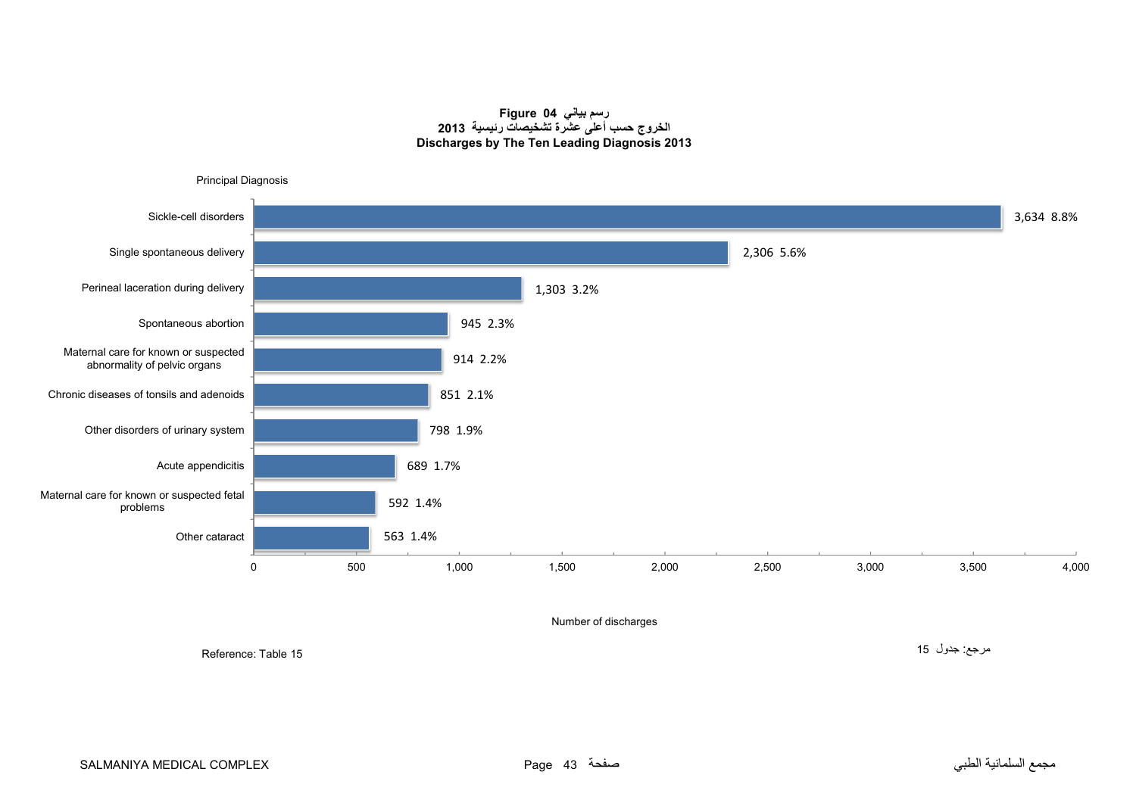#### **رسم بياني 04 Figure الخروج حسب أعلى عشرة تشخيصات رئيسية <sup>2013</sup> Discharges by The Ten Leading Diagnosis 2013**

<span id="page-42-0"></span>

Reference: Table 15

مرجع: جدول <sup>15</sup>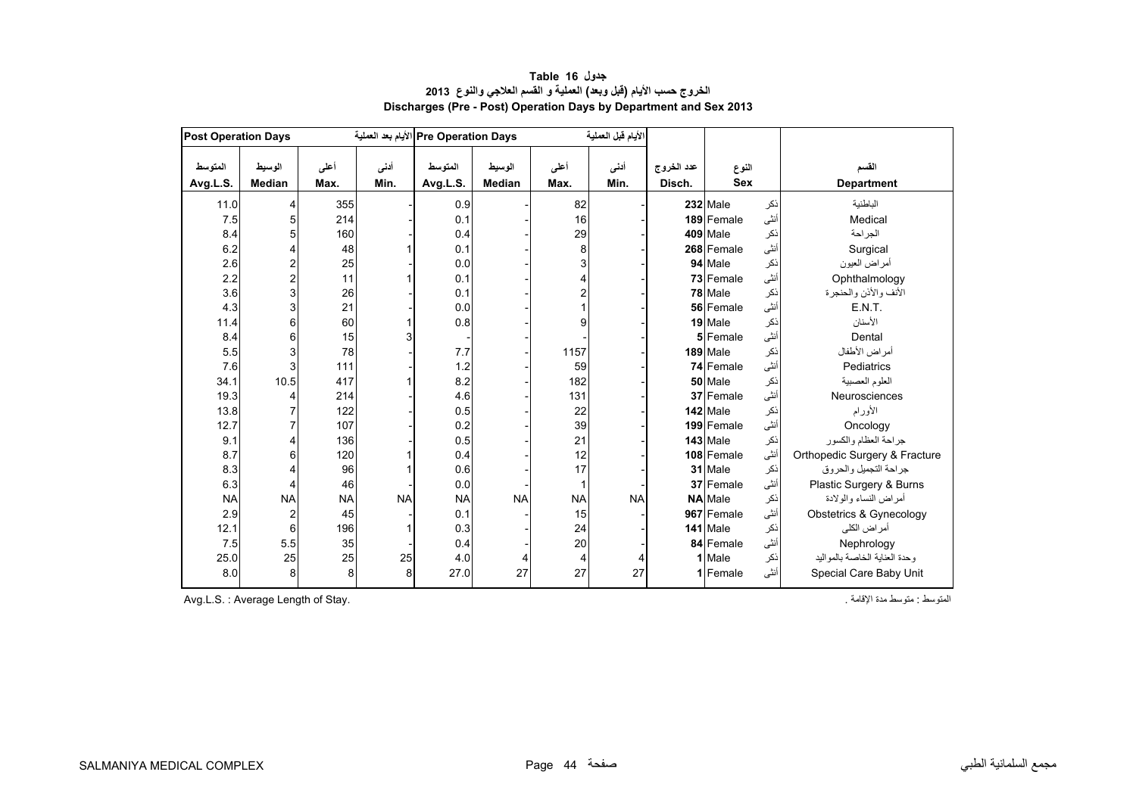<span id="page-43-0"></span>

| <b>Post Operation Days</b> |                         |              |              | Pre Operation Days الأيام بعد العملية |                         |              | الأيام قبل العملية |                      |                     |      |                               |
|----------------------------|-------------------------|--------------|--------------|---------------------------------------|-------------------------|--------------|--------------------|----------------------|---------------------|------|-------------------------------|
| المتوسط<br>Avg.L.S.        | الوسيط<br><b>Median</b> | أعلى<br>Max. | أدنى<br>Min. | المتوسط<br>Avg.L.S.                   | الوسيط<br><b>Median</b> | أعلى<br>Max. | أدنى<br>Min.       | عدد الخروج<br>Disch. | النوع<br><b>Sex</b> |      | القسم<br><b>Department</b>    |
| 11.0                       | 4                       | 355          |              | 0.9                                   |                         | 82           |                    |                      | 232 Male            | نكر  | الباطنية                      |
| 7.5                        | 5                       | 214          |              | 0.1                                   |                         | 16           |                    |                      | 189 Female          | أنثى | Medical                       |
| 8.4                        | 5                       | 160          |              | 0.4                                   |                         | 29           |                    |                      | 409 Male            | نكر  | الجراحة                       |
| 6.2                        | 4                       | 48           |              | 0.1                                   |                         | 8            |                    |                      | 268 Female          | أنثى | Surgical                      |
| 2.6                        | $\overline{\mathbf{c}}$ | 25           |              | 0.0                                   |                         | 3            |                    |                      | 94 Male             | نكر  | أمراض العيون                  |
| 2.2                        | $\overline{c}$          | 11           |              | 0.1                                   |                         | 4            |                    |                      | 73 Female           | أنثى | Ophthalmology                 |
| 3.6                        | 3                       | 26           |              | 0.1                                   |                         | 2            |                    |                      | 78 Male             | نكر  | الأنف والأذن والحنجرة         |
| 4.3                        | 3                       | 21           |              | 0.0                                   |                         | 1            |                    |                      | 56 Female           | أنثى | E.N.T.                        |
| 11.4                       | 6                       | 60           |              | 0.8                                   |                         | 9            |                    |                      | 19 Male             | نكر  | الأسنان                       |
| 8.4                        | 6                       | 15           |              |                                       |                         |              |                    |                      | 5 Female            | أنثى | Dental                        |
| 5.5                        | 3                       | 78           |              | 7.7                                   |                         | 1157         |                    |                      | 189 Male            | نكر  | أمراض الأطفال                 |
| 7.6                        | 3                       | 111          |              | 1.2                                   |                         | 59           |                    |                      | 74 Female           | أنثى | Pediatrics                    |
| 34.1                       | 10.5                    | 417          |              | 8.2                                   |                         | 182          |                    |                      | 50 Male             | نكر  | العلوم العصبية                |
| 19.3                       | 4                       | 214          |              | 4.6                                   |                         | 131          |                    |                      | 37 Female           | أنثى | Neurosciences                 |
| 13.8                       | 7                       | 122          |              | 0.5                                   |                         | 22           |                    |                      | 142 Male            | نكر  | الأورام                       |
| 12.7                       | $\overline{7}$          | 107          |              | 0.2                                   |                         | 39           |                    |                      | 199 Female          | أنثى | Oncology                      |
| 9.1                        | 4                       | 136          |              | 0.5                                   |                         | 21           |                    |                      | $143$ Male          | نكر  | جراحة العظام والكسور          |
| 8.7                        | 6                       | 120          |              | 0.4                                   |                         | 12           |                    |                      | 108 Female          | أنثى | Orthopedic Surgery & Fracture |
| 8.3                        | 4                       | 96           |              | 0.6                                   |                         | 17           |                    |                      | 31 Male             | نكر  | جراحة التجميل والحروق         |
| 6.3                        | 4                       | 46           |              | 0.0                                   |                         | 1            |                    |                      | 37 Female           | أنثى | Plastic Surgery & Burns       |
| <b>NA</b>                  | <b>NA</b>               | <b>NA</b>    | <b>NA</b>    | <b>NA</b>                             | <b>NA</b>               | <b>NA</b>    | <b>NA</b>          |                      | <b>NA</b> Male      | نكر  | أمراض النساء والولادة         |
| 2.9                        | $\overline{\mathbf{c}}$ | 45           |              | 0.1                                   |                         | 15           |                    |                      | 967 Female          | أنثى | Obstetrics & Gynecology       |
| 12.1                       | 6                       | 196          |              | 0.3                                   |                         | 24           |                    |                      | 141 Male            | نكر  | أمر اض الكلي                  |
| 7.5                        | 5.5                     | 35           |              | 0.4                                   |                         | 20           |                    |                      | 84 Female           | أنثى | Nephrology                    |
| 25.0                       | 25                      | 25           | 25           | 4.0                                   | 4                       | 4            | 4                  |                      | 1 Male              | ذكر  | وحدة العناية الخاصة بالمواليد |
| 8.0                        | 8                       | 8            | 8            | 27.0                                  | 27                      | 27           | 27                 |                      | 1 Female            | أنثى | Special Care Baby Unit        |

# **جدول 16 Table الخروج حسب األيام (قبل وبعد) العملية <sup>و</sup> القسم العالجي والنوع <sup>2013</sup> Discharges (Pre - Post) Operation Days by Department and Sex 2013**

Avg.L.S. : Average Length of Stay. . اإلقامة مدة متوسط : المتوسط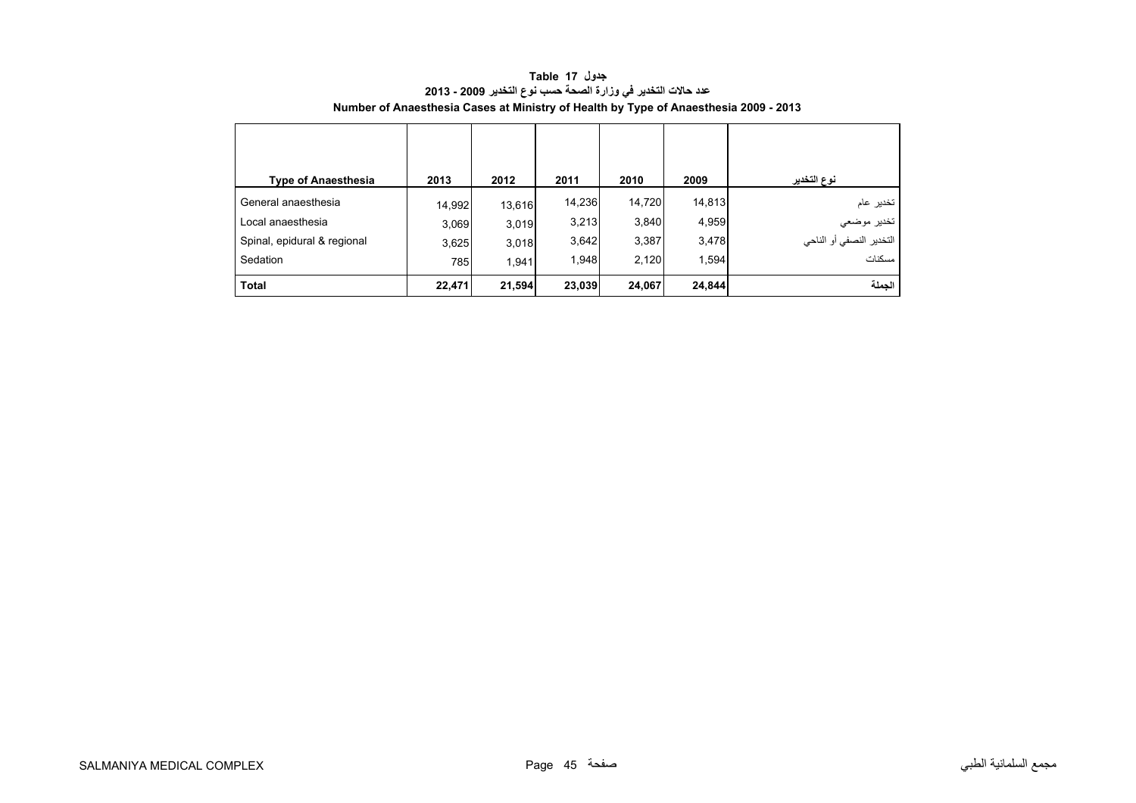<span id="page-44-0"></span>

| <b>Type of Anaesthesia</b>  | 2013   | 2012   | 2011   | 2010   | 2009   | نوع التخدير                   |
|-----------------------------|--------|--------|--------|--------|--------|-------------------------------|
| General anaesthesia         | 14,992 | 13,616 | 14,236 | 14,720 | 14,813 | تخدير عام                     |
| Local anaesthesia           | 3,069  | 3,019  | 3,213  | 3,840  | 4,959  | تخدير موضعي                   |
| Spinal, epidural & regional | 3,625  | 3,018  | 3,642  | 3,387  | 3,478  | .<br>التخدير النصفي أو الناحي |
| Sedation                    | 785    | 1.941  | 1,948  | 2,120  | 1,594  | مسكنات                        |
| <b>Total</b>                | 22,471 | 21,594 | 23,039 | 24,067 | 24,844 | الجملة                        |

**جدول 17 Table عدد حاالت التخدير في وزارة الصحة حسب نوع التخدير 2009 - 2013 Number of Anaesthesia Cases at Ministry of Health by Type of Anaesthesia 2009 - 2013**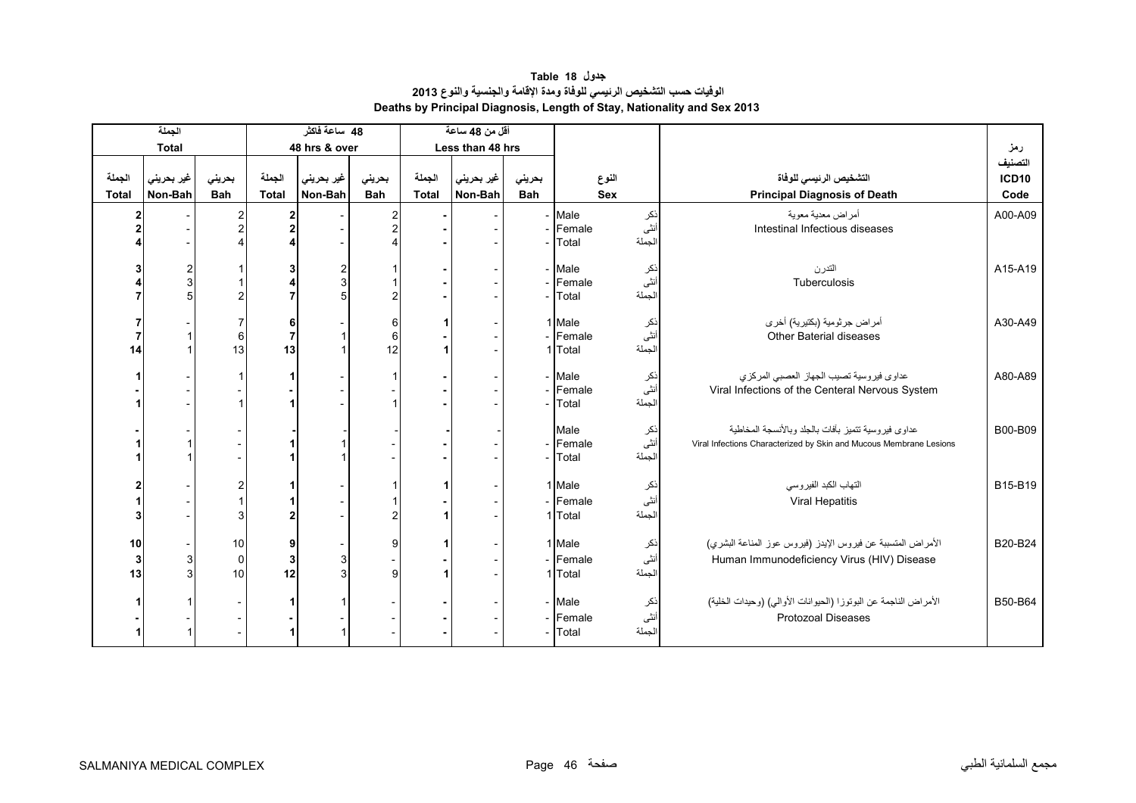# **جدول 18 Table الوفيات حسب التشخيص الرئيسي للوفاة ومدة اإلقامة والجنسية والنوع <sup>2013</sup> Deaths by Principal Diagnosis, Length of Stay, Nationality and Sex 2013**

<span id="page-45-0"></span>

|              | الجملة         |                |                         | 48 ساعة فاكثر |                |              | أقل من 48 ساعة   |            |                   |                |                                                                    |              |
|--------------|----------------|----------------|-------------------------|---------------|----------------|--------------|------------------|------------|-------------------|----------------|--------------------------------------------------------------------|--------------|
|              | <b>Total</b>   |                |                         | 48 hrs & over |                |              | Less than 48 hrs |            |                   |                |                                                                    | رمز          |
|              |                |                |                         |               |                |              |                  |            |                   |                |                                                                    | التصنيف      |
| الجملة       | غير بحريني     | بحريني         | الجملة                  | غير بحريني    | بحريني         | الجملة       | غير بحريني       | بحريني     |                   | النوع          | التشخيص الرئيسى للوفاة                                             | <b>ICD10</b> |
| <b>Total</b> | Non-Bah        | <b>Bah</b>     | <b>Total</b>            | Non-Bah       | <b>Bah</b>     | <b>Total</b> | Non-Bah          | <b>Bah</b> |                   | <b>Sex</b>     | <b>Principal Diagnosis of Death</b>                                | Code         |
| 2            |                | $\overline{c}$ | 2                       |               | 2              |              |                  |            | - Male            | نكر            | أمراض معدية معوية                                                  | A00-A09      |
|              |                | $\overline{2}$ | $\overline{\mathbf{2}}$ |               | $\overline{2}$ |              |                  |            | Female            | أنثى           | Intestinal Infectious diseases                                     |              |
|              |                |                |                         |               |                |              |                  |            | Total             | الجملة         |                                                                    |              |
|              | $\overline{c}$ |                | 3                       | 2             |                |              |                  |            | - Male            | نكر            | التدرن                                                             | A15-A19      |
|              | $\mathbf{3}$   |                | 4                       | 3             |                |              |                  |            | Female            | أنثى           | Tuberculosis                                                       |              |
|              | 5              | $\overline{2}$ |                         | 5             | $\overline{c}$ |              |                  |            | Total             | الجملة         |                                                                    |              |
|              |                |                |                         |               |                |              |                  |            |                   |                |                                                                    |              |
|              |                | 7<br>6         | 6<br>$\overline{7}$     |               | 6<br>6         |              |                  |            | 1 Male<br>Female  | نکر<br>أنثى    | أمراض جرثومية (بكتيرية) أخرى<br><b>Other Baterial diseases</b>     | A30-A49      |
| 14           |                | 13             | 13                      |               | 12             |              |                  |            | Total             | الجملة         |                                                                    |              |
|              |                |                |                         |               |                |              |                  |            |                   |                |                                                                    |              |
|              |                |                |                         |               |                |              |                  |            | - Male            | نكر            | عداوى فيروسية تصيب الجهاز العصبي المركزي                           | A80-A89      |
|              |                |                |                         |               |                |              |                  |            | Female            | أنثَى          | Viral Infections of the Centeral Nervous System                    |              |
|              |                |                |                         |               |                |              |                  |            | Total             | الجملة         |                                                                    |              |
|              |                |                |                         |               |                |              |                  |            | Male              | نكر            | عداوى فيروسية تتميز بأفات بالجلد وبالأنسجة المخاطية                | B00-B09      |
|              |                |                |                         |               |                |              |                  |            | Female            | أنثى           | Viral Infections Characterized by Skin and Mucous Membrane Lesions |              |
|              |                |                |                         |               |                |              |                  |            | Total             | الجملة         |                                                                    |              |
|              |                | 2              |                         |               |                |              |                  |            | 1 Male            | نكر            | التهاب الكبد الفيروسي                                              | B15-B19      |
|              |                |                |                         |               |                |              |                  |            | Female            | أنثى           | Viral Hepatitis                                                    |              |
|              |                |                |                         |               | 2              |              |                  |            | 1 Total           | الجملة         |                                                                    |              |
|              |                |                |                         |               |                |              |                  |            |                   |                |                                                                    |              |
| 10           |                | 10             | 9                       |               | 9              |              |                  |            | 1 Male            | نكر            | الأمراض المتسببة عن فيروس الإيدز (فيروس عوز المناعة البشري)        | B20-B24      |
| 3            | 3              | $\overline{0}$ | 3                       | 3             |                |              |                  |            | - Female          | أنثى           | Human Immunodeficiency Virus (HIV) Disease                         |              |
| 13           | 3              | 10             | 12                      | 3             | 9              |              |                  |            | 1 Total           | الجملة         |                                                                    |              |
|              |                |                |                         |               |                |              |                  |            |                   |                |                                                                    |              |
|              |                |                |                         |               |                |              |                  |            | - Male            | نكر            | الأمراض الناجمة عن البوتوزا (الحيوانات الأوالى) (وحيدات الخلية)    | B50-B64      |
|              |                |                |                         |               |                |              |                  |            | - Female<br>Total | أنثى<br>الجملة | <b>Protozoal Diseases</b>                                          |              |
|              |                |                |                         |               |                |              |                  |            |                   |                |                                                                    |              |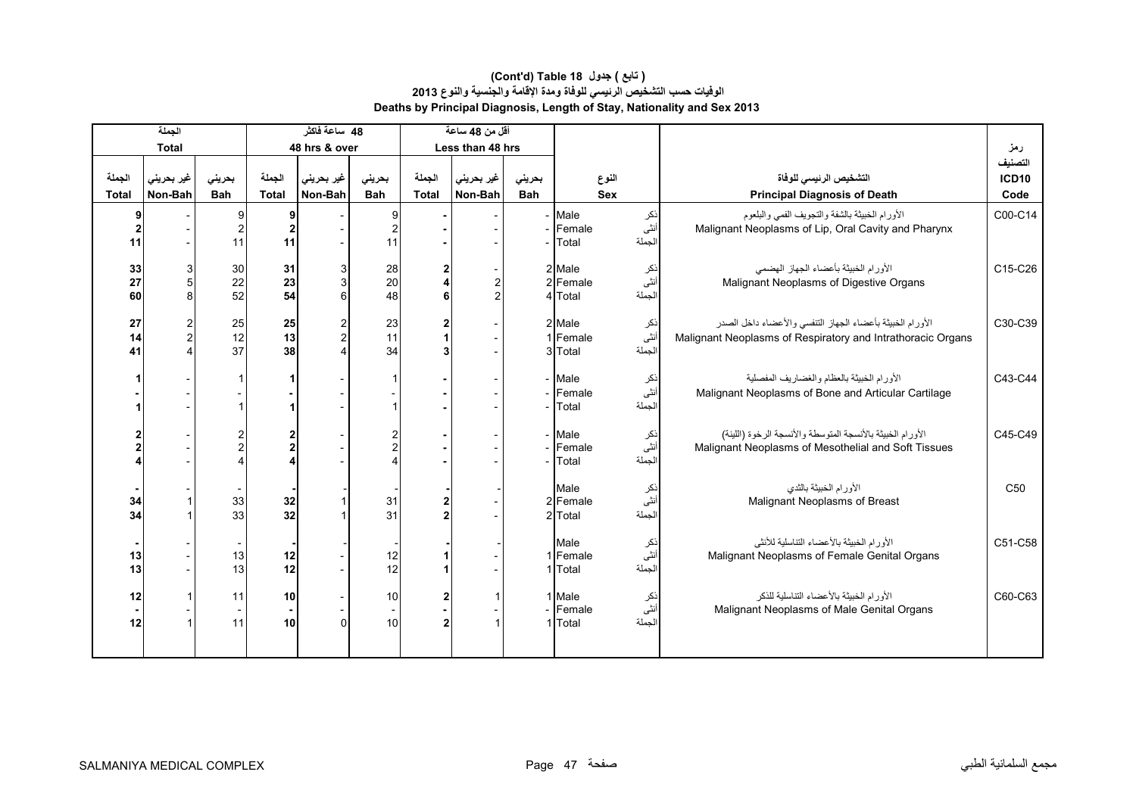|                        | الجملة                |                      |                        | 48 ساعة فاكثر                    |                      |                        | أقل من 48 ساعة                   |                      |                               |                       |             |                                                                                                                          |                          |
|------------------------|-----------------------|----------------------|------------------------|----------------------------------|----------------------|------------------------|----------------------------------|----------------------|-------------------------------|-----------------------|-------------|--------------------------------------------------------------------------------------------------------------------------|--------------------------|
|                        | <b>Total</b>          |                      |                        | 48 hrs & over                    |                      |                        | Less than 48 hrs                 |                      |                               |                       |             |                                                                                                                          | رمز                      |
| الجملة<br><b>Total</b> | غير بحريني<br>Non-Bah | بحريني<br><b>Bah</b> | الجملة<br><b>Total</b> | غير بحريني<br>Non-Bah            | بحريني<br><b>Bah</b> | الجملة<br><b>Total</b> | غير بحريني<br>Non-Bah            | بحرينى<br><b>Bah</b> |                               | النوع<br><b>Sex</b>   |             | التشخيص الرئيسى للوفاة<br><b>Principal Diagnosis of Death</b>                                                            | التصنيف<br>ICD10<br>Code |
| 11                     |                       | 11                   | 9<br>11                |                                  | 9<br>2<br>11         |                        |                                  |                      | Male<br>Female<br>Total       | الجملة                | نكر<br>أنثى | الأورام الخبيثة بالشفة والتجويف الفمى والبلعوم<br>Malignant Neoplasms of Lip, Oral Cavity and Pharynx                    | C00-C14                  |
| 33<br>27<br>60         | 5<br>$\mathsf{R}$     | 30<br>22<br>52       | 31<br>23<br>54         | 3<br>$\mathsf{3}$<br>6           | 28<br>20<br>48       | 4<br>6                 | $\overline{c}$<br>$\mathfrak{p}$ | $\overline{2}$       | 2 Male<br>Female<br>4 Total   | أنثى<br>الجملة        | نكر         | الأورام الخبيثة بأعضاء الجهاز الهضمى<br>Malignant Neoplasms of Digestive Organs                                          | C15-C26                  |
| 27<br>14<br>41         |                       | 25<br>12<br>37       | 25<br>13<br>38         | $\overline{2}$<br>$\overline{a}$ | 23<br>11<br>34       | 2<br>3                 |                                  |                      | 2 Male<br>1 Female<br>3 Total | الجملة                | نكر<br>أنثى | الأورام الخبيثة بأعضاء الجهاز التنفسي والأعضاء داخل الصدر<br>Malignant Neoplasms of Respiratory and Intrathoracic Organs | C30-C39                  |
|                        |                       |                      |                        |                                  |                      |                        |                                  |                      | Male<br>Female<br>Total       | أنثى<br>الجملة        | نكر         | الأورام الخبيثة بالعظام والغضاريف المفصلية<br>Malignant Neoplasms of Bone and Articular Cartilage                        | C43-C44                  |
|                        |                       |                      | 2<br>$\overline{2}$    |                                  | 2<br>$\overline{2}$  |                        |                                  |                      | Male<br>Female<br>Total       | ذکر<br>أنثى<br>الجملة |             | الأورام الخبيثة بالأنسجة المتوسطة والأنسجة الرخوة (اللينة)<br>Malignant Neoplasms of Mesothelial and Soft Tissues        | C45-C49                  |
| 34<br>34               |                       | 33<br>33             | 32<br>32               |                                  | 31<br>31             | $\overline{2}$         |                                  |                      | Male<br>2 Female<br>2 Total   | ذکر<br>انٹی<br>الجملة |             | الأورام الخبيثة بالثدى<br>Malignant Neoplasms of Breast                                                                  | C <sub>50</sub>          |
| 13<br>13               |                       | 13<br>13             | 12<br>12               |                                  | 12<br>12             |                        |                                  |                      | Male<br>Female<br>Total       | ذکر<br>أنثى<br>الجملة |             | الأورام الخبيثة بالأعضاء التناسلية للأنثى<br>Malignant Neoplasms of Female Genital Organs                                | C51-C58                  |
| 12<br>12               |                       | 11<br>11             | 10<br>10               | $\Omega$                         | 10<br>10             | 2<br>$\overline{2}$    |                                  |                      | 1 Male<br>Female<br>1 Total   | ذکر<br>انٹی<br>الجملة |             | الأورام الخبيثة بالأعضاء التناسلية للذكر<br>Malignant Neoplasms of Male Genital Organs                                   | C60-C63                  |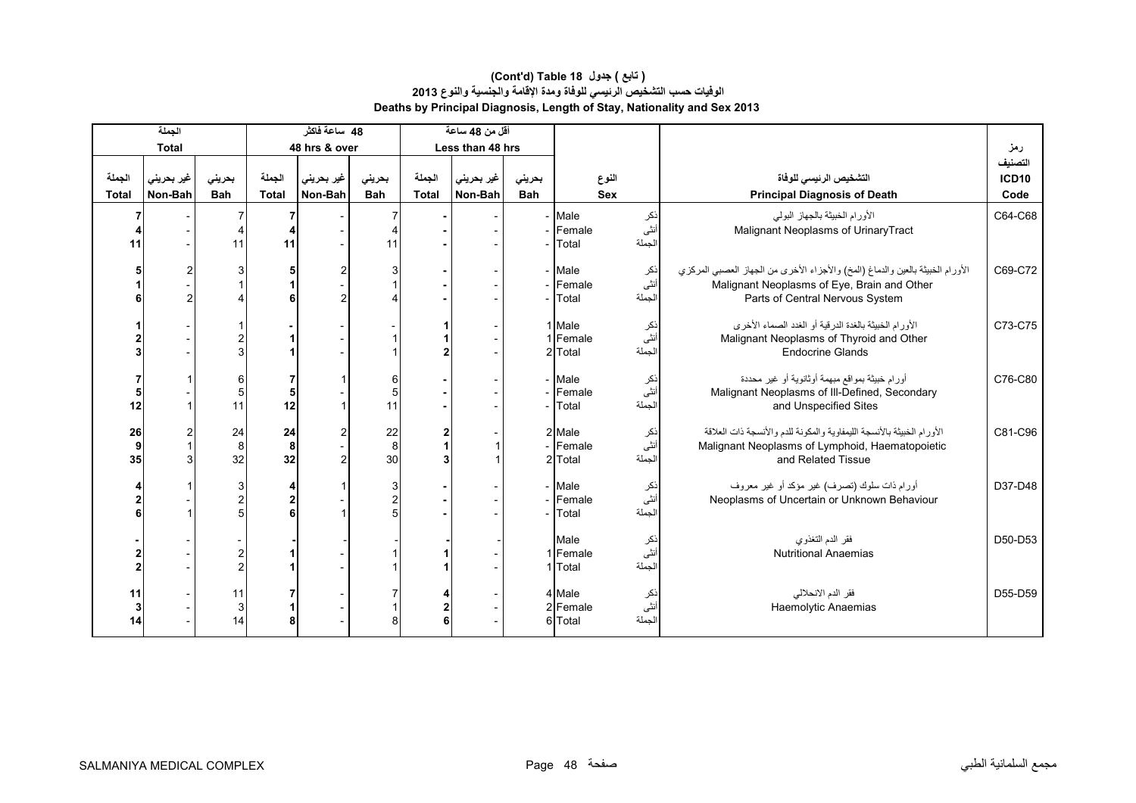|                        | الجملة                |                           |                          | 48 ساعة فاكثر         |                          |                        | أقل من 48 ساعة        |                      |                               |                         |                                                                                                                                                                  |                                 |
|------------------------|-----------------------|---------------------------|--------------------------|-----------------------|--------------------------|------------------------|-----------------------|----------------------|-------------------------------|-------------------------|------------------------------------------------------------------------------------------------------------------------------------------------------------------|---------------------------------|
|                        | <b>Total</b>          |                           |                          | 48 hrs & over         |                          |                        | Less than 48 hrs      |                      |                               |                         |                                                                                                                                                                  | رمز                             |
| الجملة<br><b>Total</b> | غير بحريني<br>Non-Bah | بحرينى<br><b>Bah</b>      | الجملة<br><b>Total</b>   | غير بحريني<br>Non-Bah | بحرينى<br><b>Bah</b>     | الجملة<br><b>Total</b> | غير بحريني<br>Non-Bah | بحريني<br><b>Bah</b> |                               | النوع<br><b>Sex</b>     | التشخيص الرئيسى للوفاة<br><b>Principal Diagnosis of Death</b>                                                                                                    | التصنيف<br><b>ICD10</b><br>Code |
| 11                     |                       | 11                        | 11                       |                       | 4<br>11                  |                        |                       |                      | - Male<br>- Female<br>Total   | نكر<br>أنثى<br>الجملة   | الأورام الخبيثة بالجهاز البولي<br>Malignant Neoplasms of Urinary Tract                                                                                           | C64-C68                         |
|                        |                       |                           | 5                        | 2<br>$\mathfrak{p}$   | 3                        |                        |                       |                      | - Male<br>- Female<br>Total   | ذکر<br>أنثى<br>الجملة   | الأورام الخبيثة بالعين والدماغ (المخ) والأجزاء الأخرى من الجهاز العصبي المركزي<br>Malignant Neoplasms of Eye, Brain and Other<br>Parts of Central Nervous System | C69-C72                         |
|                        |                       |                           |                          |                       |                          |                        |                       |                      | 1 Male<br>1 Female<br>2 Total | نكر<br>أنثىّ<br>الجملة  | الأورام الخبيثة بالغدة الدرقية أو الغدد الصماء الأخرى<br>Malignant Neoplasms of Thyroid and Other<br><b>Endocrine Glands</b>                                     | C73-C75                         |
| 12                     |                       | 6<br>$\overline{5}$<br>11 | 5<br>12                  |                       | 6<br>5<br>11             |                        |                       |                      | - Male<br>- Female<br>Total   | نكر<br>أنثى<br>الجملة   | أورام خبيثة بمواقع مبهمة أوثانوية أو غير محددة<br>Malignant Neoplasms of III-Defined, Secondary<br>and Unspecified Sites                                         | C76-C80                         |
| 26<br>9<br>35          |                       | 24<br>8<br>32             | 24<br>8<br>32            | 2<br>$\mathfrak{p}$   | 22<br>8<br>30            |                        |                       |                      | 2 Male<br>- Female<br>2 Total | ذکر<br>أنثى<br>الجملة   | الأورام الخبيثة بالأنسجة الليمفاوية والمكونة للدم والأنسجة ذات العلاقة<br>Malignant Neoplasms of Lymphoid, Haematopoietic<br>and Related Tissue                  | C81-C96                         |
|                        |                       | 3<br>$\overline{2}$       | 4<br>$\overline{2}$<br>ĥ |                       | 3<br>$\overline{c}$<br>5 |                        |                       |                      | - Male<br>- Female<br>- Total | نكر<br>انڈی<br>الجملة   | أورام ذات سلوك (تصرف) غير مؤكد أو غير معروف<br>Neoplasms of Uncertain or Unknown Behaviour                                                                       | D37-D48                         |
|                        |                       | 2<br>$\overline{c}$       |                          |                       |                          |                        |                       |                      | Male<br>1 Female<br>1 Total   | انکر<br>اُنٹی<br>الجملة | فقر الدم التغذوي<br><b>Nutritional Anaemias</b>                                                                                                                  | D50-D53                         |
| 11<br>3<br>14          |                       | 11<br>$\mathbf{3}$<br>14  | 8                        |                       | 8                        | 6                      |                       |                      | 4 Male<br>2 Female<br>6 Total | ذکر<br>أنثى<br>الجملة   | فقر الدم الانحلالي<br>Haemolytic Anaemias                                                                                                                        | D55-D59                         |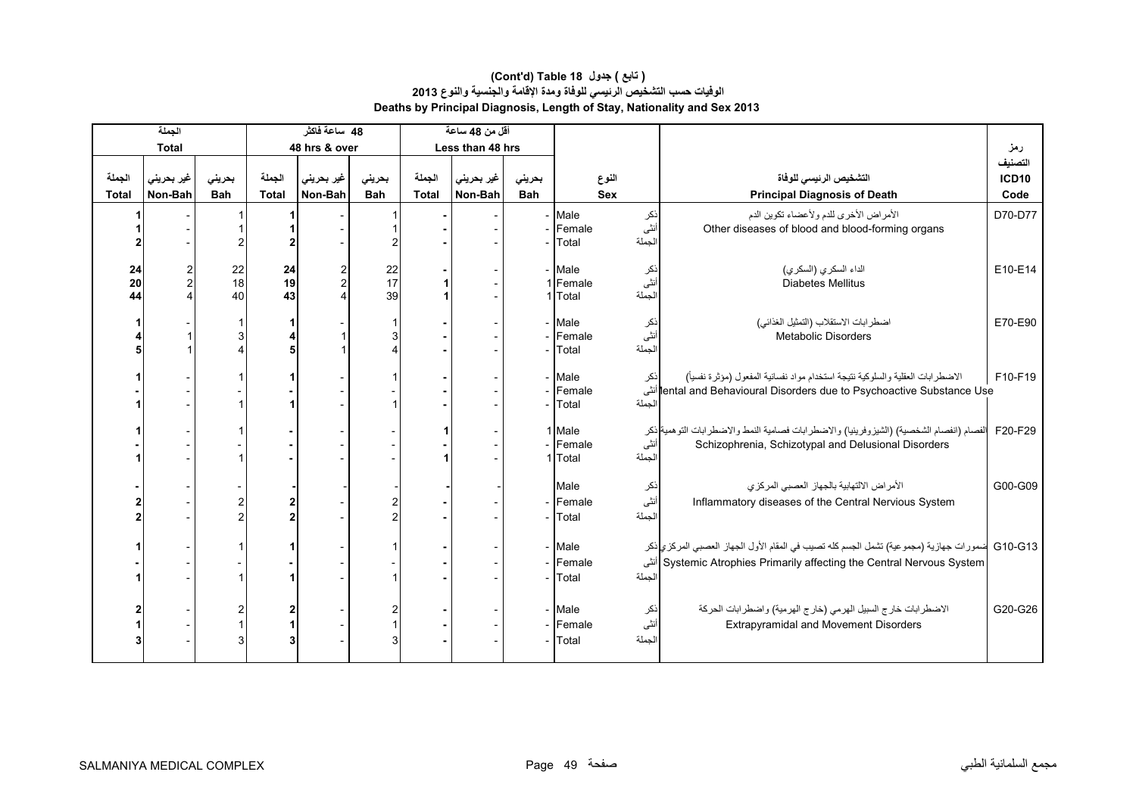#### **Deaths by Principal Diagnosis, Length of Stay, Nationality and Sex 2013 (Cont'd) Table 18 جدول ) تابع( الوفيات حسب التشخيص الرئيسي للوفاة ومدة اإلقامة والجنسية والنوع <sup>2013</sup>**

|                        | الجملة                |               |                      |                        | 48٪ ساعة فاكثر        |                      |                        | أقل من 48 ساعة        |                      |                               |                       |                                                                                                                                                                           |                                 |
|------------------------|-----------------------|---------------|----------------------|------------------------|-----------------------|----------------------|------------------------|-----------------------|----------------------|-------------------------------|-----------------------|---------------------------------------------------------------------------------------------------------------------------------------------------------------------------|---------------------------------|
|                        | <b>Total</b>          |               |                      |                        | 48 hrs & over         |                      |                        | Less than 48 hrs      |                      |                               |                       |                                                                                                                                                                           | رمز                             |
| الجملة<br><b>Total</b> | غير بحريني<br>Non-Bah |               | بحرينى<br><b>Bah</b> | الجملة<br><b>Total</b> | غير بحريني<br>Non-Bah | بحريني<br><b>Bah</b> | الجملة<br><b>Total</b> | غير بحريني<br>Non-Bah | بحريني<br><b>Bah</b> | النوع<br><b>Sex</b>           |                       | التشخيص الرئيسي للوفاة<br><b>Principal Diagnosis of Death</b>                                                                                                             | التصنيف<br><b>ICD10</b><br>Code |
|                        |                       |               |                      |                        |                       |                      |                        |                       |                      | Male<br>Female<br>Total       | نكر<br>أنثى<br>الجملة | الأمراض الأخرى للدم ولأعضاء تكوين الدم<br>Other diseases of blood and blood-forming organs                                                                                | D70-D77                         |
|                        | 24<br>20<br>44        | $\frac{2}{2}$ | 22<br>18<br>40       | 24<br>19<br>43         |                       | 22<br>17<br>39       |                        |                       |                      | - Male<br>1 Female<br>1 Total | ذکر<br>انٹی<br>الجملة | الداء السكري (السكري)<br><b>Diabetes Mellitus</b>                                                                                                                         | E10-E14                         |
|                        |                       |               | 3                    |                        |                       |                      |                        |                       |                      | - Male<br>Female<br>Total     | نکر<br>انٹی<br>الجملة | اضطرابات الاستقلاب (التمثيل الغذائي)<br><b>Metabolic Disorders</b>                                                                                                        | E70-E90                         |
|                        |                       |               |                      |                        |                       |                      |                        |                       |                      | - Male<br>Female<br>- Total   | نكر<br>الجملة         | الاضطرابات العقلية والسلوكية نتيجة استخدام مواد نفسانية المفعول (مؤثرة نفسياً)<br>lental and Behavioural Disorders due to Psychoactive Substance Use                      | F10-F19                         |
|                        |                       |               |                      |                        |                       |                      |                        |                       |                      | 1 Male<br>Female<br>1 Total   | أنثى<br>الجملة        | الفصام (انفصام الشخصية) (الشيزوفرينيا) والاضطرابات فصامية النمط والاضطرابات التوهمية ذكر<br>Schizophrenia, Schizotypal and Delusional Disorders                           | F20-F29                         |
|                        |                       |               |                      |                        |                       |                      |                        |                       |                      | Male<br>- Female<br>Total     | نكر<br>أنثى<br>الجملة | الأمراض الالتهابية بالجهاز العصبي المركزي<br>Inflammatory diseases of the Central Nervious System                                                                         | G00-G09                         |
|                        |                       |               |                      |                        |                       |                      |                        |                       |                      | - Male<br>- Female<br>- Total | الجملة                | G10-G13  ضمورات جهازية (مجموعية) تشمل الجسم كله تصيب في المقام الأول الجهاز العصبي المركزي ذكر<br>Systemic Atrophies Primarily affecting the Central Nervous System  أنثى |                                 |
|                        |                       |               | 3                    | 3                      |                       |                      |                        |                       |                      | - Male<br>- Female<br>- Total | نكر<br>أنثى<br>الجملة | الاضطرابات خارج السبيل الهرمي (خارج الهرمية) واضطرابات الحركة<br><b>Extrapyramidal and Movement Disorders</b>                                                             | G20-G26                         |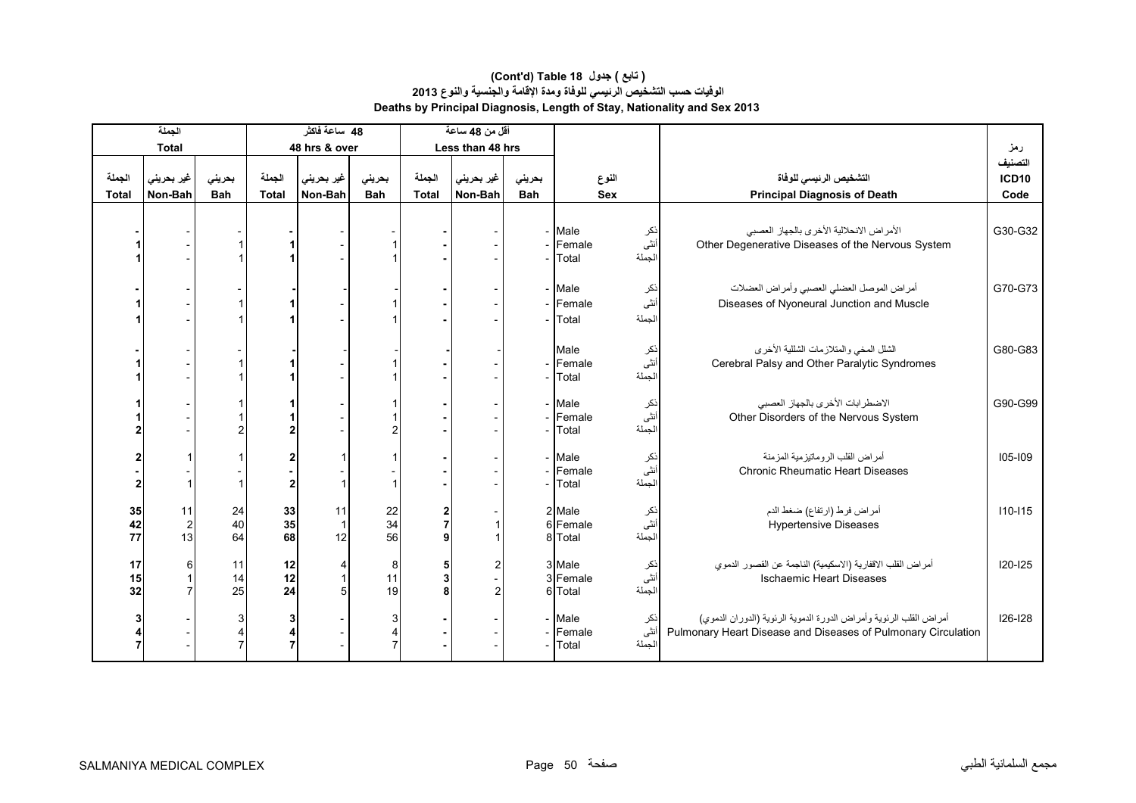|                        | الجملة                   |                      |                        | 48 ساعة فاكثر         |                          |                        | أقل من 48 ساعة        |                      |                               |                            |                                                                                                                                     |                                 |
|------------------------|--------------------------|----------------------|------------------------|-----------------------|--------------------------|------------------------|-----------------------|----------------------|-------------------------------|----------------------------|-------------------------------------------------------------------------------------------------------------------------------------|---------------------------------|
|                        | <b>Total</b>             |                      |                        | 48 hrs & over         |                          |                        | Less than 48 hrs      |                      |                               |                            |                                                                                                                                     | رمز                             |
| الجملة<br><b>Total</b> | غير بحريني<br>Non-Bah    | بحريني<br><b>Bah</b> | الجملة<br><b>Total</b> | غير بحريني<br>Non-Bah | بحريني<br><b>Bah</b>     | الجملة<br><b>Total</b> | غير بحريني<br>Non-Bah | بحريني<br><b>Bah</b> |                               | النوع<br><b>Sex</b>        | التشخيص الرئيسي للوفاة<br><b>Principal Diagnosis of Death</b>                                                                       | التصنيف<br><b>ICD10</b><br>Code |
|                        |                          |                      |                        |                       |                          |                        |                       |                      | - Male<br>- Female<br>Total   | ذکر<br>انٹی<br>الجملة      | الأمراض الانحلالية الأخرى بالجهاز العصبي<br>Other Degenerative Diseases of the Nervous System                                       | G30-G32                         |
|                        |                          |                      |                        |                       |                          |                        |                       |                      | - Male<br>- Female<br>- Total | نكر<br>أنثى<br>الجملة      | أمراض الموصل العضلي العصبي وأمراض العضلات<br>Diseases of Nyoneural Junction and Muscle                                              | G70-G73                         |
|                        |                          |                      |                        |                       |                          |                        |                       |                      | Male<br>- Female<br>Total     | نكر<br>أنثى<br>الجملة      | الشلل المخي والمتلازمات الشللية الأخرى<br>Cerebral Palsy and Other Paralytic Syndromes                                              | G80-G83                         |
|                        |                          |                      | 2                      |                       |                          |                        |                       |                      | - Male<br>- Female<br>Total   | نكر<br>أنثى<br>لجملة       | الاضطرابات الأخرى بالجهاز العصبي<br>Other Disorders of the Nervous System                                                           | G90-G99                         |
|                        |                          |                      | 2<br>$\overline{2}$    |                       |                          |                        |                       |                      | - Male<br>- Female<br>Total   | نكر<br>أنثى<br>الجملة      | أمراض القلب الروماتيزمية المزمنة<br><b>Chronic Rheumatic Heart Diseases</b>                                                         | $105 - 109$                     |
| 35<br>42<br>77         | 11<br>$\mathbf{2}$<br>13 | 24<br>40<br>64       | 33<br>35<br>68         | 11<br>12              | 22<br>34<br>56           | $\overline{7}$<br>٩    |                       |                      | 2 Male<br>6 Female<br>8 Total | نكر<br>.<br>انشی<br>الجملة | أمراض فرط (ارتفاع) ضغط الدم<br><b>Hypertensive Diseases</b>                                                                         | $110 - 115$                     |
| 17<br>15<br>32         | 6                        | 11<br>14<br>25       | 12<br>12<br>24         | 4<br>5                | 8<br>11<br>19            | 5<br>3<br>8            | 2<br>$\overline{c}$   |                      | 3 Male<br>3 Female<br>6 Total | نكر<br>أنثى<br>الجملة      | أمراض القلب الاقفارية (الاسكيمية) الناجمة عن القصور الدموي<br><b>Ischaemic Heart Diseases</b>                                       | $120 - 125$                     |
|                        |                          |                      | 3<br>4<br>7            |                       | 3<br>4<br>$\overline{7}$ |                        |                       |                      | - Male<br>- Female<br>Total   | نكر<br>أنثى<br>الجملة      | أمراض القلب الرئوية وأمراض الدورة الدموية الرئوية (الدوران الدموي)<br>Pulmonary Heart Disease and Diseases of Pulmonary Circulation | 126-128                         |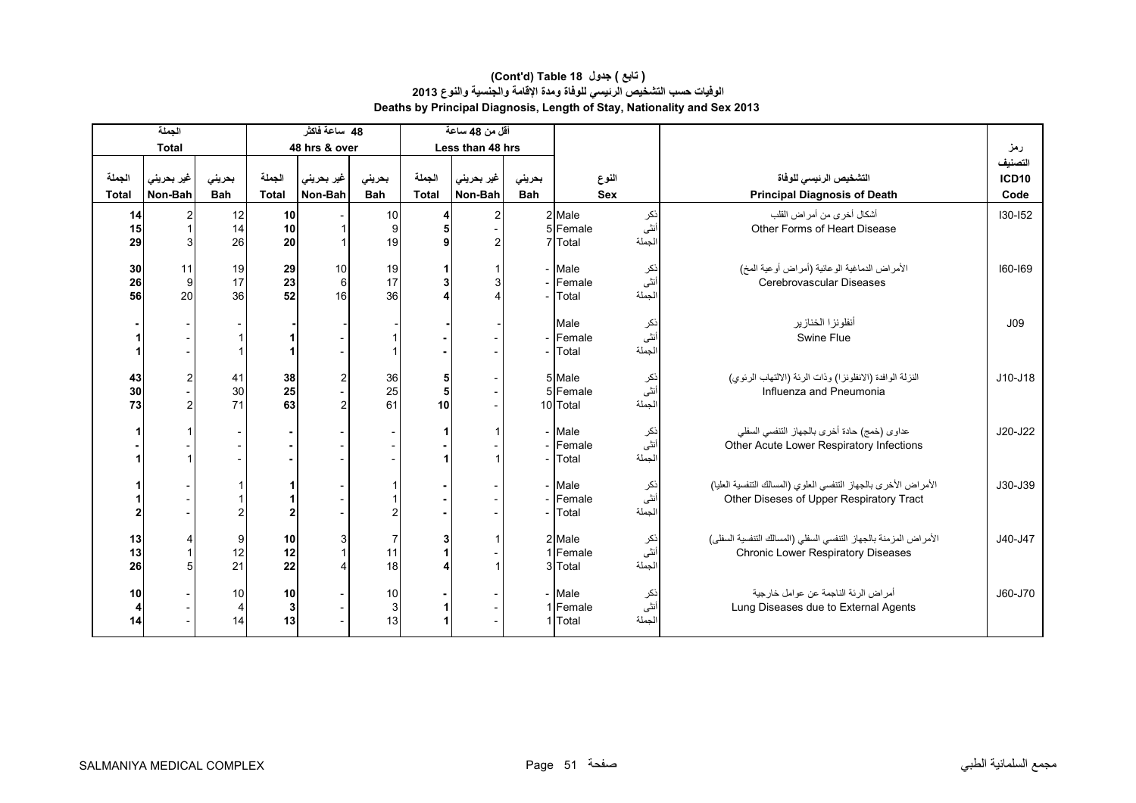|                | الجملة        |                |                | 48 ساعة فاكثر       |                |              | أقل من 48 ساعة   |            |                                                        |                       |                                                                                                               |                         |
|----------------|---------------|----------------|----------------|---------------------|----------------|--------------|------------------|------------|--------------------------------------------------------|-----------------------|---------------------------------------------------------------------------------------------------------------|-------------------------|
|                | <b>Total</b>  |                |                | 48 hrs & over       |                |              | Less than 48 hrs |            |                                                        |                       |                                                                                                               | رمز                     |
| الجملة         | غير بحريني    | بحرينى         | الجملة         | غير بحريني          | بحرينى         | الجملة       | غير بحريني       | بحريني     |                                                        | النوع                 | التشخيص الرئيسى للوفاة                                                                                        | التصنيف<br><b>ICD10</b> |
| <b>Total</b>   | Non-Bah       | <b>Bah</b>     | <b>Total</b>   | Non-Bah             | <b>Bah</b>     | <b>Total</b> | Non-Bah          | <b>Bah</b> |                                                        | <b>Sex</b>            | <b>Principal Diagnosis of Death</b>                                                                           | Code                    |
| 14<br>15<br>29 | 2             | 12<br>14<br>26 | 10<br>10<br>20 |                     | 10<br>9<br>19  | 4<br>5<br>9  | $\overline{2}$   |            | 2 Male<br>5 Female<br>7 Total                          | نکر<br>انٹی<br>الجملة | أشكال أخرى من أمر اض القلب<br>Other Forms of Heart Disease                                                    | $130 - 152$             |
| 30<br>26<br>56 | 11<br>9<br>20 | 19<br>17<br>36 | 29<br>23<br>52 | 10<br>6<br>16       | 19<br>17<br>36 | 3            | 3                |            | - Male<br>Female<br>Total                              | ذکر<br>انٹی<br>الجملة | الأمراض الدماغية الوعائية (أمراض أوعية المخ)<br>Cerebrovascular Diseases                                      | 160-169                 |
|                |               |                |                |                     |                |              |                  |            | Male<br>Female<br>Total                                | نكر<br>انٹی<br>الجملة | أنفلونز ا الخنازير<br>Swine Flue                                                                              | J09                     |
| 43<br>30<br>73 |               | 41<br>30<br>71 | 38<br>25<br>63 | 2<br>$\mathfrak{p}$ | 36<br>25<br>61 | 5<br>5<br>10 |                  |            | 5 Male<br>5 Female<br>10 Total                         | ذکر<br>أنثى<br>الجملة | النزلة الوافدة (الانفلونزا) وذات الرئة (الالتهاب الرئوي)<br>Influenza and Pneumonia                           | J10-J18                 |
|                |               |                |                |                     |                |              |                  |            | - Male<br>- Female<br>Total                            | ذکر<br>انٹی<br>لجملة  | عداوي (خمج) حادة أخرى بالجهاز التنفسي السفلي<br>Other Acute Lower Respiratory Infections                      | J20-J22                 |
|                |               |                | $\overline{2}$ |                     | 2              |              |                  |            | - Male<br>- Female<br>Total                            | ذکر<br>انثی<br>الجملة | الأمراض الأخرى بالجهاز التنفسي العلوي (المسالك التنفسية العليا)<br>Other Diseses of Upper Respiratory Tract   | J30-J39                 |
| 13<br>13<br>26 |               | 9<br>12<br>21  | 10<br>12<br>22 |                     | 7<br>11<br>18  |              |                  |            | 2 Male<br>1 Female<br>3 Total                          | ذکر<br>أنثى<br>الجملة | الأمراض المزمنة بالجهاز التنفسي السفلي (المسالك التنفسية السفلي)<br><b>Chronic Lower Respiratory Diseases</b> | J40-J47                 |
| 10<br>4<br>14  |               | 10<br>4<br>14  | 10<br>3<br>13  |                     | 10<br>3<br>13  | 1            |                  |            | - Male<br>نكر<br>أنثى<br>1 Female<br>الجملة<br>1 Total |                       | أمراض الرئة الناجمة عن عوامل خارجية<br>Lung Diseases due to External Agents                                   | J60-J70                 |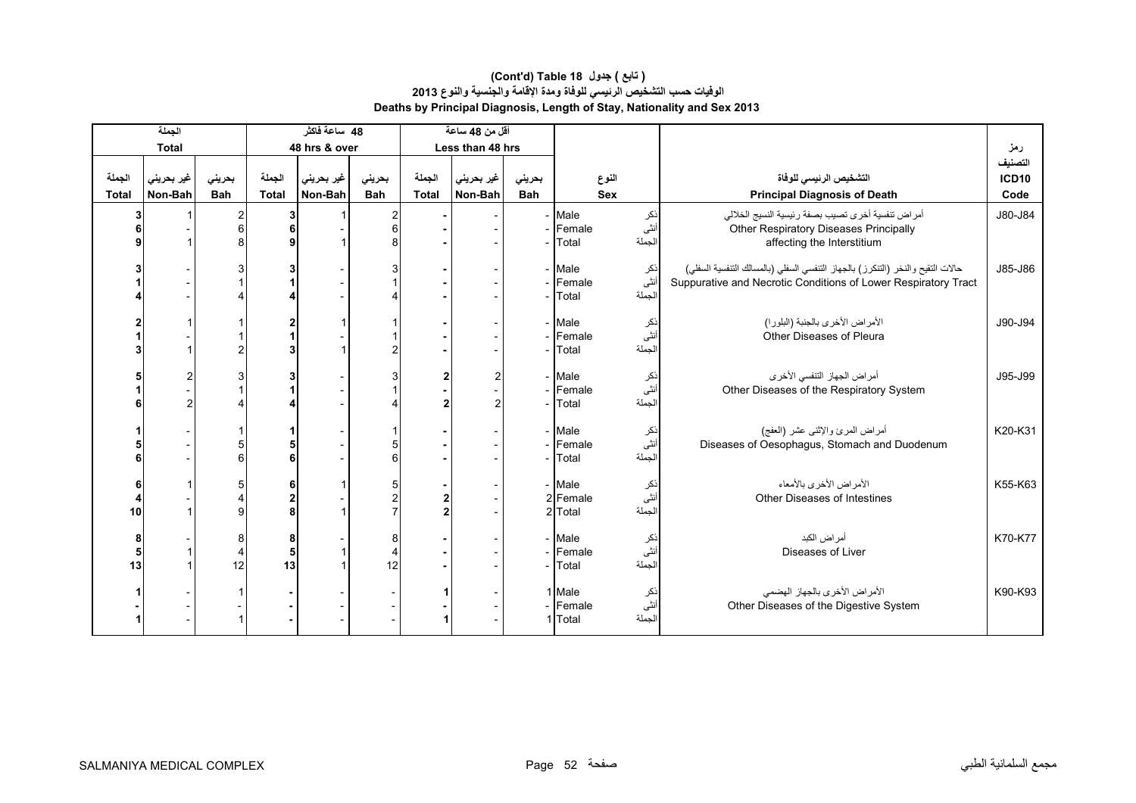|                        | الجملة                |                                     |                          | 48 ساعة فاكثر         |                           |                        | أقل من 48 ساعة        |                      |                                                        |                        |                                                                                                                                                   |                                 |
|------------------------|-----------------------|-------------------------------------|--------------------------|-----------------------|---------------------------|------------------------|-----------------------|----------------------|--------------------------------------------------------|------------------------|---------------------------------------------------------------------------------------------------------------------------------------------------|---------------------------------|
|                        | <b>Total</b>          |                                     |                          | 48 hrs & over         |                           |                        | Less than 48 hrs      |                      |                                                        |                        |                                                                                                                                                   | رمز                             |
| الجملة<br><b>Total</b> | غير بحريني<br>Non-Bah | بحريني<br><b>Bah</b>                | الجملة<br><b>Total</b>   | غير بحريني<br>Non-Bah | بحريني<br>Bah             | الجملة<br><b>Total</b> | غير بحريني<br>Non-Bah | بحريني<br><b>Bah</b> | النوع<br><b>Sex</b>                                    |                        | التشخيص الرئيسى للوفاة<br><b>Principal Diagnosis of Death</b>                                                                                     | التصنيف<br><b>ICD10</b><br>Code |
|                        |                       | 2<br>6                              | 3<br>6<br>9              |                       | 2<br>6<br>8               |                        |                       |                      | - Male<br>- Female<br>Total                            | نكر<br>أنثى<br>الجملة  | أمراض تنفسية أخرى تصيب بصفة رئيسية النسيج الخلالي<br>Other Respiratory Diseases Principally<br>affecting the Interstitium                         | J80-J84                         |
|                        |                       |                                     | 3                        |                       | 3                         |                        |                       |                      | - Male<br>- Female<br>Total                            | نكر<br>أنثى<br>الجملة  | حالات التقيح والنخر (التنكرز) بالجهاز التنفسي السفلي (بالمسالك التنفسية السفلي)<br>Suppurative and Necrotic Conditions of Lower Respiratory Tract | J85-J86                         |
|                        |                       |                                     | 2<br>3                   |                       |                           |                        |                       |                      | - Male<br>- Female<br>Total                            | انکر<br>انٹی<br>الجملة | الأمراض الأخرى بالجنبة (البلورا)<br>Other Diseases of Pleura                                                                                      | J90-J94                         |
|                        |                       |                                     | 3                        |                       |                           | $\overline{2}$         | 2<br>$\overline{c}$   |                      | - Male<br>- Female<br>Total                            | ذكر<br>أنثى<br>لجملة   | أمراض الجهاز التنفسي الأخرى<br>Other Diseases of the Respiratory System                                                                           | J95-J99                         |
|                        |                       |                                     | 5<br>6                   |                       | 5<br>6                    |                        |                       |                      | - Male<br>- Female<br>- Total                          | ذکر<br>انثی<br>الجملة  | أمراض المرئ والإثنى عشر (العفج)<br>Diseases of Oesophagus, Stomach and Duodenum                                                                   | K20-K31                         |
| 6<br>10                |                       |                                     | 6<br>$\overline{2}$<br>8 |                       | 5<br>$\overline{2}$       | $\overline{2}$         |                       |                      | - Male<br>2 Female<br>2 Total                          | ذکر<br>أنثى<br>الجملة  | الأمراض الأخرى بالأمعاء<br>Other Diseases of Intestines                                                                                           | K55-K63                         |
| 8<br>5<br>13           |                       | $8^{\circ}$<br>$\overline{4}$<br>12 | 8<br>5<br>13             |                       | 8<br>$\overline{4}$<br>12 |                        |                       |                      | - Male<br>- Female<br>Total                            | نكر<br>أنثى<br>الجملة  | أمر اض الكبد<br>Diseases of Liver                                                                                                                 | K70-K77                         |
|                        |                       |                                     |                          |                       |                           |                        |                       |                      | 1 Male<br>نكر<br>أنثى<br>- Female<br>الجملة<br>1 Total |                        | الأمراض الأخرى بالجهاز الهضمى<br>Other Diseases of the Digestive System                                                                           | K90-K93                         |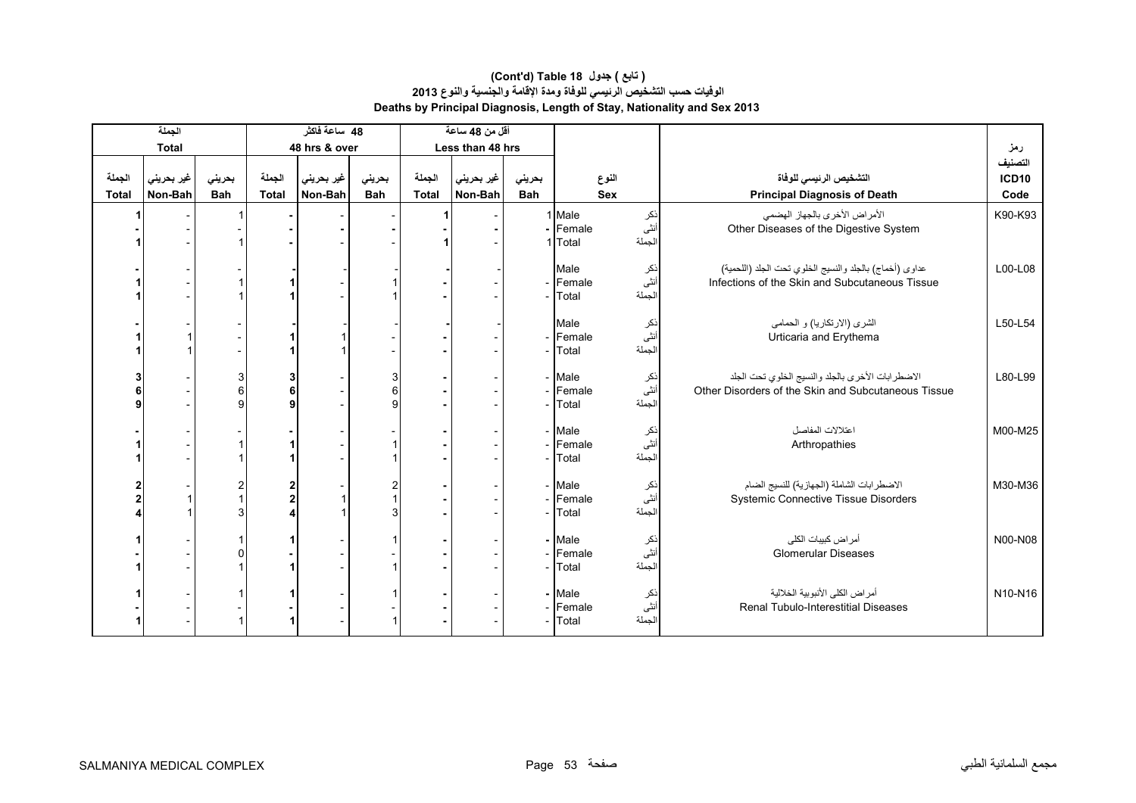#### **Deaths by Principal Diagnosis, Length of Stay, Nationality and Sex 2013 (Cont'd) Table 18 جدول ) تابع( الوفيات حسب التشخيص الرئيسي للوفاة ومدة اإلقامة والجنسية والنوع <sup>2013</sup>**

|                        | الجملة                |                          |                              | 48 ساعة فاكثر         |                      |                        | أقل من 48 ساعة        |                      |                                                      |                        |                                                                                                           |                                 |
|------------------------|-----------------------|--------------------------|------------------------------|-----------------------|----------------------|------------------------|-----------------------|----------------------|------------------------------------------------------|------------------------|-----------------------------------------------------------------------------------------------------------|---------------------------------|
|                        | <b>Total</b>          |                          |                              | 48 hrs & over         |                      |                        | Less than 48 hrs      |                      |                                                      |                        |                                                                                                           | رمز                             |
| الجملة<br><b>Total</b> | غير بحريني<br>Non-Bah | بحرينى<br><b>Bah</b>     | الجملة<br><b>Total</b>       | غير بحريني<br>Non-Bah | بحريني<br><b>Bah</b> | الجملة<br><b>Total</b> | غير بحريني<br>Non-Bah | بحريني<br><b>Bah</b> |                                                      | النوع<br><b>Sex</b>    | التشخيص الرئيسي للوفاة<br><b>Principal Diagnosis of Death</b>                                             | التصنيف<br><b>ICD10</b><br>Code |
|                        |                       |                          |                              |                       |                      |                        |                       |                      | 1 Male<br>- Female<br>1 Total                        | نكر<br>أنثى<br>الجملة  | الأمراض الأخرى بالجهاز الهضمى<br>Other Diseases of the Digestive System                                   | K90-K93                         |
|                        |                       |                          |                              |                       |                      |                        |                       |                      | Male<br>- Female<br>Total                            | نکر<br>انٹی<br>الجملة  | عداوي (أخماج) بالجلد والنسيج الخلوي تحت الجلد (اللحمية)<br>Infections of the Skin and Subcutaneous Tissue | L00-L08                         |
|                        |                       |                          |                              |                       |                      |                        |                       |                      | Male<br>- Female<br>Total                            | ذکر<br>أنثى<br>الجملة  | الشرى (الارتكاريا) و الحمامي<br>Urticaria and Erythema                                                    | L50-L54                         |
|                        |                       | 3<br>6 <sup>1</sup><br>g | 3<br>6<br>9                  |                       | 3<br>6<br>9          |                        |                       |                      | - Male<br>- Female<br>Total                          | اذکر<br>أنثى<br>الجملة | الاضطرابات الأخرى بالجلد والنسيج الخلوي تحت الجلد<br>Other Disorders of the Skin and Subcutaneous Tissue  | L80-L99                         |
|                        |                       |                          |                              |                       |                      |                        |                       |                      | - Male<br>- Female<br>- Total                        | نکر<br>اُنٹی<br>لجملة  | اعتلالات المفاصل<br>Arthropathies                                                                         | M00-M25                         |
|                        |                       |                          | 2<br>$\overline{\mathbf{2}}$ |                       | 2<br>3               |                        |                       |                      | - Male<br>- Female<br>- Total                        | نکر<br>انٹی<br>الجملة  | الاضطرابات الشاملة (الجهازية) للنسيج الضام<br><b>Systemic Connective Tissue Disorders</b>                 | M30-M36                         |
|                        |                       |                          |                              |                       |                      |                        |                       |                      | - Male<br>- Female<br>- Total                        | ذکر<br>انٹی<br>الجملة  | أمر اض كبيبات الكلى<br><b>Glomerular Diseases</b>                                                         | N00-N08                         |
|                        |                       |                          |                              |                       |                      |                        |                       |                      | - Male<br>ذکر<br>أنثى<br>- Female<br>الجملة<br>Total |                        | أمراض الكلى الأنبوبية الخلالية<br>Renal Tubulo-Interestitial Diseases                                     | N10-N16                         |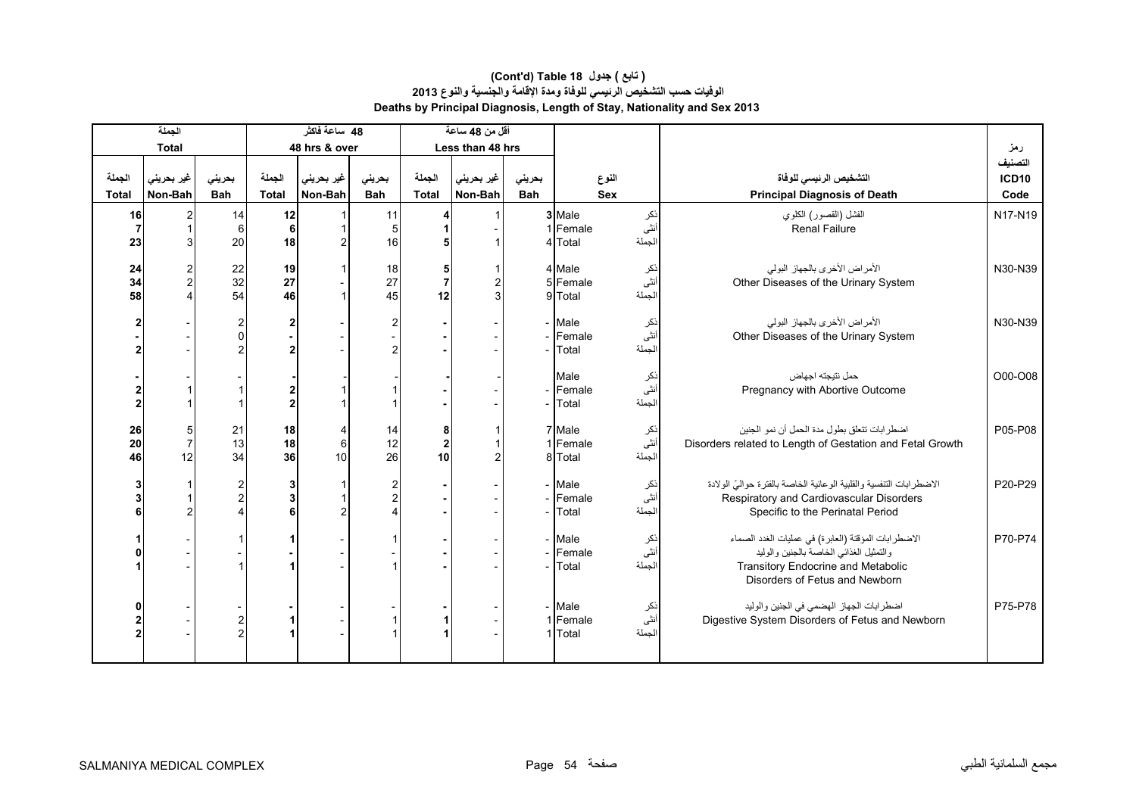|                        | الجملة                |                      |                        | 48 ساعة فاكثر         |                                                                               |                                    | أقل من 48 ساعة        |                      |                               |                               |                                                                                                                                                                               |                                 |
|------------------------|-----------------------|----------------------|------------------------|-----------------------|-------------------------------------------------------------------------------|------------------------------------|-----------------------|----------------------|-------------------------------|-------------------------------|-------------------------------------------------------------------------------------------------------------------------------------------------------------------------------|---------------------------------|
|                        | <b>Total</b>          |                      |                        | 48 hrs & over         |                                                                               |                                    | Less than 48 hrs      |                      |                               |                               |                                                                                                                                                                               | رمز                             |
| الجملة<br><b>Total</b> | غير بحريني<br>Non-Bah | بحريني<br><b>Bah</b> | الجملة<br><b>Total</b> | غير بحريني<br>Non-Bah | بحريني<br><b>Bah</b>                                                          | الجملة<br><b>Total</b>             | غير بحريني<br>Non-Bah | بحرينى<br><b>Bah</b> |                               | النوع<br><b>Sex</b>           | التشخيص الرئيسى للوفاة<br><b>Principal Diagnosis of Death</b>                                                                                                                 | التصنيف<br><b>ICD10</b><br>Code |
| 16<br>23               |                       | 14<br>6<br>20        | 12<br>6<br>18          | $\mathcal{P}$         | 11<br>5<br>16                                                                 |                                    |                       |                      | 3 Male<br>1 Female<br>4 Total | نکر<br>انٹ <i>ی</i><br>الجملة | الفشل (القصور) الكلوي<br><b>Renal Failure</b>                                                                                                                                 | N17-N19                         |
| 24<br>34<br>58         |                       | 22<br>32<br>54       | 19<br>27<br>46         |                       | 18<br>27<br>45                                                                | 5<br>12                            |                       |                      | 4 Male<br>5 Female<br>9 Total | نكر<br>أنثى<br>الجملة         | الأمراض الأخرى بالجهاز البولي<br>Other Diseases of the Urinary System                                                                                                         | N30-N39                         |
|                        |                       |                      | 2<br>$\overline{2}$    |                       | $\overline{2}$<br>2                                                           |                                    |                       |                      | Male<br>Female<br>Total       | ذکر<br>أنثى<br>الجملة         | الأمراض الأخرى بالجهاز البولي<br>Other Diseases of the Urinary System                                                                                                         | N30-N39                         |
|                        |                       |                      | $\overline{2}$         |                       |                                                                               |                                    |                       |                      | Male<br>Female<br>Total       | نكر<br>أنثى<br>الجملة         | حمل نتيجته اجهاض<br>Pregnancy with Abortive Outcome                                                                                                                           | O00-O08                         |
| 26<br>20<br>46         | $\overline{7}$<br>12  | 21<br>13<br>34       | 18<br>18<br>36         | 4<br>$\,6$<br>10      | 14<br>12<br>26                                                                | 8<br>$\overline{\mathbf{2}}$<br>10 |                       |                      | 7 Male<br>Female<br>8 Total   | ذکر<br>انٹی<br>الجملة         | اضطر ابات تتعلق بطول مدة الحمل أن نمو الجنين<br>Disorders related to Length of Gestation and Fetal Growth                                                                     | P05-P08                         |
|                        |                       |                      | 3<br>3<br>6            | 2                     | $\overline{\mathbf{c}}$<br>$\overline{\mathbf{c}}$<br>$\overline{\mathbf{A}}$ |                                    |                       |                      | Male<br>Female<br>Total       | نكر<br>أنثى<br>الجملة         | الإضطر ابات التنفسية و القلبية الو عائية الخاصة بالفتر ة حو الىّ الو لادة<br>Respiratory and Cardiovascular Disorders<br>Specific to the Perinatal Period                     | P20-P29                         |
|                        |                       |                      |                        |                       |                                                                               |                                    |                       |                      | Male<br>Female<br>Total       | نكر<br>أنثى<br>الجملة         | الاضطرابات المؤقتة (العابرة) في عمليات الغدد الصماء<br>والتمثيل الغذائي الخاصة بالجنين والوليد<br><b>Transitory Endocrine and Metabolic</b><br>Disorders of Fetus and Newborn | P70-P74                         |
|                        |                       |                      |                        |                       |                                                                               |                                    |                       |                      | Male<br>1 Female<br>1 Total   | ذکر<br>أنثى<br>الجملة         | اضطرابات الجهاز الهضمي في الجنين والوليد<br>Digestive System Disorders of Fetus and Newborn                                                                                   | P75-P78                         |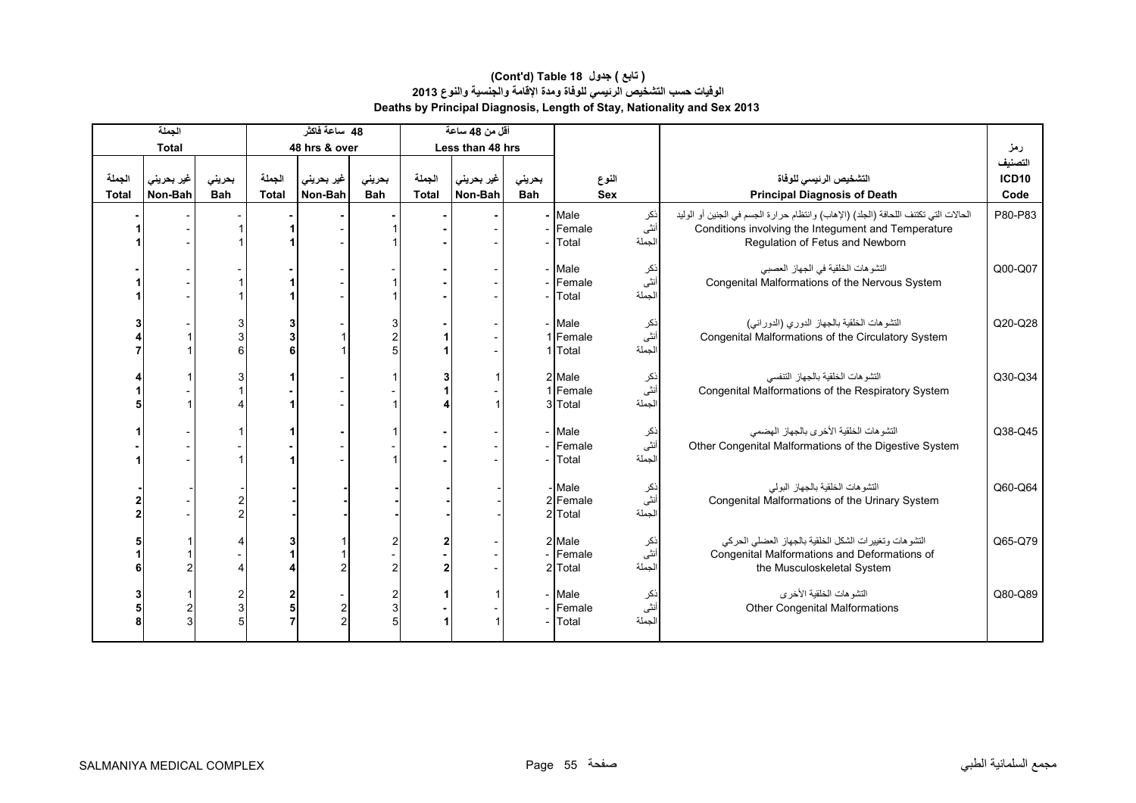|              | الجملة         |                |              | 48 ساعة فاكثر  |                                   |              | أقل من 48 ساعة   |            |                               |                       |                                                                                                                                                                               |              |
|--------------|----------------|----------------|--------------|----------------|-----------------------------------|--------------|------------------|------------|-------------------------------|-----------------------|-------------------------------------------------------------------------------------------------------------------------------------------------------------------------------|--------------|
|              | <b>Total</b>   |                |              | 48 hrs & over  |                                   |              | Less than 48 hrs |            |                               |                       |                                                                                                                                                                               | رمز          |
|              |                |                |              |                |                                   |              |                  |            |                               |                       |                                                                                                                                                                               | التصنيف      |
| الجملة       | غیر بحرینی     | بحرينى         | الجملة       | غير بحريني     | بحرينى                            | الجملة       | غير بحريني       | بحريني     | النوع                         |                       | التشخيص الرئيسى للوفاة                                                                                                                                                        | <b>ICD10</b> |
| <b>Total</b> | Non-Bah        | <b>Bah</b>     | <b>Total</b> | Non-Bah        | <b>Bah</b>                        | <b>Total</b> | Non-Bah          | <b>Bah</b> | <b>Sex</b>                    |                       | <b>Principal Diagnosis of Death</b>                                                                                                                                           | Code         |
|              |                |                |              |                |                                   |              |                  |            | $-$ Male<br>- Female<br>Total | نكر<br>أنثى<br>الجملة | الحالات التي تكتنف اللحافة (الجلد) (الإهاب) وانتظام حرارة الجسم في الجنين أو الوليد<br>Conditions involving the Integument and Temperature<br>Regulation of Fetus and Newborn | P80-P83      |
|              |                |                |              |                |                                   |              |                  |            | - Male                        | نكر                   | التشوهات الخلقية في الجهاز العصبي                                                                                                                                             | Q00-Q07      |
|              |                |                |              |                |                                   |              |                  |            | - Female                      | أنثى                  | Congenital Malformations of the Nervous System                                                                                                                                |              |
|              |                |                |              |                |                                   |              |                  |            | Total                         | الجملة                |                                                                                                                                                                               |              |
|              |                | 3<br>3<br>6    | 6            |                | 3<br>$\overline{\mathbf{c}}$<br>5 |              |                  |            | - Male<br>1 Female<br>1 Total | نكر<br>أنثى<br>الجملة | التشوهات الخلقية بالجهاز الدوري (الدوراني)<br>Congenital Malformations of the Circulatory System                                                                              | Q20-Q28      |
|              |                |                |              |                |                                   |              |                  |            | 2 Male                        |                       | التشوهات الخلقية بالجهاز التنفسي                                                                                                                                              | Q30-Q34      |
|              |                |                |              |                |                                   |              |                  |            | 1 Female                      | نکر<br>انٹی           | Congenital Malformations of the Respiratory System                                                                                                                            |              |
|              |                |                |              |                |                                   |              |                  |            | 3 Total                       | الجملة                |                                                                                                                                                                               |              |
|              |                |                |              |                |                                   |              |                  |            | - Male<br>- Female<br>- Total | نكر<br>أنثى<br>الجملة | التشو هات الخلقية الأخرى بالجهاز الهضمى<br>Other Congenital Malformations of the Digestive System                                                                             | Q38-Q45      |
|              |                |                |              |                |                                   |              |                  |            | - Male                        | نكر                   | التشو هات الخلقية بالجهاز البولى                                                                                                                                              | Q60-Q64      |
|              |                |                |              |                |                                   |              |                  |            | 2 Female                      | أنثى                  | Congenital Malformations of the Urinary System                                                                                                                                |              |
|              |                | $\overline{2}$ |              |                |                                   |              |                  |            | 2 Total                       | الجملة                |                                                                                                                                                                               |              |
|              |                | Δ              |              |                | 2                                 |              |                  |            | 2 Male<br>- Female<br>2 Total | نكر<br>أنثى<br>الجملة | التشوهات وتغييرات الشكل الخلقية بالجهاز العضلى الحركي<br>Congenital Malformations and Deformations of<br>the Musculoskeletal System                                           | Q65-Q79      |
|              |                | 2              |              |                | 2                                 |              |                  |            | - Male                        | ذكر                   | التشوهات الخلقية الأخرى                                                                                                                                                       | Q80-Q89      |
|              | $\overline{2}$ | $\mathbf{3}$   | 5            | 2              | 3                                 |              |                  |            | - Female                      | أنثى                  | <b>Other Congenital Malformations</b>                                                                                                                                         |              |
|              | 3              | 5              |              | $\mathfrak{p}$ | 5                                 |              |                  |            | Total                         | الجملة                |                                                                                                                                                                               |              |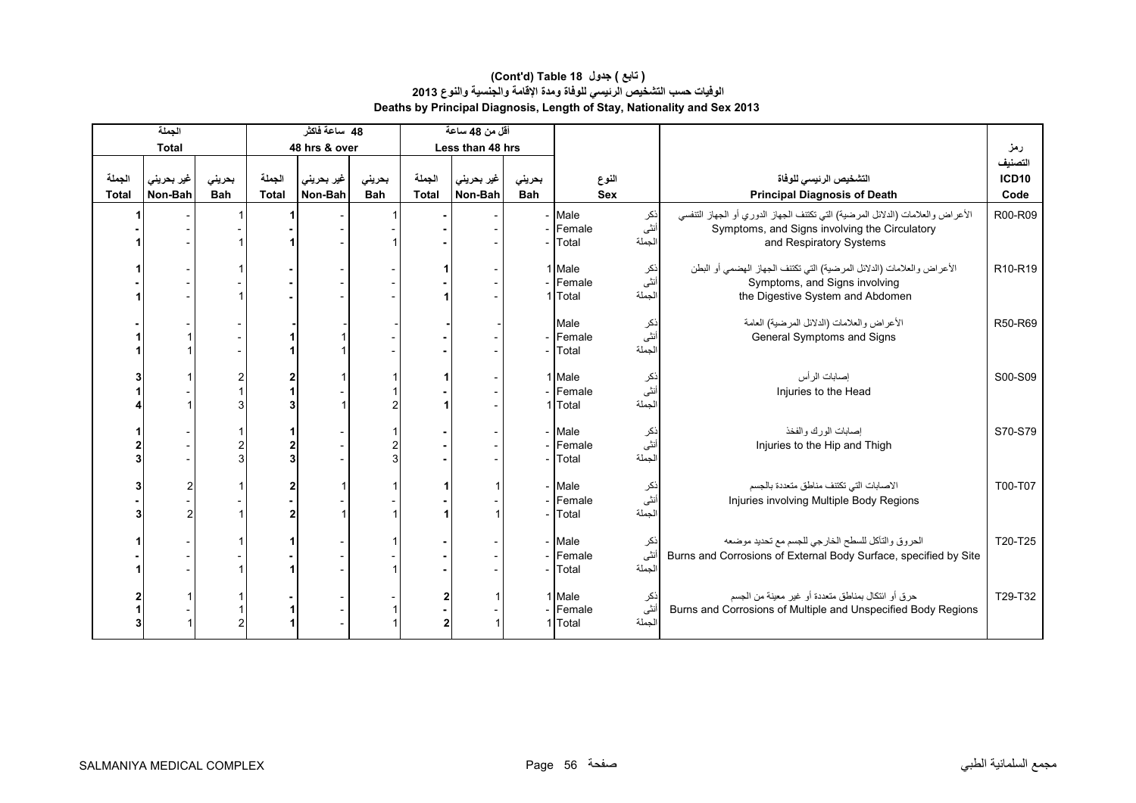|              | الجملة       |            |              | 48 ساعة فاكثر |                |              | أقل من 48 ساعة   |            |                               |                       |                                                                                                                                                            |              |
|--------------|--------------|------------|--------------|---------------|----------------|--------------|------------------|------------|-------------------------------|-----------------------|------------------------------------------------------------------------------------------------------------------------------------------------------------|--------------|
|              | <b>Total</b> |            |              | 48 hrs & over |                |              | Less than 48 hrs |            |                               |                       |                                                                                                                                                            | رمز          |
|              |              |            |              |               |                |              |                  |            |                               |                       |                                                                                                                                                            | التصنيف      |
| الجملة       | غير بحريني   | بحرينى     | الجملة       | غير بحريني    | بحرينى         | الجملة       | غير بحريني       | بحريني     | النوع                         |                       | التشخيص الرئيسي للوفاة                                                                                                                                     | <b>ICD10</b> |
| <b>Total</b> | Non-Bah      | <b>Bah</b> | <b>Total</b> | Non-Bah       | <b>Bah</b>     | <b>Total</b> | Non-Bah          | <b>Bah</b> | <b>Sex</b>                    |                       | <b>Principal Diagnosis of Death</b>                                                                                                                        | Code         |
|              |              |            |              |               |                |              |                  |            | - Male<br>- Female<br>Total   | نكر<br>أنثى<br>الجملة | الأعراض والعلامات (الدلائل المرضية) التي تكتنف الجهاز الدوري أو الجهاز التنفسي<br>Symptoms, and Signs involving the Circulatory<br>and Respiratory Systems | R00-R09      |
|              |              |            |              |               |                |              |                  |            | 1 Male                        | نكر                   | الأعراض والعلامات (الدلائل المرضية) التي تكتنف الجهاز الهضمي أو البطن                                                                                      | R10-R19      |
|              |              |            |              |               |                |              |                  |            | - Female                      | أنثى                  | Symptoms, and Signs involving                                                                                                                              |              |
|              |              |            |              |               |                |              |                  |            | 1 Total                       | الجملة                | the Digestive System and Abdomen                                                                                                                           |              |
|              |              |            |              |               |                |              |                  |            | Male<br>- Female<br>Total     | ذکر<br>أنثى<br>لجملة  | الأعراض والعلامات (الدلائل المرضية) العامة<br>General Symptoms and Signs                                                                                   | R50-R69      |
|              |              |            |              |               |                |              |                  |            | 1 Male                        |                       | إصابات الرأس                                                                                                                                               | S00-S09      |
|              |              |            |              |               |                |              |                  |            | - Female                      | نکر<br>انٹی           | Injuries to the Head                                                                                                                                       |              |
|              |              |            |              |               | $\overline{2}$ |              |                  |            | 1 Total                       | لجملة                 |                                                                                                                                                            |              |
|              |              | 2<br>3     | $\mathbf{z}$ |               | 2<br>3         |              |                  |            | - Male<br>- Female<br>- Total | ذکر<br>أنثى<br>لجملة  | إصابات الورك والفخذ<br>Injuries to the Hip and Thigh                                                                                                       | S70-S79      |
|              | 2            |            |              |               |                |              |                  |            | - Male                        | نكر                   | الاصابات التي تكتنف مناطق متعددة بالجسم                                                                                                                    | T00-T07      |
|              |              |            |              |               |                |              |                  |            | - Female                      | أنثى                  | Injuries involving Multiple Body Regions                                                                                                                   |              |
|              | 2            |            |              |               |                |              |                  |            | Total                         | الجملة                |                                                                                                                                                            |              |
|              |              |            |              |               |                |              |                  |            | - Male<br>- Female<br>- Total | ذكر<br>أنثى<br>الجملة | الحروق والتأكل للسطح الخارجي للجسم مع تحديد موضعه<br>Burns and Corrosions of External Body Surface, specified by Site                                      | T20-T25      |
|              |              |            |              |               |                |              |                  |            | 1 Male                        | نكر                   | حرق أو ائتكال بمناطق متعددة أو غير معينة من الجسم                                                                                                          | T29-T32      |
|              |              |            |              |               |                |              |                  |            | - Female                      | أنثى                  | Burns and Corrosions of Multiple and Unspecified Body Regions                                                                                              |              |
|              |              |            |              |               |                | 2            |                  |            | 1 Total                       | الجملة                |                                                                                                                                                            |              |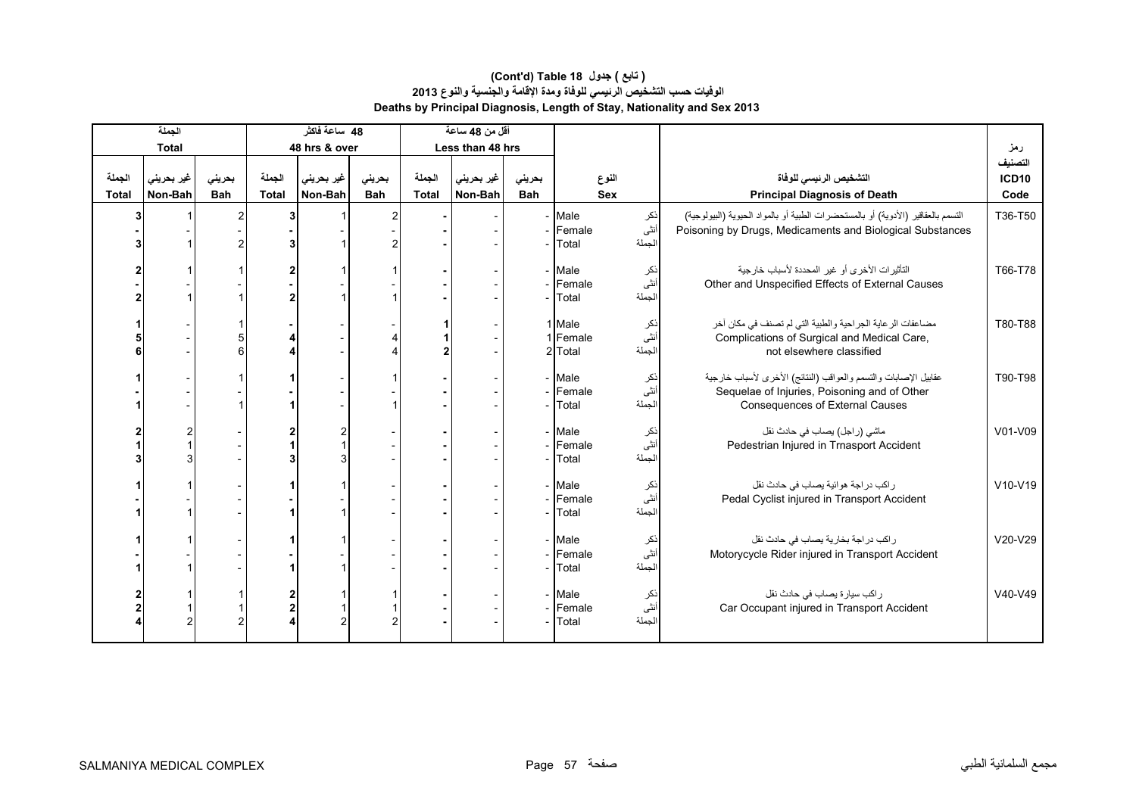#### **Deaths by Principal Diagnosis, Length of Stay, Nationality and Sex 2013 (Cont'd) Table 18 جدول ) تابع( الوفيات حسب التشخيص الرئيسي للوفاة ومدة اإلقامة والجنسية والنوع <sup>2013</sup>**

|              | الجملة       |            |                  | 48 ساعة فاكثر |            |              | أقل من 48 ساعة   |            |                                                        |                                                                                                                                                           |                         |
|--------------|--------------|------------|------------------|---------------|------------|--------------|------------------|------------|--------------------------------------------------------|-----------------------------------------------------------------------------------------------------------------------------------------------------------|-------------------------|
|              | <b>Total</b> |            |                  | 48 hrs & over |            |              | Less than 48 hrs |            |                                                        |                                                                                                                                                           | رمز                     |
| الجملة       | غير بحريني   | بحريني     | الجملة           | غير بحريني    | بحريني     | الجملة       | غير بحريني       | بحريني     | النوع                                                  | التشخيص الرئيسى للوفاة                                                                                                                                    | التصنيف<br><b>ICD10</b> |
| <b>Total</b> | Non-Bah      | <b>Bah</b> | <b>Total</b>     | Non-Bah       | <b>Bah</b> | <b>Total</b> | Non-Bah          | <b>Bah</b> | <b>Sex</b>                                             | <b>Principal Diagnosis of Death</b>                                                                                                                       | Code                    |
|              |              |            | 3                |               | 2          |              |                  |            | - Male<br>نكر<br>أنثى<br>- Female<br>الجملة<br>- Total | التسمم بالعقاقير (الأدوية) أو بالمستحضرات الطبية أو بالمواد الحيوية (البيولوجية)<br>Poisoning by Drugs, Medicaments and Biological Substances             | T36-T50                 |
|              |              |            | $\overline{2}$   |               |            |              |                  |            | - Male<br>نکر<br>انٹی<br>- Female<br>الجملة<br>Total   | التأثيرات الأخرى أو غير المحددة لأسباب خارجية<br>Other and Unspecified Effects of External Causes                                                         | T66-T78                 |
|              |              |            | 4<br>4           |               |            |              |                  |            | 1 Male<br>ذکر<br>أنثى<br>1 Female<br>لجملة<br>2 Total  | مضاعفات الرعاية الجراحية والطبية التي لم تصنف في مكان أخر<br>Complications of Surgical and Medical Care,<br>not elsewhere classified                      | T80-T88                 |
|              |              |            |                  |               |            |              |                  |            | - Male<br>نكر<br>انٹی<br>- Female<br>الجملة<br>- Total | عقابيل الإصابات والتسمم والعواقب (النتائج) الأخرى لأسباب خارجية<br>Sequelae of Injuries, Poisoning and of Other<br><b>Consequences of External Causes</b> | T90-T98                 |
|              |              |            |                  | 2             |            |              |                  |            | - Male<br>نكر<br>أنثى<br>- Female<br>الجملة<br>Total   | ماشي (راجل) يصاب في حادث نقل<br>Pedestrian Injured in Trnasport Accident                                                                                  | V01-V09                 |
|              |              |            |                  |               |            |              |                  |            | - Male<br>ذكر<br>أنثى<br>- Female<br>الجملة<br>Total   | راكب دراجة هوائية يصاب في حادث نقل<br>Pedal Cyclist injured in Transport Accident                                                                         | V10-V19                 |
|              |              |            |                  |               |            |              |                  |            | - Male<br>ذكر<br>أنثى<br>- Female<br>الجملة<br>Total   | راكب در اجة بخارية يصاب في حادث نقل<br>Motorycycle Rider injured in Transport Accident                                                                    | V20-V29                 |
|              |              |            | 2<br>$\mathbf 2$ | 2             | 2          |              |                  |            | - Male<br>نكر<br>أنثىّ<br>- Female<br>الجملة<br>Total  | ر اکب سیار ۃ یصاب فی حادث نقل<br>Car Occupant injured in Transport Accident                                                                               | $V40-V49$               |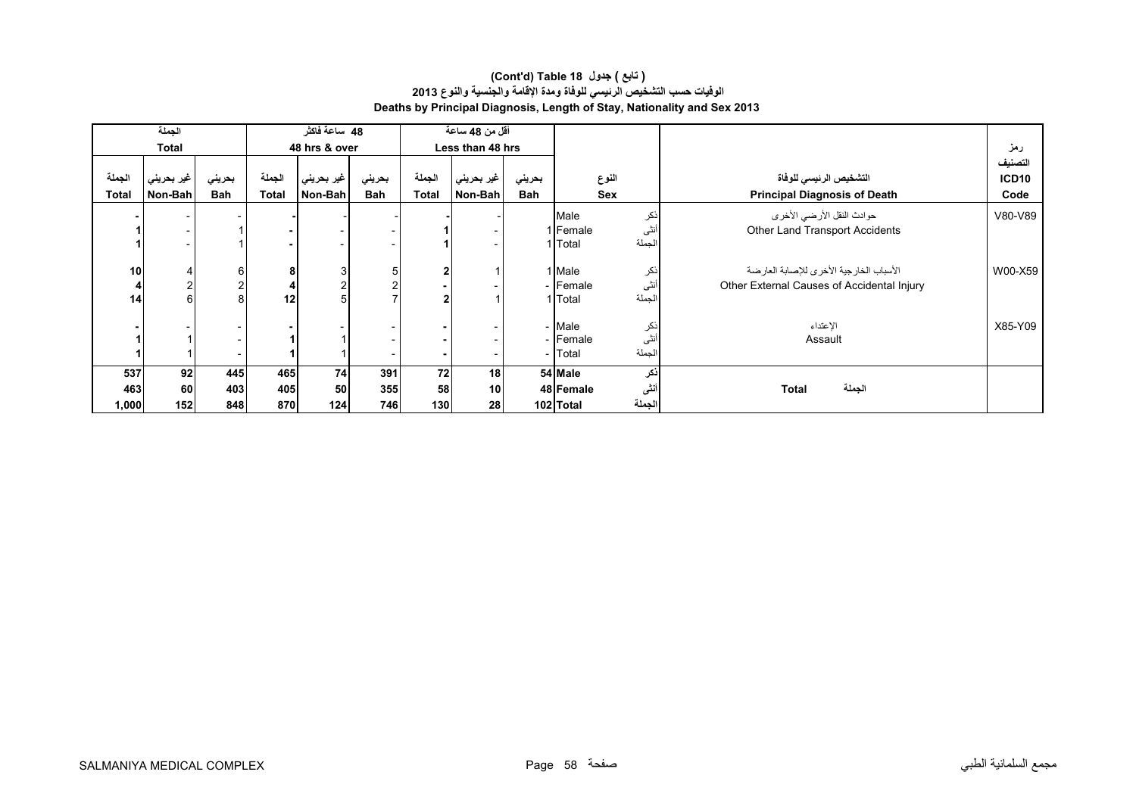|              | الجملة       |                |              | 48 ساعة فاكثر |        |              | أقل من 48 ساعة   |            |                     |                                            |                   |
|--------------|--------------|----------------|--------------|---------------|--------|--------------|------------------|------------|---------------------|--------------------------------------------|-------------------|
|              | <b>Total</b> |                |              | 48 hrs & over |        |              | Less than 48 hrs |            |                     |                                            | رمز               |
|              |              |                |              |               |        |              |                  |            |                     |                                            | لتصنيف            |
| الجملة       | ا غير بحريني | بحريني         | الجملة       | غير بحريني    | بحريني | الجملة       | غير بحريني       | بحريني     | النوع               | التشخيص الرئيسي للوفاة                     | ICD <sub>10</sub> |
| <b>Total</b> | Non-Bah      | Bah            | <b>Total</b> | Non-Bah       | Bah    | <b>Total</b> | Non-Bah          | <b>Bah</b> | Sex                 | <b>Principal Diagnosis of Death</b>        | Code              |
|              |              |                |              |               |        |              |                  |            | نكر<br>Male         | حوادث النقل الأرضي الأخرى                  | V80-V89           |
|              |              |                |              |               |        |              |                  |            | أنثى<br>1 Female    | Other Land Transport Accidents             |                   |
|              |              |                |              |               |        |              |                  |            | لجملة<br>1 Total    |                                            |                   |
|              |              |                |              |               |        |              |                  |            |                     |                                            |                   |
| 10           |              | 6              | 8            | 3             | 5      | 2            |                  |            | 1 Male<br>نكر       | الأسباب الخارجية الأخرى للإصابة العارضة    | W00-X59           |
|              | 2            | $\overline{2}$ |              |               |        |              |                  |            | أنثى<br>- Female    | Other External Causes of Accidental Injury |                   |
| 14           | 6            | 8 <sup>1</sup> | 12           | 5             |        |              |                  |            | لجملة<br>1 Total    |                                            |                   |
|              |              |                |              |               |        |              |                  |            |                     |                                            |                   |
|              |              |                |              |               |        |              |                  |            | - Male<br>نكر       | الإعتداء                                   | X85-Y09           |
|              |              |                |              |               |        |              |                  |            | أنثى<br>- Female    | Assault                                    |                   |
|              |              |                |              |               |        |              |                  |            | الجملة<br>- Total   |                                            |                   |
| 537          | 92           | 445            | 465          | 74            | 391    | 72           | 18               |            | ذكر<br>54 Male      |                                            |                   |
| 463          | <b>60</b>    | 403            | 405          | 50            | 355    | 58           | 10               |            | أنشى<br>48 Female   | الجملة<br><b>Total</b>                     |                   |
| 1,000        | 152          | 848            | 870          | 124           | 746    | 130          | 28               |            | الجملة<br>102 Total |                                            |                   |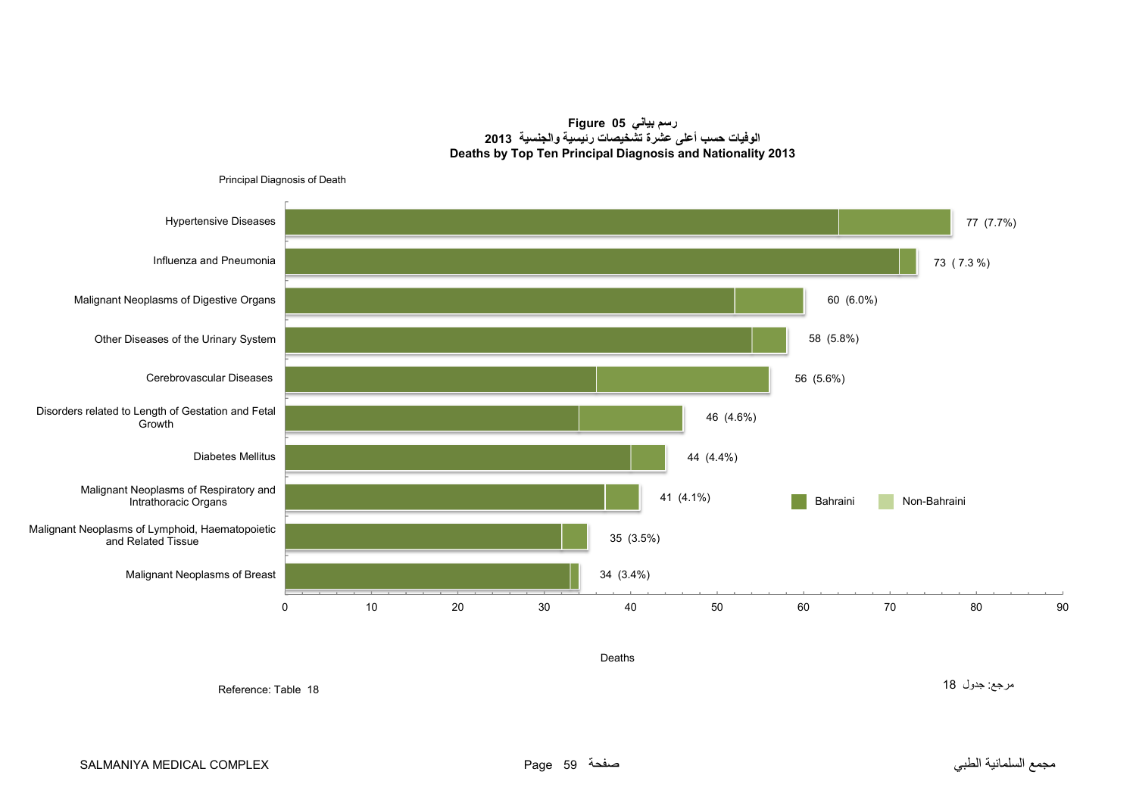**رسم بياني 05 Figure الوفيات حسب أعلى عشرة تشخيصات رئيسية والجنسية <sup>2013</sup> Deaths by Top Ten Principal Diagnosis and Nationality 2013**

<span id="page-58-0"></span>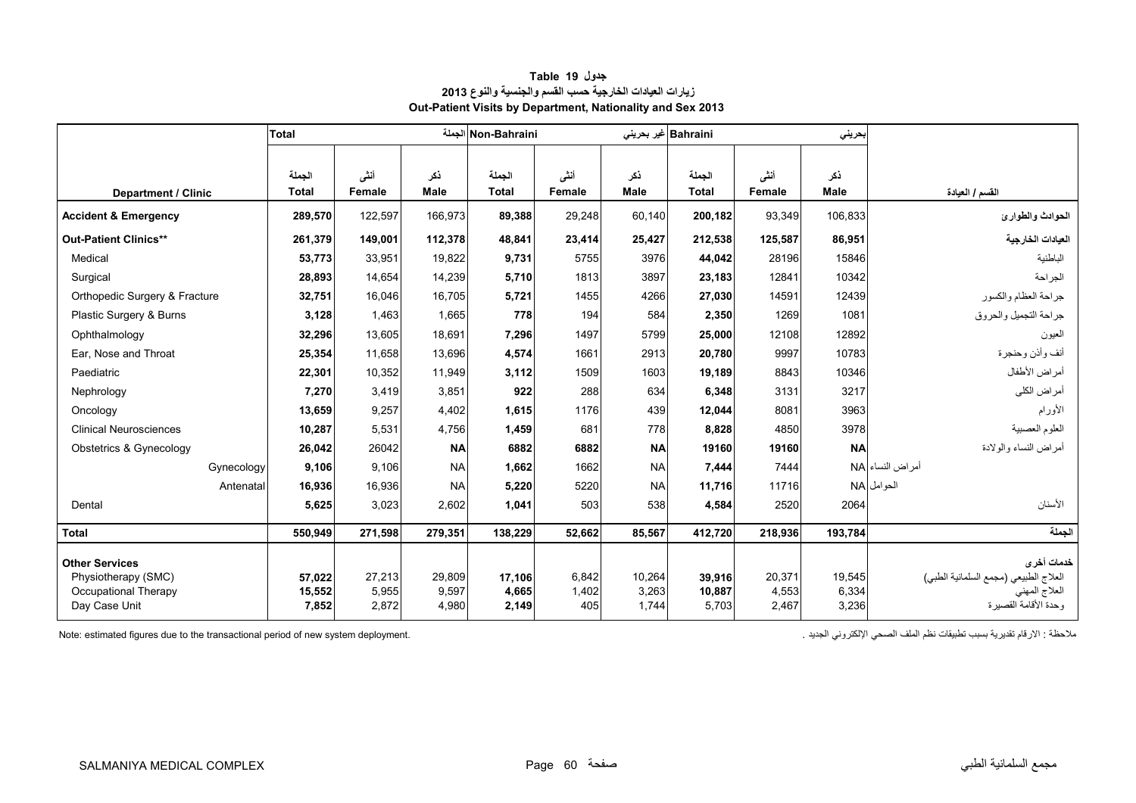<span id="page-59-0"></span>

|                                              | Total                  |                |                    | Non-Bahraini الجملة    |                |             | Bahraini غير بحريني    |                | بحرينى             |                                                     |
|----------------------------------------------|------------------------|----------------|--------------------|------------------------|----------------|-------------|------------------------|----------------|--------------------|-----------------------------------------------------|
| Department / Clinic                          | الجملة<br><b>Total</b> | أنشى<br>Female | ذكر<br><b>Male</b> | الجملة<br><b>Total</b> | أننى<br>Female | نكر<br>Male | الجملة<br><b>Total</b> | أنشى<br>Female | ذكر<br><b>Male</b> | القسم / العيادة                                     |
| <b>Accident &amp; Emergency</b>              | 289.570                | 122,597        | 166,973            | 89,388                 | 29,248         | 60,140      | 200,182                | 93,349         | 106.833            | الحوادث والطوارئ                                    |
| <b>Out-Patient Clinics**</b>                 | 261,379                | 149,001        | 112,378            | 48,841                 | 23,414         | 25,427      | 212,538                | 125,587        | 86,951             | العيادات الخارجية                                   |
| Medical                                      | 53,773                 | 33,951         | 19,822             | 9,731                  | 5755           | 3976        | 44,042                 | 28196          | 15846              | الباطنية                                            |
| Surgical                                     | 28,893                 | 14.654         | 14,239             | 5.710                  | 1813           | 3897        | 23,183                 | 12841          | 10342              | الجر احة                                            |
| Orthopedic Surgery & Fracture                | 32,751                 | 16,046         | 16.705             | 5,721                  | 1455           | 4266        | 27,030                 | 14591          | 12439              | جراحة العظام والكسور                                |
| Plastic Surgery & Burns                      | 3,128                  | 1.463          | 1,665              | 778                    | 194            | 584         | 2,350                  | 1269           | 1081               | جراحة التجميل والحروق                               |
| Ophthalmology                                | 32,296                 | 13,605         | 18,691             | 7,296                  | 1497           | 5799        | 25,000                 | 12108          | 12892              | العيون                                              |
| Ear, Nose and Throat                         | 25,354                 | 11,658         | 13,696             | 4,574                  | 1661           | 2913        | 20,780                 | 9997           | 10783              | أنف وأذن وحنجرة                                     |
| Paediatric                                   | 22,301                 | 10,352         | 11,949             | 3.112                  | 1509           | 1603        | 19,189                 | 8843           | 10346              | أمراض الأطفال                                       |
| Nephrology                                   | 7,270                  | 3,419          | 3,851              | 922                    | 288            | 634         | 6,348                  | 3131           | 3217               | أمراض الكلى                                         |
| Oncology                                     | 13,659                 | 9,257          | 4,402              | 1,615                  | 1176           | 439         | 12,044                 | 8081           | 3963               | الأورام                                             |
| <b>Clinical Neurosciences</b>                | 10,287                 | 5,531          | 4,756              | 1,459                  | 681            | 778         | 8,828                  | 4850           | 3978               | العلوم العصبية                                      |
| Obstetrics & Gynecology                      | 26,042                 | 26042          | <b>NA</b>          | 6882                   | 6882           | <b>NA</b>   | 19160                  | 19160          | <b>NA</b>          | أمراض النساء والولادة                               |
| Gynecology                                   | 9,106                  | 9,106          | <b>NA</b>          | 1,662                  | 1662           | <b>NA</b>   | 7,444                  | 7444           |                    | أمراض النساء NA                                     |
| Antenatal                                    | 16,936                 | 16.936         | <b>NA</b>          | 5.220                  | 5220           | <b>NA</b>   | 11,716                 | 11716          |                    | الحوامل NA                                          |
| Dental                                       | 5,625                  | 3,023          | 2,602              | 1,041                  | 503            | 538         | 4,584                  | 2520           | 2064               | الأسنان                                             |
| <b>Total</b>                                 | 550,949                | 271,598        | 279,351            | 138,229                | 52,662         | 85,567      | 412,720                | 218,936        | 193,784            | الحملة                                              |
| <b>Other Services</b><br>Physiotherapy (SMC) | 57,022                 | 27,213         | 29,809             | 17,106                 | 6,842          | 10,264      | 39,916                 | 20,371         | 19,545             | خدمات أخرى<br>العلاج الطبيعي (مجمع السلمانية الطبي) |
| Occupational Therapy                         | 15,552                 | 5,955          | 9.597              | 4,665                  | 1,402          | 3.263       | 10,887                 | 4,553          | 6,334              | العلاج المهني                                       |
| Day Case Unit                                | 7,852                  | 2,872          | 4,980              | 2,149                  | 405            | 1,744       | 5,703                  | 2,467          | 3,236              | ، حدة الأقامة القصير ة                              |

## **جدول 19 Table زيارات العيادات الخارجية حسب القسم والجنسية والنوع <sup>2013</sup> Out-Patient Visits by Department, Nationality and Sex 2013**

Note: estimated figures due to the transactional period of new system deployment. . الجديد اإللكتروني الصحي الملف نظم تطبيقات بسبب تقديرية االرقام : مالحظة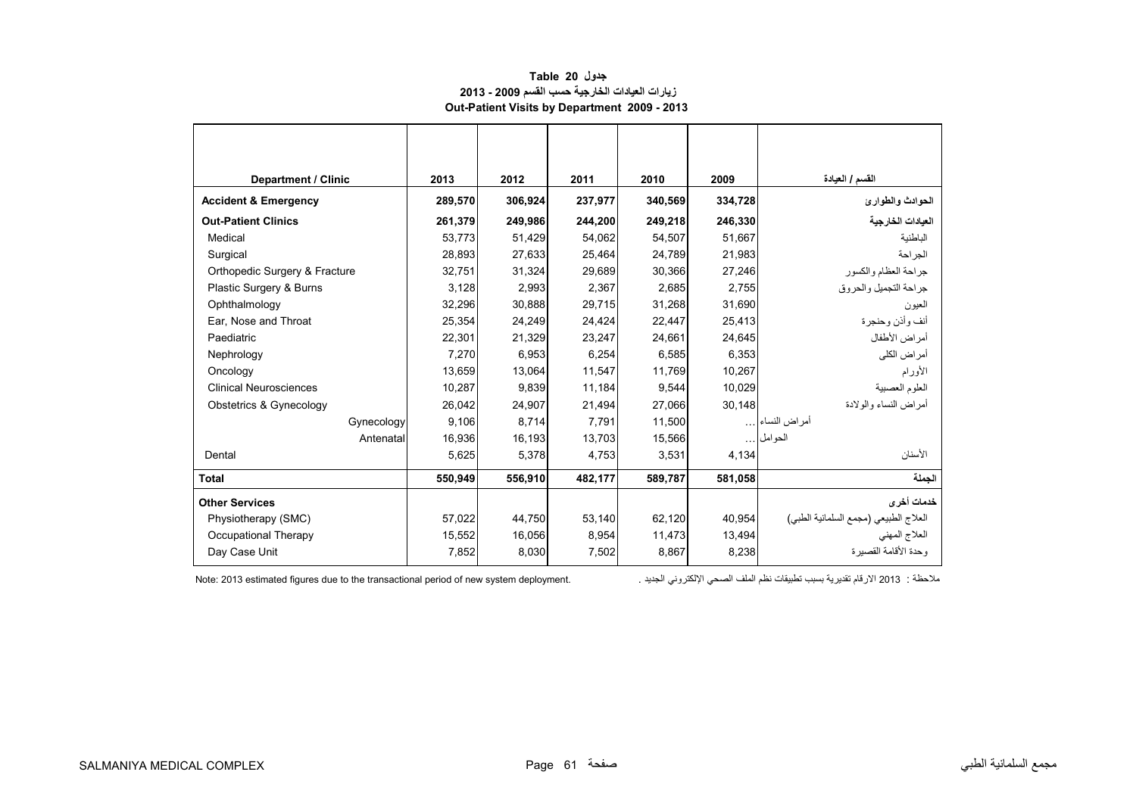## **جدول 20 Table زيارات العيادات الخارجية حسب القسم 2009 - 2013 Out-Patient Visits by Department 2009 - 2013**

<span id="page-60-0"></span>

| <b>Department / Clinic</b>      | 2013    | 2012    | 2011    | 2010    | 2009    | القسم / العيادة                       |
|---------------------------------|---------|---------|---------|---------|---------|---------------------------------------|
| <b>Accident &amp; Emergency</b> | 289,570 | 306,924 | 237,977 | 340,569 | 334,728 | الحوادث والطوارئ                      |
| <b>Out-Patient Clinics</b>      | 261.379 | 249,986 | 244.200 | 249,218 | 246.330 | العيادات الخارجية                     |
| Medical                         | 53.773  | 51,429  | 54,062  | 54,507  | 51.667  | الباطنية                              |
| Surgical                        | 28,893  | 27,633  | 25,464  | 24,789  | 21,983  | الجراحة                               |
| Orthopedic Surgery & Fracture   | 32,751  | 31,324  | 29,689  | 30,366  | 27,246  | جراحة العظام والكسور                  |
| Plastic Surgery & Burns         | 3,128   | 2,993   | 2,367   | 2,685   | 2,755   | جر احة التجميل و الحر و ق             |
| Ophthalmology                   | 32,296  | 30,888  | 29,715  | 31,268  | 31,690  | العيون                                |
| Ear, Nose and Throat            | 25,354  | 24,249  | 24,424  | 22,447  | 25,413  | أنف وأذن وحنجرة                       |
| Paediatric                      | 22,301  | 21,329  | 23,247  | 24,661  | 24,645  | أمراض الأطفال                         |
| Nephrology                      | 7,270   | 6,953   | 6,254   | 6,585   | 6,353   | أمراض الكلى                           |
| Oncology                        | 13,659  | 13,064  | 11,547  | 11,769  | 10,267  | الأورام                               |
| <b>Clinical Neurosciences</b>   | 10,287  | 9,839   | 11,184  | 9,544   | 10,029  | العلوم العصبية                        |
| Obstetrics & Gynecology         | 26,042  | 24,907  | 21,494  | 27,066  | 30,148  | أمر اض النساء والو لادة               |
| Gynecology                      | 9,106   | 8,714   | 7,791   | 11,500  |         | أمراض النساء                          |
| Antenatal                       | 16,936  | 16,193  | 13.703  | 15,566  |         | الحوامل                               |
| Dental                          | 5,625   | 5,378   | 4,753   | 3,531   | 4,134   | الأسنان                               |
| <b>Total</b>                    | 550,949 | 556,910 | 482,177 | 589,787 | 581,058 | الحملة                                |
| <b>Other Services</b>           |         |         |         |         |         | خدمات أخرى                            |
| Physiotherapy (SMC)             | 57,022  | 44,750  | 53,140  | 62,120  | 40,954  | العلاج الطبيعي (مجمع السلمانية الطبي) |
| Occupational Therapy            | 15,552  | 16,056  | 8,954   | 11,473  | 13,494  | العلاج المهني                         |
| Day Case Unit                   | 7,852   | 8,030   | 7,502   | 8,867   | 8,238   | ، حدة الأقامة القصدر ة                |

Note: 2013 estimated figures due to the transactional period of new system deployment. . الجديد اإللكتروني الصحي الملف نظم تطبيقات بسبب تقديرية االرقام 2013 : مالحظة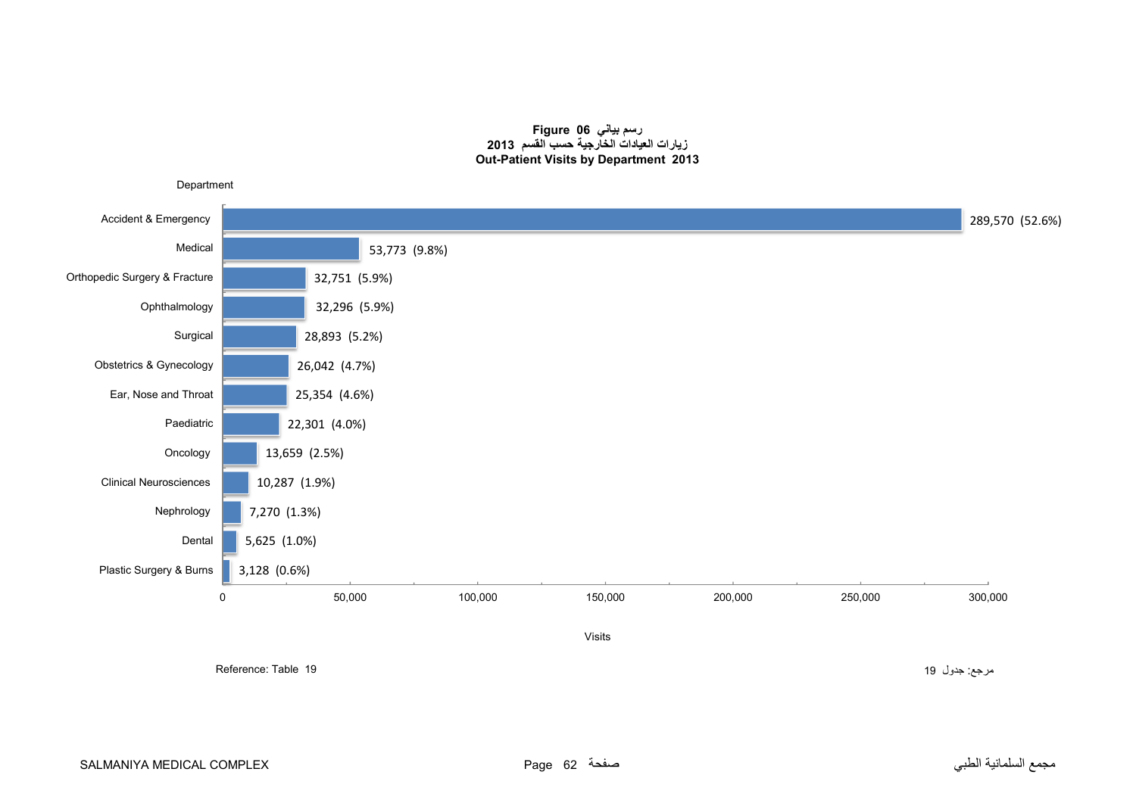#### **رسم بياني 06 Figure زيارات العيادات الخارجية حسب القسم <sup>2013</sup> Out-Patient Visits by Department 2013**

<span id="page-61-0"></span>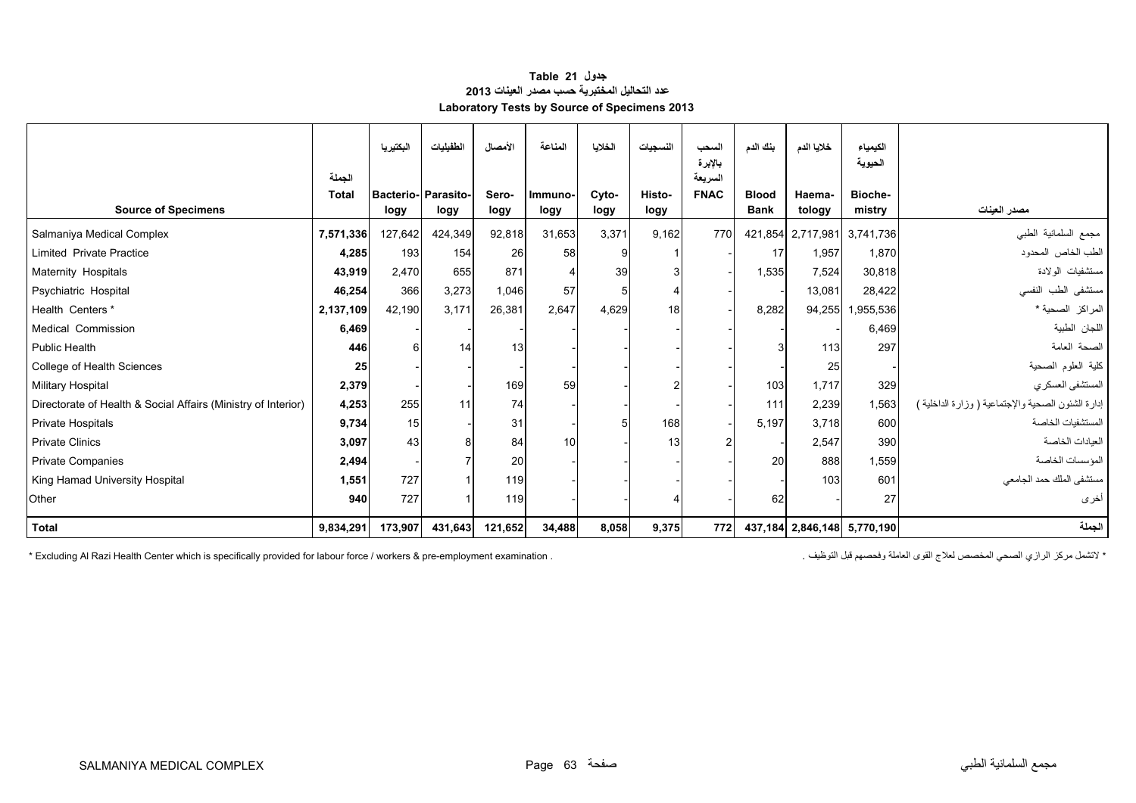## **جدول 21 Table عدد التحاليل المختبرية حسب مصدر العينات <sup>2013</sup> Laboratory Tests by Source of Specimens 2013**

<span id="page-62-0"></span>

|                                                               | الجملة       | البكتيريا | الطفيليات                         | الأمصال       | المناعة         | الخلايا       | النسجيات       | السحب<br>بالإبرة<br>السريعة | بنك الدم                    | خلايا الدم       | الكيمياء<br>الحيوية         |                                                    |
|---------------------------------------------------------------|--------------|-----------|-----------------------------------|---------------|-----------------|---------------|----------------|-----------------------------|-----------------------------|------------------|-----------------------------|----------------------------------------------------|
| <b>Source of Specimens</b>                                    | <b>Total</b> | logy      | <b>Bacterio-Parasito-</b><br>logy | Sero-<br>logy | Immuno-<br>logy | Cyto-<br>logy | Histo-<br>logy | <b>FNAC</b>                 | <b>Blood</b><br><b>Bank</b> | Haema-<br>tology | Bioche-<br>mistry           | مصدر العينات                                       |
| Salmaniya Medical Complex                                     | 7,571,336    | 127,642   | 424,349                           | 92,818        | 31,653          | 3,371         | 9.162          | 770                         |                             |                  | 421,854 2,717,981 3,741,736 | مجمع السلمانية الطبى                               |
| <b>Limited Private Practice</b>                               | 4,285        | 193       | 154                               | 26            | 58              |               |                |                             | 17                          | 1,957            | 1.870                       | الطب الخاص المحدود                                 |
| Maternity Hospitals                                           | 43,919       | 2,470     | 655                               | 871           |                 | 39            |                |                             | 1,535                       | 7,524            | 30,818                      | مستشفيات الولادة                                   |
| Psychiatric Hospital                                          | 46,254       | 366       | 3,273                             | 1,046         | 57              |               |                |                             |                             | 13,081           | 28,422                      | مستشفى الطب النفسى                                 |
| Health Centers *                                              | 2,137,109    | 42.190    | 3.171                             | 26,381        | 2,647           | 4,629         | 18             |                             | 8,282                       | 94,255           | 1,955,536                   | المراكز الصحية *                                   |
| Medical Commission                                            | 6,469        |           |                                   |               |                 |               |                |                             |                             |                  | 6,469                       | اللجان الطبية                                      |
| Public Health                                                 | 446          |           | 14                                | 13            |                 |               |                |                             |                             | 113              | 297                         | الصحة العامة                                       |
| College of Health Sciences                                    | 25           |           |                                   |               |                 |               |                |                             |                             | 25               |                             | كلية العلوم الصحية                                 |
| <b>Military Hospital</b>                                      | 2,379        |           |                                   | 169           | 59              |               |                |                             | 103                         | 1,717            | 329                         | المستشفى العسكري                                   |
| Directorate of Health & Social Affairs (Ministry of Interior) | 4,253        | 255       | 11                                | 74            |                 |               |                |                             | 111                         | 2,239            | 1,563                       | إدارة الشئون الصحية والإجتماعية ( وزارة الداخلية ) |
| <b>Private Hospitals</b>                                      | 9,734        | 15        |                                   | 31            |                 |               | 168            |                             | 5.197                       | 3.718            | 600                         | المستشفيات الخاصبة                                 |
| <b>Private Clinics</b>                                        | 3,097        | 43        |                                   | 84            | 10              |               | 13             |                             |                             | 2,547            | 390                         | العبادات الخاصة                                    |
| <b>Private Companies</b>                                      | 2,494        |           |                                   | 20            |                 |               |                |                             | 20                          | 888              | 1,559                       | المؤسسات الخاصبة                                   |
| King Hamad University Hospital                                | 1,551        | 727       |                                   | 119           |                 |               |                |                             |                             | 103              | 601                         | مستشفى الملك حمد الجامعي                           |
| Other                                                         | 940          | 727       |                                   | 119           |                 |               |                |                             | 62                          |                  | 27                          | أخرى                                               |
| <b>Total</b>                                                  | 9,834,291    | 173,907   | 431,643                           | 121,652       | 34,488          | 8,058         | 9,375          | 772                         |                             |                  | 437,184 2,846,148 5,770,190 | الجملة                                             |

\* Excluding Al Razi Health Center which is specifically provided for labour force / workers & pre-employment examination . . التوظيف قبل وفحصھم العاملة القوى لعالج المخصص الصحي الرازي مركز التشمل\*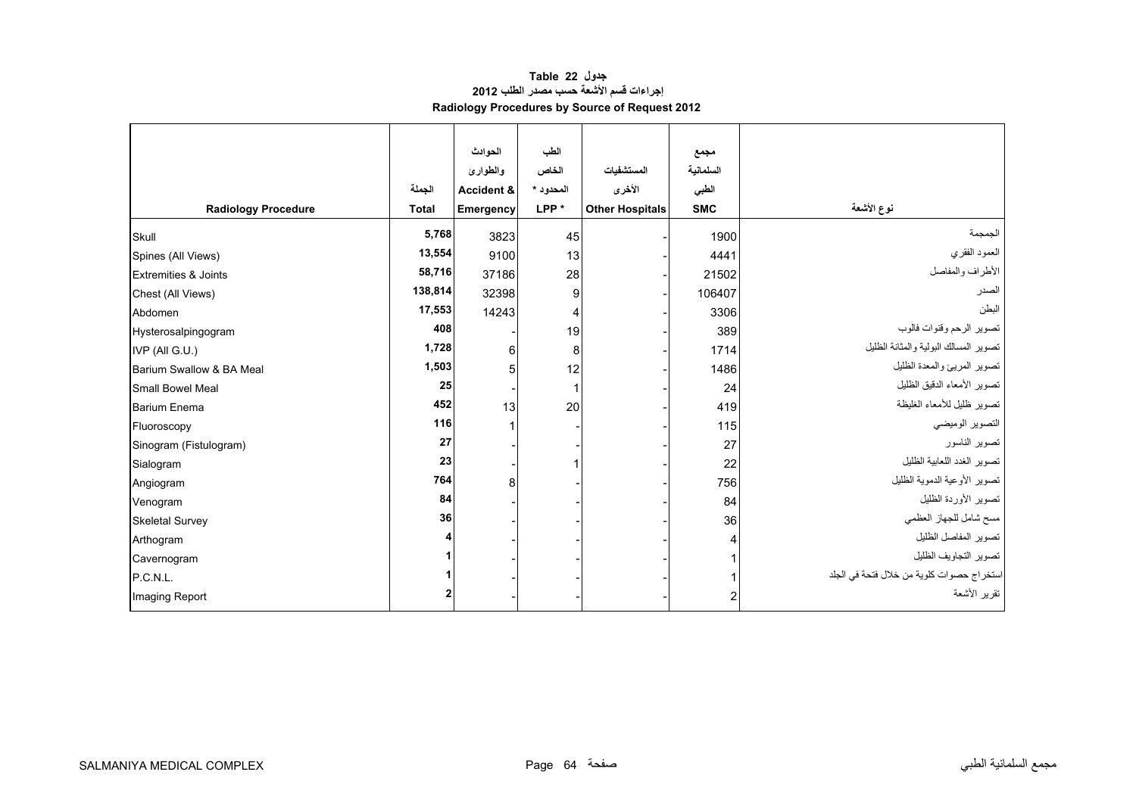# **جدول 22 Table إجراءات قسم األشعة حسب مصدر الطلب <sup>2012</sup> Radiology Procedures by Source of Request 2012**

<span id="page-63-0"></span>

|                                 |              | الحوادث               | الطب             |                        | مجمع       |                                           |
|---------------------------------|--------------|-----------------------|------------------|------------------------|------------|-------------------------------------------|
|                                 |              | والطوارئ              | الخاص            | المستشفيات             | السلمانية  |                                           |
|                                 | الجملة       | <b>Accident &amp;</b> | المحدود *        | الأخرى                 | الطبى      |                                           |
| <b>Radiology Procedure</b>      | <b>Total</b> | Emergency             | LPP <sup>*</sup> | <b>Other Hospitals</b> | <b>SMC</b> | نوع الأشعة                                |
| Skull                           | 5,768        | 3823                  | 45               |                        | 1900       | الجمجمة                                   |
| Spines (All Views)              | 13,554       | 9100                  | 13               |                        | 4441       | العمود الفقري                             |
| <b>Extremities &amp; Joints</b> | 58,716       | 37186                 | 28               |                        | 21502      | الأطراف والمفاصل                          |
| Chest (All Views)               | 138,814      | 32398                 | 9                |                        | 106407     | الصدر                                     |
| Abdomen                         | 17,553       | 14243                 | 4                |                        | 3306       | البطن                                     |
| Hysterosalpingogram             | 408          |                       | 19               |                        | 389        | تصوير الرحم وقنوات فالوب                  |
| IVP (All G.U.)                  | 1,728        | 6                     | $\bf 8$          |                        | 1714       | تصوير المسالك البولية والمثانة الظليل     |
| Barium Swallow & BA Meal        | 1,503        | 5                     | 12               |                        | 1486       | تصوير المريئ والمعدة الظليل               |
| Small Bowel Meal                | 25           |                       |                  |                        | 24         | تصوير الأمعاء الدقيق الظليل               |
| Barium Enema                    | 452          | 13                    | 20               |                        | 419        | تصوير ظليل للأمعاء الغليظة                |
| Fluoroscopy                     | 116          |                       |                  |                        | 115        | التصوير الوميضي                           |
| Sinogram (Fistulogram)          | 27           |                       |                  |                        | 27         | تصوير الناسور                             |
| Sialogram                       | 23           |                       |                  |                        | 22         | تصوير الغدد اللعابية الظليل               |
| Angiogram                       | 764          | 8                     |                  |                        | 756        | تصوير الأوعية الدموية الظليل              |
| Venogram                        | 84           |                       |                  |                        | 84         | تصوير الأوردة الظليل                      |
| <b>Skeletal Survey</b>          | 36           |                       |                  |                        | 36         | مسح شامل للجهاز العظمي                    |
| Arthogram                       |              |                       |                  |                        |            | تصوير المفاصل الظليل                      |
| Cavernogram                     |              |                       |                  |                        |            | تصوير التجاويف الظليل                     |
| P.C.N.L.                        |              |                       |                  |                        |            | استخراج حصوات كلوية من خلال فتحة في الجلد |
| Imaging Report                  | 2            |                       |                  |                        | 2          | تقرير الأشعة                              |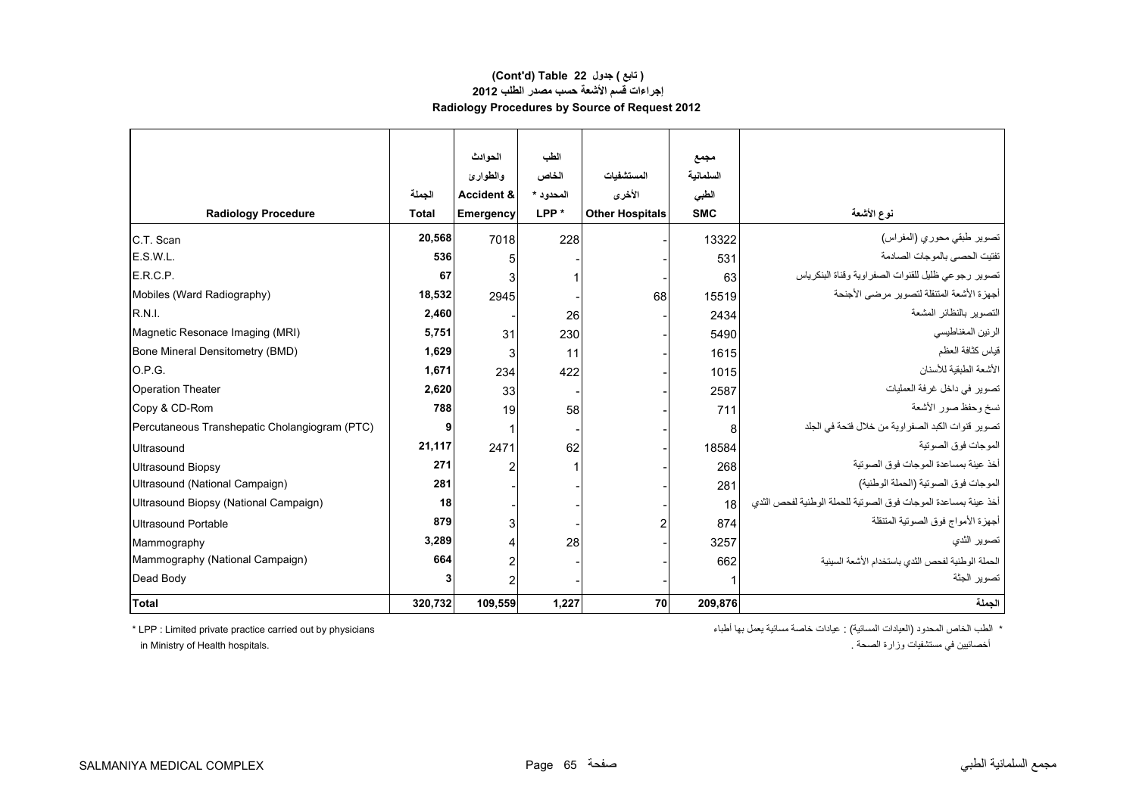## **(Cont'd) Table 22 جدول ) تابع( إجراءات قسم األشعة حسب مصدر الطلب <sup>2012</sup> Radiology Procedures by Source of Request 2012**

|                                               |              | الحوادث               | الطب             |                        | مجمع       |                                                                |
|-----------------------------------------------|--------------|-----------------------|------------------|------------------------|------------|----------------------------------------------------------------|
|                                               |              | والطوارئ              | الخاص            | المستشفيات             | السلمانية  |                                                                |
|                                               | الجملة       | <b>Accident &amp;</b> | المحدود *        | الأخرى                 | الطبى      |                                                                |
| <b>Radiology Procedure</b>                    | <b>Total</b> | Emergency             | LPP <sup>*</sup> | <b>Other Hospitals</b> | <b>SMC</b> | نوع الأشعة                                                     |
| C.T. Scan                                     | 20,568       | 7018                  | 228              |                        | 13322      | تصوير طبقي محوري (المفراس)                                     |
| E.S.W.L.                                      | 536          | 5                     |                  |                        | 531        | تفتيت الحصى بالموجات الصادمة                                   |
| E.R.C.P.                                      | 67           | 3                     |                  |                        | 63         | تصوير رجوعي ظليل للقنوات الصفراوية وقناة البنكرياس             |
| Mobiles (Ward Radiography)                    | 18,532       | 2945                  |                  | 68                     | 15519      | أجهزة الأشعة المتنقلة لتصوير مرضى الأجنحة                      |
| <b>R.N.I.</b>                                 | 2,460        |                       | 26               |                        | 2434       | التصوير بالنظائر المشعة                                        |
| Magnetic Resonace Imaging (MRI)               | 5,751        | 31                    | 230              |                        | 5490       | الرنين المغناطيسي                                              |
| Bone Mineral Densitometry (BMD)               | 1,629        | 3                     | 11               |                        | 1615       | قياس كثافة العظم                                               |
| O.P.G.                                        | 1,671        | 234                   | 422              |                        | 1015       | الأشعة الطبقية للأسنان                                         |
| <b>Operation Theater</b>                      | 2,620        | 33                    |                  |                        | 2587       | تصوير في داخل غرفة العمليات                                    |
| Copy & CD-Rom                                 | 788          | 19                    | 58               |                        | 711        | نسخ وحفظ صور الأشعة                                            |
| Percutaneous Transhepatic Cholangiogram (PTC) | 9            | 1                     |                  |                        | 8          | تصوير قنوات الكبد الصفر اوية من خلال فتحة في الجلد             |
| Ultrasound                                    | 21,117       | 2471                  | 62               |                        | 18584      | الموجات فوق الصوتية                                            |
| <b>Ultrasound Biopsy</b>                      | 271          | 2                     |                  |                        | 268        | أخذ عينة بمساعدة الموجات فوق الصوتية                           |
| Ultrasound (National Campaign)                | 281          |                       |                  |                        | 281        | الموجات فوق الصوتية (الحملة الوطنية)                           |
| Ultrasound Biopsy (National Campaign)         | 18           |                       |                  |                        | 18         | أخذ عينة بمساعدة الموجات فوق الصوتية للحملة الوطنية لفحص الثدي |
| Ultrasound Portable                           | 879          | 3                     |                  |                        | 874        | أجهزة الأمواج فوق الصوتية المتنقلة                             |
| Mammography                                   | 3,289        | 4                     | 28               |                        | 3257       | تصوير الثدي                                                    |
| Mammography (National Campaign)               | 664          | 2                     |                  |                        | 662        | الحملة الوطنية لفحص الثدى باستخدام الأشعة السينية              |
| Dead Body                                     | 3            | $\overline{c}$        |                  |                        |            | تصوير الجثة                                                    |
| Total                                         | 320,732      | 109,559               | 1,227            | 70                     | 209,876    | الجملة                                                         |

\* الطب الخاص المحدود (العيادات المسائية) : عيادات خاصة مسائية يعمل بھا أطباء physicians by out carried practice private Limited : LPP\*

أخصائيين في مستشفيات وزارة الصحة . .hospitals Health of Ministry in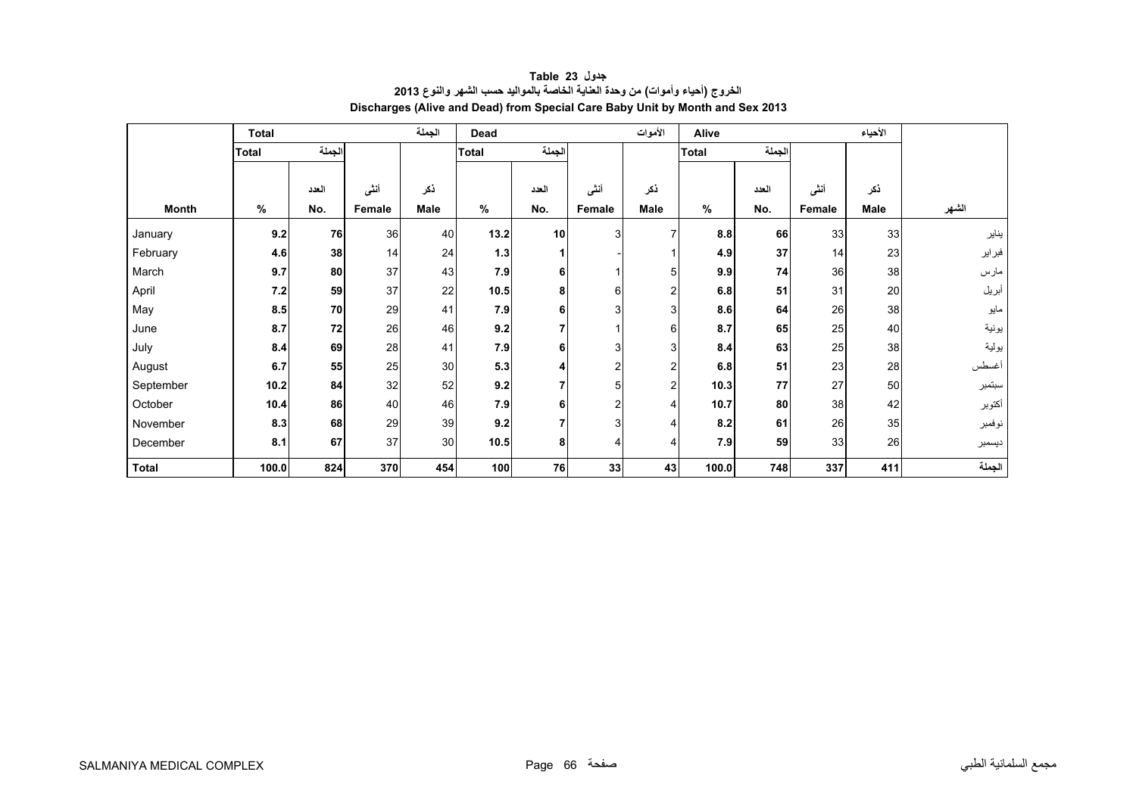<span id="page-65-0"></span>

|              | <b>Total</b> |        |        | الجملة | Dead         |                |                | الأموات | Alive        |       |        | الأحياء |        |
|--------------|--------------|--------|--------|--------|--------------|----------------|----------------|---------|--------------|-------|--------|---------|--------|
|              | <b>Total</b> | الجملة |        |        | <b>Total</b> | الجملة         |                |         | <b>Total</b> | لجملة |        |         |        |
|              |              |        |        |        |              |                |                |         |              |       |        |         |        |
|              |              | العدد  | أننى   | ذكر    |              | العدد          | أننى           | ذكر     |              | العدد | أننى   | ذكر     |        |
| <b>Month</b> | $\%$         | No.    | Female | Male   | $\%$         | No.            | Female         | Male    | $\%$         | No.   | Female | Male    | الشهر  |
| January      | 9.2          | 76     | 36     | 40     | 13.2         | 10             | $\mathbf{3}$   | 7       | 8.8          | 66    | 33     | 33      | يناير  |
| February     | 4.6          | 38     | 14     | 24     | $1.3$        | 1              |                |         | 4.9          | 37    | 14     | 23      | فبراير |
| March        | 9.7          | 80     | 37     | 43     | 7.9          | $6 \mid$       |                | 5       | 9.9          | 74    | 36     | 38      | مارس   |
| April        | 7.2          | 59     | 37     | 22     | 10.5         | 8              | 6              | 2       | 6.8          | 51    | 31     | 20      | أبريل  |
| May          | 8.5          | 70     | 29     | 41     | 7.9          | 6              | 3              | 3       | 8.6          | 64    | 26     | 38      | مايو   |
| June         | 8.7          | 72     | 26     | 46     | 9.2          | $\overline{7}$ |                | 6       | 8.7          | 65    | 25     | 40      | يونية  |
| July         | 8.4          | 69     | 28     | 41     | 7.9          | 6              | 3              | 3       | 8.4          | 63    | 25     | 38      | يولية  |
| August       | 6.7          | 55     | 25     | 30     | 5.3          | 4              | 2              | 2       | 6.8          | 51    | 23     | 28      | أغسطس  |
| September    | 10.2         | 84     | 32     | 52     | 9.2          | $\overline{7}$ | 5              | 2       | 10.3         | 77    | 27     | 50      | سبتمبر |
| October      | 10.4         | 86     | 40     | 46     | 7.9          | 6              | $\overline{2}$ |         | 10.7         | 80    | 38     | 42      | أكتوبر |
| November     | 8.3          | 68     | 29     | 39     | 9.2          | $\overline{7}$ | 3              |         | 8.2          | 61    | 26     | 35      | نوفمبر |
| December     | 8.1          | 67     | 37     | 30     | 10.5         | 8              | $\overline{4}$ | 4       | 7.9          | 59    | 33     | 26      | ديسمبر |
| <b>Total</b> | 100.0        | 824    | 370    | 454    | 100          | 76             | 33             | 43      | 100.0        | 748   | 337    | 411     | الجملة |

# **جدول 23 Table الخروج (أحياء وأموات) من وحدة العناية الخاصة بالمواليد حسب الشھر والنوع <sup>2013</sup> Discharges (Alive and Dead) from Special Care Baby Unit by Month and Sex 2013**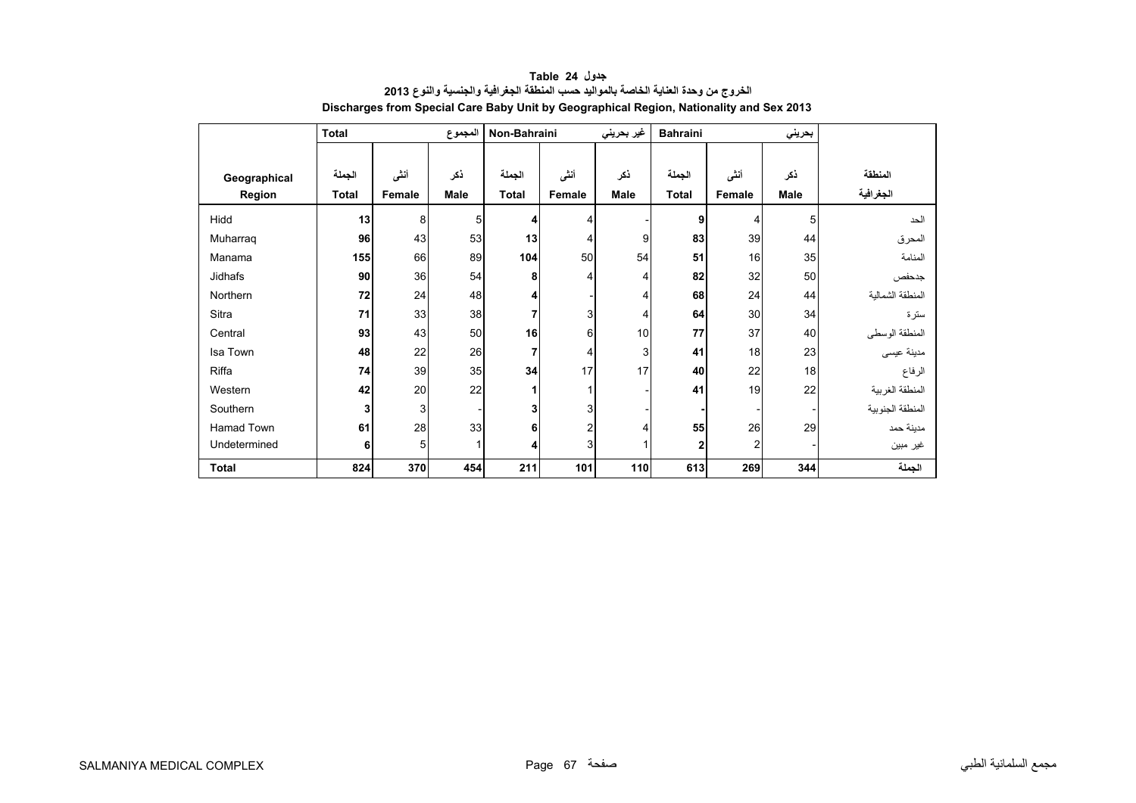<span id="page-66-0"></span>

|              | <b>Total</b> |        | المجموع     | Non-Bahraini |        | غير بحريني | <b>Bahraini</b> |        | بحريني |                  |
|--------------|--------------|--------|-------------|--------------|--------|------------|-----------------|--------|--------|------------------|
|              |              |        |             |              |        |            |                 |        |        |                  |
| Geographical | الجملة       | أنشى   | ذكر         | الجملة       | أنثى   | ذكر        | الجملة          | أنشى   | نكر    | المنطقة          |
| Region       | <b>Total</b> | Female | <b>Male</b> | <b>Total</b> | Female | Male       | <b>Total</b>    | Female | Male   | الجغرافية        |
| Hidd         | 13           | 8      | 5           | 4            | 4      |            | 9               | 4      | 5      | الحد             |
| Muharrag     | 96           | 43     | 53          | 13           | 4      | 9          | 83              | 39     | 44     | المحرق           |
| Manama       | 155          | 66     | 89          | 104          | 50     | 54         | 51              | 16     | 35     | المنامة          |
| Jidhafs      | 90           | 36     | 54          | 8            | 4      | 4          | 82              | 32     | 50     | جدحفص            |
| Northern     | 72           | 24     | 48          | 4            |        | 4          | 68              | 24     | 44     | المنطقة الشمالبة |
| Sitra        | 71           | 33     | 38          | 7            | 3      | 4          | 64              | 30     | 34     | سترة             |
| Central      | 93           | 43     | 50          | 16           | 6      | 10         | 77              | 37     | 40     | المنطقة الوسطى   |
| Isa Town     | 48           | 22     | 26          | 7            | 4      | 3          | 41              | 18     | 23     | مدينة عيسى       |
| Riffa        | 74           | 39     | 35          | 34           | 17     | 17         | 40              | 22     | 18     | الرفاع           |
| Western      | 42           | 20     | 22          | 1            | 1      |            | 41              | 19     | 22     | المنطقة الغربية  |
| Southern     | 3            | 3      |             | 3            | 3      |            |                 |        |        | المنطقة الجنوبية |
| Hamad Town   | 61           | 28     | 33          | 6            | 2      | 4          | 55              | 26     | 29     | مدينة حمد        |
| Undetermined | 6            | 5      | 1           | 4            | 3      |            | 2               | 2      |        | غير مبين         |
| <b>Total</b> | 824          | 370    | 454         | 211          | 101    | 110        | 613             | 269    | 344    | الجملة           |

**جدول 24 Table الخروج من وحدة العناية الخاصة بالمواليد حسب المنطقة الجغرافية والجنسية والنوع <sup>2013</sup> Discharges from Special Care Baby Unit by Geographical Region, Nationality and Sex 2013**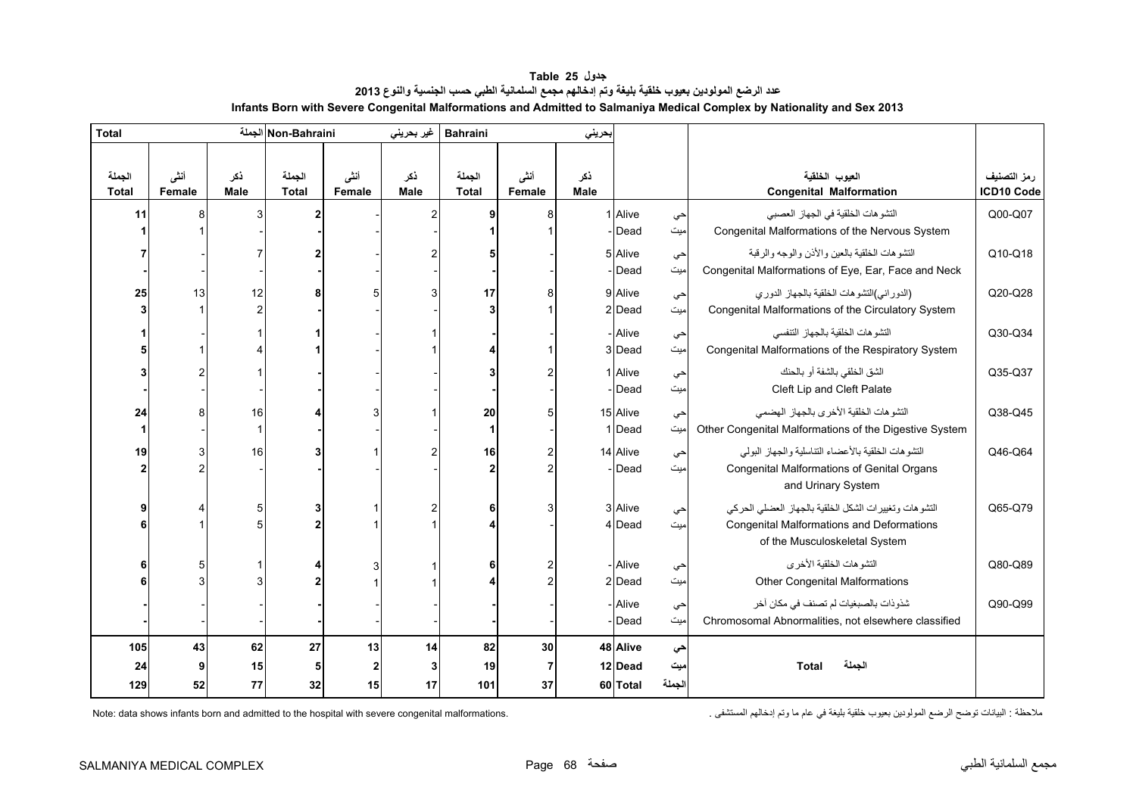<span id="page-67-0"></span>

| <b>Total</b>           |                       |                    | Non-Bahraini الجملة    |                | غير بحريني         | <b>Bahraini</b>        |                | بحريني             |          |        |                                                        |                           |
|------------------------|-----------------------|--------------------|------------------------|----------------|--------------------|------------------------|----------------|--------------------|----------|--------|--------------------------------------------------------|---------------------------|
| الجملة<br><b>Total</b> | أنشى<br><b>Female</b> | نكر<br><b>Male</b> | الجملة<br><b>Total</b> | أنشى<br>Female | ذكر<br><b>Male</b> | الجملة<br><b>Total</b> | أننى<br>Female | ذكر<br><b>Male</b> |          |        | العيوب الخلقية<br><b>Congenital Malformation</b>       | رمز التصنيف<br>ICD10 Code |
| 11                     |                       | 3                  |                        |                |                    | 9                      | 8              |                    | 1 Alive  | حي     | التشو هات الخلقية في الجهاز العصبي                     | Q00-Q07                   |
|                        |                       |                    |                        |                |                    |                        |                |                    | Dead     | میت    | Congenital Malformations of the Nervous System         |                           |
|                        |                       |                    |                        |                |                    |                        |                |                    | 5 Alive  | حي     | النشو هات الخلقية بالعين والأذن والوجه والرقبة         | Q10-Q18                   |
|                        |                       |                    |                        |                |                    |                        |                |                    | - Dead   | میت    | Congenital Malformations of Eye, Ear, Face and Neck    |                           |
| 25                     | 13                    | 12                 | 8                      |                |                    | 17                     | 8              |                    | 9 Alive  | حي     | (الدوراني)التشوهات الخلقية بالجهاز الدوري              | Q20-Q28                   |
|                        |                       | $\mathcal{P}$      |                        |                |                    |                        |                |                    | $2$ Dead | میت    | Congenital Malformations of the Circulatory System     |                           |
|                        |                       |                    |                        |                |                    |                        |                |                    | - Alive  | حي     | التشو هات الخلقية بالجهاز التنفسي                      | Q30-Q34                   |
|                        |                       |                    |                        |                |                    |                        |                |                    | 3 Dead   | امیت   | Congenital Malformations of the Respiratory System     |                           |
|                        |                       |                    |                        |                |                    |                        |                |                    | 1 Alive  | حي     | الشق الخلقي بالشفة أو بالحنك                           | Q35-Q37                   |
|                        |                       |                    |                        |                |                    |                        |                |                    | Dead     | میت    | Cleft Lip and Cleft Palate                             |                           |
| 24                     |                       | 16                 |                        |                |                    | 20                     | 5              |                    | 15 Alive | حي     | التشوهات الخلقية الأخرى بالجهاز الهضمى                 | Q38-Q45                   |
|                        |                       |                    |                        |                |                    | $\mathbf{1}$           |                |                    | 1 Dead   | میت    | Other Congenital Malformations of the Digestive System |                           |
| 19                     |                       | 16                 |                        |                |                    | 16                     | 2              |                    | 14 Alive | حي     | التشوهات الخلقية بالأعضاء التناسلية والجهاز البولى     | Q46-Q64                   |
|                        |                       |                    |                        |                |                    |                        | $\overline{2}$ |                    | Dead     | میت    | Congenital Malformations of Genital Organs             |                           |
|                        |                       |                    |                        |                |                    |                        |                |                    |          |        | and Urinary System                                     |                           |
|                        |                       | 5                  | 3                      |                |                    | 6                      | 3              |                    | 3 Alive  | حي     | التشوهات وتغييرات الشكل الخلقية بالجهاز العضلى الحركى  | Q65-Q79                   |
|                        |                       |                    |                        |                |                    |                        |                |                    | 4 Dead   | میت    | <b>Congenital Malformations and Deformations</b>       |                           |
|                        |                       |                    |                        |                |                    |                        |                |                    |          |        | of the Musculoskeletal System                          |                           |
|                        |                       |                    |                        |                |                    |                        |                |                    | - Alive  | حي     | التشو هات الخلقية الأخر ي                              | Q80-Q89                   |
|                        |                       |                    |                        |                |                    |                        | $\overline{2}$ |                    | 2 Dead   | میت    | <b>Other Congenital Malformations</b>                  |                           |
|                        |                       |                    |                        |                |                    |                        |                |                    | - Alive  | حي     | شذوذات بالصبغيات لم تصنف في مكان أخر                   | Q90-Q99                   |
|                        |                       |                    |                        |                |                    |                        |                |                    | Dead     | میت    | Chromosomal Abnormalities, not elsewhere classified    |                           |
| 105                    | 43                    | 62                 | 27                     | 13             | 14                 | 82                     | 30             |                    | 48 Alive | حي     |                                                        |                           |
| 24                     |                       | 15                 | 5                      | 2              | 3                  | 19                     | 7              |                    | 12 Dead  | میت    | الجملة<br><b>Total</b>                                 |                           |
| 129                    | 52                    | 77                 | 32                     | 15             | 17                 | 101                    | 37             |                    | 60 Total | الجملة |                                                        |                           |

**جدول 25 Table عدد الرضع المولودين بعيوب خلقية بليغة وتم إدخالھم مجمع السلمانية الطبي حسب الجنسية والنوع<sup>2013</sup> Infants Born with Severe Congenital Malformations and Admitted to Salmaniya Medical Complex by Nationality and Sex 2013** 

Note: data shows infants born and admitted to the hospital with severe congenital malformations.

مالحظة : البيانات توضح الرضع المولودين بعيوب خلقية بليغة في عام ما وتم إدخالھم المستشفى .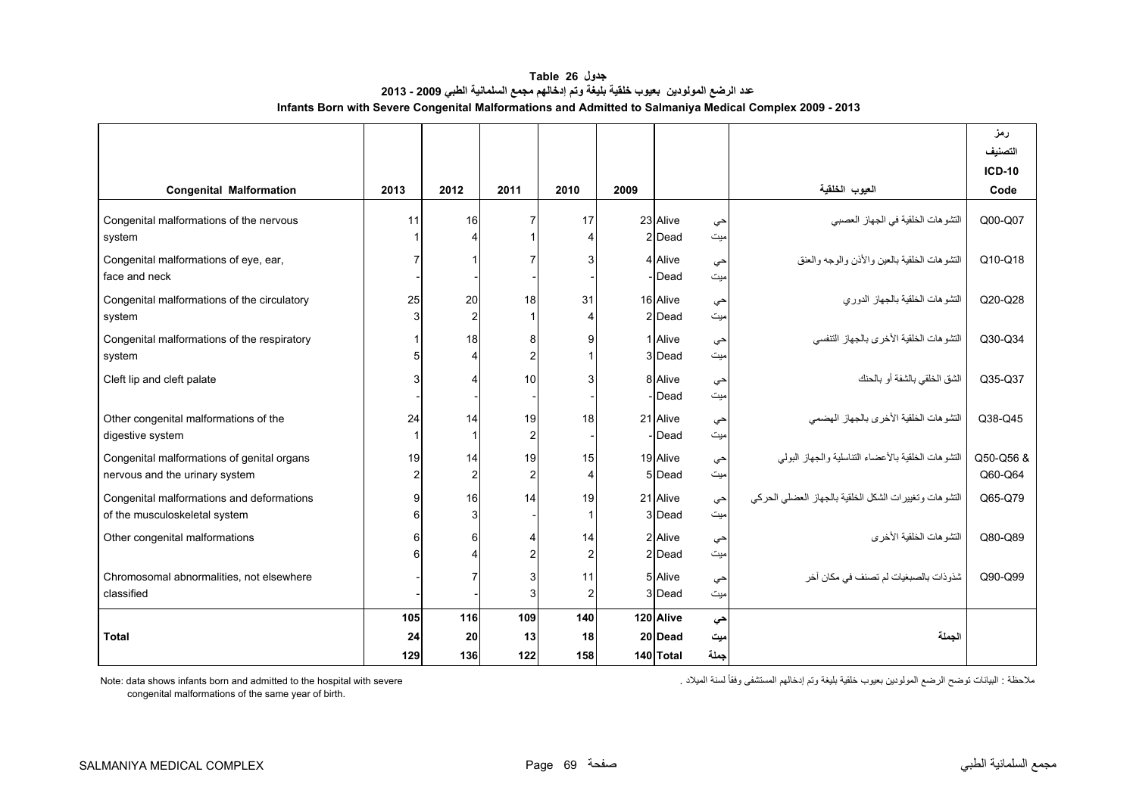| جدول Table 26                                                                                           |
|---------------------------------------------------------------------------------------------------------|
| عدد الرضع المولودين  بعيوب خلقية بليغة وتم إدخالهم مجمع السلمانية الطبي 2009 - 2013                     |
| Infants Born with Severe Congenital Malformations and Admitted to Salmaniya Medical Complex 2009 - 2013 |

<span id="page-68-0"></span>

|                                                                              |                      |                      |                                  |                      |      |                                   |                   |                                                       | رمز<br>التصنيف<br><b>ICD-10</b> |
|------------------------------------------------------------------------------|----------------------|----------------------|----------------------------------|----------------------|------|-----------------------------------|-------------------|-------------------------------------------------------|---------------------------------|
| <b>Congenital Malformation</b>                                               | 2013                 | 2012                 | 2011                             | 2010                 | 2009 |                                   |                   | العيوب الخلقية                                        | Code                            |
| Congenital malformations of the nervous<br>system                            | 11                   | 16<br>$\Delta$       | 7                                | 17<br>Δ              |      | 23 Alive<br>2 Dead                | حى<br>میت         | التشوهات الخلقية في الجهاز العصبي                     | Q00-Q07                         |
| Congenital malformations of eye, ear,<br>face and neck                       |                      |                      |                                  |                      |      | 4 Alive<br>Dead                   | حى<br>ميت         | التشو هات الخلقية بالعين والأذن والوجه والعنق         | Q10-Q18                         |
| Congenital malformations of the circulatory<br>system                        | 25                   | 20<br>$\overline{2}$ | 18                               | 31<br>Δ              |      | 16 Alive<br>2 Dead                | حى<br>ميت         | التشوهات الخلقية بالجهاز الدوري                       | Q20-Q28                         |
| Congenital malformations of the respiratory<br>system                        |                      | 18<br>$\overline{4}$ | 8<br>$\overline{c}$              | 9                    |      | 1 Alive<br>3 Dead                 | حى<br>ميت         | التشو هات الخلقية الأخرى بالجهاز التنفسي              | Q30-Q34                         |
| Cleft lip and cleft palate                                                   |                      | $\overline{4}$       | 10                               |                      |      | 8 Alive<br>Dead                   | حى<br>میت         | الشق الخلقي بالشفة أو بالحنك                          | Q35-Q37                         |
| Other congenital malformations of the<br>digestive system                    | 24                   | 14                   | 19<br>$\overline{2}$             | 18                   |      | 21 Alive<br>Dead                  | حى<br>ميت         | التشو هات الخلقبة الأخرى بالجهاز الهضمى               | Q38-Q45                         |
| Congenital malformations of genital organs<br>nervous and the urinary system | 19<br>$\overline{2}$ | 14<br>$\overline{2}$ | 19<br>$\overline{2}$             | 15<br>4              |      | 19 Alive<br>5 Dead                | حى<br>ميت         | النشوهات الخلقية بالأعضاء التناسلية والجهاز البولمي   | Q50-Q56 &<br>Q60-Q64            |
| Congenital malformations and deformations<br>of the musculoskeletal system   |                      | 16<br>3              | 14                               | 19                   |      | 21 Alive<br>3 Dead                | حى<br>میت         | التشوهات وتغييرات الشكل الخلقية بالجهاز العضلى الحركى | Q65-Q79                         |
| Other congenital malformations                                               |                      | 6                    | $\overline{4}$<br>$\overline{2}$ | 14<br>$\overline{2}$ |      | 2 Alive<br>2 Dead                 | حى<br>میت         | التشو هات الخلقبة الأخر ي                             | Q80-Q89                         |
| Chromosomal abnormalities, not elsewhere<br>classified                       |                      |                      | 3<br>3                           | 11<br>$\overline{2}$ |      | 5 Alive<br>3 Dead                 | حى<br>ميت         | شذو ذات بالصبغيات لم تصنف في مكان آخر                 | Q90-Q99                         |
| <b>Total</b>                                                                 | 105<br>24<br>129     | 116<br>20<br>136     | 109<br>13<br>122                 | 140<br>18<br>158     |      | 120 Alive<br>20 Dead<br>140 Total | حى<br>ميت<br>جملة | الجملة                                                |                                 |

Note: data shows infants born and admitted to the hospital with severe

مالحظة : البيانات توضح الرضع المولودين بعيوب خلقية بليغة وتم إدخالھم المستشفى وفقاً لسنة الميالد .

congenital malformations of the same year of birth.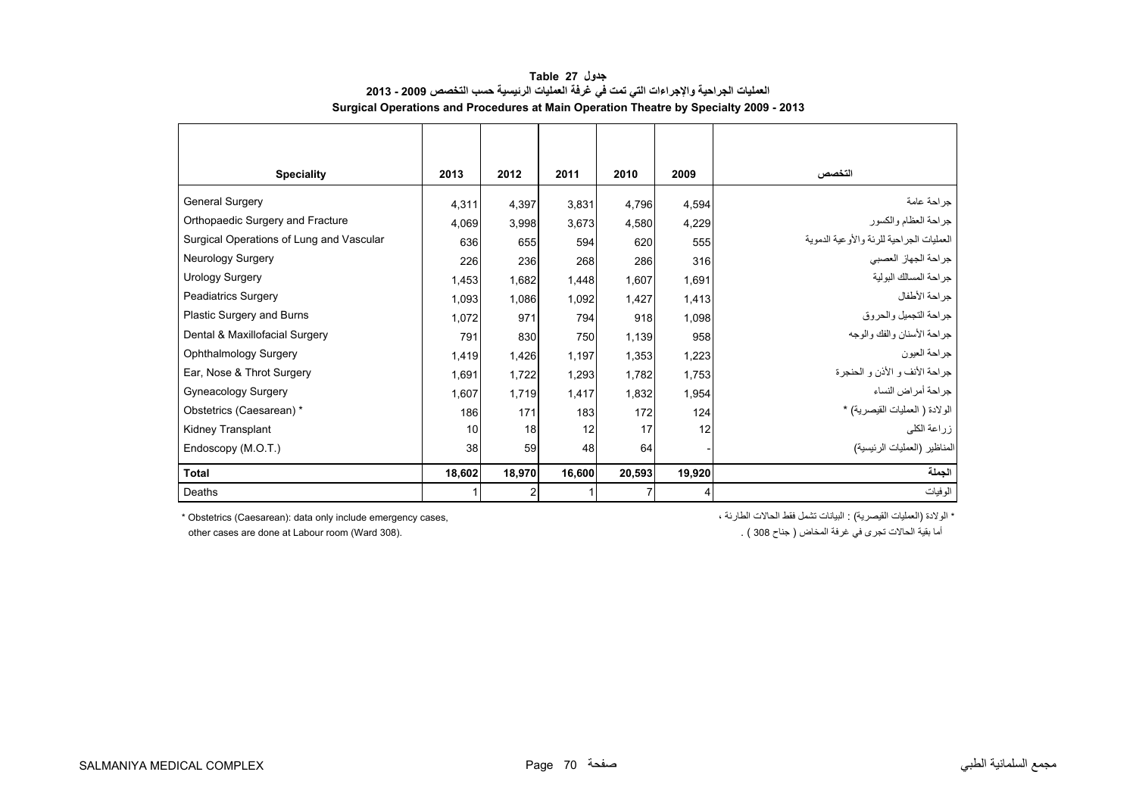<span id="page-69-0"></span>

| <b>Speciality</b>                        | 2013   | 2012   | 2011   | 2010   | 2009   | التخصص                                   |
|------------------------------------------|--------|--------|--------|--------|--------|------------------------------------------|
| <b>General Surgery</b>                   | 4,311  | 4,397  | 3,831  | 4,796  | 4,594  | جر احة عامة                              |
| Orthopaedic Surgery and Fracture         | 4,069  | 3,998  | 3,673  | 4,580  | 4,229  | جراحة العظام والكسور                     |
| Surgical Operations of Lung and Vascular | 636    | 655    | 594    | 620    | 555    | العمليات الجراحية للرئة والأوعية الدموية |
| Neurology Surgery                        | 226    | 236    | 268    | 286    | 316    | جراحة الجهاز العصبي                      |
| <b>Urology Surgery</b>                   | 1,453  | 1,682  | 1.448  | 1,607  | 1,691  | جراحة المسالك البولية                    |
| <b>Peadiatrics Surgery</b>               | 1,093  | 1,086  | 1,092  | 1,427  | 1,413  | جراحة الأطفال                            |
| Plastic Surgery and Burns                | 1,072  | 971    | 794    | 918    | 1,098  | جراحة التجميل والحروق                    |
| Dental & Maxillofacial Surgery           | 791    | 830    | 750    | 1,139  | 958    | جراحة الأسنان والفك والوجه               |
| Ophthalmology Surgery                    | 1.419  | 1,426  | 1,197  | 1,353  | 1,223  | جراحة العيون                             |
| Ear, Nose & Throt Surgery                | 1,691  | 1,722  | 1,293  | 1,782  | 1,753  | جراحة الأنف و الأذن و الحنجرة            |
| Gyneacology Surgery                      | 1,607  | 1,719  | 1,417  | 1,832  | 1,954  | جراحة أمراض النساء                       |
| Obstetrics (Caesarean) *                 | 186    | 171    | 183    | 172    | 124    | الولادة ( العمليات القيصرية) *           |
| Kidney Transplant                        | 10     | 18     | 12     | 17     | 12     | زراعة الكلى                              |
| Endoscopy (M.O.T.)                       | 38     | 59     | 48     | 64     |        | المناظير (العمليات الرئيسية)             |
| <b>Total</b>                             | 18,602 | 18,970 | 16,600 | 20,593 | 19,920 | الجملة                                   |
| Deaths                                   |        | 2      |        |        |        | الوفيات                                  |

**جدول 27 Table العمليات الجراحية واإلجراءات التي تمت في غرفة العمليات الرئيسية حسب التخصص 2009 - 2013 Surgical Operations and Procedures at Main Operation Theatre by Specialty 2009 - 2013**

\* Obstetrics (Caesarean): data only include emergency cases, other cases are done at Labour room (Ward 308).

\* الولادة (العمليات القيصرية) : البيانات تشمل فقط الحالات الطارئة ،

أما بقية الحالات تجر ي في غر فة المخاض ( جناح 308 ) .